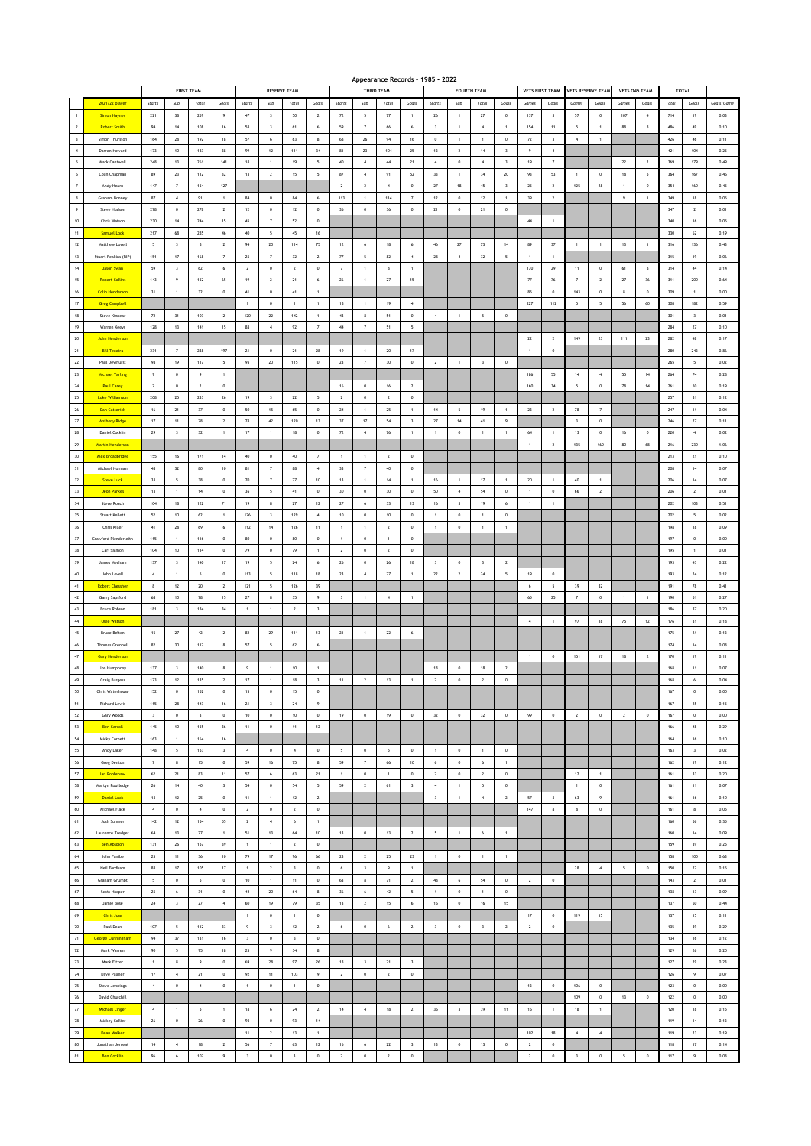|                         |                         |                          |                          |                          |                         |                    |                          |                             |                          |                          |                         | Appearance Records - 1985 - 2022 |                          |                         |                          |                          |                         |                |                         |                          |                   |                            |                  |         |                |            |
|-------------------------|-------------------------|--------------------------|--------------------------|--------------------------|-------------------------|--------------------|--------------------------|-----------------------------|--------------------------|--------------------------|-------------------------|----------------------------------|--------------------------|-------------------------|--------------------------|--------------------------|-------------------------|----------------|-------------------------|--------------------------|-------------------|----------------------------|------------------|---------|----------------|------------|
|                         |                         |                          |                          | <b>FIRST TEAM</b>        |                         |                    | <b>RESERVE TEAM</b>      |                             |                          |                          |                         | THIRD TEAM                       |                          |                         |                          | <b>FOURTH TEAM</b>       |                         |                | <b>VETS FIRST TEAM</b>  | <b>VETS RESERVE TEAM</b> |                   |                            | VETS 045 TEAM    | TOTAL   |                |            |
|                         | 2021/22 player          | Starts                   | Sub                      | Total                    | Goals                   | $_{\text{Starts}}$ | Sub                      | Total                       | Goals                    | Starts                   | Sub                     | Total                            | Goals                    | Starts                  | Sub                      | Total                    | Goals                   | Game:          | Goals                   | Games                    | Goals             | <b>Games</b>               | Goals            | Total   | Goals          | Goals/Game |
| $\mathbf{1}$            | <b>Simon Haynes</b>     | 221                      | 38                       | 259                      | $\overline{9}$          | 47                 | $\overline{\mathbf{3}}$  | 50                          | $\overline{2}$           | $72\,$                   | 5                       | $77\,$                           | $\mathbf{1}$             | $26\,$                  | $\mathbf{1}$             | 27                       | $\,$ 0 $\,$             | 137            | $\overline{\mathbf{3}}$ | $57\,$                   | $\bf{0}$          | 107                        | $\boldsymbol{4}$ | 714     | 19             | 0.03       |
| $\overline{2}$          | <b>Robert Smith</b>     | 94                       | 14                       | 108                      | 16                      | 58                 | $\overline{\mathbf{3}}$  | 61                          | 6                        | 59                       | $\overline{7}$          | 66                               | 6                        | $\overline{\mathbf{3}}$ | $\overline{1}$           | $\sim$                   | $\mathbf{1}$            | 154            | 11                      | $\overline{\phantom{a}}$ | $\overline{1}$    | 88                         | 8                | 486     | 49             | 0.10       |
| $\overline{\mathbf{3}}$ | Simon Thurston          | 164                      | 28                       | 192                      | 18                      | 57                 | 6                        | 63                          | 8                        | 68                       | 26                      | 94                               | 16                       | $^{\circ}$              | $\overline{1}$           | $\sim$                   | $^{\circ}$              | $\mathbf{72}$  | $\overline{\mathbf{3}}$ | $\sim$                   | $\overline{1}$    |                            |                  | 426     | 46             | 0.11       |
| $\boldsymbol{4}$        | Darren Howard           | 173                      | 10                       | 183                      | 38                      | 99                 | 12                       | 111                         | 34                       | 81                       | 23                      | 104                              | 25                       | 12                      | $\overline{2}$           | 14                       | 3                       | 9              | $\overline{4}$          |                          |                   |                            |                  | 421     | 104            | 0.25       |
| $\sf s$                 | Mark Cantwell           | 248                      | 13                       | 261                      | $141$                   | 18                 | $\mathbf{1}$             | $19\,$                      | 5                        | $40\,$                   | $\,$ 4 $\,$             | $44\,$                           | $21\,$                   | $\ddot{a}$              | $\,$ 0 $\,$              | $\sqrt{4}$               | $\,$ 3                  | 19             | $\scriptstyle\rm 7$     |                          |                   | $\boldsymbol{\mathit{22}}$ | $\overline{2}$   | 369     | 179            | 0.49       |
| $\,$ 6 $\,$             | Colin Chapman           | 89                       | 23                       | 112                      | $32\,$                  | $13\,$             | $\sqrt{2}$               | 15                          | 5                        | 87                       | $\,$ 4 $\,$             | 91                               | 52                       | $_{33}$                 | $\overline{1}$           | 34                       | $20\,$                  | 93             | 53                      |                          | $\,$ 0            | $18\,$                     | 5                | 364     | 167            | 0.46       |
| $\scriptstyle{7}$       | Andy Hearn              | 147                      | $\overline{7}$           | 154                      | 127                     |                    |                          |                             |                          | $\overline{2}$           | $\overline{2}$          | $\overline{4}$                   | $^{\circ}$               | 27                      | 18                       | 45                       | $\overline{\mathbf{3}}$ | 25             | $\overline{2}$          | 125                      | 28                | $\overline{1}$             | $^{\circ}$       | 354     | 160            | 0.45       |
| $\boldsymbol{8}$        | Graham Bonney           | 87                       | $\sim$                   | 91                       | $\mathbf{1}$            | 84                 | $\,0\,$                  | 84                          | 6                        | 113                      | $\mathbf{1}$            | 114                              | $\scriptstyle\rm 7$      | 12                      | $\,$ 0                   | 12                       | $\mathbf{1}$            | 39             | $\,$ 2 $\,$             |                          |                   | $\overline{9}$             | $\mathbf{1}$     | 349     | 18             | 0.05       |
| 9                       | Steve Hudson            | 278                      | $\,$ 0                   | 278                      | $\overline{2}$          | $12\,$             | $\,$ 0                   | $12\,$                      | $\,0\,$                  | $36$                     | $\,$ 0                  | 36                               | $\,0\,$                  | 21                      | $\,$ 0 $\,$              | 21                       | $\mathbf 0$             |                |                         |                          |                   |                            |                  | 347     | $\,$ 2 $\,$    | 0.01       |
| $10$                    | Chris Watson            | 230                      | 14                       | $244\,$                  | 15                      | 45                 | $\scriptstyle\rm{7}$     | 52                          | $\,$ 0                   |                          |                         |                                  |                          |                         |                          |                          |                         | $44\,$         | $\,$ 1 $\,$             |                          |                   |                            |                  | 340     | $16\,$         | 0.05       |
| 11                      | <b>Samuel Lock</b>      | 217                      | 68                       | 285                      | 46                      | 40                 | $\overline{5}$           | 45                          | 16                       |                          |                         |                                  |                          |                         |                          |                          |                         |                |                         |                          |                   |                            |                  | 330     | 62             | 0.19       |
| $12\,$                  | Matthew Lovell          | $\overline{\phantom{a}}$ | $\overline{\mathbf{3}}$  | 8                        | $\overline{2}$          | $\,94$             | $20\,$                   | 114                         | $75\,$                   | 12                       | 6                       | 18                               | 6                        | 46                      | 27                       | 73                       | 14                      | 89             | $37\,$                  | $\overline{1}$           | $\mathbf{1}$      | 13                         | $\mathbf{1}$     | 316     | 136            | 0.43       |
|                         |                         |                          |                          |                          |                         |                    |                          |                             |                          |                          |                         |                                  |                          |                         |                          |                          |                         |                |                         |                          |                   |                            |                  |         |                |            |
| $13\,$                  | Stuart Feakins (RIP)    | 151                      | $17\,$                   | 168                      | $\overline{7}$          | $25\,$             | $\overline{7}$           | $_{\rm 32}$                 | $\,$ 2 $\,$              | $77\,$                   | 5                       | 82                               | $\overline{4}$           | 28                      | $\boldsymbol{A}$         | $32\,$                   | 5                       |                | $\mathbf{1}$            |                          |                   |                            |                  | 315     | 19             | 0.06       |
| $^{\rm 14}$             | <b>Jason Swan</b>       | 59                       | $\overline{\mathbf{3}}$  | $62\,$                   | 6                       | $\overline{2}$     | $\,$ 0                   | $\overline{2}$              | $\,$ 0                   | $\overline{7}$           | $\mathbf 1$             | 8                                | $\overline{1}$           |                         |                          |                          |                         | 170            | 29                      | 11                       | $\,$ 0            | 61                         | 8                | 314     | $\bf{44}$      | 0.14       |
| 15                      | <b>Robert Collins</b>   | 143                      | $\overline{9}$           | 152                      | 65                      | 19                 | $\overline{2}$           | 21                          | 6                        | 26                       | $\overline{1}$          | 27                               | 15                       |                         |                          |                          |                         | 77             | 76                      | $\overline{7}$           | $\overline{2}$    | 27                         | 36               | 311     | 200            | 0.64       |
| $16$                    | <b>Colin Henderson</b>  | 31                       | $\mathbf{1}$             | 32                       | $\mathbb O$             | 41                 | $\,$ 0                   | $41\,$                      | $\overline{1}$           |                          |                         |                                  |                          |                         |                          |                          |                         | 85             | $\,0\,$                 | 143                      | $\,$ 0            | $\,$ 8                     | $\mathbb O$      | 309     | $\mathbf{1}$   | 0.00       |
| $17\,$                  | <b>Greg Campbell</b>    |                          |                          |                          |                         | $\mathbf{1}$       | $\,$ 0                   | $\overline{1}$              | $\overline{1}$           | $18\,$                   | $\mathbf{1}$            | 19                               | $\overline{4}$           |                         |                          |                          |                         | 227            | $112$                   | $\sf s$                  | 5                 | $56\,$                     | $60\,$           | 308     | 182            | 0.59       |
| $18\,$                  | Steve Kinnear           | $\boldsymbol{n}$         | 31                       | 103                      | $\overline{2}$          | 120                | $\bf 22$                 | $142\,$                     | $\overline{1}$           | 43                       | 8                       | 51                               | $\,0\,$                  | $\ddot{a}$              | $\mathbf{1}$             | $\overline{\phantom{a}}$ | $\mathbf 0$             |                |                         |                          |                   |                            |                  | 301     | $\mathsf3$     | 0.01       |
| 19                      | Warren Keeys            | 128                      | 13                       | 141                      | 15                      | 88                 | $\sim$                   | 92                          | $\overline{7}$           | 44                       | 7                       | 51                               | $\overline{\phantom{a}}$ |                         |                          |                          |                         |                |                         |                          |                   |                            |                  | 284     | 27             | 0.10       |
| 20                      | <b>John Henderson</b>   |                          |                          |                          |                         |                    |                          |                             |                          |                          |                         |                                  |                          |                         |                          |                          |                         | 22             | $\overline{2}$          | 149                      | 23                | 111                        | 23               | 282     | 48             | 0.17       |
| $\mathbf{21}$           | <b>Bill Texeira</b>     | 231                      | $\scriptstyle\rm 7$      | 238                      | 197                     | 21                 | $\,0\,$                  | 21                          | ${\bf 28}$               | 19                       | $\mathbf{1}$            | $20\,$                           | $17\,$                   |                         |                          |                          |                         | $\mathbf{1}$   | $\,$ 0                  |                          |                   |                            |                  | 280     | $242\,$        | 0.86       |
| $\bf 22$                | Paul Dewhurst           | 98                       | 19                       | 117                      | 5                       | 95                 | 20                       | 115                         | $\,$ 0                   | 23                       | $\scriptstyle\rm 7$     | $30\,$                           | $\,0\,$                  | $\sqrt{2}$              | $\,$ 1                   | $\overline{\mathbf{3}}$  | $\,$ 0                  |                |                         |                          |                   |                            |                  | 265     | 5              | 0.02       |
| $23\,$                  | <b>Michael Tarling</b>  | $\overline{9}$           | $^{\circ}$               | $\overline{9}$           | $\mathbf{1}$            |                    |                          |                             |                          |                          |                         |                                  |                          |                         |                          |                          |                         | 186            | 55                      | 14                       | $\overline{4}$    | 55                         | 14               | 264     | 74             | 0.28       |
| $\mathbf{24}$           | <b>Paul Carey</b>       | $\overline{2}$           | $\,0\,$                  | $\overline{2}$           | $\mathbb O$             |                    |                          |                             |                          | 16                       | $\mathbf 0$             | 16                               | $\overline{2}$           |                         |                          |                          |                         | 160            | $_{34}$                 | $\sqrt{2}$               | $\,$ 0 $\,$       | 78                         | 14               | 261     | $50\,$         | 0.19       |
| ${\bf 25}$              | <b>Luke Williamson</b>  | 208                      | 25                       | 233                      | 26                      | 19                 | $\overline{\mathbf{3}}$  | 22                          | 5                        | $\overline{2}$           | $\,$ 0                  | $\overline{2}$                   | $\,$ 0                   |                         |                          |                          |                         |                |                         |                          |                   |                            |                  | 257     | 31             | 0.12       |
| $26\,$                  | <b>Dan Catterick</b>    | $16\,$                   | 21                       | 37                       | $\,0\,$                 | 50                 | $15\,$                   | 65                          | $\,$ 0                   | $\bf 24$                 | $1$ .                   | $25\,$                           | $\,1\,$                  | $14\,$                  | $\overline{\phantom{a}}$ | 19                       | $\,$ 1 $\,$             | ${\bf 23}$     | $\overline{2}$          | ${\bf 78}$               | $\scriptstyle{7}$ |                            |                  | 247     | $11\,$         | 0.04       |
| $\mathbf{27}$           | <b>Anthony Ridge</b>    | 17                       | $11 -$                   | 28                       | $\overline{2}$          | 78                 | $42\,$                   | 120                         | 13                       | 37                       | 17                      | 54                               | $\overline{\mathbf{3}}$  | $27\,$                  | $14$                     | 41                       | $\overline{9}$          |                |                         | $\overline{\mathbf{3}}$  | $\circ$           |                            |                  | 246     | 27             | 0.11       |
| 28                      | Daniel Cocklin          | 29                       | $\overline{3}$           | 32                       | $\mathbf{1}$            | $17$               | $\mathbf{1}$             | 18                          | $\circ$                  | $72\,$                   | $\sim$                  | $76\,$                           | $\overline{1}$           | $\overline{1}$          | $\mathbf{0}$             | $\overline{1}$           | $\mathbf{1}$            | 64             | $\overline{1}$          | 13                       | $\overline{0}$    | 16                         | $^{\circ}$       | 220     | $\sim$         | 0.02       |
| 29                      | <b>Martin Henderson</b> |                          |                          |                          |                         |                    |                          |                             |                          |                          |                         |                                  |                          |                         |                          |                          |                         | $\mathbf{1}$   | $\,$ 2 $\,$             | 135                      | 160               | 80                         | 68               | 216     | 230            | 1.06       |
| 30                      | Alex Broadbridge        | 155                      | $16\,$                   | 171                      | $14\,$                  | $40\,$             | $\bf{0}$                 | $40\,$                      | $\overline{\phantom{a}}$ | 1                        | $\mathbf{1}$            | $\overline{2}$                   | $\,0\,$                  |                         |                          |                          |                         |                |                         |                          |                   |                            |                  | 213     | $21\,$         | 0.10       |
| 31                      | Michael Norman          | $48\,$                   | $32\,$                   | 80                       | $10\,$                  | 81                 | $\scriptstyle\rm 7$      | 88                          | $\boldsymbol{4}$         | 33                       | $\scriptstyle\rm 7$     | $40\,$                           | $\,0\,$                  |                         |                          |                          |                         |                |                         |                          |                   |                            |                  | 208     | $14\,$         | 0.07       |
|                         |                         |                          |                          |                          |                         |                    |                          |                             |                          |                          |                         |                                  |                          |                         |                          |                          |                         |                |                         |                          |                   |                            |                  |         |                |            |
| $32\,$                  | <b>Steve Luck</b>       | 33                       | -5                       | 38                       | $^{\circ}$              | 70                 | $\overline{7}$           | $\overline{\boldsymbol{n}}$ | 10                       | 13                       | $\mathbf{1}$            | 14                               | $\mathbf{1}$             | 16                      | $\mathbf{1}$             | 17                       | $\mathbf{1}$            | 20             | $\overline{1}$          | 40                       | $\overline{1}$    |                            |                  | 206     | 14             | 0.07       |
| 33                      | <b>Deon Parkes</b>      | 13                       | 1                        | 14                       | $\,0\,$                 | 36                 | 5                        | 41                          | $\,$ 0                   | 30                       | $\mathbf 0$             | 30                               | $\circ$                  | 50                      | $\sim$                   | 54                       | $\,0\,$                 | $\overline{1}$ | $\mathbf 0$             | 66                       | $\,$ 2 $\,$       |                            |                  | 206     | $\overline{2}$ | 0.01       |
| $34\,$                  | Steve Roach             | 104                      | $18\,$                   | 122                      | $71\,$                  | $19\,$             | 8                        | $27\,$                      | $12\,$                   | $27\,$                   | 6                       | 33                               | $13\,$                   | 16                      | $\overline{\mathbf{3}}$  | 19                       | 6                       | 1              | $\mathbf{1}$            |                          |                   |                            |                  | 202     | 103            | 0.51       |
| 35                      | Stuart Kellett          | 52                       | $10$                     | 62                       | $\mathbf{1}$            | 126                | $\,$ 3                   | 129                         | $\,$ 4 $\,$              | $10\,$                   | $\,$ 0 $\,$             | $10\,$                           | $\,0\,$                  | $\mathbf{1}$            | $\,$ 0 $\,$              | $\,$ 1 $\,$              | $\,$ 0 $\,$             |                |                         |                          |                   |                            |                  | 202     | 5              | 0.02       |
| 36                      | Chris Killer            | 41                       | 28                       | 69                       | 6                       | 112                | 14                       | 126                         | 11                       | $\overline{1}$           | 1                       | $\overline{2}$                   | $^{\circ}$               | $\overline{1}$          | $\mathbf{0}$             | $\mathbf{1}$             | $\mathbf{1}$            |                |                         |                          |                   |                            |                  | 198     | 18             | 0.09       |
| 37                      | Crawford Plenderleith   | 115                      | $\mathbf{1}$             | 116                      | $\,0\,$                 | 80                 | $\,0\,$                  | 80                          | $\,$ 0                   | $\overline{1}$           | $\mathbf 0$             | $\mathbf{1}$                     | $\mathbb O$              |                         |                          |                          |                         |                |                         |                          |                   |                            |                  | 197     | $\,0\,$        | 0.00       |
| $38\,$                  | Carl Salmon             | 104                      | $10\,$                   | $114\,$                  | $\mathbb O$             | 79                 | $\bf{0}$                 | 79                          | $\ddot{\phantom{1}}$     | $\overline{\mathbf{z}}$  | $\,$ 0                  | $\overline{2}$                   | $\,0\,$                  |                         |                          |                          |                         |                |                         |                          |                   |                            |                  | 195     | $\mathbf 1$    | 0.01       |
| $39$                    | James Mecham            | 137                      | $\overline{\mathbf{3}}$  | 140                      | 17                      | $19\,$             | 5                        | $\mathbf{24}$               | 6                        | ${\bf 26}$               | $\,$ 0                  | $\bf 26$                         | $18\,$                   | $\overline{\mathbf{3}}$ | $\,$ 0                   | $\overline{\mathbf{3}}$  | $\mathbf{2}$            |                |                         |                          |                   |                            |                  | 193     | $43\,$         | 0.22       |
| 40                      | John Lovell             | $\overline{4}$           | $\mathbf{1}$             | $\overline{\phantom{a}}$ | $^{\circ}$              | 113                | 5                        | 118                         | 18                       | 23                       | $\overline{4}$          | $\boldsymbol{27}$                | $\overline{1}$           | 22                      | $\overline{2}$           | 24                       | $\overline{5}$          | 19             | $\circ$                 |                          |                   |                            |                  | 193     | 24             | 0.12       |
| 41                      | <b>Robert Chessher</b>  | 8                        | 12                       | $20\,$                   | $\overline{2}$          | 121                | $\overline{\phantom{a}}$ | 126                         | 39                       |                          |                         |                                  |                          |                         |                          |                          |                         | 6              | 5                       | 39                       | $32\,$            |                            |                  | 191     | $78\,$         | 0.41       |
| $42\,$                  | Garry Sapsford          | 68                       | $10$                     | ${\bf 78}$               | 15                      | $\bf 27$           | 8                        | $35\,$                      | $\,9\,$                  | $\overline{\mathbf{3}}$  | $\mathbf{1}$            | $\overline{4}$                   | $\,$ 1 $\,$              |                         |                          |                          |                         | 65             | ${\bf 25}$              | $\overline{7}$           | $\,$ 0            |                            | $\mathbf{1}$     | 190     | $51\,$         | 0.27       |
| $43\,$                  | <b>Bruce Robson</b>     | 181                      | $\overline{\mathbf{3}}$  | 184                      | $34\,$                  | $\mathbf{1}$       | $\,$ 1 $\,$              | $\overline{2}$              | $\overline{\mathbf{3}}$  |                          |                         |                                  |                          |                         |                          |                          |                         |                |                         |                          |                   |                            |                  | 186     | $37\,$         | 0.20       |
| 44                      | <b>Ollie Watson</b>     |                          |                          |                          |                         |                    |                          |                             |                          |                          |                         |                                  |                          |                         |                          |                          |                         | $\sim$         | $\overline{1}$          | $97\,$                   | 18                | 75                         | 12               | 176     | 31             | 0.18       |
| $45\,$                  | <b>Bruce Belton</b>     | 15                       | 27                       | 42                       | $\overline{2}$          | 82                 | 29                       | 111                         | 13                       | 21                       | $\mathbf{1}$            | $\mathbf{22}$                    | 6                        |                         |                          |                          |                         |                |                         |                          |                   |                            |                  | 175     | 21             | 0.12       |
| 46                      | Thomas Grennell         | 82                       | $30\,$                   | 112                      | $\bf8$                  | ${\sf 57}$         | 5                        | $62\,$                      | $\,$ 6 $\,$              |                          |                         |                                  |                          |                         |                          |                          |                         |                |                         |                          |                   |                            |                  | 174     | $14\,$         | 0.08       |
| $47\,$                  | Gary Henderson          |                          |                          |                          |                         |                    |                          |                             |                          |                          |                         |                                  |                          |                         |                          |                          |                         |                | $\,$ 0                  | 151                      | $17\,$            | 18                         | $\overline{2}$   | 170     | 19             | 0.11       |
| $48$                    | Jon Humphrey            | 137                      | $\overline{\mathbf{3}}$  | 140                      | 8                       | 9                  |                          | 10                          | $\overline{1}$           |                          |                         |                                  |                          | 18                      | $\circ$                  | 18                       | $\overline{2}$          |                |                         |                          |                   |                            |                  | 168     | 11             | 0.07       |
| $49\,$                  | <b>Craig Burgess</b>    | 123                      | $12\,$                   | 135                      | $\overline{2}$          | $17\,$             | $\overline{1}$           | $18\,$                      | $\overline{\mathbf{3}}$  | 11                       | $\overline{2}$          | 13                               | $\mathbf{1}$             | $\overline{2}$          | $\,$ 0                   | $\sqrt{2}$               | $\mathbf 0$             |                |                         |                          |                   |                            |                  | 168     | 6              | 0.04       |
| r<br>50                 | Chris Waterhouse        | 152                      | $\,$ 0                   | 152                      | $\mathbb O$             | $15\,$             | $\,$ 0                   | 15                          | $\,$ 0                   |                          |                         |                                  |                          |                         |                          |                          |                         |                |                         |                          |                   |                            |                  | 167     | $\mathbb O$    | 0.00       |
| $51\,$                  | <b>Richard Lewis</b>    | 115                      | $\bf 28$                 | $143\,$                  | $16\,$                  | 21                 | $\,$ $\,$                | $24\,$                      | $\,9\,$                  |                          |                         |                                  |                          |                         |                          |                          |                         |                |                         |                          |                   |                            |                  | 167     | $25\,$         | 0.15       |
| $52\,$                  | Gary Woods              | $\overline{\mathbf{3}}$  | $\,$ 0 $\,$              | $\overline{\mathbf{3}}$  | $\mathbb O$             | $10$               | $\,$ 0                   | 10                          | $\,$ 0                   | 19                       | $\,$ 0                  | 19                               | $\,0\,$                  | $32\,$                  | $\,$ 0 $\,$              | 32                       | $\,$ 0 $\,$             | 99             | $\,$ 0                  | $\sqrt{2}$               | $\,$ 0 $\,$       | $\overline{2}$             | $\,0\,$          | 167     | $\,0\,$        | 0.00       |
| 53                      | <b>Ben Carroll</b>      | 145                      | 10                       | 155                      | 36                      | 11                 | $\mathbf{0}$             | $11 -$                      | 12                       |                          |                         |                                  |                          |                         |                          |                          |                         |                |                         |                          |                   |                            |                  | 166     | 48             | 0.29       |
| 54                      |                         |                          |                          |                          |                         |                    |                          |                             |                          |                          |                         |                                  |                          |                         |                          |                          |                         |                |                         |                          |                   |                            |                  |         |                |            |
|                         | Micky Cornett           | 163                      | 1                        | 164                      | 16                      |                    |                          |                             |                          |                          |                         |                                  |                          |                         |                          |                          |                         |                |                         |                          |                   |                            |                  | 164     | $16\,$         | 0.10       |
| 55                      | Andy Laker              | 148                      | $\sf s$                  | 153                      | $\mathsf 3$             | $\boldsymbol{4}$   | $\,$ 0 $\,$              | $\,$ 4 $\,$                 | $\,$ 0 $\,$              | $\overline{\phantom{a}}$ | $\,$ 0                  | $\sf 5$                          | $\mathbf 0$              | $\,$ 1 $\,$             | $\,$ 0 $\,$              | $\,$ 1 $\,$              | $\mathbf 0$             |                |                         |                          |                   |                            |                  | 163     | $\,$ $\,$      | 0.02       |
| ${\bf 56}$              | Greg Denton             | $\,$ 7                   | $\bf8$                   | 15                       | $\,0\,$                 | 59                 | 16                       | 75                          | $\bf8$                   | 59                       | $\scriptstyle\rm 7$     | 66                               | $10\,$                   | $\,$ 6                  | $\,$ 0 $\,$              | $\,$ 6 $\,$              | $\,$ 1 $\,$             |                |                         |                          |                   |                            |                  | 162     | 19             | 0.12       |
| ${\sf 57}$              | <b>Ian Robbshaw</b>     | 62                       | 21                       | 83                       | 11                      | 57                 | 6                        | 63                          | 21                       | $\overline{1}$           | $\mathbf{0}$            | $\overline{1}$                   | $^{\circ}$               | $\overline{2}$          | $\circ$                  | $\overline{2}$           | $\,0\,$                 |                |                         | 12                       | $\overline{1}$    |                            |                  | 161     | 33             | 0.20       |
| 58                      | Martyn Routledge        | 26                       | 14                       | 40                       | $\overline{\mathbf{3}}$ | ${\bf 54}$         | $\,$ 0                   | ${\sf 54}$                  | $\mathsf{s}$             | 59                       | $\,$ 2 $\,$             | 61                               | $\mathsf 3$              | $\,$ 4 $\,$             | $\overline{1}$           | $\sim$                   | $\mathbf 0$             |                |                         | $\overline{1}$           | $\,$ 0 $\,$       |                            |                  | 161     | 11             | 0.07       |
| 59                      | <b>Daniel Luck</b>      | 13                       | $12 \overline{ }$        | 25                       | $\,$ 0                  | $11\,$             | $\mathbf{1}$             | $12\,$                      | $\mathbf{2}$             |                          |                         |                                  |                          | $\,$ 3                  | $\,$ 1 $\,$              | $\,$ 4 $\,$              | $\,$ 2 $\,$             | $57\,$         | $\,$ 3                  | 63                       | $\overline{9}$    |                            |                  | 161     | $16\,$         | 0.10       |
| $60\,$                  | Michael Flack           | $\,$ 4 $\,$              | $\,0\,$                  | $\,$ 4 $\,$              | $\,0\,$                 | $\overline{2}$     | $\,$ 0                   | $\overline{2}$              | $\,$ 0 $\,$              |                          |                         |                                  |                          |                         |                          |                          |                         | $147\,$        | $\bf8$                  | $\bf8$                   | $\,$ 0 $\,$       |                            |                  | 161     | 8              | 0.05       |
| 61                      | Josh Sumner             | 142                      | 12                       | 154                      | 55                      | $\overline{2}$     | $\sim$                   | 6                           | $\mathbf{1}$             |                          |                         |                                  |                          |                         |                          |                          |                         |                |                         |                          |                   |                            |                  | 160     | 56             | 0.35       |
| $62\,$                  | Laurence Tredget        | 64                       | 13                       | 77                       | $\mathbf{1}$            | 51                 | 13                       | 64                          | 10                       | 13                       | $\mathbf 0$             | 13                               | $\overline{2}$           | $\sqrt{5}$              | $\mathbf{1}$             | 6                        | $\mathbf{1}$            |                |                         |                          |                   |                            |                  | 160     | 14             | 0.09       |
| 63                      | <b>Ben Absolon</b>      | 131                      | $26\,$                   | 157                      | 39                      | $\,$ 1             | $\,$ 1 $\,$              | $\,$ 2 $\,$                 | $\,$ 0 $\,$              |                          |                         |                                  |                          |                         |                          |                          |                         |                |                         |                          |                   |                            |                  | 159     | 39             | 0.25       |
| $64\,$                  | John Fanibe             | $25\,$                   | $11\,$                   | 36                       | $10\,$                  | 79                 | $17\,$                   | 96                          | 66                       | 23                       | $\mathbf{2}$            | $25\,$                           | 23                       | $\,$ 1 $\,$             | $\,$ 0 $\,$              | $\,$ 1 $\,$              | $\,$ 1 $\,$             |                |                         |                          |                   |                            |                  | 158     | 100            | 0.63       |
| 65                      | Neil Fordham            | 88                       | 17                       | 105                      | 17                      | $\overline{1}$     | $\overline{2}$           | $\overline{\mathbf{3}}$     | $\circ$                  | 6                        | $\overline{\mathbf{3}}$ | $\overline{9}$                   | $\overline{1}$           |                         |                          |                          |                         |                |                         | 28                       | $\overline{4}$    | $\overline{\phantom{a}}$   | $\circ$          | 150     | 22             | 0.15       |
| 66                      | Graham Grumbt           | $\overline{\phantom{a}}$ | $\mathbb O$              | $\sqrt{5}$               | $\mathbb O$             | 10                 | $\mathbf{1}$             | $11\,$                      | $\,$ 0                   | 63                       | $\boldsymbol{8}$        | $71\,$                           | $\,$ 2 $\,$              | 48                      | 6                        | 54                       | $\,0\,$                 | $\,$ 2 $\,$    | $\,$ 0 $\,$             |                          |                   |                            |                  | 143     | $\,$ 2 $\,$    | 0.01       |
| 67                      | Scott Hooper            | 25                       | $\boldsymbol{6}$         | $31\,$                   | $\,$ 0                  | $44\,$             | $20\,$                   | $64\,$                      | $\bf8$                   | 36                       | 6                       | $4\mathbf{2}$                    | $\sf 5$                  | $\mathbf{1}$            | $\,$ 0 $\,$              | $\,$ 1 $\,$              | $\mathbf 0$             |                |                         |                          |                   |                            |                  | 138     | $13\,$         | 0.09       |
| 68                      | Jamie Bose              | 24                       | $\overline{\mathbf{3}}$  | 27                       | $\boldsymbol{4}$        | 60                 | $19\,$                   | 79                          | 35                       | 13                       | $\mathbf{2}$            | 15                               | $\,$ 6 $\,$              | $16\,$                  | $\,$ 0 $\,$              | 16                       | 15                      |                |                         |                          |                   |                            |                  | 137     | 60             | 0.44       |
| 69                      | <b>Chris Jose</b>       |                          |                          |                          |                         | $\mathbf{1}$       | $\circ$                  | $\overline{1}$              | $\circ$                  |                          |                         |                                  |                          |                         |                          |                          |                         | 17             | $\circ$                 | 119                      | 15                |                            |                  | 137     | 15             | 0.11       |
| $70$                    | Paul Dean               | 107                      | $\overline{\phantom{a}}$ | 112                      | 33                      | 9                  | $\overline{\mathbf{3}}$  | 12                          | $\mathbf{2}$             | 6                        | $\mathbf 0$             | $\,$ 6                           | $\mathbf{2}$             | $\overline{\mathbf{3}}$ | $\,$ 0                   | $\overline{\mathbf{3}}$  | $\,$ 2 $\,$             | $\overline{2}$ | $\,$ 0 $\,$             |                          |                   |                            |                  | 135     | 39             | 0.29       |
| $71\,$                  | George Cunningham       | 94                       | $37\,$                   | 131                      | $16\,$                  | $\,$ $\,$          | $\,$ 0                   | $\,$ $\,$                   | $\,$ 0 $\,$              |                          |                         |                                  |                          |                         |                          |                          |                         |                |                         |                          |                   |                            |                  | 134     | $16\,$         | 0.12       |
| $\bf 72$                | Mark Warren             | 90                       | $\overline{\phantom{a}}$ | 95                       | $18\,$                  | 25                 | $\overline{9}$           | $34\,$                      | $\bf8$                   |                          |                         |                                  |                          |                         |                          |                          |                         |                |                         |                          |                   |                            |                  | 129     | 26             | 0.20       |
| 73                      | Mark Fitzer             | $\overline{1}$           | 8                        | $\overline{9}$           | $^{\circ}$              | 69                 | 28                       | 97                          | 26                       | 18                       | $\overline{\mathbf{3}}$ | 21                               | $\overline{\mathbf{3}}$  |                         |                          |                          |                         |                |                         |                          |                   |                            |                  | 127     | 29             | 0.23       |
| 74                      | Dave Palmer             | 17                       | $\sim$                   | 21                       | $^{\circ}$              | 92                 | 11                       | 103                         | -9                       | $\overline{2}$           | $\bf{0}$                | $\overline{2}$                   | $\circ$                  |                         |                          |                          |                         |                |                         |                          |                   |                            |                  | 126     | 9              | 0.07       |
| $75\,$                  | Steve Jennings          | $\,$ 4 $\,$              | $\mathbb O$              | $\sqrt{4}$               | $\,$ 0 $\,$             | $\overline{1}$     | $\,$ 0                   | 1                           | $\,$ 0                   |                          |                         |                                  |                          |                         |                          |                          |                         | 12             | $\circ$                 | 106                      | $\,$ 0            |                            |                  | 123     | $\,0\,$        | 0.00       |
| ${\bf 76}$              | David Churchill         |                          |                          |                          |                         |                    |                          |                             |                          |                          |                         |                                  |                          |                         |                          |                          |                         |                |                         | 109                      | $\,$ 0            | $13\,$                     | $\,$ 0           | 122     | $\,$ 0 $\,$    | 0.00       |
| $77\,$                  | <b>Michael Linger</b>   | $\,$ 4 $\,$              | $\mathbf{1}$             | $\overline{\phantom{a}}$ | $\,$ 1 $\,$             | 18                 | $\,$ 6 $\,$              | 24                          | $\mathbf{2}$             | $14\,$                   | $\,$ 4 $\,$             | 18                               | $\overline{2}$           | $36\,$                  | $\mathbf 3$              | 39                       | 11                      | $16\,$         | $\,$ 1 $\,$             | $18\,$                   | $\,$ 1 $\,$       |                            |                  | 120     | $18\,$         | 0.15       |
| 78                      | Mickey Collier          | 26                       | $\circ$                  | 26                       | $^{\circ}$              | 93                 | $^{\circ}$               | 93                          | 14                       |                          |                         |                                  |                          |                         |                          |                          |                         |                |                         |                          |                   |                            |                  | 119     | 14             | 0.12       |
| 79                      | Dean Walker             |                          |                          |                          |                         | 11                 | $\overline{2}$           | 13                          |                          |                          |                         |                                  |                          |                         |                          |                          |                         | 102            | 18                      | $\overline{4}$           | $\overline{4}$    |                            |                  | 119     | 23             | 0.19       |
|                         |                         |                          |                          |                          |                         |                    |                          |                             | $\overline{1}$           |                          |                         |                                  |                          |                         |                          |                          |                         |                |                         |                          |                   |                            |                  |         |                |            |
| $80\,$                  | Jonathan Jerreat        | $14$                     | $\,$ 4 $\,$              | $18\,$                   | $\mathbf 2$             | 56                 | $\overline{\mathbf{z}}$  | 63                          | $12\,$                   | $16\,$                   | 6                       | $\mathbf{z}\mathbf{z}$           | $\,$ 3                   | $13\,$                  | $\,$ 0 $\,$              | $13\,$                   | $\mathbf 0$             | $\,$ 2 $\,$    | $\mathbf 0$             |                          |                   |                            |                  | 118     | $17\,$         | 0.14       |
| 81                      | <b>Ben Cocklin</b>      | 96                       | $\,$ 6 $\,$              | $102$                    | 9                       | $\,$ $\,$          | $\,$ 0                   | $\,$ $\,$                   | $\,$ 0 $\,$              | $\,$ 2 $\,$              | $\mathbf 0$             | $\sqrt{2}$                       | $\mathbf 0$              |                         |                          |                          |                         | $\,$ 2 $\,$    | $\mathbf 0$             | $\overline{\mathbf{3}}$  | $\,$ 0 $\,$       | $\overline{\phantom{a}}$   | $\,0\,$          | $117\,$ | 9              | 0.08       |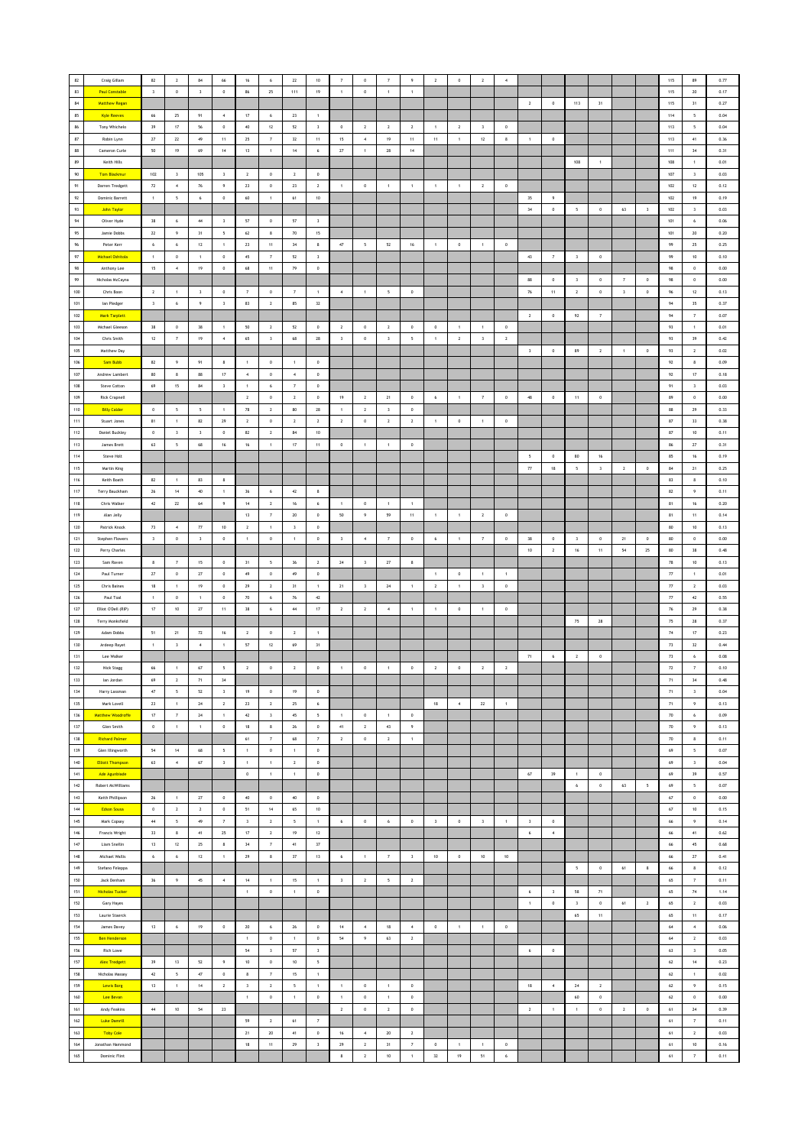| 82                | Craig Gillam             | 82                                                        | $\,$ 2 $\,$              | $^{\rm 84}$             | 66                       | 16                      | 6                       | $\bf 22$                 | $10$                    |                         | $\mathbf 0$             | 7                        | 9                       | $\overline{2}$ | $\,$ 0 $\,$    | $\mathbf{2}$        | $\overline{4}$ |                          |                         |                         |                |                         |                         | $115\,$  | 89                       | 0.77     |
|-------------------|--------------------------|-----------------------------------------------------------|--------------------------|-------------------------|--------------------------|-------------------------|-------------------------|--------------------------|-------------------------|-------------------------|-------------------------|--------------------------|-------------------------|----------------|----------------|---------------------|----------------|--------------------------|-------------------------|-------------------------|----------------|-------------------------|-------------------------|----------|--------------------------|----------|
| 83                | <b>Paul Constable</b>    | $\overline{\mathbf{3}}$                                   | $\,0\,$                  | $\overline{\mathbf{3}}$ | $\,0\,$                  | 86                      | 25                      | 111                      | 19                      | $\mathbf{1}$            | $\,$ 0 $\,$             | $\,$ 1 $\,$              | $\,$ 1 $\,$             |                |                |                     |                |                          |                         |                         |                |                         |                         | 115      | 20                       | 0.17     |
| $\bf 84$          | <b>Matthew Regan</b>     |                                                           |                          |                         |                          |                         |                         |                          |                         |                         |                         |                          |                         |                |                |                     |                | $\overline{2}$           | $\overline{0}$          | 113                     | 31             |                         |                         | 115      | 31                       | 0.27     |
| 85                | <b>Kyle Reeves</b>       | 66                                                        | 25                       |                         |                          | 17                      |                         | 23                       |                         |                         |                         |                          |                         |                |                |                     |                |                          |                         |                         |                |                         |                         | 114      |                          | 0.04     |
|                   |                          |                                                           |                          | 91                      | $\sim$                   |                         | 6                       |                          | $\overline{1}$          |                         |                         |                          |                         |                |                |                     |                |                          |                         |                         |                |                         |                         |          | 5                        |          |
| 86                | Tony Whichelo            | 39                                                        | $17\,$                   | 56                      | $\,0\,$                  | $40\,$                  | $12\,$                  | $52\,$                   | $\sqrt{3}$              | $\,0\,$                 | $\sqrt{2}$              | $\sqrt{2}$               | $\overline{2}$          |                | $\overline{2}$ | 3                   | $\mathbf 0$    |                          |                         |                         |                |                         |                         | 113      | 5                        | 0.04     |
| $^{\rm 87}$       | Robin Lynn               | $\bf 27$                                                  | $\bf 22$                 | 49                      | $11\,$                   | $25\,$                  | $\scriptstyle\rm{7}$    | $_{\rm 32}$              | $11\,$                  | 15                      | $\,$ 4 $\,$             | 19                       | $11\,$                  | $11\,$         | $\,$ 1 $\,$    | $12\,$              | $\bf8$         | $\,$ 1 $\,$              | $\,$ 0                  |                         |                |                         |                         | 113      | $41\,$                   | 0.36     |
| 88                | Cameron Curle            | 50                                                        | 19                       | 69                      | $14\,$                   | 13                      | $\,$ 1 $\,$             | $14\,$                   | $\,$ 6                  | 27                      | $\,$ 1 $\,$             | $\rm 28$                 | $14$                    |                |                |                     |                |                          |                         |                         |                |                         |                         | $111\,$  | 34                       | 0.31     |
| 89                | Keith Hills              |                                                           |                          |                         |                          |                         |                         |                          |                         |                         |                         |                          |                         |                |                |                     |                |                          |                         | 108                     | $\overline{1}$ |                         |                         | 108      | $\overline{1}$           | 0.01     |
| $90\,$            | Tom Blackmur             | 102                                                       | $\overline{\mathbf{3}}$  | 105                     | $\overline{\mathbf{3}}$  | $\overline{2}$          | $\,$ 0 $\,$             | $\sqrt{2}$               | $\,$ 0                  |                         |                         |                          |                         |                |                |                     |                |                          |                         |                         |                |                         |                         | 107      | $\,$ $\,$                | 0.03     |
| $91\,$            | Darren Tredgett          | $\boldsymbol{n}$                                          | $\boldsymbol{4}$         | ${\bf 76}$              | $\overline{9}$           | 23                      | $\,$ 0                  | ${\bf 23}$               | $\mathbf{2}$            | $\mathbf{1}$            | $\mathbf 0$             | $\mathbf{1}$             | $\,$ 1 $\,$             | $\mathbf{1}$   | $\,$ 1 $\,$    | $\,$ 2 $\,$         | $\,$ 0 $\,$    |                          |                         |                         |                |                         |                         | 102      | $12\,$                   | 0.12     |
| 92                | Dominic Barrett          | $\,$ 1 $\,$                                               | $\overline{\phantom{a}}$ | 6                       | $\,0\,$                  | 60                      | $\,$ 1 $\,$             | 61                       | 10                      |                         |                         |                          |                         |                |                |                     |                | $35\,$                   | 9                       |                         |                |                         |                         | 102      | 19                       | 0.19     |
| 93                | John Taylor              |                                                           |                          |                         |                          |                         |                         |                          |                         |                         |                         |                          |                         |                |                |                     |                | 34                       | $\circ$                 | 5                       | $\circ$        | 63                      | $\overline{\mathbf{3}}$ | 102      | $\overline{\mathbf{3}}$  | 0.03     |
| $\mathsf{94}$     | Oliver Hyde              | 38                                                        | 6                        | $44\,$                  | $\overline{\mathbf{3}}$  | 57                      | $\,0\,$                 | $57\,$                   | $\overline{\mathbf{3}}$ |                         |                         |                          |                         |                |                |                     |                |                          |                         |                         |                |                         |                         | 101      | 6                        | 0.06     |
| 95                | Jamie Dobbs              | $\mathbf{z}\mathbf{z}$                                    | 9                        | $31\,$                  | $\overline{\phantom{a}}$ | 62                      | 8                       | $70\,$                   | $15\,$                  |                         |                         |                          |                         |                |                |                     |                |                          |                         |                         |                |                         |                         | 101      | $20\,$                   | 0.20     |
| $\boldsymbol{96}$ | Peter Kerr               | 6                                                         | $\,$ 6 $\,$              | $12\,$                  | $\mathbf{1}$             | 23                      | $11$                    | $_{\rm 34}$              | $\bf8$                  | $47\,$                  | 5                       | $52\,$                   | $16\,$                  | $\mathbf{1}$   | $\,$ 0         | $\mathbf{1}$        | $\,$ 0         |                          |                         |                         |                |                         |                         | 99       | 25                       | 0.25     |
| 97                | Michael Oshitola         | $\overline{1}$                                            | $^{\circ}$               | $\overline{1}$          | $^{\circ}$               | 45                      | $\overline{7}$          | 52                       | $\overline{\mathbf{3}}$ |                         |                         |                          |                         |                |                |                     |                | 43                       | $\overline{7}$          | $\overline{\mathbf{3}}$ | $\circ$        |                         |                         | 99       | 10                       | 0.10     |
| 98                | Anthony Lee              | 15                                                        | $\,$ 4 $\,$              | 19                      | $\,$ 0                   | 68                      | 11                      | 79                       | $\,$ 0                  |                         |                         |                          |                         |                |                |                     |                |                          |                         |                         |                |                         |                         | 98       | $\,$ 0 $\,$              | 0.00     |
| 99                | Nicholas McCayna         |                                                           |                          |                         |                          |                         |                         |                          |                         |                         |                         |                          |                         |                |                |                     |                | 88                       | $\,$ 0 $\,$             | $\,$ 3                  | $\,$ 0         | $\overline{7}$          | $\,0\,$                 | 98       | $\,$ 0 $\,$              | $0.00\,$ |
| 100               | Chris Boon               | $\overline{2}$                                            | $\mathbf{1}$             | $\overline{\mathbf{3}}$ | $\,0\,$                  | $\overline{7}$          | $\,$ 0                  | $\overline{7}$           | $\overline{1}$          | $\sqrt{4}$              | $\,$ 1 $\,$             | $\overline{\phantom{a}}$ | $\,0\,$                 |                |                |                     |                | $76\,$                   | $11 -$                  | $\sqrt{2}$              | $\,0\,$        | $\overline{\mathbf{3}}$ | $\,0\,$                 | 96       | 12                       | 0.13     |
| 101               | lan Pledger              | $\overline{\mathbf{3}}$                                   | 6                        | $\overline{9}$          | $\overline{\mathbf{3}}$  | 83                      | $\overline{2}$          | 85                       | 32                      |                         |                         |                          |                         |                |                |                     |                |                          |                         |                         |                |                         |                         | 94       | 35                       | 0.37     |
| 102               | Mark Tarplett            |                                                           |                          |                         |                          |                         |                         |                          |                         |                         |                         |                          |                         |                |                |                     |                | $\overline{2}$           | $\,$ 0 $\,$             | 92                      | 7              |                         |                         | 94       | $\overline{7}$           | 0.07     |
| 103               | Michael Gleeson          | $_{38}$                                                   | $\,0\,$                  | $38\,$                  | $\,$ 1 $\,$              | $50\,$                  | $\,$ 2 $\,$             | $52\,$                   | $\,$ 0                  | $\sqrt{2}$              | $\,$ 0                  | $\overline{\mathbf{z}}$  | $\,0\,$                 | $\,0\,$        | 1              | $\mathbf{1}$        | $\mathbf 0$    |                          |                         |                         |                |                         |                         | 93       | $\,$ 1                   | 0.01     |
| 104               | Chris Smith              | $12\,$                                                    | $\scriptstyle\rm 7$      | 19                      | $\,$ 4 $\,$              | 65                      | $\,$ 3                  | 68                       | ${\bf 28}$              | $\overline{\mathbf{3}}$ | $\,$ 0                  | $\sqrt{3}$               | 5                       | $\,$ 1         | $\overline{2}$ | $\,$ 3              | $\overline{2}$ |                          |                         |                         |                |                         |                         | 93       | 39                       | 0.42     |
| 105               | Matthew Day              |                                                           |                          |                         |                          |                         |                         |                          |                         |                         |                         |                          |                         |                |                |                     |                | $\overline{\mathbf{3}}$  | $\circ$                 | 89                      | $\overline{2}$ | $\overline{1}$          | $\circ$                 | 93       | $\overline{2}$           | 0.02     |
| 106               | Sam Bubb                 | 82                                                        | $\,9$                    | 91                      | 8                        | $\mathbf{1}$            | $\,$ 0                  | $\,$ 1 $\,$              | $\,$ 0                  |                         |                         |                          |                         |                |                |                     |                |                          |                         |                         |                |                         |                         | 92       | $\,$ 8                   | 0.09     |
| 107               | Andrew Lambert           | 80                                                        | $\boldsymbol{8}$         | 88                      | 17                       | $\sqrt{4}$              | $\,$ 0                  | $\overline{4}$           | $\,$ 0                  |                         |                         |                          |                         |                |                |                     |                |                          |                         |                         |                |                         |                         | 92       | $17\,$                   | 0.18     |
| 108               | Steve Cotton             | 69                                                        | 15                       | $^{\rm 84}$             | $\overline{\mathbf{3}}$  | $\,1\,$                 | $\mathbf{6}$            | $\tau$                   | $\,$ 0                  |                         |                         |                          |                         |                |                |                     |                |                          |                         |                         |                |                         |                         | 91       | $\,$ 3 $\,$              | 0.03     |
| 109               | Rick Crapnell            |                                                           |                          |                         |                          | $\overline{2}$          | $\circ$                 | $\overline{2}$           | $\circ$                 | 19                      | $\overline{2}$          | 21                       | $\overline{0}$          | 6              | $\overline{1}$ | $\overline{7}$      | $\circ$        | 48                       | $\overline{0}$          |                         | $\circ$        |                         |                         | 89       | $^{\circ}$               | 0.00     |
| 110               | <b>Billy Calder</b>      | $\circ$                                                   | 5                        | $5\overline{5}$         |                          | 78                      | $\overline{2}$          | 80                       | ${\bf 28}$              |                         | $\overline{2}$          |                          | $\,$ 0 $\,$             |                |                |                     |                |                          |                         | 11                      |                |                         |                         | 88       | 29                       | 0.33     |
|                   |                          |                                                           |                          |                         | $\mathbf{1}$             |                         |                         |                          |                         | $\mathbf{1}$            |                         | $\overline{\mathbf{3}}$  |                         |                |                |                     |                |                          |                         |                         |                |                         |                         |          |                          |          |
| $111$             | Stuart Jones             | 81                                                        | $\mathbf{1}$             | 82                      | 29                       | $\overline{2}$          | $\,0\,$                 | $\overline{2}$           | $\overline{2}$          | $\overline{2}$          | $\circ$                 | $\overline{2}$           | $\mathbf{2}$            | $\mathbf{1}$   | $\circ$        | $\mathbf{1}$        | $\,$ 0         |                          |                         |                         |                |                         |                         | $87\,$   | 33                       | 0.38     |
| 112               | Daniel Buckley           | $\mathbf 0$                                               | $\overline{\mathbf{3}}$  | $\mathsf 3$             | $\,0\,$                  | 82                      | $\,$ 2 $\,$             | $\bf 84$                 | 10                      |                         |                         |                          |                         |                |                |                     |                |                          |                         |                         |                |                         |                         | $87\,$   | $10\,$                   | 0.11     |
| $113$             | James Brett              | 63                                                        | $\overline{\phantom{a}}$ | 68                      | $16\,$                   | 16                      | $\mathbf{1}$            | $17\,$                   | $11\,$                  | $\,$ 0                  | $\,$ 1 $\,$             | $\overline{1}$           | $\,0\,$                 |                |                |                     |                |                          |                         |                         |                |                         |                         | 86       | 27                       | 0.31     |
| $114$             | Steve Holt               |                                                           |                          |                         |                          |                         |                         |                          |                         |                         |                         |                          |                         |                |                |                     |                | $\overline{\phantom{a}}$ | $\circ$                 | 80                      | 16             |                         |                         | 85       | 16                       | 0.19     |
| 115               | Martin King              |                                                           |                          |                         |                          |                         |                         |                          |                         |                         |                         |                          |                         |                |                |                     |                | $7\!$                    | 18                      | $\sqrt{2}$              | $\,$ 3         | $\,$ 2 $\,$             | $\,0\,$                 | $\bf 84$ | 21                       | 0.25     |
| 116               | Keith Boath              | 82                                                        | $\mathbf{1}$             | 83                      | 8                        |                         |                         |                          |                         |                         |                         |                          |                         |                |                |                     |                |                          |                         |                         |                |                         |                         | 83       | 8                        | 0.10     |
| 117               | Terry Bauckham           | $26\,$                                                    | 14                       | $40\,$                  | $\,$ 1 $\,$              | 36                      | $\,$ 6 $\,$             | $42\,$                   | $\bf8$                  |                         |                         |                          |                         |                |                |                     |                |                          |                         |                         |                |                         |                         | 82       | 9                        | 0.11     |
| 118               | Chris Walker             | 42                                                        | 22                       | 64                      | $\overline{9}$           | 14                      | $\overline{2}$          | 16                       | 6                       | $\overline{1}$          | $^{\circ}$              | $\overline{1}$           | $\overline{1}$          |                |                |                     |                |                          |                         |                         |                |                         |                         | 81       | 16                       | 0.20     |
| 119               | Alan Jelly               |                                                           |                          |                         |                          | 13                      | $\overline{7}$          | $20\,$                   | $\,$ 0 $\,$             | 50                      | 9                       | 59                       | 11                      | $\mathbf{1}$   | $\mathbf{1}$   | $\overline{2}$      | $\,0\,$        |                          |                         |                         |                |                         |                         | 81       | 11                       | 0.14     |
| 120               | Patrick Knock            | 73                                                        | $\,$ 4 $\,$              | $77\,$                  | $10\,$                   | $\,$ 2 $\,$             | $\mathbf{1}$            | $\,$ $\,$                | $\,$ 0                  |                         |                         |                          |                         |                |                |                     |                |                          |                         |                         |                |                         |                         | 80       | $10\,$                   | 0.13     |
| $121\,$           | Stephen Flowers          | $\overline{\mathbf{3}}$                                   | $\,0\,$                  | $\overline{\mathbf{3}}$ | $\,0\,$                  | $\,$ 1 $\,$             | $\,$ 0                  | $\,$ 1                   | $\,$ 0                  | $\overline{\mathbf{3}}$ | $\,$ 4 $\,$             | $\scriptstyle\rm 7$      | $\,0\,$                 | $\bf{6}$       | $\,$ 1         | $\scriptstyle\rm 7$ | $\,$ 0         | $38\,$                   | $\,$ 0                  | $\overline{\mathbf{3}}$ | $\,0\,$        | ${\bf 21}$              | $\,0\,$                 | 80       | $\mathfrak o$            | 0.00     |
| 122               | Perry Charles            |                                                           |                          |                         |                          |                         |                         |                          |                         |                         |                         |                          |                         |                |                |                     |                | 10                       | $\overline{2}$          | 16                      | 11             | 54                      | 25                      | 80       | 38                       | 0.48     |
| 123               | Sam Raven                | 8                                                         | $\overline{7}$           | 15                      | $\,$ 0                   | 31                      | 5                       | 36                       | $\overline{2}$          | 24                      | $\overline{\mathbf{3}}$ | 27                       | $\boldsymbol{8}$        |                |                |                     |                |                          |                         |                         |                |                         |                         | $78\,$   | $10$                     | 0.13     |
| 124               | Paul Turner              | $\bf 27$                                                  | $\mathbb O$              | $\sqrt{27}$             | $\,0\,$                  | $49\,$                  | $\,$ 0 $\,$             | $49\,$                   | $\,$ 0                  |                         |                         |                          |                         | $\,$ 1 $\,$    | $\,$ 0 $\,$    | $\,$ 1 $\,$         | $\,$ 1 $\,$    |                          |                         |                         |                |                         |                         | $77\,$   | $\,$ 1 $\,$              | 0.01     |
| $125\,$           | Chris Baines             | 18                                                        | $\mathbf{1}$             | 19                      | $\,$ 0                   | 29                      | $\overline{2}$          | 31                       | $\overline{1}$          | 21                      | 3                       | $\bf 24$                 | $\,$ 1 $\,$             | $\overline{2}$ | $\,$ 1 $\,$    | $\,$ 3 $\,$         | $\,$ 0 $\,$    |                          |                         |                         |                |                         |                         | 77       | $\overline{2}$           | 0.03     |
| 126               | Paul Toal                | $\overline{1}$                                            | $\circ$                  | $\mathbf{1}$            | $^{\circ}$               | 70                      | 6                       | ${\bf 76}$               | 42                      |                         |                         |                          |                         |                |                |                     |                |                          |                         |                         |                |                         |                         | 77       | 42                       | 0.55     |
| 127               | Elliot O'Dell (RIP)      | 17                                                        | $10$                     | $27\,$                  | 11                       | 38                      | 6                       | $44\,$                   | $17\,$                  | $\overline{2}$          | $\overline{2}$          | $\overline{4}$           | $\mathbf{1}$            | $\mathbf{1}$   | $\circ$        | $\mathbf{1}$        | $\,$ 0         |                          |                         |                         |                |                         |                         | $76\,$   | 29                       | 0.38     |
| 128               | Terry Monksfield         |                                                           |                          |                         |                          |                         |                         |                          |                         |                         |                         |                          |                         |                |                |                     |                |                          |                         | 75                      | 28             |                         |                         | $75\,$   | 28                       | 0.37     |
| $129\,$           | Adam Dobbs               | 51                                                        | 21                       | $72\,$                  | 16                       | $\overline{2}$          | $\,$ 0                  | $\mathbf{2}$             | $\overline{1}$          |                         |                         |                          |                         |                |                |                     |                |                          |                         |                         |                |                         |                         | $74\,$   | 17                       | 0.23     |
| 130               | Ardeep Rayet             | $\mathbf{1}$                                              | $\overline{\mathbf{3}}$  | $\overline{4}$          | $\overline{1}$           | 57                      | 12                      | 69                       | 31                      |                         |                         |                          |                         |                |                |                     |                |                          |                         |                         |                |                         |                         | 73       | 32                       | 0.44     |
| 131               | Lee Walker               |                                                           |                          |                         |                          |                         |                         |                          |                         |                         |                         |                          |                         |                |                |                     |                | 71                       | 6                       | $\overline{2}$          | $\,$ 0 $\,$    |                         |                         | $73\,$   | $\boldsymbol{6}$         | 0.08     |
| 132               | Nick Stagg               | 66                                                        | $\mathbf{1}$             | $\sqrt{67}$             | $\overline{\phantom{a}}$ | $\overline{2}$          | $\,$ 0                  | $\,$ 2 $\,$              | $\,$ 0                  | $\overline{1}$          | $\,$ 0                  | $\,$ 1 $\,$              | $\mathbf 0$             | $\overline{2}$ | $\,$ 0 $\,$    | $\mathbf{2}$        | $\mathbf{2}$   |                          |                         |                         |                |                         |                         | $72\,$   | $\scriptstyle\rm 7$      | 0.10     |
| 133               | lan Jordan               | $69\,$                                                    | $\overline{2}$           | $71\,$                  | $34\,$                   |                         |                         |                          |                         |                         |                         |                          |                         |                |                |                     |                |                          |                         |                         |                |                         |                         | $71\,$   | $34\,$                   | 0.48     |
| 134               | Harry Lassman            | $47\,$                                                    | $\overline{\phantom{a}}$ | 52                      | $\overline{\mathbf{3}}$  | 19                      | $\mathbf{0}$            | 19                       | $\circ$                 |                         |                         |                          |                         |                |                |                     |                |                          |                         |                         |                |                         |                         | 71       | $\overline{\mathbf{3}}$  | 0.04     |
| 135               | Mark Lovell              | 23                                                        | $\mathbf{1}$             | 24                      | $\overline{2}$           | 23                      | $\overline{2}$          | 25                       | 6                       |                         |                         |                          |                         | 18             | $\sim$         | 22                  | $\overline{1}$ |                          |                         |                         |                |                         |                         | 71       | 9                        | 0.13     |
| 136               | <b>Matthew Woodroffe</b> | $17\,$                                                    | $\scriptstyle\rm 7$      | $\mathbf{24}$           | $\mathbf{1}$             | 42                      | $\overline{\mathbf{3}}$ | $45\,$                   | $\mathsf{s}$            | $\overline{1}$          | $\mathbf 0$             | $\mathbf{1}$             | $\,$ 0 $\,$             |                |                |                     |                |                          |                         |                         |                |                         |                         | 70       | 6                        | 0.09     |
| 137               | Glen Smith               | $\mathbb O$                                               | $\,1\,$                  | $\,$ 1 $\,$             | $\mathbb O$              | $18\,$                  | 8                       | $\bf 26$                 | $\,$ 0                  | 41                      | $\mathbf{2}^-$          | $4\bar{3}$               | 9                       |                |                |                     |                |                          |                         |                         |                |                         |                         | $70\,$   | 9                        | 0.13     |
| 138               | <b>Richard Palmer</b>    |                                                           |                          |                         |                          | 61                      | $\scriptstyle\rm 7$     | 68                       | $\scriptstyle\rm 7$     | $\overline{2}$          | $\,$ 0                  | $\overline{2}$           | $\,$ 1 $\,$             |                |                |                     |                |                          |                         |                         |                |                         |                         | 70       | 8                        | 0.11     |
| 139               | Glen Illingworth         | 54                                                        | 14                       | 68                      | 5                        | $\mathbf{1}$            | $\,$ 0                  | $\overline{1}$           | $\circ$                 |                         |                         |                          |                         |                |                |                     |                |                          |                         |                         |                |                         |                         | 69       | 5                        | 0.07     |
| 140               | <b>Elliott Thompson</b>  | 63                                                        | $\,$ 4 $\,$              | 67                      | $\overline{\mathbf{3}}$  | $\,$ 1 $\,$             | $\,$ 1 $\,$             | $\overline{2}$           | $\,$ 0                  |                         |                         |                          |                         |                |                |                     |                |                          |                         |                         |                |                         |                         | 69       | $\overline{\mathbf{3}}$  | 0.04     |
| $141$             | Ade Agunbiade            |                                                           |                          |                         |                          | $\,$ 0 $\,$             | $\,$ 1 $\,$             | $\,$ 1 $\,$              | $\,$ 0                  |                         |                         |                          |                         |                |                |                     |                | 67                       | $39\,$                  | $\,$ 1 $\,$             | $\,$ 0         |                         |                         | 69       | 39                       | 0.57     |
| 142               | Robert McWilliams        |                                                           |                          |                         |                          |                         |                         |                          |                         |                         |                         |                          |                         |                |                |                     |                |                          |                         | $6\phantom{.0}$         | $\,0\,$        | 63                      | $5\overline{5}$         | 69       | $\overline{\phantom{a}}$ | 0.07     |
| 143               | Keith Phillipson         | 26                                                        | $\mathbf{1}$             | 27                      | $^{\circ}$               | 40                      | $\circ$                 | 40                       | $\circ$                 |                         |                         |                          |                         |                |                |                     |                |                          |                         |                         |                |                         |                         | 67       | $\circ$                  | 0.00     |
| $144$             | <b>Edson Sousa</b>       | $\mathbb O$                                               | $\overline{2}$           | $\sqrt{2}$              | $\mathbb O$              | 51                      | 14                      | 65                       | 10 <sub>10</sub>        |                         |                         |                          |                         |                |                |                     |                |                          |                         |                         |                |                         |                         | $67\,$   | 10                       | 0.15     |
| 145               | Mark Copsey              | $44\,$                                                    | $\mathsf{s}$             | $49\,$                  | $\scriptstyle\rm 7$      | $\,$ $\,$               | $\mathbf{2}$            | $\sqrt{2}$               | $\,$ 1 $\,$             | 6                       | $\mathbf 0$             | $\,$ 6                   | $\mathbb O$             | $\,$ 3         | $\,$ 0 $\,$    | $_{\rm 3}$          | $\,$ 1 $\,$    | $\,$ 3                   | $\,$ 0 $\,$             |                         |                |                         |                         | 66       | $\,$ 9                   | 0.14     |
| $146$             | Francis Wright           | 33                                                        | $\bf8$                   | $41\,$                  | 25                       | $17\,$                  | $\,$ 2 $\,$             | 19                       | $12\,$                  |                         |                         |                          |                         |                |                |                     |                | $\,$ 6 $\,$              | $\,$ 4 $\,$             |                         |                |                         |                         | 66       | 41                       | 0.62     |
| 147               | Liam Snellin             | 13                                                        | 12                       | 25                      | 8                        | 34                      | $\overline{7}$          | 41                       | 37                      |                         |                         |                          |                         |                |                |                     |                |                          |                         |                         |                |                         |                         | 66       | 45                       | 0.68     |
| 148               | Michael Wallis           | $\boldsymbol{6}$                                          | $\boldsymbol{6}$         | $12\,$                  | $\overline{1}$           | 29                      | 8                       | $37\,$                   | $13\,$                  | 6                       | $\mathbf{1}$            | $\scriptstyle\rm 7$      | $\overline{\mathbf{3}}$ | 10             | $\,$ 0 $\,$    | $10\,$              | $10\,$         |                          |                         |                         |                |                         |                         | 66       | $27\,$                   | 0.41     |
| 149               | Stefano Feleppa          |                                                           |                          |                         |                          |                         |                         |                          |                         |                         |                         |                          |                         |                |                |                     |                |                          |                         | $\sqrt{2}$              | $\,$ 0         | $61\,$                  | $\boldsymbol{8}$        | 66       | $\bf8$                   | $0.12\,$ |
| 150               | Jack Denham              | 36                                                        | 9                        | $45\,$                  | $\,$ 4 $\,$              | 14                      | $\,$ 1 $\,$             | 15                       | $\,$ 1 $\,$             | $\overline{\mathbf{3}}$ | $\overline{2}$          | 5                        | $\overline{2}$          |                |                |                     |                |                          |                         |                         |                |                         |                         | 65       | $\scriptstyle\rm 7$      | 0.11     |
| 151               | <b>Nicholas Tucker</b>   |                                                           |                          |                         |                          | $\overline{1}$          | $\mathbf 0$             | $\,$ 1 $\,$              | $\,$ 0 $\,$             |                         |                         |                          |                         |                |                |                     |                | 6                        | $\overline{\mathbf{3}}$ | 58                      | 71             |                         |                         | 65       | 74                       | 1.14     |
| 152               | Gary Hayes               |                                                           |                          |                         |                          |                         |                         |                          |                         |                         |                         |                          |                         |                |                |                     |                | $\,$ 1 $\,$              | $\,$ 0 $\,$             | $\,$ 3                  | $\,$ 0 $\,$    | $61\,$                  | $\overline{2}$          | 65       | $\overline{2}$           | 0.03     |
| 153               | Laurie Staerck           |                                                           |                          |                         |                          |                         |                         |                          |                         |                         |                         |                          |                         |                |                |                     |                |                          |                         | 65                      | $11\,$         |                         |                         | 65       | $11\,$                   | 0.17     |
| 154               | James Davey              | 13                                                        | $\,$ 6 $\,$              | 19                      | $\,0\,$                  | 20                      | $\,$ 6 $\,$             | $\bf 26$                 | $\,$ 0                  | 14                      | $\,$ 4 $\,$             | $18\,$                   | $\sim$                  | $\,0\,$        | $\,$ 1 $\,$    | $\,$ 1 $\,$         | $\,$ 0         |                          |                         |                         |                |                         |                         | $64\,$   | $\,$ 4 $\,$              | 0.06     |
| 155               | <b>Ben Henderson</b>     |                                                           |                          |                         |                          | $\mathbf{1}$            | $\mathbf{0}$            | $\overline{1}$           | $\circ$                 | 54                      | $\overline{9}$          | 63                       | $\overline{2}$          |                |                |                     |                |                          |                         |                         |                |                         |                         | 64       | $\overline{2}$           | 0.03     |
|                   |                          |                                                           |                          |                         |                          |                         |                         |                          |                         |                         |                         |                          |                         |                |                |                     |                |                          |                         |                         |                |                         |                         |          |                          |          |
| 156               | Rich Lowe                |                                                           |                          |                         |                          | 54                      | $\overline{\mathbf{3}}$ | $57\,$                   | $\,$ 3                  |                         |                         |                          |                         |                |                |                     |                | $\,$ 6 $\,$              | $\,$ 0 $\,$             |                         |                |                         |                         | 63       | $\overline{\mathbf{3}}$  | 0.05     |
| 157               | <b>Alex Tredgett</b>     | 39                                                        | 13                       | $52\,$                  | $\overline{9}$           | $10\,$                  | $\,$ 0                  | $10\,$                   | 5                       |                         |                         |                          |                         |                |                |                     |                |                          |                         |                         |                |                         |                         | $62\,$   | 14                       | 0.23     |
| 158               | Nicholas Massey          | $\mathcal{Q}% _{M_{1},M_{2}}^{\alpha,\beta}(\varepsilon)$ | $\,$ 5 $\,$              | $47\,$                  | $\mathbb O$              | $\bf8$                  | $\scriptstyle\rm 7$     | $15\,$                   | $\,$ 1 $\,$             |                         |                         |                          |                         |                |                |                     |                |                          |                         |                         |                |                         |                         | $62\,$   | $\,$ 1 $\,$              | 0.02     |
| 159               | <b>Lewis Borg</b>        | 13                                                        | $\,1\,$                  | 14                      | $\overline{2}$           | $\overline{\mathbf{3}}$ | $\overline{2}$          | $\overline{\phantom{a}}$ | $\,$ 1 $\,$             | $\overline{1}$          | $\,$ 0 $\,$             | $\,$ 1 $\,$              | $\,0\,$                 |                |                |                     |                | 18                       | $\,$ 4 $\,$             | 24                      | $\overline{2}$ |                         |                         | 62       | 9                        | 0.15     |
| 160               | Lee Bevan                |                                                           |                          |                         |                          | $\overline{1}$          | $\mathbf 0$             | $\,$ 1 $\,$              | $\,$ 0 $\,$             | $\overline{1}$          | $\circ$                 | $\mathbf{1}$             | $\circ$                 |                |                |                     |                |                          |                         | 60                      | $\circ$        |                         |                         | 62       | $\circ$                  | 0.00     |
| 161               | Andy Feakins             | $44\,$                                                    | 10                       | 54                      | 23                       |                         |                         |                          |                         | $\overline{2}$          | $\mathbf 0$             | $\sqrt{2}$               | $\,$ 0 $\,$             |                |                |                     |                | $\,$ 2 $\,$              | $\overline{1}$          | $\mathbf{1}$            | $\,$ 0 $\,$    | $\,$ 2 $\,$             | $\,0\,$                 | 61       | 24                       | 0.39     |
| 162               | Luke Damrill             |                                                           |                          |                         |                          | 59                      | $\mathbf{2}$            | $61\,$                   | $\scriptstyle{7}$       |                         |                         |                          |                         |                |                |                     |                |                          |                         |                         |                |                         |                         | $61\,$   | $\overline{\mathbf{z}}$  | 0.11     |
| 163               | <b>Toby Cole</b>         |                                                           |                          |                         |                          | 21                      | 20                      | 41                       | $\,$ 0                  | $16\,$                  | $\,$ 4 $\,$             | $20\,$                   | $\overline{2}$          |                |                |                     |                |                          |                         |                         |                |                         |                         | 61       | $\mathbf{2}$             | 0.03     |
| 164               | Jonathan Hammond         |                                                           |                          |                         |                          | 18                      | 11                      | 29                       | $\overline{\mathbf{3}}$ | 29                      | $\overline{2}$          | 31                       | $\overline{7}$          | $\,0\,$        | $\overline{1}$ | $\mathbf{1}$        | $\,$ 0 $\,$    |                          |                         |                         |                |                         |                         | 61       | 10                       | 0.16     |
| 165               | Dominic Flint            |                                                           |                          |                         |                          |                         |                         |                          |                         | $\bf 8$                 | $\mathbf{2}^-$          | $10\,$                   | $\mathbf{1}$            | 32             | 19             | 51                  | $\epsilon$     |                          |                         |                         |                |                         |                         | $61\,$   | 7                        | 0.11     |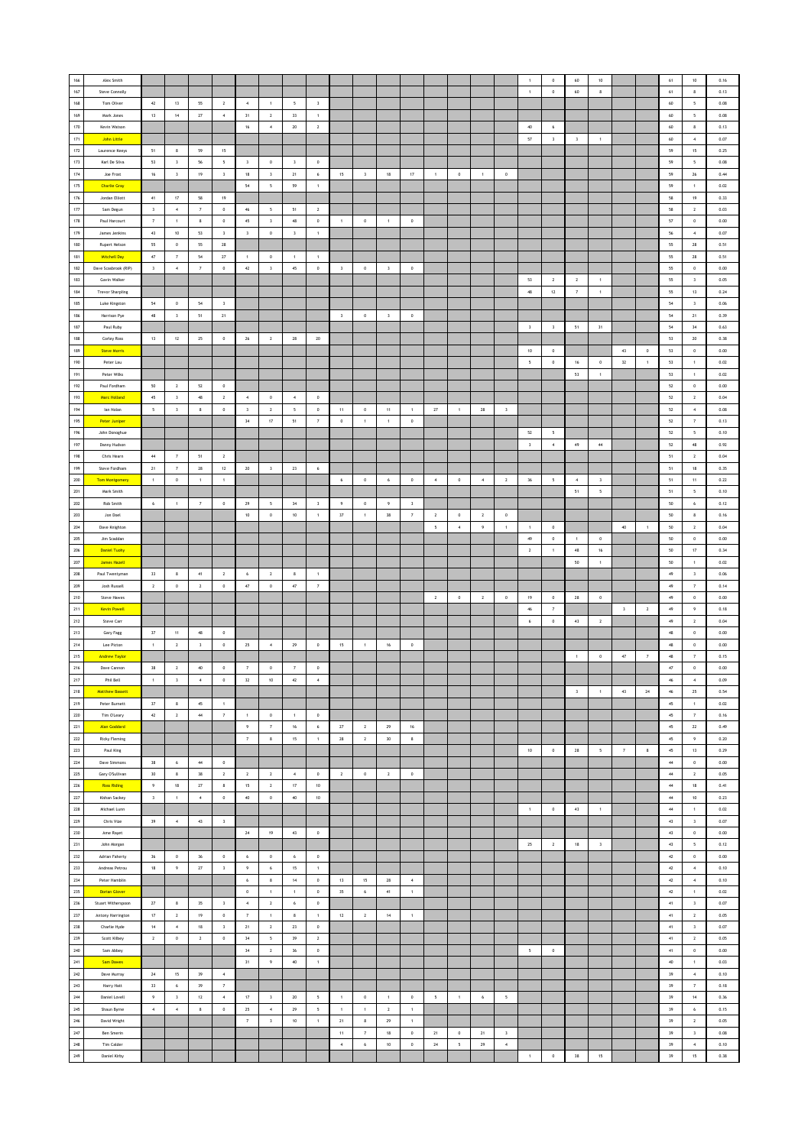| 166         | Alex Smith                            |                         |                            |                         |                                       |                         |                                          |                         |                               |                         |                     |                         |                         |                          |                  |                 |                         |                                   | $\,$ 0 $\,$      | $60\,$                  | 10                       |                         |                     | $61\,$           | $10\,$                              | 0.16         |
|-------------|---------------------------------------|-------------------------|----------------------------|-------------------------|---------------------------------------|-------------------------|------------------------------------------|-------------------------|-------------------------------|-------------------------|---------------------|-------------------------|-------------------------|--------------------------|------------------|-----------------|-------------------------|-----------------------------------|------------------|-------------------------|--------------------------|-------------------------|---------------------|------------------|-------------------------------------|--------------|
| $167\,$     | Steve Connolly                        |                         |                            |                         |                                       |                         |                                          |                         |                               |                         |                     |                         |                         |                          |                  |                 |                         | $\,$ 1 $\,$                       | $\,$ 0 $\,$      | 60                      | $\bf8$                   |                         |                     | 61               | 8                                   | 0.13         |
| 168         | Tom Oliver                            | $42\,$                  | 13                         | 55                      | $\overline{2}$                        | $\sim$                  | $\mathbf{1}$                             | $5^{\circ}$             | $\overline{\mathbf{3}}$       |                         |                     |                         |                         |                          |                  |                 |                         |                                   |                  |                         |                          |                         |                     | 60               | 5                                   | 0.08         |
| 169         | Mark Jones                            | 13                      | 14                         | 27                      | $\sim$                                | 31                      | $\overline{2}$                           | 33                      | $\overline{1}$                |                         |                     |                         |                         |                          |                  |                 |                         |                                   |                  |                         |                          |                         |                     | $60\,$           | $5\overline{ }$                     | 0.08         |
| 170         | Kevin Watson                          |                         |                            |                         |                                       | 16                      | $\,$ 4 $\,$                              | $20\,$                  | $\,$ 2 $\,$                   |                         |                     |                         |                         |                          |                  |                 |                         | $40\,$                            | 6                |                         |                          |                         |                     | $60\,$           | $\bf8$                              | 0.13         |
| $171\,$     | <b>John Little</b>                    |                         |                            |                         |                                       |                         |                                          |                         |                               |                         |                     |                         |                         |                          |                  |                 |                         | $57\,$                            | $\,$ $\,$        | $\,$ 3                  | $\,$ 1 $\,$              |                         |                     | $60\,$           | $\boldsymbol{4}$                    | 0.07         |
| $172\,$     | Laurence Keeys                        | 51                      | 8                          | 59                      | 15                                    |                         |                                          |                         |                               |                         |                     |                         |                         |                          |                  |                 |                         |                                   |                  |                         |                          |                         |                     | 59               | $15\,$                              | 0.25         |
| 173         | Karl De Silva                         | 53                      | $\overline{\mathbf{3}}$    | 56                      | $\overline{\phantom{0}}$              | $\overline{\mathbf{3}}$ | $\circ$                                  | $\overline{\mathbf{3}}$ | $\circ$                       |                         |                     |                         |                         |                          |                  |                 |                         |                                   |                  |                         |                          |                         |                     | 59               | $\overline{\phantom{a}}$            | 0.08         |
| 174         | Joe Frost                             | $16$                    | $\overline{\mathbf{3}}$    | 19                      | $\overline{\mathbf{3}}$               | $18\,$                  | $\,$ $\,$                                | 21                      | $\,$ 6                        | 15                      | $\mathsf 3$         | $18$                    | $17$                    | $\,1\,$                  | $\,$ 0 $\,$      | $\,$ 1 $\,$     | $\,$ 0 $\,$             |                                   |                  |                         |                          |                         |                     | 59               | 26                                  | 0.44         |
| $175\,$     | <b>Charlie Gray</b>                   |                         |                            |                         |                                       | ${\bf 54}$              | $\sqrt{2}$                               | 59                      | $\,$ 1                        |                         |                     |                         |                         |                          |                  |                 |                         |                                   |                  |                         |                          |                         |                     | 59               | $\,$ 1 $\,$                         | 0.02         |
| $176\,$     | Jordan Elliott                        | 41                      | $17\,$                     | 58                      | 19                                    |                         |                                          |                         |                               |                         |                     |                         |                         |                          |                  |                 |                         |                                   |                  |                         |                          |                         |                     | 58               | 19                                  | 0.33         |
| $177\,$     | Sam Degun                             | $\overline{\mathbf{3}}$ | $\sim$                     | $\scriptstyle\rm 7$     | $\circ$                               | 46                      | 5                                        | 51                      | $\overline{2}$                |                         |                     |                         |                         |                          |                  |                 |                         |                                   |                  |                         |                          |                         |                     | 58               | $\overline{2}$                      | 0.03         |
| 178         | Paul Harcourt                         | $\scriptstyle\rm 7$     | $\mathbf{1}$               | 8                       | $\circ$                               | 45                      | $\overline{\mathbf{3}}$                  | $48\,$                  | $\,$ 0 $\,$                   | $\mathbf{1}$            | $\,$ 0 $\,$         | $\mathbf{1}$            | $\,0\,$                 |                          |                  |                 |                         |                                   |                  |                         |                          |                         |                     | $57\,$           | $\,0\,$                             | 0.00         |
| 179         | James Jenkins                         | 43                      | $10\,$                     | 53                      | $\overline{\mathbf{3}}$               | $\mathbf 3$             | $\,$ 0 $\,$                              | $_{\rm 3}$              | $\,$ 1 $\,$                   |                         |                     |                         |                         |                          |                  |                 |                         |                                   |                  |                         |                          |                         |                     | ${\bf 56}$       | $\boldsymbol{4}$                    | 0.07         |
| 180         | Rupert Nelson                         | 55                      | $\,0\,$                    | 55                      | ${\bf 28}$                            |                         |                                          |                         |                               |                         |                     |                         |                         |                          |                  |                 |                         |                                   |                  |                         |                          |                         |                     | 55               | ${\bf 28}$                          | 0.51         |
| 181         | <b>Mitchell Day</b>                   | 47                      | $\overline{7}$             | 54                      | 27                                    | $\overline{1}$          | $\,$ 0                                   | $\overline{1}$          | $\overline{1}$                |                         |                     |                         |                         |                          |                  |                 |                         |                                   |                  |                         |                          |                         |                     | 55               | 28                                  | 0.51         |
| 182         | Dave Scasbrook (RIP)                  | $\mathsf 3$             | $\,$ 4 $\,$                | $\scriptstyle\rm 7$     | $\,$ 0                                | $42\,$                  | $\,$ $\,$                                | $45\,$                  | $\,$ 0                        | $\,$ 3                  | $\,$ 0              | $\overline{\mathbf{3}}$ | $\,$ 0 $\,$             |                          |                  |                 |                         |                                   |                  |                         |                          |                         |                     | 55               | $\mathbf 0$                         | 0.00         |
| 183         | Gavin Walker                          |                         |                            |                         |                                       |                         |                                          |                         |                               |                         |                     |                         |                         |                          |                  |                 |                         | $53\,$                            | $\mathbf{2}$     | $\,$ 2 $\,$             | $\,$ 1 $\,$              |                         |                     | 55               | $\,$ $\,$                           | 0.05         |
| 184         | <b>Trevor Sharpling</b>               |                         |                            |                         |                                       |                         |                                          |                         |                               |                         |                     |                         |                         |                          |                  |                 |                         | 48                                | 12               | $\scriptstyle\rm 7$     | $\,$ 1 $\,$              |                         |                     | 55               | 13                                  | 0.24         |
| 185         | Luke Kingston                         | 54                      | $\circ$                    | 54                      | $\overline{\mathbf{3}}$               |                         |                                          |                         |                               |                         |                     |                         |                         |                          |                  |                 |                         |                                   |                  |                         |                          |                         |                     | 54               | $\overline{\mathbf{3}}$             | 0.06         |
| 186         | Harrison Pye                          | 48                      | $\overline{\mathbf{3}}$    | 51                      | 21                                    |                         |                                          |                         |                               | $\overline{\mathbf{3}}$ | $\,$ 0 $\,$         | $\overline{\mathbf{3}}$ | $\,$ 0                  |                          |                  |                 |                         |                                   |                  |                         |                          |                         |                     | ${\bf 54}$       | 21                                  | 0.39         |
| $187\,$     | Paul Ruby                             |                         |                            |                         |                                       |                         |                                          |                         |                               |                         |                     |                         |                         |                          |                  |                 |                         | $\sqrt{3}$                        | $\,$ 3 $\,$      | 51                      | $31\,$                   |                         |                     | ${\bf 54}$       | $34\,$                              | 0.63         |
| 188         | Corley Ross                           | $13$                    | $12\,$                     | 25                      | $\,$ 0                                | 26                      | $\overline{2}$                           | 28                      | 20                            |                         |                     |                         |                         |                          |                  |                 |                         |                                   |                  |                         |                          |                         |                     | 53               | $20\,$                              | 0.38         |
| 189         | <b>Steve Morris</b>                   |                         |                            |                         |                                       |                         |                                          |                         |                               |                         |                     |                         |                         |                          |                  |                 |                         | 10                                | $\circ$          |                         |                          | 43                      | $^{\circ}$          | 53               | $\,$ 0 $\,$                         | 0.00         |
| 190         | Peter Lau                             |                         |                            |                         |                                       |                         |                                          |                         |                               |                         |                     |                         |                         |                          |                  |                 |                         | $\sqrt{2}$                        | $\,$ 0 $\,$      | 16                      | $\,$ 0 $\,$              | $32\,$                  | $\,$ 1 $\,$         | 53               | $\,$ 1 $\,$                         | 0.02         |
| 191         | Peter Wilks                           |                         |                            |                         |                                       |                         |                                          |                         |                               |                         |                     |                         |                         |                          |                  |                 |                         |                                   |                  | $53\,$                  | $\,$ 1 $\,$              |                         |                     | $53\,$           | $\,$ 1 $\,$                         | 0.02         |
| 192         | Paul Fordham                          | 50                      | $\overline{2}$             | 52                      | $\mathbb O$                           |                         |                                          |                         |                               |                         |                     |                         |                         |                          |                  |                 |                         |                                   |                  |                         |                          |                         |                     | 52               | $\,$ 0 $\,$                         | 0.00         |
| 193<br>194  | <b>Marc Holland</b>                   | $45\,$                  | $\overline{\mathbf{3}}$    | 48                      | $\overline{2}$                        | $\sim$                  | $\circ$                                  | $\sim$                  | $\overline{0}$                |                         |                     |                         |                         |                          |                  |                 |                         |                                   |                  |                         |                          |                         |                     | 52               | $\overline{2}$                      | 0.04         |
|             | lan Nolan                             | $\sf s$                 | $\overline{\mathbf{3}}$    | $\bf8$                  | $\mathbb O$                           | $\overline{\mathbf{3}}$ | $\overline{2}$                           | $\mathsf{s}$            | $\circ$                       | 11                      | $\circ$             | 11                      | $\mathbf{1}$            | 27                       | $\mathbf{1}$     | $\bf 28$        | $\overline{\mathbf{3}}$ |                                   |                  |                         |                          |                         |                     | 52               | $\sim$                              | 0.08         |
| 195<br>196  | <b>Peter Juniper</b><br>John Donoghue |                         |                            |                         |                                       | 34                      | 17                                       | 51                      | 7                             | $\,$ 0 $\,$             | 1                   | $\mathbf{1}$            | $\,$ 0                  |                          |                  |                 |                         |                                   |                  |                         |                          |                         |                     | 52               | $\overline{7}$                      | 0.13         |
| 197         |                                       |                         |                            |                         |                                       |                         |                                          |                         |                               |                         |                     |                         |                         |                          |                  |                 |                         | $52\,$<br>$\overline{\mathbf{3}}$ | 5<br>$\,$ 4 $\,$ | 49                      | $\bf{44}$                |                         |                     | $52\,$<br>$52\,$ | $\sf s$<br>$48\,$                   | 0.10<br>0.92 |
| 198         | Danny Hudson<br>Chris Hearn           | 44                      | $\overline{7}$             | 51                      | $\overline{2}$                        |                         |                                          |                         |                               |                         |                     |                         |                         |                          |                  |                 |                         |                                   |                  |                         |                          |                         |                     | 51               | $\overline{2}$                      | 0.04         |
| 199         | Steve Fordham                         | 21                      | $\scriptstyle\rm 7$        | $28\,$                  | $12\,$                                | 20                      | $\,$ $\,$                                | ${\bf 23}$              | $\,$ 6                        |                         |                     |                         |                         |                          |                  |                 |                         |                                   |                  |                         |                          |                         |                     | 51               | $18\,$                              | 0.35         |
| 200         | <b>Tom Montgomery</b>                 | $\,$ 1 $\,$             | $\mathbb O$                | $\,$ 1 $\,$             | $\,$ 1                                |                         |                                          |                         |                               | $\epsilon$              | $\,$ 0 $\,$         | $\,$ 6 $\,$             | $\mathbb O$             | $\,$ 4 $\,$              | $\,$ 0 $\,$      | $\,$ 4 $\,$     | $\mathbf{2}$            | $36\,$                            | $\mathsf{s}$     | $\sqrt{4}$              | $\,$ 3                   |                         |                     | $51\,$           | $11\,$                              | 0.22         |
| $201$       | Mark Smith                            |                         |                            |                         |                                       |                         |                                          |                         |                               |                         |                     |                         |                         |                          |                  |                 |                         |                                   |                  | 51                      | $\sqrt{2}$               |                         |                     | 51               | 5                                   | 0.10         |
| 202         | Rob Smith                             | 6                       | $\overline{1}$             | $\overline{7}$          | $\circ$                               | 29                      | $\overline{\phantom{a}}$                 | 34                      | $\overline{\mathbf{3}}$       | $\overline{9}$          | $\circ$             | 9                       | $\overline{\mathbf{3}}$ |                          |                  |                 |                         |                                   |                  |                         |                          |                         |                     | 50               | 6                                   | 0.12         |
| 203         | Jon Doel                              |                         |                            |                         |                                       | $10\,$                  | $\mathbb O$                              | $10\,$                  | $\mathbf{1}$                  | 37                      | 1                   | $38\,$                  | $\scriptstyle\rm 7$     | $\overline{2}$           | $\circ$          | $\overline{2}$  | $\,$ 0                  |                                   |                  |                         |                          |                         |                     | $50\,$           | 8                                   | 0.16         |
| ${\bf 204}$ | Dave Knighton                         |                         |                            |                         |                                       |                         |                                          |                         |                               |                         |                     |                         |                         | $\mathsf{s}$             | $\boldsymbol{4}$ | 9               | $\,$ 1 $\,$             | $\mathbf{1}$                      | $\,$ 0           |                         |                          | $40\,$                  | $\mathbf{1}$        | $50\,$           | $\mathbf{2}$                        | 0.04         |
| $205\,$     | Jim Scaddan                           |                         |                            |                         |                                       |                         |                                          |                         |                               |                         |                     |                         |                         |                          |                  |                 |                         | $49\,$                            | $\,$ 0           | $\overline{1}$          | $\bf 0$                  |                         |                     | $50\,$           | $\,$ 0 $\,$                         | 0.00         |
| 206         | <b>Daniel Tuchy</b>                   |                         |                            |                         |                                       |                         |                                          |                         |                               |                         |                     |                         |                         |                          |                  |                 |                         | $\overline{2}$                    | $\overline{1}$   | 48                      | 16                       |                         |                     | 50               | 17                                  | 0.34         |
| 207         | <b>James Hazell</b>                   |                         |                            |                         |                                       |                         |                                          |                         |                               |                         |                     |                         |                         |                          |                  |                 |                         |                                   |                  | 50                      | $\,$ 1 $\,$              |                         |                     | $50\,$           | $\,$ 1 $\,$                         | 0.02         |
| 208         | Paul Twentyman                        | $_{\rm 33}$             | $\bf8$                     | $41\,$                  | $\sqrt{2}$                            | 6                       | $\,$ 2 $\,$                              | $\bf8$                  | $\,$ 1                        |                         |                     |                         |                         |                          |                  |                 |                         |                                   |                  |                         |                          |                         |                     | $49\,$           | $\,$ $\,$                           | 0.06         |
| 209         | Josh Russell                          | $\overline{2}$          | $\,0\,$                    | $\overline{2}$          | $\,0\,$                               | $47\,$                  | $\,0\,$                                  | $47\,$                  | $\scriptstyle\rm 7$           |                         |                     |                         |                         |                          |                  |                 |                         |                                   |                  |                         |                          |                         |                     | 49               | $\scriptstyle\rm{7}$                | 0.14         |
| 210         | Steve Hawes                           |                         |                            |                         |                                       |                         |                                          |                         |                               |                         |                     |                         |                         | $\overline{2}$           | $\circ$          | $\overline{2}$  | $\,$ 0 $\,$             | 19                                | $\circ$          | 28                      | $\circ$                  |                         |                     | 49               | $\circ$                             | 0.00         |
| $211$       | <b>Kevin Powell</b>                   |                         |                            |                         |                                       |                         |                                          |                         |                               |                         |                     |                         |                         |                          |                  |                 |                         | 46                                | $\overline{7}$   |                         |                          | $\overline{\mathbf{3}}$ | $\overline{2}$      | 49               | 9                                   | 0.18         |
| $212\,$     | Steve Carr                            |                         |                            |                         |                                       |                         |                                          |                         |                               |                         |                     |                         |                         |                          |                  |                 |                         | $\boldsymbol{6}$                  | $\,$ 0 $\,$      | $4\bar{3}$              | $\,$ 2 $\,$              |                         |                     | $49\,$           | $\mathbf{2}$                        | 0.04         |
| $213\,$     | Gary Fagg                             | $37\,$                  | $11\,$                     | $\bf 48$                | $\,$ 0                                |                         |                                          |                         |                               |                         |                     |                         |                         |                          |                  |                 |                         |                                   |                  |                         |                          |                         |                     | $48\,$           | $\,$ 0 $\,$                         | 0.00         |
| $214\,$     | Lee Picton                            | $\mathbf{1}$            | $\overline{2}$             | $\overline{\mathbf{3}}$ | $\,$ 0                                | 25                      | $\sim$                                   | 29                      | $\circ$                       | 15                      | $\mathbf{1}$        | 16                      | $\circ$                 |                          |                  |                 |                         |                                   |                  |                         |                          |                         |                     | 48               | $\,$ 0 $\,$                         | 0.00         |
| 215         | <b>Andrew Taylor</b>                  |                         |                            |                         |                                       |                         |                                          |                         |                               |                         |                     |                         |                         |                          |                  |                 |                         |                                   |                  | $\overline{1}$          | $\,$ 0 $\,$              | $47\,$                  | $\scriptstyle\rm 7$ | 48               | $\scriptstyle\rm 7$                 | 0.15         |
| $216\,$     | Dave Cannon                           | $_{38}$                 | $\mathbf{2}$               | $40\,$                  | $\mathbb O$                           | $\scriptstyle\rm 7$     | $\,$ 0 $\,$                              | $\scriptstyle\rm 7$     | $\,0\,$                       |                         |                     |                         |                         |                          |                  |                 |                         |                                   |                  |                         |                          |                         |                     | $47\,$           | $\mathbf 0$                         | 0.00         |
| 217         | Phil Bell                             | $\,1\,$                 | $\mathbf{3}$               | $\,$ 4 $\,$             | $\mathbb O$                           | 32                      | $10\,$                                   | $42\,$                  | $\boldsymbol{4}$              |                         |                     |                         |                         |                          |                  |                 |                         |                                   |                  |                         |                          |                         |                     | $\bf 46$         | $\boldsymbol{4}$                    | 0.09         |
| 218<br>219  | <b>Matthew Bassett</b>                |                         |                            |                         |                                       |                         |                                          |                         |                               |                         |                     |                         |                         |                          |                  |                 |                         |                                   |                  | $\overline{\mathbf{3}}$ | $\overline{1}$           | $43\,$                  | 24                  | $46\,$           | 25                                  | 0.54         |
| 220         | Peter Burnett<br>Tim O'Leary          | 37<br>$\mathcal{Q}$     | 8<br>$\sqrt{2}$            | $45\,$<br>$\bf{44}$     | $\overline{1}$<br>$\scriptstyle\rm 7$ | 1                       | $\,$ 0 $\,$                              | $\mathbf{1}$            | $\,$ 0 $\,$                   |                         |                     |                         |                         |                          |                  |                 |                         |                                   |                  |                         |                          |                         |                     | $45\,$<br>$45\,$ | $\mathbf{1}$<br>$\scriptstyle\rm 7$ | 0.02<br>0.16 |
| $221\,$     | <b>Alan Goddard</b>                   |                         |                            |                         |                                       | 9                       | $\scriptstyle\rm 7$                      | $16\,$                  | $\boldsymbol{6}$              | $\bf 27$                | $\mathbf{2}$        | $\mathbf{29}$           | $16\,$                  |                          |                  |                 |                         |                                   |                  |                         |                          |                         |                     | $45\,$           | ${\bf 22}$                          | 0.49         |
| 222         | <b>Ricky Fleming</b>                  |                         |                            |                         |                                       | $\scriptstyle\rm 7$     | $\boldsymbol{8}$                         | $15\,$                  | $\,$ 1 $\,$                   | 28                      | $\mathbf{2}$        | 30                      | $\boldsymbol{8}$        |                          |                  |                 |                         |                                   |                  |                         |                          |                         |                     | $45\,$           | $\,9\,$                             | 0.20         |
| 223         | Paul King                             |                         |                            |                         |                                       |                         |                                          |                         |                               |                         |                     |                         |                         |                          |                  |                 |                         | 10                                | $\,$ 0 $\,$      | 28                      | $\overline{\phantom{a}}$ | $\overline{7}$          | 8                   | 45               | 13                                  | 0.29         |
| 224         | Dave Simmons                          | 38                      | $\,$ 6 $\,$                | $\bf{44}$               | $\,0\,$                               |                         |                                          |                         |                               |                         |                     |                         |                         |                          |                  |                 |                         |                                   |                  |                         |                          |                         |                     | $44\,$           | $\mathbf 0$                         | 0.00         |
| 225         | Gary O'Sullivan                       | $_{30}$                 | $\bf8$                     | 38                      | $\sqrt{2}$                            | $\,$ 2 $\,$             | $\,$ 2 $\,$                              | $\,$ 4 $\,$             | $\,$ 0                        | $\mathbf{2}$            | $\,$ 0 $\,$         | $\sqrt{2}$              | $\mathbb O$             |                          |                  |                 |                         |                                   |                  |                         |                          |                         |                     | $44\,$           | $\mathbf{2}$                        | 0.05         |
| 226         | <b>Ross Riding</b>                    | 9                       | $18\,$                     | 27                      | $\boldsymbol{8}$                      | 15                      | $\overline{2}$                           | 17                      | 10                            |                         |                     |                         |                         |                          |                  |                 |                         |                                   |                  |                         |                          |                         |                     | 44               | 18                                  | 0.41         |
| 227         | Kishan Sackey                         | $\overline{\mathbf{3}}$ | $\mathbf{1}$               | $\boldsymbol{4}$        | $\,$ 0 $\,$                           | 40                      | $\mathfrak o$                            | 40                      | 10                            |                         |                     |                         |                         |                          |                  |                 |                         |                                   |                  |                         |                          |                         |                     | 44               | 10                                  | 0.23         |
| 228         | Michael Lunn                          |                         |                            |                         |                                       |                         |                                          |                         |                               |                         |                     |                         |                         |                          |                  |                 |                         | $\,$ 1 $\,$                       | $\,$ 0 $\,$      | 43                      | $\,$ 1 $\,$              |                         |                     | $44\,$           | $\mathbf 1$                         | 0.02         |
| 229         | Chris Vize                            | 39                      | $\,$ 4 $\,$                | $43\,$                  | $\overline{\mathbf{3}}$               |                         |                                          |                         |                               |                         |                     |                         |                         |                          |                  |                 |                         |                                   |                  |                         |                          |                         |                     | $4\bar{3}$       | $\,$ $\,$                           | 0.07         |
| 230         | Ame Rayet                             |                         |                            |                         |                                       | 24                      | 19                                       | $4\bar{3}$              | $\,$ 0                        |                         |                     |                         |                         |                          |                  |                 |                         |                                   |                  |                         |                          |                         |                     | $43\,$           | $\,$ 0 $\,$                         | 0.00         |
| 231         | John Morgan                           |                         |                            |                         |                                       |                         |                                          |                         |                               |                         |                     |                         |                         |                          |                  |                 |                         | 25                                | $\overline{2}$   | 18                      | $\overline{\mathbf{3}}$  |                         |                     | 43               | $\overline{\phantom{a}}$            | 0.12         |
| 232         | Adrian Faherty                        | 36                      | $\,0\,$                    | 36                      | $\,0\,$                               | 6                       | $\,$ 0 $\,$                              | 6                       | $\,$ 0 $\,$                   |                         |                     |                         |                         |                          |                  |                 |                         |                                   |                  |                         |                          |                         |                     | $42\,$           | $\mathbf 0$                         | 0.00         |
| ${\bf 233}$ | Andreas Petrou                        | $18\,$                  | $\,9\,$                    | $\sqrt{27}$             | $\overline{\mathbf{3}}$               | 9                       | $\,$ 6 $\,$                              | $15\,$                  | $\,$ 1 $\,$                   |                         |                     |                         |                         |                          |                  |                 |                         |                                   |                  |                         |                          |                         |                     | $4\bar{2}$       | $\,$ 4 $\,$                         | 0.10         |
| 234         | Peter Hamblin                         |                         |                            |                         |                                       | 6                       | $\boldsymbol{8}$                         | 14                      | $\,$ 0                        | 13                      | 15                  | 28                      | $\overline{4}$          |                          |                  |                 |                         |                                   |                  |                         |                          |                         |                     | 42               | $\,$ 4 $\,$                         | 0.10         |
| 235         | <b>Dorian Glover</b>                  |                         |                            |                         |                                       | $\circ$                 | $\,$ 1 $\,$                              | $\overline{1}$          | $\mathbf 0$                   | 35                      | $\boldsymbol{6}$    | 41                      | 1                       |                          |                  |                 |                         |                                   |                  |                         |                          |                         |                     | 42               | $\mathbf{1}$                        | 0.02         |
| 236         | Stuart Witherspoon                    | $\sqrt{27}$             | $\,$ 8                     | 35                      | $\overline{\mathbf{3}}$               | $\boldsymbol{4}$        | $\,$ 2 $\,$                              | $\epsilon$              | $\mathfrak o$                 |                         |                     |                         |                         |                          |                  |                 |                         |                                   |                  |                         |                          |                         |                     | $41\,$           | $\,$ $\,$                           | 0.07         |
| 237         | Antony Harrington                     | $17\,$                  | $\mathbf{2}$               | $19$                    | $\mathbb O$                           | $\scriptstyle\rm 7$     | $\,$ 1 $\,$                              | $\bf8$                  | $\,$ 1 $\,$                   | $12\,$                  | $\mathbf{2}$        | $14\,$                  | $\,$ 1 $\,$             |                          |                  |                 |                         |                                   |                  |                         |                          |                         |                     | $41\,$           | $\mathbf{2}$                        | 0.05         |
| 238<br>239  | Charlie Hyde<br>Scott Kilbey          | $14$<br>$\,$ 2 $\,$     | $\,$ 4 $\,$<br>$\mathbb O$ | $18\,$<br>$\sqrt{2}$    | $\overline{\mathbf{3}}$<br>$\circ$    | 21<br>34                | $\mathbf{2}$<br>$\overline{\phantom{a}}$ | $\bf 23$<br>39          | $\,$ 0 $\,$<br>$\overline{2}$ |                         |                     |                         |                         |                          |                  |                 |                         |                                   |                  |                         |                          |                         |                     | $41\,$<br>41     | $\,$ $\,$<br>$\sqrt{2}$             | 0.07<br>0.05 |
| 240         | Sam Abbey                             |                         |                            |                         |                                       | 34                      | $\overline{2}$                           | $36$                    | $\,$ 0 $\,$                   |                         |                     |                         |                         |                          |                  |                 |                         | $\overline{\phantom{a}}$          | $\,$ 0 $\,$      |                         |                          |                         |                     | 41               | $\mathbf 0$                         | 0.00         |
| $241\,$     | Sam Dawes                             |                         |                            |                         |                                       | 31                      | $\,9\,$                                  | $40\,$                  | $\,$ 1 $\,$                   |                         |                     |                         |                         |                          |                  |                 |                         |                                   |                  |                         |                          |                         |                     | $40\,$           | $\,$ 1 $\,$                         | 0.03         |
| $242\,$     | Dave Murray                           | $\bf 24$                | $15\,$                     | 39                      | $\,$ 4 $\,$                           |                         |                                          |                         |                               |                         |                     |                         |                         |                          |                  |                 |                         |                                   |                  |                         |                          |                         |                     | 39               | $\,$ 4 $\,$                         | 0.10         |
| 243         | Harry Hatt                            | 33                      | $\,$ 6 $\,$                | 39                      | $\overline{7}$                        |                         |                                          |                         |                               |                         |                     |                         |                         |                          |                  |                 |                         |                                   |                  |                         |                          |                         |                     | 39               | $\scriptstyle\rm{7}$                | 0.18         |
| 244         | Daniel Lovell                         | $\overline{9}$          | $\overline{\mathbf{3}}$    | 12                      | $\sim$                                | 17                      | $\overline{\mathbf{3}}$                  | 20                      | $\sqrt{2}$                    | $\mathbf{1}$            | $\mathbf 0$         | $\mathbf{1}$            | $\,0\,$                 | $\overline{\phantom{a}}$ | $\mathbf{1}$     | $6\phantom{.0}$ | $\mathsf{s}$            |                                   |                  |                         |                          |                         |                     | 39               | 14                                  | 0.36         |
| 245         | Shaun Byrne                           | $\,$ 4 $\,$             | $\boldsymbol{4}$           | $\bf8$                  | $\,0\,$                               | 25                      | $\sqrt{4}$                               | 29                      | $\mathsf{s}$                  | $\overline{1}$          | $\,1\,$             | $\sqrt{2}$              | $\mathbf{1}$            |                          |                  |                 |                         |                                   |                  |                         |                          |                         |                     | 39               | 6                                   | 0.15         |
| $246\,$     | David Wright                          |                         |                            |                         |                                       | $\scriptstyle\rm 7$     | $\,$ $\,$                                | $10\,$                  | $\,$ 1 $\,$                   | $21\,$                  | $\bf8$              | $\mathbf{29}$           | $\,$ 1 $\,$             |                          |                  |                 |                         |                                   |                  |                         |                          |                         |                     | $39$             | $\mathbf{2}$                        | 0.05         |
| $247\,$     | Ben Smerin                            |                         |                            |                         |                                       |                         |                                          |                         |                               | $11$                    | $\scriptstyle\rm 7$ | $18\,$                  | $\,0\,$                 | 21                       | $\,0\,$          | 21              | $\,$ 3                  |                                   |                  |                         |                          |                         |                     | 39               | $\,$ $\,$                           | 0.08         |
| 248         | Tim Calder                            |                         |                            |                         |                                       |                         |                                          |                         |                               | $\sim$                  | $\epsilon$          | 10                      | $^{\circ}$              | 24                       | $\sim$           | 29              | $\overline{4}$          |                                   |                  |                         |                          |                         |                     | 39               | $\overline{4}$                      | 0.10         |
| 249         | <b>Daniel Kirby</b>                   |                         |                            |                         |                                       |                         |                                          |                         |                               |                         |                     |                         |                         |                          |                  |                 |                         | $\sim$                            | $\,$ 0 $\,$      | $38\,$                  | $15\,$                   |                         |                     | 39               | $15\,$                              | 0.38         |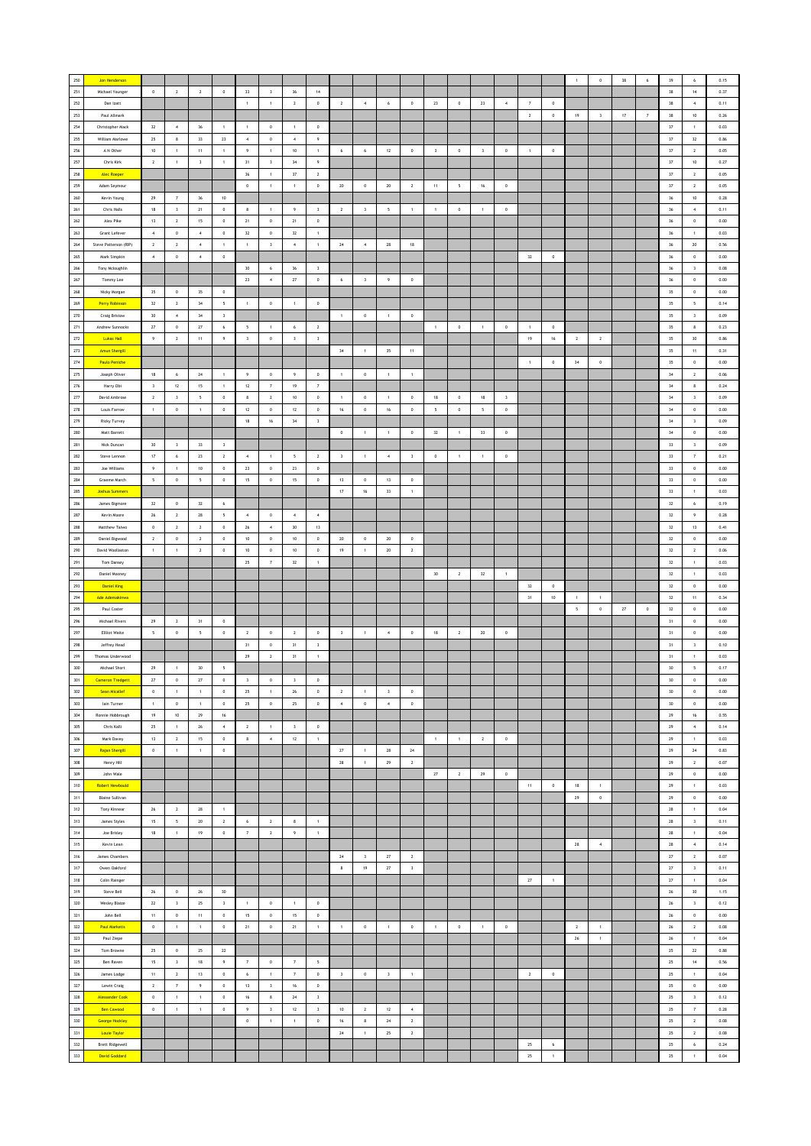| 250         | Jon Henderson                                |                          |                         |                          |                         |                          |                         |                          |                         |                         |                         |                         |                         |                          |                 |                |                  |                      |             | $\overline{1}$           | $\mathfrak o$           | $38\,$      | $\,$ 6     | 39         | 6                        | 0.15         |
|-------------|----------------------------------------------|--------------------------|-------------------------|--------------------------|-------------------------|--------------------------|-------------------------|--------------------------|-------------------------|-------------------------|-------------------------|-------------------------|-------------------------|--------------------------|-----------------|----------------|------------------|----------------------|-------------|--------------------------|-------------------------|-------------|------------|------------|--------------------------|--------------|
| $251\,$     | Michael Younger                              | $\,$ 0                   | $\mathbf{2}$            | $\sqrt{2}$               | $\mathbb O$             | $_{33}$                  | $\,$ $\,$               | $36\,$                   | $14\,$                  |                         |                         |                         |                         |                          |                 |                |                  |                      |             |                          |                         |             |            | $38\,$     | $14\,$                   | 0.37         |
| $252\,$     | Dan Izatt                                    |                          |                         |                          |                         | $\,$ 1                   | $\,$ 1 $\,$             | $\overline{2}$           | $\,$ 0                  | $\overline{2}$          | $\,$ 4 $\,$             | $\,$ 6 $\,$             | $\,0\,$                 | 23                       | $\,0\,$         | 23             | $\boldsymbol{4}$ | $\scriptstyle\rm{7}$ | $\,$ 0      |                          |                         |             |            | $38\,$     | $\,$ 4 $\,$              | 0.11         |
| 253         | Paul Allmark                                 |                          |                         |                          |                         |                          |                         |                          |                         |                         |                         |                         |                         |                          |                 |                |                  | $\overline{2}$       | $\circ$     | 19                       | $\overline{\mathbf{3}}$ | 17          | 7          | 38         | 10                       | 0.26         |
| ${\bf 254}$ | Christopher Mack                             | 32                       | $\sim$                  | 36                       | $\mathbf{1}$            | $\overline{1}$           | $\circ$                 | $\mathbf{1}$             | $\bf{0}$                |                         |                         |                         |                         |                          |                 |                |                  |                      |             |                          |                         |             |            | $37\,$     | $\mathbf{1}$             | 0.03         |
|             |                                              |                          |                         |                          |                         |                          |                         |                          |                         |                         |                         |                         |                         |                          |                 |                |                  |                      |             |                          |                         |             |            |            |                          |              |
| 255         | William Marlowe                              | 25                       | 8                       | $33\,$                   | 23                      | $\boldsymbol{4}$         | $\mathbf 0$             | $\sim$                   | $\overline{9}$          |                         |                         |                         |                         |                          |                 |                |                  |                      |             |                          |                         |             |            | $37\,$     | 32                       | 0.86         |
| 256         | A N Other                                    | $10\,$                   | $\,$ 1 $\,$             | $11\,$                   | $\mathbf{1}$            | $\overline{9}$           | 1                       | $10$                     | $\ddot{\phantom{1}}$    | 6                       | $\,$ 6 $\,$             | $12\,$                  | $\mathbb O$             | $\overline{\mathbf{3}}$  | $\,$ 0          | $\,$ 3         | $\,$ 0           | $\mathbf{1}$         | $\mathbf 0$ |                          |                         |             |            | $37\,$     | $\,$ 2 $\,$              | 0.05         |
| 257         | Chris Kirk                                   | $\overline{2}$           | $\,$ 1 $\,$             | $\sqrt{3}$               | $\,$ 1 $\,$             | 31                       | $\overline{\mathbf{3}}$ | $_{\rm 34}$              | $\overline{9}$          |                         |                         |                         |                         |                          |                 |                |                  |                      |             |                          |                         |             |            | $37\,$     | $10\,$                   | 0.27         |
| 258         | <b>Alec Roeper</b>                           |                          |                         |                          |                         | 36                       | $\mathbf{1}$            | $37\,$                   | $\overline{2}$          |                         |                         |                         |                         |                          |                 |                |                  |                      |             |                          |                         |             |            | 37         | $\overline{2}$           | 0.05         |
| 259         | Adam Seymour                                 |                          |                         |                          |                         | $\,$ 0 $\,$              | $\overline{1}$          | $\,$ 1 $\,$              | $\,$ 0 $\,$             | 20                      | $\,$ 0 $\,$             | $20\,$                  | $\overline{2}$          | 11                       | $5\phantom{.0}$ | 16             | $\,$ 0 $\,$      |                      |             |                          |                         |             |            | $37\,$     | $\sqrt{2}$               | 0.05         |
| 260         | Kevin Young                                  | $\mathbf{29}$            | $\scriptstyle\rm 7$     | $36\,$                   | $10\,$                  |                          |                         |                          |                         |                         |                         |                         |                         |                          |                 |                |                  |                      |             |                          |                         |             |            | $36\,$     | $10\,$                   | 0.28         |
| ${\bf 261}$ | Chris Halls                                  | 18                       | $\overline{\mathbf{3}}$ | $21\,$                   | $\,0\,$                 | 8                        | $\,$ 1                  | $\overline{9}$           | 3                       | $\overline{2}$          | $\,$ 3                  | 5                       | $\,$ 1 $\,$             | $\mathbf{1}$             | $\,0\,$         | $\mathbf{1}$   | $\,$ 0           |                      |             |                          |                         |             |            | $36\,$     | $\,$ 4 $\,$              | 0.11         |
| 262         | Alex Pike                                    | 13                       | $\overline{2}$          | 15                       | $\circ$                 | 21                       | $\circ$                 | 21                       | $\circ$                 |                         |                         |                         |                         |                          |                 |                |                  |                      |             |                          |                         |             |            | 36         | $\circ$                  | 0.00         |
| 263         | Grant Lefever                                | $\sim$                   | $\mathbb O$             | $\sim$                   | $\,0\,$                 | 32                       | $\mathbf 0$             | $32\,$                   | $\mathbf{1}$            |                         |                         |                         |                         |                          |                 |                |                  |                      |             |                          |                         |             |            | $36\,$     | $\mathbf{1}$             | 0.03         |
| 264         | Steve Patterson (RIP)                        | $\sqrt{2}$               | $\mathbf 2$             | $\overline{4}$           | $\,$ 1 $\,$             | $\,$ 1                   | $\,$ $\,$               | $\,$ 4 $\,$              | $\,$ 1 $\,$             | $\bf 24$                | $\,$ 4 $\,$             | $\bf 28$                | $18\,$                  |                          |                 |                |                  |                      |             |                          |                         |             |            | $36\,$     | $20\,$                   | 0.56         |
| 265         | Mark Simpkin                                 | $\sim$                   | $\,0\,$                 | $\overline{4}$           | $\,0\,$                 |                          |                         |                          |                         |                         |                         |                         |                         |                          |                 |                |                  | $32\,$               | $\,0\,$     |                          |                         |             |            | $36\,$     | $\,$ 0                   | 0.00         |
| 266         | Tony Mcloughlin                              |                          |                         |                          |                         | 30                       | 6                       | 36                       | $\overline{\mathbf{3}}$ |                         |                         |                         |                         |                          |                 |                |                  |                      |             |                          |                         |             |            | 36         | $\overline{\mathbf{3}}$  | 0.08         |
| 267         | Tommy Lee                                    |                          |                         |                          |                         | $23\,$                   | $\boldsymbol{4}$        | $\bf 27$                 | $\,$ 0 $\,$             | $\epsilon$              | $\overline{\mathbf{3}}$ | $\,9\,$                 | $\mathbb O$             |                          |                 |                |                  |                      |             |                          |                         |             |            | $36\,$     | $\,$ 0 $\,$              | 0.00         |
| 268         | Nicky Morgan                                 | 35                       | $\,0\,$                 | $35\,$                   | $\,0\,$                 |                          |                         |                          |                         |                         |                         |                         |                         |                          |                 |                |                  |                      |             |                          |                         |             |            | $35\,$     | $\,$ 0 $\,$              | 0.00         |
| 269         | <b>Perry Robinson</b>                        | 32                       | $\overline{2}$          | $_{34}$                  | 5                       | $\,$ 1 $\,$              | $\,$ 0                  | $\,$ 1 $\,$              | $\,$ 0                  |                         |                         |                         |                         |                          |                 |                |                  |                      |             |                          |                         |             |            | 35         | $\sim$                   | 0.14         |
| $270\,$     | <b>Craig Bristow</b>                         | 30                       | $\sim$                  | 34                       | $\overline{\mathbf{3}}$ |                          |                         |                          |                         | $\overline{1}$          | $\circ$                 | $\mathbf{1}$            | $\circ$                 |                          |                 |                |                  |                      |             |                          |                         |             |            | 35         | $\overline{\mathbf{3}}$  | 0.09         |
| 271         | Andrew Sunnocks                              | $\sqrt{27}$              | $\mathbb O$             | $\bf 27$                 | 6                       | $\overline{\phantom{a}}$ | $\mathbf{1}$            | 6                        | $\overline{2}$          |                         |                         |                         |                         | $\mathbf{1}$             | $\circ$         | 1              | $\,$ 0           | $\mathbf{1}$         | $\circ$     |                          |                         |             |            | 35         | 8                        | 0.23         |
| $272\,$     | <b>Lukas Hall</b>                            | $\,$ 9                   | $\mathbf 2$             | $11\,$                   | $\,9\,$                 | $\,$ $\,$                | $\mathbf 0$             | $_{\rm 3}$               |                         |                         |                         |                         |                         |                          |                 |                |                  | $19\,$               |             |                          | $\,$ 2 $\,$             |             |            | $35\,$     | $30\,$                   | 0.86         |
| $273\,$     |                                              |                          |                         |                          |                         |                          |                         |                          | $\sqrt{3}$              |                         |                         |                         |                         |                          |                 |                |                  |                      | $16\,$      | $\mathbf{2}$             |                         |             |            |            |                          |              |
| 274         | <b>Amun Shergill</b><br><b>Paulo Peniche</b> |                          |                         |                          |                         |                          |                         |                          |                         | 34                      | $\,$ 1 $\,$             | 35                      | $11\,$                  |                          |                 |                |                  |                      |             |                          |                         |             |            | 35         | $11\,$                   | 0.31<br>0.00 |
|             |                                              |                          |                         |                          |                         |                          |                         |                          |                         |                         |                         |                         |                         |                          |                 |                |                  | $\overline{1}$       | $\circ$     | 34                       | $\,$ 0 $\,$             |             |            | 35         | $\circ$                  |              |
| 275         | Joseph Oliver                                | 18                       | 6                       | $\mathbf{24}$            | $\overline{1}$          | $\overline{9}$           | $\mathbf 0$             | $\overline{9}$           | $\,0\,$                 | $\overline{1}$          | $\,$ 0 $\,$             | $\mathbf{1}$            | $\,1\,$                 |                          |                 |                |                  |                      |             |                          |                         |             |            | $34\,$     | $\sqrt{2}$               | 0.06         |
| $276\,$     | Harry Obi                                    | $\overline{\mathbf{3}}$  | $12\,$                  | $15\,$                   | $\,$ 1 $\,$             | $12\,$                   | $\scriptstyle\rm 7$     | $19\,$                   | $\scriptstyle{7}$       |                         |                         |                         |                         |                          |                 |                |                  |                      |             |                          |                         |             |            | $_{34}$    | $\bf8$                   | 0.24         |
| $277\,$     | David Ambrose                                | $\overline{2}$           | $\overline{\mathbf{3}}$ | $\overline{\phantom{a}}$ | $\mathbb O$             | $\bf8$                   | $\overline{2}$          | 10                       | $\,$ 0                  | $\overline{1}$          | $\,0\,$                 | $\mathbf{1}$            | $\,0\,$                 | $18\,$                   | $\,0\,$         | 18             | $\sqrt{3}$       |                      |             |                          |                         |             |            | 34         | $\overline{\mathbf{3}}$  | 0.09         |
| 278         | Louis Farrow                                 | $\overline{1}$           | $\mathbb O$             | $\mathbf{1}$             | $\circ$                 | 12                       | $\circ$                 | 12                       | $\circ$                 | 16                      | $\circ$                 | 16                      | $\circ$                 | $\overline{\phantom{a}}$ | $\circ$         | $5 -$          | $\,$ 0 $\,$      |                      |             |                          |                         |             |            | 34         | $\circ$                  | 0.00         |
| 279         | <b>Ricky Turvey</b>                          |                          |                         |                          |                         | 18                       | 16                      | 34                       | $\overline{\mathbf{3}}$ |                         |                         |                         |                         |                          |                 |                |                  |                      |             |                          |                         |             |            | 34         | $\overline{\mathbf{3}}$  | 0.09         |
| 280         | Matt Barrett                                 |                          |                         |                          |                         |                          |                         |                          |                         | $\,$ 0                  | $\mathbf{1}$            | $\mathbf{1}$            | $\,0\,$                 | 32                       | $\overline{1}$  | 33             | $\,$ 0 $\,$      |                      |             |                          |                         |             |            | 34         | $\,$ 0 $\,$              | 0.00         |
| ${\bf 281}$ | Nick Duncan                                  | 30                       | $\mathsf3$              | $_{33}$                  | $\overline{\mathbf{3}}$ |                          |                         |                          |                         |                         |                         |                         |                         |                          |                 |                |                  |                      |             |                          |                         |             |            | $33\,$     | $\,$ 3                   | 0.09         |
| ${\bf 282}$ | Steve Lennon                                 | $17\,$                   | $\,$ 6 $\,$             | $23\,$                   | $\overline{2}$          | $\overline{4}$           | $\mathbf{1}$            | $\overline{\phantom{a}}$ | $\mathbf{2}$            | $\overline{\mathbf{3}}$ | $\,$ 1 $\,$             | $\,$ 4 $\,$             | $\overline{\mathbf{3}}$ | $\,0\,$                  | $\,$ 1          | $\mathbf{1}$   | $\,0\,$          |                      |             |                          |                         |             |            | $33\,$     | $\scriptstyle\rm 7$      | 0.21         |
| 283         | Joe Williams                                 | $\overline{9}$           | $\mathbf{1}$            | 10                       | $^{\circ}$              | 23                       | $\circ$                 | 23                       | $\circ$                 |                         |                         |                         |                         |                          |                 |                |                  |                      |             |                          |                         |             |            | 33         | $\circ$                  | 0.00         |
| 284         | Graeme March                                 | $\overline{\phantom{a}}$ | $\mathbb O$             | $\sqrt{5}$               | $\,$ 0 $\,$             | 15                       | $\mathsf{o}$            | 15                       | $\,$ 0 $\,$             | 13                      | $\,$ 0 $\,$             | 13                      | $\,$ 0                  |                          |                 |                |                  |                      |             |                          |                         |             |            | 33         | $\,$ 0 $\,$              | 0.00         |
| 285         | <b>Joshua Summers</b>                        |                          |                         |                          |                         |                          |                         |                          |                         | $17\,$                  | $16\,$                  | $33\,$                  | $\,$ 1 $\,$             |                          |                 |                |                  |                      |             |                          |                         |             |            | $_{33}$    | $\,$ 1 $\,$              | 0.03         |
| 286         | James Bigmore                                | 32                       | $\,0\,$                 | $32\,$                   | 6                       |                          |                         |                          |                         |                         |                         |                         |                         |                          |                 |                |                  |                      |             |                          |                         |             |            | 32         | $\epsilon$               | 0.19         |
| 287         | Kevin Moore                                  | 26                       | $\overline{2}$          | 28                       | $\overline{5}$          | $\sim$                   | $\overline{0}$          | $\sim$                   | $\sim$                  |                         |                         |                         |                         |                          |                 |                |                  |                      |             |                          |                         |             |            | 32         | 9                        | 0.28         |
| 288         | Matthew Taiwo                                | $\circ$                  | $\overline{2}$          | $\overline{2}$           | $\circ$                 | 26                       | $\sim$                  | $30\,$                   | 13                      |                         |                         |                         |                         |                          |                 |                |                  |                      |             |                          |                         |             |            | 32         | 13                       | 0.41         |
| 289         | <b>Daniel Bigwood</b>                        | $\sqrt{2}$               | $\,0\,$                 | $\overline{2}$           | $\mathbf 0$             | $10$                     | $\,$ 0 $\,$             | $10\,$                   | $\,$ 0                  | $20\,$                  | $\mathbf 0$             | $20\,$                  | $\,0\,$                 |                          |                 |                |                  |                      |             |                          |                         |             |            | $32\,$     | $\,$ 0 $\,$              | 0.00         |
| 290         | David Woollaston                             | $\,$ 1 $\,$              | $\,$ 1 $\,$             | $\overline{2}$           | $\,0\,$                 | $10$                     | $\mathbf 0$             | 10                       | $\bf 0$                 | 19                      | $\,$ 1 $\,$             | $20\,$                  | $\overline{2}$          |                          |                 |                |                  |                      |             |                          |                         |             |            | $32\,$     | $\overline{2}$           | 0.06         |
| 291         | Tom Dansey                                   |                          |                         |                          |                         | 25                       | $\overline{7}$          | $32\,$                   | $\overline{1}$          |                         |                         |                         |                         |                          |                 |                |                  |                      |             |                          |                         |             |            | 32         | $\mathbf{1}$             | 0.03         |
| 292         | Daniel Mooney                                |                          |                         |                          |                         |                          |                         |                          |                         |                         |                         |                         |                         | $30$                     | $\overline{2}$  | 32             | $\,$ 1 $\,$      |                      |             |                          |                         |             |            | 32         | $\,$ 1 $\,$              | 0.03         |
|             |                                              |                          |                         |                          |                         |                          |                         |                          |                         |                         |                         |                         |                         |                          |                 |                |                  |                      |             |                          |                         |             |            |            |                          |              |
| 293         | <b>Daniel King</b>                           |                          |                         |                          |                         |                          |                         |                          |                         |                         |                         |                         |                         |                          |                 |                |                  | $_{\rm 32}$          | $\mathbf 0$ |                          |                         |             |            | $32\,$     | $\,$ 0 $\,$              | 0.00         |
| 294         | Ade Ademakinwa                               |                          |                         |                          |                         |                          |                         |                          |                         |                         |                         |                         |                         |                          |                 |                |                  | 31                   | 10          | $\mathbf{1}$             | $\,$ 1 $\,$             |             |            | 32         | $11 -$                   | 0.34         |
| 295         | Paul Coster                                  |                          |                         |                          |                         |                          |                         |                          |                         |                         |                         |                         |                         |                          |                 |                |                  |                      |             | $\overline{\phantom{a}}$ | $\,$ 0 $\,$             | $\sqrt{27}$ | $^{\circ}$ | 32         | $\circ$                  | 0.00         |
| 296         | Michael Rivers                               | 29                       | $\overline{2}$          | 31                       | $\circ$                 |                          |                         |                          |                         |                         |                         |                         |                         |                          |                 |                |                  |                      |             |                          |                         |             |            | 31         | $\circ$                  | 0.00         |
|             |                                              |                          |                         |                          | $\mathbb O$             | $\mathbf{2}$             | $\,$ 0 $\,$             | $\overline{2}$           |                         |                         | $\mathbf{1}$            | $\sqrt{4}$              | $\,0\,$                 | $18\,$                   | $\overline{2}$  | $20\,$         | $\,$ 0           |                      |             |                          |                         |             |            | 31         | $\,$ 0 $\,$              | 0.00         |
| 297         | Ellliot Waite                                | 5                        | $\,0\,$                 | $\sqrt{5}$               |                         |                          |                         |                          | $\bf 0$                 | $\overline{\mathbf{3}}$ |                         |                         |                         |                          |                 |                |                  |                      |             |                          |                         |             |            |            |                          | 0.10         |
| 298         | Jeffrey Head                                 |                          |                         |                          |                         | 31                       | $\mathbf 0$             | 31                       | 3                       |                         |                         |                         |                         |                          |                 |                |                  |                      |             |                          |                         |             |            | 31         | $\,$ 3                   |              |
| 299         | Thomas Underwood                             |                          |                         |                          |                         | 29                       | $\overline{2}$          | 31                       | $\overline{1}$          |                         |                         |                         |                         |                          |                 |                |                  |                      |             |                          |                         |             |            | 31         | $\mathbf{1}$             | 0.03         |
| 300         | Michael Short                                | 29                       | $\mathbf{1}$            | $30$                     | $\sf 5$                 |                          |                         |                          |                         |                         |                         |                         |                         |                          |                 |                |                  |                      |             |                          |                         |             |            | $30$       | $\mathsf{s}$             | 0.17         |
| Г<br>301    | <b>Cameron Tredgett</b>                      | $27\,$                   | $\circ$                 | $\bf 27$                 | $\,0\,$                 |                          | $\mathbb O$             |                          |                         |                         |                         |                         |                         |                          |                 |                |                  |                      |             |                          |                         |             |            | 30         | $\circ$                  | 0.00         |
| 302         | Sean Micallef                                | $\,0\,$                  | $\mathbf{1}$            | $\,$ 1 $\,$              | $\,$ 0 $\,$             | 25                       | $\,$ 1 $\,$             | $\bf 26$                 | $\,$ 0                  | $\overline{2}$          | $\overline{1}$          | $\overline{\mathbf{3}}$ | $\,0\,$                 |                          |                 |                |                  |                      |             |                          |                         |             |            | 30         | $\,$ 0 $\,$              | $0.00\,$     |
| 303         | lain Turner                                  | $\mathbf{1}$             | $\mathbf 0$             | $\mathbf{1}$             | $\,0\,$                 | 25                       | $\,$ 0 $\,$             | 25                       | $\,$ 0 $\,$             | $\sim$                  | $\circ$                 | $\,$ 4 $\,$             | $\mathbb O$             |                          |                 |                |                  |                      |             |                          |                         |             |            | 30         | $\,$ 0 $\,$              | 0.00         |
| 304         | Ronnie Hobbrough                             | 19                       | 10                      | 29                       | 16                      |                          |                         |                          |                         |                         |                         |                         |                         |                          |                 |                |                  |                      |             |                          |                         |             |            | 29         | 16                       | 0.55         |
| 305         | Chris Kalli                                  | 25                       | 1                       | 26                       | $\sim$                  | $\overline{2}$           | $\mathbf{1}$            | $\overline{\mathbf{3}}$  | $\,$ 0 $\,$             |                         |                         |                         |                         |                          |                 |                |                  |                      |             |                          |                         |             |            | 29         | $\sim$                   | 0.14         |
| 306         | Mark Davey                                   | $13$                     | $\mathbf{2}$            | $15\,$                   | $\mathbf 0$             | $\bf8$                   | $\boldsymbol{4}$        | $12\,$                   | $\,$ 1 $\,$             |                         |                         |                         |                         | $\,$ 1 $\,$              | $\,$ 1 $\,$     | $\overline{2}$ | $\,$ 0           |                      |             |                          |                         |             |            | ${\bf 29}$ | $\,$ 1 $\,$              | 0.03         |
| $307\,$     | Rajan Shergill                               | $\,0\,$                  | $\,$ 1 $\,$             | $\,$ 1                   | $\,0\,$                 |                          |                         |                          |                         | 27                      | $\,$ 1 $\,$             | ${\bf 28}$              | $\mathbf{24}$           |                          |                 |                |                  |                      |             |                          |                         |             |            | 29         | $24\,$                   | 0.83         |
| 308         | Henry Hill                                   |                          |                         |                          |                         |                          |                         |                          |                         | 28                      | $\,$ 1 $\,$             | 29                      | $\overline{2}$          |                          |                 |                |                  |                      |             |                          |                         |             |            | 29         | $\overline{2}$           | 0.07         |
| 309         | John Wale                                    |                          |                         |                          |                         |                          |                         |                          |                         |                         |                         |                         |                         | $27\,$                   | $\sqrt{2}$      | 29             | $\,$ 0 $\,$      |                      |             |                          |                         |             |            | 29         | $\,$ 0 $\,$              | 0.00         |
| 310         | Robert Newbould                              |                          |                         |                          |                         |                          |                         |                          |                         |                         |                         |                         |                         |                          |                 |                |                  | $11\,$               | $\,$ 0 $\,$ | 18                       | $\,$ 1 $\,$             |             |            | ${\bf 29}$ | $\,$ 1 $\,$              | 0.03         |
| 311         | <b>Blaine Sullivan</b>                       |                          |                         |                          |                         |                          |                         |                          |                         |                         |                         |                         |                         |                          |                 |                |                  |                      |             | 29                       | $\,$ 0 $\,$             |             |            | 29         | $\circ$                  | 0.00         |
| 312         | Tony Kinnear                                 | 26                       | 2                       | 28                       | $\overline{1}$          |                          |                         |                          |                         |                         |                         |                         |                         |                          |                 |                |                  |                      |             |                          |                         |             |            | 28         | 1                        | 0.04         |
| $313$       | James Styles                                 | 15                       | 5                       | $20\,$                   | $\overline{2}$          | 6                        | $\overline{2}$          | 8                        | $\overline{1}$          |                         |                         |                         |                         |                          |                 |                |                  |                      |             |                          |                         |             |            | 28         | $\overline{\mathbf{3}}$  | 0.11         |
|             |                                              |                          |                         |                          |                         |                          |                         |                          |                         |                         |                         |                         |                         |                          |                 |                |                  |                      |             |                          |                         |             |            |            |                          |              |
| 314         | Joe Brisley                                  | $18\,$                   | $\mathbf 1$             | $19$                     | $\mathbb O$             | $\scriptstyle\rm 7$      | $\,$ 2 $\,$             | 9                        | $\,$ 1 $\,$             |                         |                         |                         |                         |                          |                 |                |                  |                      |             |                          |                         |             |            | ${\bf 28}$ | $\,$ 1 $\,$              | 0.04         |
| $315$       | Kevin Lean<br>James Chambers                 |                          |                         |                          |                         |                          |                         |                          |                         | 24                      | $\overline{\mathbf{3}}$ | 27                      | $\overline{2}$          |                          |                 |                |                  |                      |             | 28                       | $\overline{4}$          |             |            | 28<br>27   | $\sim$<br>$\overline{2}$ | 0.14<br>0.07 |
| 316         |                                              |                          |                         |                          |                         |                          |                         |                          |                         |                         |                         |                         |                         |                          |                 |                |                  |                      |             |                          |                         |             |            |            |                          |              |
| 317         | Owen Oakford                                 |                          |                         |                          |                         |                          |                         |                          |                         | $\bf{8}$                | 19                      | $\sqrt{27}$             | $\overline{\mathbf{3}}$ |                          |                 |                |                  |                      |             |                          |                         |             |            | $27\,$     | $\overline{\mathbf{3}}$  | 0.11         |
| 318         | Colin Rainger                                |                          |                         |                          |                         |                          |                         |                          |                         |                         |                         |                         |                         |                          |                 |                |                  | $\bf 27$             | $\,$ 1      |                          |                         |             |            | $27\,$     | $\,$ 1 $\,$              | 0.04         |
| 319         | Steve Bell                                   | 26                       | $\mathbf 0$             | $26\,$                   | 30                      |                          |                         |                          |                         |                         |                         |                         |                         |                          |                 |                |                  |                      |             |                          |                         |             |            | 26         | 30                       | 1.15         |
| 320         | <b>Wesley Blaize</b>                         | $\mathbf{22}$            | $\overline{\mathbf{3}}$ | 25                       | $\overline{\mathbf{3}}$ | $\overline{1}$           | $\circ$                 | $\blacksquare$           | $\,$ 0 $\,$             |                         |                         |                         |                         |                          |                 |                |                  |                      |             |                          |                         |             |            | $26\,$     | $\overline{\mathbf{3}}$  | 0.12         |
| 321         | John Bell                                    | 11                       | $\mathsf 0$             | 11                       | $\mathbb O$             | 15                       | $\mathbb O$             | 15                       | $\,$ 0 $\,$             |                         |                         |                         |                         |                          |                 |                |                  |                      |             |                          |                         |             |            | $26\,$     | $\,$ 0 $\,$              | 0.00         |
| 322         | <b>Paul Marketis</b>                         | $\mathbb O$              | $\mathbf 1$             | $\,$ 1 $\,$              | $\mathbb O$             | $21\,$                   | $\mathbf 0$             | $21\,$                   | $\,$ 1 $\,$             | $\,$ 1 $\,$             | $\,$ 0 $\,$             | $\,$ 1 $\,$             | $\mathbb O$             | $\mathbf{1}$             | $\,$ 0 $\,$     | $\mathbf{1}$   | $\,$ 0           |                      |             | $\mathbf{2}$             | $\,$ 1 $\,$             |             |            | $26\,$     | $\,$ 2 $\,$              | 0.08         |
| $323\,$     | Paul Ziepe                                   |                          |                         |                          |                         |                          |                         |                          |                         |                         |                         |                         |                         |                          |                 |                |                  |                      |             | 26                       | $\,$ 1 $\,$             |             |            | 26         | $\,$ 1 $\,$              | 0.04         |
| 324         | Tom Browne                                   | 25                       | $\,$ 0 $\,$             | 25                       | 22                      |                          |                         |                          |                         |                         |                         |                         |                         |                          |                 |                |                  |                      |             |                          |                         |             |            | 25         | 22                       | 0.88         |
| 325         | Ben Raven                                    | 15                       | $\overline{\mathbf{3}}$ | $18\,$                   | $\,9\,$                 | $\overline{7}$           | $\,$ 0 $\,$             | $\overline{7}$           | 5                       |                         |                         |                         |                         |                          |                 |                |                  |                      |             |                          |                         |             |            | $25\,$     | $14\,$                   | 0.56         |
| 326         | James Lodge                                  | 11                       | $\overline{2}$          | 13                       | $\,$ 0                  | 6                        | $\overline{1}$          | $\scriptstyle\rm 7$      | $\,$ 0 $\,$             | $\overline{\mathbf{3}}$ | $\,$ 0 $\,$             | $\mathsf 3$             | $\,$ 1 $\,$             |                          |                 |                |                  | $\,$ 2 $\,$          | $\,$ 0 $\,$ |                          |                         |             |            | 25         | $\mathbf{1}$             | 0.04         |
| 327         | Lewin Craig                                  | $\sqrt{2}$               | $\overline{\tau}$       | $\,9\,$                  | $\mathbf 0$             | $13\,$                   | $\,$ $\,$               | $16\,$                   | $\mathbf 0$             |                         |                         |                         |                         |                          |                 |                |                  |                      |             |                          |                         |             |            | $25\,$     | $\,$ 0                   | 0.00         |
| 328         | <b>Alessander Cook</b>                       | $\circ$                  | $1\,$                   | $\,$ 1 $\,$              | $\,0\,$                 | 16                       | $\boldsymbol{8}$        | 24                       | $\overline{\mathbf{3}}$ |                         |                         |                         |                         |                          |                 |                |                  |                      |             |                          |                         |             |            | 25         | $\overline{\mathbf{3}}$  | 0.12         |
| 329         | <b>Ben Cawood</b>                            | $\,$ 0 $\,$              | $\mathbf{1}$            | $\overline{1}$           | $\circ$                 | 9                        | $\overline{\mathbf{3}}$ | 12                       | $\overline{\mathbf{3}}$ | 10                      | $\overline{2}$          | 12                      | $\sim$                  |                          |                 |                |                  |                      |             |                          |                         |             |            | 25         | $\tau$                   | 0.28         |
| 330         | <b>George Hockley</b>                        |                          |                         |                          |                         | $\mathbf 0$              | $\mathbf{1}$            | $\,$ 1 $\,$              | $\,$ 0 $\,$             | 16                      | $\bf 8$                 | 24                      | $\sqrt{2}$              |                          |                 |                |                  |                      |             |                          |                         |             |            | 25         | $\overline{2}$           | 0.08         |
| 331         | Louie Taylor                                 |                          |                         |                          |                         |                          |                         |                          |                         | $\bf{24}$               | $\,$ 1 $\,$             | 25                      | $\mathbf{2}$            |                          |                 |                |                  |                      |             |                          |                         |             |            | $25\,$     | $\mathbf{2}$             | 0.08         |
| $332\,$     | Brett Ridgewell                              |                          |                         |                          |                         |                          |                         |                          |                         |                         |                         |                         |                         |                          |                 |                |                  | 25                   | $\,$ 6      |                          |                         |             |            | 25         | $\boldsymbol{6}$         | 0.24         |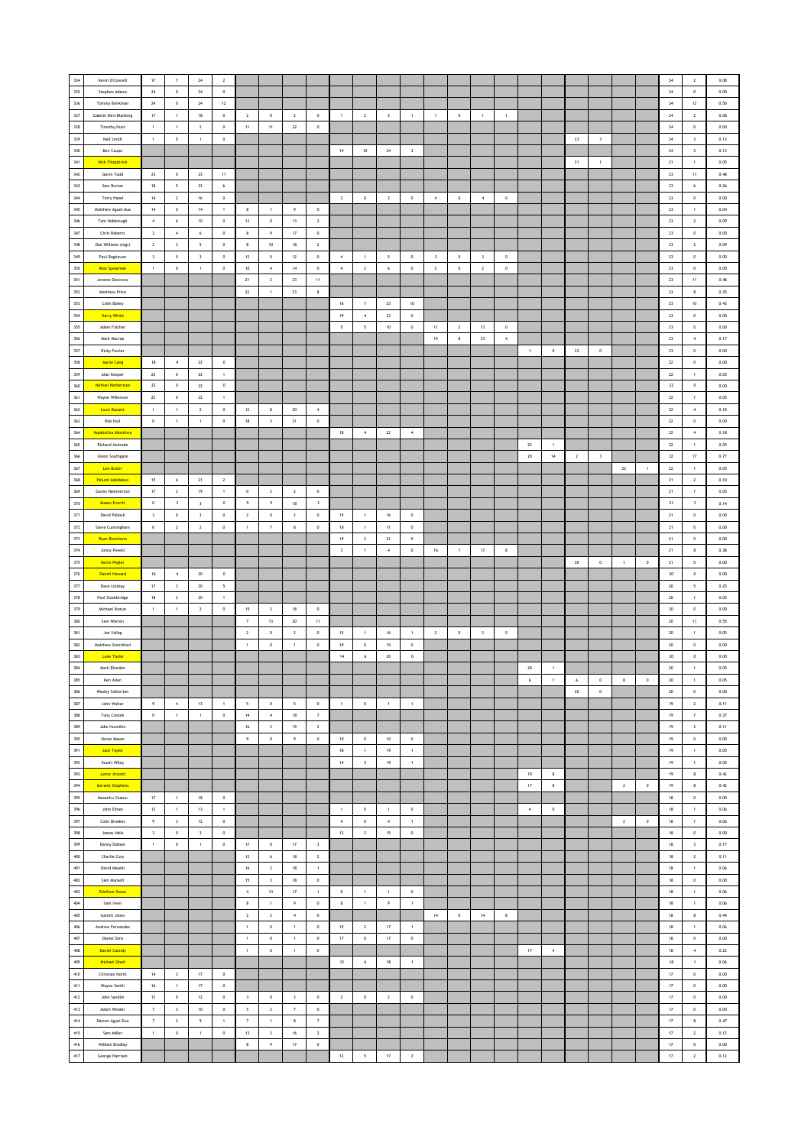| 334        | Kevin O'Connell                    | $17\,$                  | $\scriptstyle\rm 7$      | $\bf 24$                 | $\overline{2}$           |                          |                         |                         |                         |                         |                  |                          |                         |                         |                |                         |                  |                  |                |                |                         |                |              | $\bf 24$        | $\,$ 2 $\,$             | 0.08     |
|------------|------------------------------------|-------------------------|--------------------------|--------------------------|--------------------------|--------------------------|-------------------------|-------------------------|-------------------------|-------------------------|------------------|--------------------------|-------------------------|-------------------------|----------------|-------------------------|------------------|------------------|----------------|----------------|-------------------------|----------------|--------------|-----------------|-------------------------|----------|
| 335        | Stephen Adams                      | 24                      | $\mathbb O$              | 24                       | $\mathbb O$              |                          |                         |                         |                         |                         |                  |                          |                         |                         |                |                         |                  |                  |                |                |                         |                |              | 24              | $\mathbb O$             | 0.00     |
| 336        |                                    |                         |                          |                          |                          |                          |                         |                         |                         |                         |                  |                          |                         |                         |                |                         |                  |                  |                |                |                         |                |              |                 |                         |          |
|            | Tommy Brinkman                     | 24                      | $\circ$                  | 24                       | 12                       |                          |                         |                         |                         |                         |                  |                          |                         |                         |                |                         |                  |                  |                |                |                         |                |              | 24              | 12                      | 0.50     |
| 337        | Gabriel Miro-Blanking              | 17                      | $\mathbf{1}$             | 18                       | $\circ$                  | $\overline{2}$           | $\circ$                 | $\overline{2}$          | $\circ$                 | $\overline{1}$          | $\overline{2}$   | $\overline{\mathbf{3}}$  | $\mathbf{1}$            | $\mathbf{1}$            | $\circ$        | $\overline{1}$          | $\mathbf{1}$     |                  |                |                |                         |                |              | 24              | $\overline{2}$          | 0.08     |
| $338\,$    | <b>Timothy Hunt</b>                | $\,$ 1 $\,$             | $\,$ 1 $\,$              | $\mathbf{2}$             | $\,0\,$                  | $11\,$                   | $11\,$                  | ${\bf 22}$              | $\,$ 0                  |                         |                  |                          |                         |                         |                |                         |                  |                  |                |                |                         |                |              | $\bf 24$        | $\,$ 0 $\,$             | 0.00     |
| 339        | Neil Smith                         | $\,$ 1 $\,$             | $\mathbb O$              | $\,$ 1 $\,$              | $\,$ 0                   |                          |                         |                         |                         |                         |                  |                          |                         |                         |                |                         |                  |                  |                | ${\bf 23}$     | $\,$ 3                  |                |              | $\bf 24$        | $\,$ $\,$               | 0.13     |
| 340        | Ben Coupe                          |                         |                          |                          |                          |                          |                         |                         |                         | $14\,$                  | $10\,$           | 24                       | $\overline{\mathbf{3}}$ |                         |                |                         |                  |                  |                |                |                         |                |              | $24\,$          | $\overline{\mathbf{3}}$ | 0.13     |
| 341        | <b>Nick Fitzpatrick</b>            |                         |                          |                          |                          |                          |                         |                         |                         |                         |                  |                          |                         |                         |                |                         |                  |                  |                | 21             | $\overline{1}$          |                |              | 21              | $\overline{1}$          | 0.05     |
| 342        | Gavin Todd                         | $23\,$                  | $\,0\,$                  | 23                       | 11                       |                          |                         |                         |                         |                         |                  |                          |                         |                         |                |                         |                  |                  |                |                |                         |                |              | 23              | 11                      | 0.48     |
| 343        | Sam Burton                         | $18\,$                  | $\overline{\phantom{a}}$ | $23\,$                   | 6                        |                          |                         |                         |                         |                         |                  |                          |                         |                         |                |                         |                  |                  |                |                |                         |                |              | ${\bf 23}$      | $\epsilon$              | 0.26     |
| $344\,$    | Terry Hazel                        | $14\,$                  | $\overline{2}$           | 16                       | $\,$ 0                   |                          |                         |                         |                         | $\overline{\mathbf{3}}$ | $\,$ 0 $\,$      | $\overline{\mathbf{3}}$  | $\,$ 0 $\,$             | $\,$ 4 $\,$             | $\,$ 0 $\,$    | $\sim$                  | $\,$ 0 $\,$      |                  |                |                |                         |                |              | 23              | $\,$ 0 $\,$             | 0.00     |
| 345        | Matthew Aguei-dua                  | 14                      | $\circ$                  | 14                       | $\overline{1}$           | 8                        | $\mathbf{1}$            | 9                       | $\circ$                 |                         |                  |                          |                         |                         |                |                         |                  |                  |                |                |                         |                |              | 23              | $\overline{1}$          | 0.04     |
| 346        | Tom Hobbrough                      | $\boldsymbol{4}$        | $\,$ 6 $\,$              | 10                       | $\,0\,$                  | 13                       | $\,$ 0 $\,$             | 13                      | $\overline{2}$          |                         |                  |                          |                         |                         |                |                         |                  |                  |                |                |                         |                |              | 23              | $\overline{2}$          | 0.09     |
|            |                                    |                         |                          |                          |                          |                          |                         |                         |                         |                         |                  |                          |                         |                         |                |                         |                  |                  |                |                |                         |                |              |                 |                         |          |
| 347        | Chris Roberts                      | $\mathbf 2$             | $\,$ 4 $\,$              | $\,$ 6 $\,$              | $\,0\,$                  | $\bf8$                   | $\,9\,$                 | $17\,$                  | $\,$ 0                  |                         |                  |                          |                         |                         |                |                         |                  |                  |                |                |                         |                |              | $23\,$          | $\,$ 0 $\,$             | $0.00\,$ |
| 348        | Dan Williams (mgr)                 | $\mathbf{2}$            | $\overline{\mathbf{3}}$  | $\overline{\phantom{a}}$ | $\,0\,$                  | 8                        | $10$                    | 18                      | $\sqrt{2}$              |                         |                  |                          |                         |                         |                |                         |                  |                  |                |                |                         |                |              | $23\,$          | $\overline{2}$          | 0.09     |
| 349        | Paul Raghavan                      | $\overline{\mathbf{3}}$ | $\circ$                  | $\overline{\mathbf{3}}$  | $\circ$                  | 12                       | $\circ$                 | 12                      | $\circ$                 | $\sim$                  | $\overline{1}$   | $\overline{\phantom{0}}$ | $\circ$                 | $\overline{\mathbf{3}}$ | $\mathbf{0}$   | $\overline{\mathbf{3}}$ | $\circ$          |                  |                |                |                         |                |              | 23              | $\circ$                 | 0.00     |
| 350        | <b>Ross Spearman</b>               | $\mathbf{1}$            | $\mathbb O$              | $\,1\,$                  | $\,0\,$                  | 10                       | $\overline{4}$          | $14\,$                  | $\,$ 0 $\,$             | $\overline{4}$          | $\,$ 2 $\,$      | $\,$ 6 $\,$              | $\,0\,$                 | $\sqrt{2}$              | $\,$ 0 $\,$    | $\overline{2}$          | $\,$ 0 $\,$      |                  |                |                |                         |                |              | 23              | $\,$ 0 $\,$             | 0.00     |
| 351        | Jerome Doctrove                    |                         |                          |                          |                          | 21                       | $\,$ 2 $\,$             | $\bf 23$                | $11\,$                  |                         |                  |                          |                         |                         |                |                         |                  |                  |                |                |                         |                |              | ${\bf 23}$      | $11\,$                  | 0.48     |
| $352\,$    | Matthew Price                      |                         |                          |                          |                          | 22                       | $\,$ 1 $\,$             | 23                      | $\bf 8$                 |                         |                  |                          |                         |                         |                |                         |                  |                  |                |                |                         |                |              | 23              | 8                       | 0.35     |
| 353        | Colin Bailey                       |                         |                          |                          |                          |                          |                         |                         |                         | 16                      | 7                | 23                       | 10                      |                         |                |                         |                  |                  |                |                |                         |                |              | 23              | 10                      | 0.43     |
| 354        | <b>Harry White</b>                 |                         |                          |                          |                          |                          |                         |                         |                         | 19                      | $\overline{4}$   | 23                       | $\,0\,$                 |                         |                |                         |                  |                  |                |                |                         |                |              | 23              | $\,$ 0 $\,$             | 0.00     |
| 355        | Adam Fulcher                       |                         |                          |                          |                          |                          |                         |                         |                         | $\sf s$                 | $\sf 5$          | $10\,$                   | $\mathbf 0$             | $11\,$                  | $\sqrt{2}$     | $13\,$                  | $\mathbf 0$      |                  |                |                |                         |                |              | ${\bf 23}$      | $\,$ 0 $\,$             | $0.00\,$ |
| 356        | Mark Macrae                        |                         |                          |                          |                          |                          |                         |                         |                         |                         |                  |                          |                         | 15                      | 8              | 23                      | $\,$ 4 $\,$      |                  |                |                |                         |                |              | $23\,$          | $\,$ 4 $\,$             | 0.17     |
| 357        |                                    |                         |                          |                          |                          |                          |                         |                         |                         |                         |                  |                          |                         |                         |                |                         |                  | $\overline{1}$   |                |                |                         |                |              | 23              | $\circ$                 | 0.00     |
|            | <b>Ricky Fowler</b>                |                         |                          |                          |                          |                          |                         |                         |                         |                         |                  |                          |                         |                         |                |                         |                  |                  | $\,$ 0 $\,$    | 22             | $\,$ 0 $\,$             |                |              |                 |                         |          |
| 358        | <b>Aaron Lang</b>                  | 18                      | $\sim$                   | 22                       | $\circ$                  |                          |                         |                         |                         |                         |                  |                          |                         |                         |                |                         |                  |                  |                |                |                         |                |              | $\bf 22$        | $\,$ 0 $\,$             | 0.00     |
| 359        | Alan Keeper                        | $\mathbf{z}\mathbf{z}$  | $\,0\,$                  | $\bf 22$                 | $\overline{1}$           |                          |                         |                         |                         |                         |                  |                          |                         |                         |                |                         |                  |                  |                |                |                         |                |              | ${\bf 22}$      | $\,$ 1 $\,$             | 0.05     |
| $360\,$    | Nathan Herbertson                  | $\bf 22$                | $\,0\,$                  | 22                       | $\,$ 0                   |                          |                         |                         |                         |                         |                  |                          |                         |                         |                |                         |                  |                  |                |                |                         |                |              | $\bf 22$        | $\,$ 0                  | 0.00     |
| 361        | Wayne Wilkinson                    | $\mathbf{22}$           | $\circ$                  | 22                       | $\overline{1}$           |                          |                         |                         |                         |                         |                  |                          |                         |                         |                |                         |                  |                  |                |                |                         |                |              | 22              | $\overline{1}$          | 0.05     |
| 362        | <b>Louis Bassett</b>               | $\mathbf{1}$            | $\mathbf{1}$             | $\mathbf{2}$             | $\,0\,$                  | $12\,$                   | 8                       | 20                      | $\sim$                  |                         |                  |                          |                         |                         |                |                         |                  |                  |                |                |                         |                |              | 22              | $\sim$                  | 0.18     |
| 363        | Rob Hull                           | $\mathbb O$             | $\mathbf{1}$             | $\mathbf{1}$             | $\,0\,$                  | $18$                     | $\overline{\mathbf{3}}$ | 21                      | $\,$ 0 $\,$             |                         |                  |                          |                         |                         |                |                         |                  |                  |                |                |                         |                |              | $22\,$          | $\,$ 0 $\,$             | 0.00     |
| $364\,$    | Ngobizitha Mlotshwa                |                         |                          |                          |                          |                          |                         |                         |                         | $18\,$                  | $\,$ 4 $\,$      | ${\bf z}$                | $\,$ 4 $\,$             |                         |                |                         |                  |                  |                |                |                         |                |              | ${\bf 22}$      | $\,$ 4 $\,$             | 0.18     |
| $365\,$    | Richard Andrade                    |                         |                          |                          |                          |                          |                         |                         |                         |                         |                  |                          |                         |                         |                |                         |                  | $\bf 22$         | $\overline{1}$ |                |                         |                |              | ${\bf 22}$      | $\,$ 1 $\,$             | 0.05     |
| 366        | Glenn Southgate                    |                         |                          |                          |                          |                          |                         |                         |                         |                         |                  |                          |                         |                         |                |                         |                  | 20               | 14             | $\overline{2}$ | $\overline{\mathbf{3}}$ |                |              | 22              | 17                      | 0.77     |
| 367        | Lee Butler                         |                         |                          |                          |                          |                          |                         |                         |                         |                         |                  |                          |                         |                         |                |                         |                  |                  |                |                |                         | $\mathbf{22}$  |              | 22              | $\mathbf{1}$            | 0.05     |
|            |                                    |                         |                          |                          |                          |                          |                         |                         |                         |                         |                  |                          |                         |                         |                |                         |                  |                  |                |                |                         |                | $\mathbf{1}$ |                 |                         |          |
| $368\,$    | Pelumi Adedokun                    | 15                      | $\,$ 6 $\,$              | $21\,$                   | $\overline{2}$           |                          |                         |                         |                         |                         |                  |                          |                         |                         |                |                         |                  |                  |                |                |                         |                |              | $21\,$          | $\overline{2}$          | 0.10     |
| 369        | Garan Hammerton                    | $17\,$                  | $\overline{2}$           | 19                       | $\,$ 1 $\,$              | $\,$ 0 $\,$              | $\overline{2}$          | $\overline{2}$          | $\,0\,$                 |                         |                  |                          |                         |                         |                |                         |                  |                  |                |                |                         |                |              | 21              | $\,$ 1 $\,$             | 0.05     |
| 370        | <b>Mason Everitt</b>               | $\,$ 0 $\,$             | $\overline{\mathbf{3}}$  | $\overline{\mathbf{3}}$  | $\,$ 0 $\,$              | $\,9\,$                  | $\,9\,$                 | 18                      | $\overline{\mathbf{3}}$ |                         |                  |                          |                         |                         |                |                         |                  |                  |                |                |                         |                |              | 21              | $\overline{\mathbf{3}}$ | 0.14     |
| 371        | David Pollock                      | $\mathsf 3$             | $\,0\,$                  | $\mathsf 3$              | $\,0\,$                  | $\,$ 2 $\,$              | $\,$ 0 $\,$             | $\overline{2}$          | $\,$ 0 $\,$             | 15                      | $\mathbf{1}$     | 16                       | $\circ$                 |                         |                |                         |                  |                  |                |                |                         |                |              | 21              | $\,$ 0 $\,$             | 0.00     |
| $372\,$    | Steve Cunningham                   | $\mathbf 0$             | $\mathbf 2$              | $\mathbf 2$              | $\,$ 0 $\,$              | $\,$ 1 $\,$              | $\scriptstyle\rm 7$     | $\bf{8}$                | $\,$ 0                  | $10\,$                  | $\,$ 1 $\,$      | $11\,$                   | $\,0\,$                 |                         |                |                         |                  |                  |                |                |                         |                |              | $21\,$          | $\,$ 0 $\,$             | $0.00\,$ |
| 373        | Ryan Beecheno                      |                         |                          |                          |                          |                          |                         |                         |                         | $19$                    | $\mathbf{2}$     | 21                       | $\,0\,$                 |                         |                |                         |                  |                  |                |                |                         |                |              | 21              | $\,$ 0                  | 0.00     |
| 374        | Jonny Powell                       |                         |                          |                          |                          |                          |                         |                         |                         | $\overline{\mathbf{3}}$ | $\,$ 1 $\,$      | $\,$ 4 $\,$              | $\circ$                 | $16\,$                  | $\overline{1}$ | 17                      | $\boldsymbol{8}$ |                  |                |                |                         |                |              | 21              | $_{\rm 8}$              | 0.38     |
| 375        | <b>Kevin Pegler</b>                |                         |                          |                          |                          |                          |                         |                         |                         |                         |                  |                          |                         |                         |                |                         |                  |                  |                | $20\,$         | $\,$ 0 $\,$             | $\overline{1}$ | $\,$ 0       | 21              | $\circ$                 | 0.00     |
| 376        | <b>Daniel Howard</b>               | $16\,$                  | $\,$ 4 $\,$              | $20\,$                   | $\,$ 0                   |                          |                         |                         |                         |                         |                  |                          |                         |                         |                |                         |                  |                  |                |                |                         |                |              | $20\,$          | $\,$ 0                  | $0.00\,$ |
| $377\,$    | Dave Lindsay                       | $17\,$                  | $\overline{\mathbf{3}}$  | 20                       | $\overline{\phantom{a}}$ |                          |                         |                         |                         |                         |                  |                          |                         |                         |                |                         |                  |                  |                |                |                         |                |              | 20              | 5                       | 0.25     |
| 378        | Paul Stockbridge                   | $18$                    | $\overline{2}$           | 20                       | $\overline{1}$           |                          |                         |                         |                         |                         |                  |                          |                         |                         |                |                         |                  |                  |                |                |                         |                |              | 20              | $\mathbf{1}$            | 0.05     |
| 379        | Michael Ikotun                     | $\mathbf{1}$            | $\,1\,$                  | $\mathbf{2}$             | $\,0\,$                  | 15                       | $\overline{\mathbf{3}}$ | 18                      | $\,$ 0 $\,$             |                         |                  |                          |                         |                         |                |                         |                  |                  |                |                |                         |                |              | $20\,$          | $\,$ 0 $\,$             | 0.00     |
| 380        |                                    |                         |                          |                          |                          |                          |                         |                         |                         |                         |                  |                          |                         |                         |                |                         |                  |                  |                |                |                         |                |              |                 |                         |          |
|            | Sam Warren                         |                         |                          |                          |                          | $\overline{\tau}$        | $13\,$                  | $20\,$                  | $11\,$                  |                         |                  |                          |                         |                         |                |                         |                  |                  |                |                |                         |                |              | $20\,$          | $11\,$                  | 0.55     |
| 381        | Joe Yallop                         |                         |                          |                          |                          | $\,$ 2 $\,$              | $\,$ 0                  | $\overline{2}$          | $\,$ 0                  | 15                      | $\overline{1}$   | $16\,$                   | $\,$ 1 $\,$             | $\overline{2}$          | $\,$ 0         | $\overline{2}$          | $\,$ 0           |                  |                |                |                         |                |              | $20\,$          | $\,$ 1                  | 0.05     |
| 382        | Matthew Stentiford                 |                         |                          |                          |                          | $\mathbf{1}$             | $\,$ 0                  | $\mathbf{1}$            | $\circ$                 | 19                      | $\circ$          | 19                       | $^{\circ}$              |                         |                |                         |                  |                  |                |                |                         |                |              | 20              | $\circ$                 | 0.00     |
| 383        | <b>Luke Taylor</b>                 |                         |                          |                          |                          |                          |                         |                         |                         | $14\,$                  | $\acute{\rm{o}}$ | 20                       | $\,$ 0 $\,$             |                         |                |                         |                  |                  |                |                |                         |                |              | $20\,$          | $\,$ 0 $\,$             | 0.00     |
| 384        | Mark Blunden                       |                         |                          |                          |                          |                          |                         |                         |                         |                         |                  |                          |                         |                         |                |                         |                  | $20\,$           | $\,$ 1         |                |                         |                |              | $20\,$          | $\,$ 1 $\,$             | 0.05     |
| 385        | Ken Allen                          |                         |                          |                          |                          |                          |                         |                         |                         |                         |                  |                          |                         |                         |                |                         |                  | $\boldsymbol{6}$ | $\mathbf{1}$   | $\,$ 6 $\,$    | $\,$ 0 $\,$             | $\bf8$         | $\mathbf 0$  | $20\,$          | 1                       | 0.05     |
| 386        | Wesley Sotherton                   |                         |                          |                          |                          |                          |                         |                         |                         |                         |                  |                          |                         |                         |                |                         |                  |                  |                | 20             | $\circ$                 |                |              | 20 <sub>2</sub> | $\circ$                 | 0.00     |
| 387        | John Walter                        | $\overline{9}$          | $\sim$                   | 13                       | $\overline{1}$           | $\overline{\phantom{a}}$ | $\circ$                 | 5                       | $\,$ 0 $\,$             | $\mathbf{1}$            | $\mathbf 0$      | $\mathbf{1}$             | $\overline{1}$          |                         |                |                         |                  |                  |                |                |                         |                |              | 19              | $\overline{2}$          | 0.11     |
| 388        | Tony Conteh                        | $\mathbb O$             | $\mathbf{1}$             | 1                        | $\,0\,$                  | 14                       | $\sim$                  | 18                      | $\scriptstyle\rm 7$     |                         |                  |                          |                         |                         |                |                         |                  |                  |                |                |                         |                |              | 19              | $\scriptstyle\rm 7$     | 0.37     |
| 389        | Jake Hunnikin                      |                         |                          |                          |                          | $16\,$                   | $\,$ $\,$               | $19\,$                  | $\mathbf{2}$            |                         |                  |                          |                         |                         |                |                         |                  |                  |                |                |                         |                |              | 19              | $\,$ 2 $\,$             | 0.11     |
| 390        | Simon Mason                        |                         |                          |                          |                          | 9                        | $\,0\,$                 | $\overline{9}$          | $\,$ 0                  | 10                      | $\,$ 0           | 10                       | $\,$ 0                  |                         |                |                         |                  |                  |                |                |                         |                |              | 19              | $\,$ 0                  | 0.00     |
| 391        | <b>Jack Taylor</b>                 |                         |                          |                          |                          |                          |                         |                         |                         | 18                      | $\overline{1}$   | 19                       | $\mathbf{1}$            |                         |                |                         |                  |                  |                |                |                         |                |              | 19              | $\mathbf{1}$            | 0.05     |
| 392        | Stuart Wiley                       |                         |                          |                          |                          |                          |                         |                         |                         | $14\,$                  | $\mathsf{s}$     | 19                       | $\,$ 1 $\,$             |                         |                |                         |                  |                  |                |                |                         |                |              | 19              | $\,$ 1 $\,$             | 0.05     |
| 393        | <b>Junior Arscott</b>              |                         |                          |                          |                          |                          |                         |                         |                         |                         |                  |                          |                         |                         |                |                         |                  | $19\,$           | $\bf8$         |                |                         |                |              | $19\,$          | $\bf 8$                 | $0.42\,$ |
| 394        | <b>Geraint Stephens</b>            |                         |                          |                          |                          |                          |                         |                         |                         |                         |                  |                          |                         |                         |                |                         |                  | $17\,$           | $\bf8$         |                |                         | $\mathbf{2}$   | $\,0\,$      | 19              | 8                       | 0.42     |
| 395        | Musanhu Chamu                      | 17                      | 1                        | 18                       | $^{\circ}$               |                          |                         |                         |                         |                         |                  |                          |                         |                         |                |                         |                  |                  |                |                |                         |                |              | 18              | $\,$ 0 $\,$             | 0.00     |
|            |                                    |                         |                          |                          |                          |                          |                         |                         |                         |                         |                  |                          |                         |                         |                |                         |                  |                  |                |                |                         |                |              |                 |                         |          |
| 396        | John Elmes                         | $12\,$                  | 1                        | 13                       | $\mathbf{1}$             |                          |                         |                         |                         | $\overline{1}$          | $\mathbf 0$      | $\mathbf{1}$             | $\,0\,$                 |                         |                |                         |                  | $\sqrt{4}$       | $\circ$        |                |                         |                |              | 18              | $\overline{1}$          | 0.06     |
| 397        | Colin Brookes                      | 9                       | $\mathbf{3}$             | $12\,$                   | $\,0\,$                  |                          |                         |                         |                         | $\overline{4}$          | $\,$ 0 $\,$      | $\boldsymbol{4}$         | $\,$ 1 $\,$             |                         |                |                         |                  |                  |                |                |                         | $\mathbf{2}$   | $\mathbb O$  | $18\,$          | $\,$ 1 $\,$             | 0.06     |
| 398        | James Halls                        | $\overline{\mathbf{3}}$ | $\,0\,$                  | $\overline{\mathbf{3}}$  | $\,0\,$                  |                          |                         |                         |                         | 13                      | $\mathbf{2}$     | 15                       | $\bf 0$                 |                         |                |                         |                  |                  |                |                |                         |                |              | 18              | $\,0\,$                 | 0.00     |
| 399        | Danny Dobson                       | $\mathbf{1}$            | $\,0\,$                  | $\,1\,$                  | $\,$ 0                   | 17                       | $\,$ 0 $\,$             | 17                      | $\overline{\mathbf{3}}$ |                         |                  |                          |                         |                         |                |                         |                  |                  |                |                |                         |                |              | 18              | $\overline{\mathbf{3}}$ | 0.17     |
| 400        | Charlie Cory                       |                         |                          |                          |                          | $12\,$                   | $\boldsymbol{6}$        | $18$                    | $\,$ 2 $\,$             |                         |                  |                          |                         |                         |                |                         |                  |                  |                |                |                         |                |              | $18\,$          | $\overline{2}$          | 0.11     |
| 401        | David Majebi                       |                         |                          |                          |                          | $16\,$                   | $\,$ 2 $\,$             | $18\,$                  | $\,$ 1 $\,$             |                         |                  |                          |                         |                         |                |                         |                  |                  |                |                |                         |                |              | $18\,$          | $\,$ 1 $\,$             | 0.06     |
| 402        | Sam Mansell                        |                         |                          |                          |                          | 15 <sub>15</sub>         | $\,$ $\,$               | 18                      | $\,$ 0 $\,$             |                         |                  |                          |                         |                         |                |                         |                  |                  |                |                |                         |                |              | 18              | $\mathbb O$             | 0.00     |
| 403        | <b>Ednitson Sousa</b>              |                         |                          |                          |                          | $4 -$                    | 13                      | 17                      | 1                       | $\circ$                 | 1                | 1                        | $\circ$                 |                         |                |                         |                  |                  |                |                |                         |                |              | 18              | 1                       | 0.06     |
| 404        | Sam Irwin                          |                         |                          |                          |                          | $\bf 8$                  | $\mathbf{1}$            | 9                       | $\,$ 0 $\,$             | $\boldsymbol{8}$        | 1                | $\overline{9}$           | $\mathbf{1}$            |                         |                |                         |                  |                  |                |                |                         |                |              | 18              | $\overline{1}$          | 0.06     |
| 405        | Gareth Jones                       |                         |                          |                          |                          | $\mathbf{2}$             | $\,$ 2 $\,$             | $\,$ 4 $\,$             | $\,$ 0                  |                         |                  |                          |                         | $14\,$                  | $\,$ 0 $\,$    | $14\,$                  | $\bf8$           |                  |                |                |                         |                |              | $18\,$          | $\,$ 8                  | 0.44     |
| $406\,$    | Andrew Fernandes                   |                         |                          |                          |                          | $\,$ 1 $\,$              | $\,$ 0                  | $\overline{1}$          | $\,$ 0                  | 15                      | $\overline{2}$   | $17\,$                   | $\,$ 1 $\,$             |                         |                |                         |                  |                  |                |                |                         |                |              | 18              | $\,$ 1 $\,$             | 0.06     |
| $407$      | <b>Daniel Sims</b>                 |                         |                          |                          |                          | $\mathbf{1}$             | $\circ$                 | $\overline{1}$          | $\,$ 0 $\,$             | 17                      | $\circ$          | 17                       | $\,0\,$                 |                         |                |                         |                  |                  |                |                |                         |                |              | 18              | $\,$ 0 $\,$             | 0.00     |
| 408        |                                    |                         |                          |                          |                          |                          |                         |                         |                         |                         |                  |                          |                         |                         |                |                         |                  |                  |                |                |                         |                |              |                 |                         |          |
|            | <b>Daniel Cassidy</b>              |                         |                          |                          |                          | $\,$ 1 $\,$              | $\,$ 0 $\,$             | $\,$ 1 $\,$             | $\,$ 0 $\,$             |                         |                  |                          |                         |                         |                |                         |                  | $17\,$           | $\,$ 4 $\,$    |                |                         |                |              | $18\,$          | $\sqrt{4}$              | 0.22     |
| 409        | <b>Michael Oneil</b>               |                         |                          |                          |                          |                          |                         |                         |                         | $12\,$                  | $\,$ 6 $\,$      | $18$                     | $\,$ 1 $\,$             |                         |                |                         |                  |                  |                |                |                         |                |              | $18$            | $\,$ 1 $\,$             | 0.06     |
| 410        | Christian North                    | $14\,$                  | $\overline{\mathbf{3}}$  | $17\,$                   | $\,$ 0                   |                          |                         |                         |                         |                         |                  |                          |                         |                         |                |                         |                  |                  |                |                |                         |                |              | $17\,$          | $\,$ 0 $\,$             | $0.00\,$ |
| 411        | Wayne Smith                        | $16\,$                  | $\,$ 1 $\,$              | 17                       | $\,0\,$                  |                          |                         |                         |                         |                         |                  |                          |                         |                         |                |                         |                  |                  |                |                |                         |                |              | 17              | $\mathbb O$             | 0.00     |
| 412        | John Sandlin                       | 12                      | $\circ$                  | 12                       | $\circ$                  | $\overline{\mathbf{3}}$  | $\circ$                 | $\overline{\mathbf{3}}$ | $\circ$                 | $\overline{2}$          | $\circ$          | $\overline{2}$           | $\circ$                 |                         |                |                         |                  |                  |                |                |                         |                |              | 17              | $\circ$                 | 0.00     |
| 413        | Adam Winder                        | $\scriptstyle\rm 7$     | $\overline{\mathbf{3}}$  | 10                       | $\circ$                  | $\mathsf{s}$             | $\overline{2}$          | 7                       | $\,$ 0 $\,$             |                         |                  |                          |                         |                         |                |                         |                  |                  |                |                |                         |                |              | 17              | $\circ$                 | 0.00     |
| 414        |                                    | $\overline{\tau}$       | $\mathbf{2}$             | $\,9\,$                  | $\,$ 1 $\,$              | $\scriptstyle\rm 7$      | $\,$ 1 $\,$             | $\bf8$                  | $\scriptstyle\rm 7$     |                         |                  |                          |                         |                         |                |                         |                  |                  |                |                |                         |                |              | $17\,$          | $\bf8$                  | 0.47     |
|            | Darren Agyei-Dua                   |                         |                          |                          |                          |                          |                         |                         |                         |                         |                  |                          |                         |                         |                |                         |                  |                  |                |                |                         |                |              |                 |                         |          |
| 415        | Sam Miller                         | $\,$ 1 $\,$             | $\,0\,$                  | $\,$ 1 $\,$              | $\,0\,$                  | 13                       | $\sqrt{3}$              | 16                      | $\sqrt{2}$              |                         |                  |                          |                         |                         |                |                         |                  |                  |                |                |                         |                |              | $17\,$          | $\overline{2}$          | 0.12     |
|            |                                    |                         |                          |                          |                          | $\mathbf{8}$             |                         |                         |                         |                         |                  |                          |                         |                         |                |                         |                  |                  |                |                |                         |                |              | 17              | $\circ$                 | 0.00     |
| 416<br>417 | William Bradley<br>George Harrison |                         |                          |                          |                          |                          | $\overline{9}$          | 17                      | $\circ$                 | $12\,$                  | $\mathsf{s}$     | $17\,$                   | $\overline{2}$          |                         |                |                         |                  |                  |                |                |                         |                |              | $17\,$          | $\,$ 2 $\,$             | 0.12     |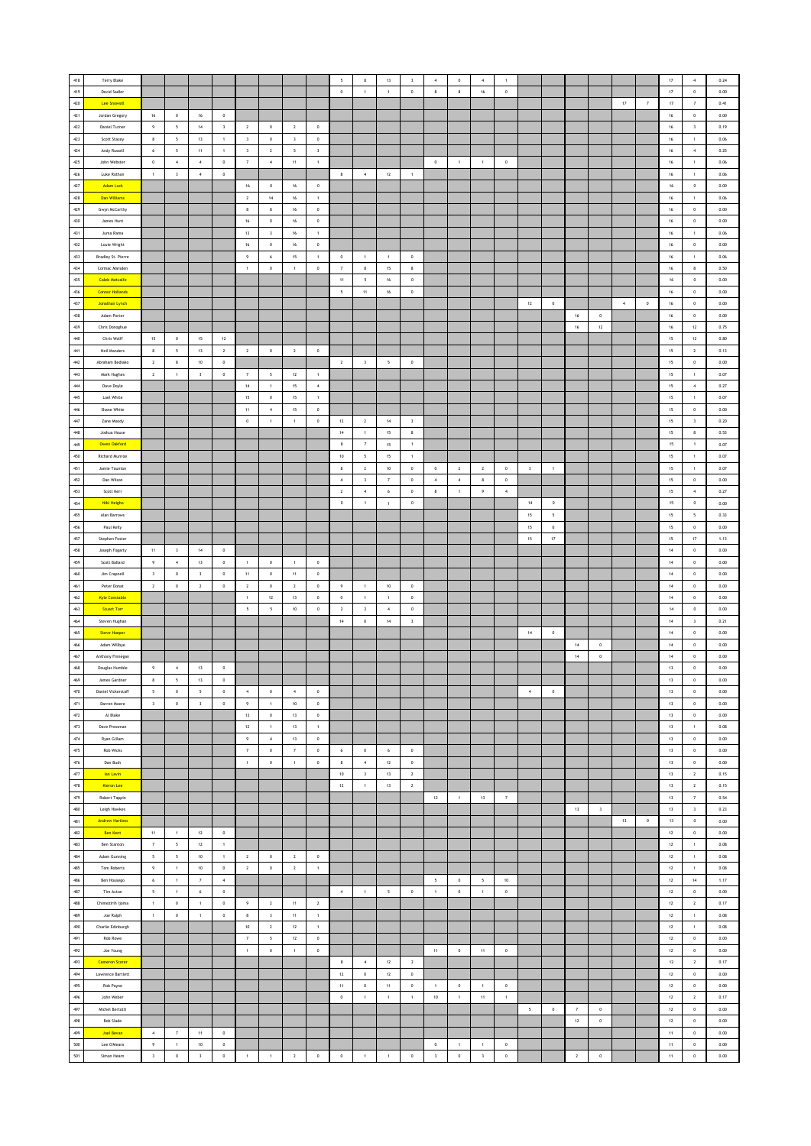| 418            | Terry Blake               |                          |                          |                          |                         |                     |                          |                         |                | $\sqrt{2}$               | $\bf8$                  | $13$            | $\mathsf 3$             |                         | $\circ$          | $\overline{4}$ |                     |                         |              |             |                         |        |                     | $17\,$ | $\boldsymbol{4}$        | 0.24 |
|----------------|---------------------------|--------------------------|--------------------------|--------------------------|-------------------------|---------------------|--------------------------|-------------------------|----------------|--------------------------|-------------------------|-----------------|-------------------------|-------------------------|------------------|----------------|---------------------|-------------------------|--------------|-------------|-------------------------|--------|---------------------|--------|-------------------------|------|
| 419            | David Sadler              |                          |                          |                          |                         |                     |                          |                         |                | $\,$ 0                   | $\,$ 1 $\,$             | $\,$ 1 $\,$     | $\mathbf 0$             | $\bf8$                  | $\bf8$           | $16$           | $\,$ 0 $\,$         |                         |              |             |                         |        |                     | $17\,$ | $\,$ 0 $\,$             | 0.00 |
|                |                           |                          |                          |                          |                         |                     |                          |                         |                |                          |                         |                 |                         |                         |                  |                |                     |                         |              |             |                         |        |                     |        |                         |      |
| 420            | <b>Lee Snowsill</b>       |                          |                          |                          |                         |                     |                          |                         |                |                          |                         |                 |                         |                         |                  |                |                     |                         |              |             |                         | $17\,$ | $\scriptstyle\rm 7$ | $17\,$ | $\scriptstyle\rm 7$     | 0.41 |
| $421\,$        | Jordan Gregory            | 16                       | $\circ$                  | 16                       | $\circ$                 |                     |                          |                         |                |                          |                         |                 |                         |                         |                  |                |                     |                         |              |             |                         |        |                     | 16     | $\circ$                 | 0.00 |
| 422            | <b>Daniel Turner</b>      | 9                        | $\overline{\phantom{a}}$ | $14$                     | $\overline{\mathbf{3}}$ | $\overline{2}$      | $\,$ 0 $\,$              | $\overline{2}$          | $\bf{0}$       |                          |                         |                 |                         |                         |                  |                |                     |                         |              |             |                         |        |                     | $16\,$ | $\overline{\mathbf{3}}$ | 0.19 |
| 423            | Scott Stacey              | $\,$ 8 $\,$              | $\mathsf{s}$             | 13                       | $\mathbf{1}$            | $\,$ $\,$           | $\,$ 0 $\,$              | $\overline{\mathbf{3}}$ | $\,$ 0 $\,$    |                          |                         |                 |                         |                         |                  |                |                     |                         |              |             |                         |        |                     | $16\,$ | $\mathbf{1}$            | 0.06 |
| 424            | Andy Russell              | 6                        | $\mathsf{s}$             | $11\,$                   | $\mathbf{1}$            | $\,$ $\,$           | $\overline{2}$           | $\sf s$                 | $\,$ 3         |                          |                         |                 |                         |                         |                  |                |                     |                         |              |             |                         |        |                     | $16\,$ | $\boldsymbol{4}$        | 0.25 |
| 425            |                           |                          | $\boldsymbol{4}$         |                          |                         |                     |                          |                         |                |                          |                         |                 |                         |                         |                  |                |                     |                         |              |             |                         |        |                     |        |                         |      |
|                | John Webster              | $\,0\,$                  |                          | $\,$ 4 $\,$              | $\,0\,$                 | $\scriptstyle\rm 7$ | $\,$ 4 $\,$              | 11                      | $\,$ 1 $\,$    |                          |                         |                 |                         | $\,0\,$                 | $\overline{1}$   | $\,$ 1         | $\,$ 0 $\,$         |                         |              |             |                         |        |                     | $16\,$ | $\,$ 1 $\,$             | 0.06 |
| 426            | Luke Rothon               | $\overline{1}$           | $\overline{\mathbf{3}}$  | $\overline{4}$           | $\circ$                 |                     |                          |                         |                | $\overline{\phantom{a}}$ | $\bar{4}$               | 12              | $\overline{1}$          |                         |                  |                |                     |                         |              |             |                         |        |                     | 16     | $\mathbf{1}$            | 0.06 |
| 427            | Adam Lock                 |                          |                          |                          |                         | $16\,$              | $\,$ 0                   | 16                      | $\mathbb O$    |                          |                         |                 |                         |                         |                  |                |                     |                         |              |             |                         |        |                     | $16\,$ | $\,$ 0 $\,$             | 0.00 |
| 428            | Dan Williams              |                          |                          |                          |                         | $\mathbf{2}$        | $14\,$                   | $16\,$                  | $\,$ 1 $\,$    |                          |                         |                 |                         |                         |                  |                |                     |                         |              |             |                         |        |                     | $16\,$ | $\,$ 1 $\,$             | 0.06 |
| 429            | Gwyn McCarthy             |                          |                          |                          |                         | 8                   | $\bf8$                   | 16                      | $\,$ 0 $\,$    |                          |                         |                 |                         |                         |                  |                |                     |                         |              |             |                         |        |                     | $16\,$ | $\,$ 0 $\,$             | 0.00 |
| 430            | James Hunt                |                          |                          |                          |                         | 16                  | $\,$ 0 $\,$              | 16                      | $\mathbf 0$    |                          |                         |                 |                         |                         |                  |                |                     |                         |              |             |                         |        |                     | $16\,$ | $\circ$                 | 0.00 |
| 431            | Juma Rama                 |                          |                          |                          |                         | 13                  |                          | 16                      |                |                          |                         |                 |                         |                         |                  |                |                     |                         |              |             |                         |        |                     | $16\,$ |                         | 0.06 |
|                |                           |                          |                          |                          |                         |                     | $\overline{\mathbf{3}}$  |                         | $\mathbf{1}$   |                          |                         |                 |                         |                         |                  |                |                     |                         |              |             |                         |        |                     |        | $\mathbf{1}$            |      |
| 432            | Louie Wright              |                          |                          |                          |                         | $16\,$              | $\,0\,$                  | $16\,$                  | $\,$ 0 $\,$    |                          |                         |                 |                         |                         |                  |                |                     |                         |              |             |                         |        |                     | $16\,$ | $\,$ 0 $\,$             | 0.00 |
| $433\,$        | Bradley St. Pierre        |                          |                          |                          |                         | $\,9\,$             | 6                        | 15                      | $\,$ 1 $\,$    | $\,$ 0                   | $\,$ 1 $\,$             | $\overline{1}$  | $\,$ 0                  |                         |                  |                |                     |                         |              |             |                         |        |                     | $16\,$ | $\,$ 1 $\,$             | 0.06 |
| 434            | Cormac Marsden            |                          |                          |                          |                         | $\overline{1}$      | $\overline{0}$           | $\overline{1}$          | $\,$ 0         | $\overline{7}$           | $\mathbf{8}$            | 15              | 8                       |                         |                  |                |                     |                         |              |             |                         |        |                     | 16     | 8                       | 0.50 |
| 435            | <b>Caleb Metcalfe</b>     |                          |                          |                          |                         |                     |                          |                         |                | $11\,$                   | $\,$ 5 $\,$             | 16              | $\,$ 0 $\,$             |                         |                  |                |                     |                         |              |             |                         |        |                     | $16\,$ | $\,$ 0 $\,$             | 0.00 |
| 436            | <b>Connor Hollands</b>    |                          |                          |                          |                         |                     |                          |                         |                | $\overline{\phantom{a}}$ | $11\,$                  | $16\,$          | $\mathbf 0$             |                         |                  |                |                     |                         |              |             |                         |        |                     | $16\,$ | $\mathbf 0$             | 0.00 |
| 437            |                           |                          |                          |                          |                         |                     |                          |                         |                |                          |                         |                 |                         |                         |                  |                |                     |                         |              |             |                         |        |                     |        |                         |      |
|                | <b>Jonathan Lynch</b>     |                          |                          |                          |                         |                     |                          |                         |                |                          |                         |                 |                         |                         |                  |                |                     | 12                      | $\,$ 0 $\,$  |             |                         | $\sim$ | $\,0\,$             | $16\,$ | $\,$ 0 $\,$             | 0.00 |
| 438            | Adam Porter               |                          |                          |                          |                         |                     |                          |                         |                |                          |                         |                 |                         |                         |                  |                |                     |                         |              | 16          | $\circ$                 |        |                     | 16     | $\circ$                 | 0.00 |
| 439            | Chris Donoghue            |                          |                          |                          |                         |                     |                          |                         |                |                          |                         |                 |                         |                         |                  |                |                     |                         |              | $16$        | $12\,$                  |        |                     | $16\,$ | $12\,$                  | 0.75 |
| 440            | Chris Wolff               | $15\,$                   | $\mathbb O$              | $15\,$                   | $12\,$                  |                     |                          |                         |                |                          |                         |                 |                         |                         |                  |                |                     |                         |              |             |                         |        |                     | $15\,$ | $12\,$                  | 0.80 |
| 441            | Neil Manders              | 8                        | 5                        | $13\,$                   | $\overline{2}$          | $\overline{2}$      | $\,0\,$                  | $\overline{2}$          | $\,$ 0         |                          |                         |                 |                         |                         |                  |                |                     |                         |              |             |                         |        |                     | 15     | $\overline{2}$          | 0.13 |
| $442\,$        | Abraham Bediako           | $\overline{2}$           | 8                        | 10                       | $^{\circ}$              |                     |                          |                         |                | $\overline{2}$           | $\overline{\mathbf{3}}$ | $5\overline{5}$ | $\,$ 0                  |                         |                  |                |                     |                         |              |             |                         |        |                     | 15     | $\circ$                 | 0.00 |
| 443            | Mark Hughes               | $\,$ 2 $\,$              | $\,1\,$                  | $\overline{\mathbf{3}}$  | $\,$ 0 $\,$             | $\overline{7}$      | $\overline{\phantom{a}}$ | 12                      | $\overline{1}$ |                          |                         |                 |                         |                         |                  |                |                     |                         |              |             |                         |        |                     | $15\,$ | $\overline{1}$          | 0.07 |
|                |                           |                          |                          |                          |                         |                     |                          |                         |                |                          |                         |                 |                         |                         |                  |                |                     |                         |              |             |                         |        |                     |        |                         |      |
| 444            | Dave Doyle                |                          |                          |                          |                         | $14\,$              | $\,$ 1 $\,$              | 15                      | $\,$ 4 $\,$    |                          |                         |                 |                         |                         |                  |                |                     |                         |              |             |                         |        |                     | $15\,$ | $\,$ 4 $\,$             | 0.27 |
| 445            | Loel White                |                          |                          |                          |                         | 15                  | $\,0\,$                  | 15                      | $\,$ 1 $\,$    |                          |                         |                 |                         |                         |                  |                |                     |                         |              |             |                         |        |                     | 15     | $\,$ 1 $\,$             | 0.07 |
| 446            | Shane White               |                          |                          |                          |                         | 11                  | $\sim$                   | 15                      | $\,$ 0 $\,$    |                          |                         |                 |                         |                         |                  |                |                     |                         |              |             |                         |        |                     | 15     | $\circ$                 | 0.00 |
| 447            | Zane Moody                |                          |                          |                          |                         | $\mathfrak o$       | $\overline{1}$           | $\overline{1}$          | $\circ$        | 12                       | $\overline{2}$          | 14              | $\overline{\mathbf{3}}$ |                         |                  |                |                     |                         |              |             |                         |        |                     | 15     | $\overline{\mathbf{3}}$ | 0.20 |
| 448            | Joshua House              |                          |                          |                          |                         |                     |                          |                         |                | $14\,$                   | $\overline{1}$          | 15              | $\bf8$                  |                         |                  |                |                     |                         |              |             |                         |        |                     | 15     | $\bf8$                  | 0.53 |
| 449            | <b>Owen Oakford</b>       |                          |                          |                          |                         |                     |                          |                         |                | 8                        | $\scriptstyle\rm 7$     | 15              | $\,$ 1 $\,$             |                         |                  |                |                     |                         |              |             |                         |        |                     | 15     | $\,$ 1 $\,$             | 0.07 |
| 450            |                           |                          |                          |                          |                         |                     |                          |                         |                |                          |                         |                 |                         |                         |                  |                |                     |                         |              |             |                         |        |                     |        |                         |      |
|                | Richard Munroe            |                          |                          |                          |                         |                     |                          |                         |                | 10                       | 5                       | 15              | $\,1\,$                 |                         |                  |                |                     |                         |              |             |                         |        |                     | 15     | $\,$ 1 $\,$             | 0.07 |
| 451            | Jamie Taunton             |                          |                          |                          |                         |                     |                          |                         |                | $\mathbf{8}$             | $\,$ 2 $\,$             | 10              | $^{\circ}$              | $\,$ 0 $\,$             | $\overline{2}$   | $\overline{2}$ | $\,$ 0              | $\overline{\mathbf{3}}$ | $\mathbf{1}$ |             |                         |        |                     | $15\,$ | $\overline{1}$          | 0.07 |
| 452            | Dan Wilson                |                          |                          |                          |                         |                     |                          |                         |                | $\boldsymbol{4}$         | $\overline{\mathbf{3}}$ | $\overline{7}$  | $\,$ 0                  | $\boldsymbol{4}$        | $\boldsymbol{4}$ | $_{\rm 8}$     | $\,$ 0              |                         |              |             |                         |        |                     | $15\,$ | $\,$ 0 $\,$             | 0.00 |
| 453            | Scott Kerr                |                          |                          |                          |                         |                     |                          |                         |                | $\sqrt{2}$               | $\,$ 4 $\,$             | $\,$ 6 $\,$     | $\mathbf 0$             | $\bf8$                  | $\,$ 1 $\,$      | $\,9\,$        | $\,$ 4 $\,$         |                         |              |             |                         |        |                     | $15\,$ | $\,$ 4 $\,$             | 0.27 |
| 454            | Niki Heigho               |                          |                          |                          |                         |                     |                          |                         |                | $\,$ 0                   | $\mathbf{1}$            | $\,$ 1 $\,$     | $\,0\,$                 |                         |                  |                |                     | 14                      | $\circ$      |             |                         |        |                     | 15     | $\,0\,$                 | 0.00 |
| 455            | Alan Barrows              |                          |                          |                          |                         |                     |                          |                         |                |                          |                         |                 |                         |                         |                  |                |                     | 15                      | 5            |             |                         |        |                     | 15     | 5                       | 0.33 |
| 456            | Paul Kelly                |                          |                          |                          |                         |                     |                          |                         |                |                          |                         |                 |                         |                         |                  |                |                     | $15\,$                  | $\mathbf 0$  |             |                         |        |                     | 15     | $\mathbf 0$             | 0.00 |
|                |                           |                          |                          |                          |                         |                     |                          |                         |                |                          |                         |                 |                         |                         |                  |                |                     |                         |              |             |                         |        |                     |        |                         |      |
| 457            | Stephen Foster            |                          |                          |                          |                         |                     |                          |                         |                |                          |                         |                 |                         |                         |                  |                |                     | $15\,$                  | $17\,$       |             |                         |        |                     | $15\,$ | $17\,$                  | 1.13 |
| 458            | Joseph Fogarty            | $11\,$                   | $\overline{\mathbf{3}}$  | $14$                     | $\,0\,$                 |                     |                          |                         |                |                          |                         |                 |                         |                         |                  |                |                     |                         |              |             |                         |        |                     | $14\,$ | $\,$ 0 $\,$             | 0.00 |
| 459            | Scott Ballard             | $\overline{9}$           | $\sim$                   | 13                       | $\circ$                 | $\overline{1}$      | $\overline{0}$           | $\overline{1}$          | $\circ$        |                          |                         |                 |                         |                         |                  |                |                     |                         |              |             |                         |        |                     | 14     | $\circ$                 | 0.00 |
| 460            | Jim Crapnell              | $\overline{\mathbf{3}}$  | $\mathbb O$              | $\,$ 3                   | $\,$ 0 $\,$             | 11                  | $\,$ 0 $\,$              | 11                      | $\mathbf 0$    |                          |                         |                 |                         |                         |                  |                |                     |                         |              |             |                         |        |                     | $14\,$ | $\mathbf 0$             | 0.00 |
| 461            | Peter Donat               | $\mathbf{2}$             | $\mathbb O$              | $\mathbf 2$              | $\mathbb O$             | $\mathbf{2}$        | $\,$ 0                   | $\,$ 2 $\,$             | $\,$ 0         | $\,9\,$                  | $\,$ 1 $\,$             | $10\,$          | $\mathbf 0$             |                         |                  |                |                     |                         |              |             |                         |        |                     | $14\,$ | $\,$ 0 $\,$             | 0.00 |
| 462            | <b>Kyle Constable</b>     |                          |                          |                          |                         | $\,$ 1 $\,$         | $12\,$                   | 13                      | $\,$ 0 $\,$    | $\,$ 0 $\,$              | 1                       | $\,$ 1 $\,$     | $\,$ 0 $\,$             |                         |                  |                |                     |                         |              |             |                         |        |                     | 14     | $\,$ 0 $\,$             | 0.00 |
| 463            |                           |                          |                          |                          |                         | 5                   |                          | 10                      | $^{\circ}$     | $\overline{2}$           | $\overline{2}$          | $\sim$          | $\circ$                 |                         |                  |                |                     |                         |              |             |                         |        |                     | 14     |                         | 0.00 |
|                | <b>Stuart Torr</b>        |                          |                          |                          |                         |                     | $\sqrt{2}$               |                         |                |                          |                         |                 |                         |                         |                  |                |                     |                         |              |             |                         |        |                     |        | $\circ$                 |      |
| 464            | Steven Hughan             |                          |                          |                          |                         |                     |                          |                         |                | $14\,$                   | $\,$ 0 $\,$             | 14              | $\overline{\mathbf{3}}$ |                         |                  |                |                     |                         |              |             |                         |        |                     | $14\,$ | $\overline{\mathbf{3}}$ | 0.21 |
| 465            | <b>Steve Hooper</b>       |                          |                          |                          |                         |                     |                          |                         |                |                          |                         |                 |                         |                         |                  |                |                     | $14\,$                  | $\,$ 0       |             |                         |        |                     | $14\,$ | $\mathbf 0$             | 0.00 |
| 466            | Adam Willbye              |                          |                          |                          |                         |                     |                          |                         |                |                          |                         |                 |                         |                         |                  |                |                     |                         |              | $14\,$      | $\,$ 0                  |        |                     | $14\,$ | $\,$ 0 $\,$             | 0.00 |
| 467            | Anthony Finnegan          |                          |                          |                          |                         |                     |                          |                         |                |                          |                         |                 |                         |                         |                  |                |                     |                         |              | $14\,$      | $\,$ 0 $\,$             |        |                     | 14     | $\circ$                 | 0.00 |
| 468            | Douglas Humble            | 9                        | $\,$ 4 $\,$              | $13\,$                   | $\,$ 0 $\,$             |                     |                          |                         |                |                          |                         |                 |                         |                         |                  |                |                     |                         |              |             |                         |        |                     | 13     | $\mathbf 0$             | 0.00 |
| 469            | James Gardner             | 8                        | 5                        | 13                       | $\,$ 0                  |                     |                          |                         |                |                          |                         |                 |                         |                         |                  |                |                     |                         |              |             |                         |        |                     | 13     | $\mathbf 0$             | 0.00 |
|                |                           |                          |                          |                          |                         |                     |                          |                         |                |                          |                         |                 |                         |                         |                  |                |                     |                         |              |             |                         |        |                     |        |                         |      |
| 470            | <b>Daniel Vickerstaff</b> | $\overline{\phantom{a}}$ | $\,0\,$                  | $\overline{\phantom{a}}$ | $\,0\,$                 | $\,$ 4 $\,$         | $\,0\,$                  | $\sim$                  | $\,$ 0 $\,$    |                          |                         |                 |                         |                         |                  |                |                     | $\sim$                  | $\,$ 0 $\,$  |             |                         |        |                     | $13\,$ | $\,$ 0 $\,$             | 0.00 |
| $47\mathbf{1}$ | Darren Moore              | $\overline{\mathbf{3}}$  | $\mathbf 0$              | $\overline{\mathbf{3}}$  | $\,0\,$                 | 9                   | $\,$ 1 $\,$              | $10\,$                  | $\mathbf 0$    |                          |                         |                 |                         |                         |                  |                |                     |                         |              |             |                         |        |                     | 13     | $\circ$                 | 0.00 |
| $472\,$        | Al Blake                  |                          |                          |                          |                         | 13                  | $\,$ 0 $\,$              | 13                      | $\mathfrak o$  |                          |                         |                 |                         |                         |                  |                |                     |                         |              |             |                         |        |                     | 13     | $\circ$                 | 0.00 |
| 473            | Dave Pressman             |                          |                          |                          |                         | 12                  | 1                        | 13                      | 1              |                          |                         |                 |                         |                         |                  |                |                     |                         |              |             |                         |        |                     | 13     | 1                       | 0.08 |
| 474            | Ryan Gillam               |                          |                          |                          |                         | 9                   | $\,$ 4 $\,$              | $13\,$                  | $\,$ 0 $\,$    |                          |                         |                 |                         |                         |                  |                |                     |                         |              |             |                         |        |                     | $13\,$ | $\,$ 0 $\,$             | 0.00 |
| $475\,$        | Rob Wicks                 |                          |                          |                          |                         | $\scriptstyle\rm 7$ | $\,0\,$                  | $\scriptstyle\rm 7$     | $\,$ 0         | $\,$ 6                   | $\,$ 0                  | $\,$ 6          | $\bf 0$                 |                         |                  |                |                     |                         |              |             |                         |        |                     | 13     | $\,$ 0 $\,$             | 0.00 |
| 476            | Dan Bush                  |                          |                          |                          |                         | $\,$ 1 $\,$         | $\,$ 0 $\,$              | $\pm$                   | $\,$ 0 $\,$    | $\overline{\phantom{a}}$ | $\sim$                  | 12              | $\,$ 0                  |                         |                  |                |                     |                         |              |             |                         |        |                     | 13     | $\circ$                 | 0.00 |
| 477            | <b>lan Lavin</b>          |                          |                          |                          |                         |                     |                          |                         |                | $10$                     | $\overline{\mathbf{3}}$ | 13              | $\sqrt{2}$              |                         |                  |                |                     |                         |              |             |                         |        |                     | 13     | $\,$ 2 $\,$             | 0.15 |
|                |                           |                          |                          |                          |                         |                     |                          |                         |                |                          |                         |                 |                         |                         |                  |                |                     |                         |              |             |                         |        |                     |        |                         |      |
| 478            | Kieron Lee                |                          |                          |                          |                         |                     |                          |                         |                | $12\,$                   | $\,$ 1 $\,$             | $13$            | $\mathbf 2$             |                         |                  |                |                     |                         |              |             |                         |        |                     | $13\,$ | $\,$ 2 $\,$             | 0.15 |
| 479            | Robert Tappin             |                          |                          |                          |                         |                     |                          |                         |                |                          |                         |                 |                         | 12                      | $\,$ 1 $\,$      | 13             | $\scriptstyle\rm 7$ |                         |              |             |                         |        |                     | 13     | $\scriptstyle\rm 7$     | 0.54 |
| 480            | Leigh Hawkes              |                          |                          |                          |                         |                     |                          |                         |                |                          |                         |                 |                         |                         |                  |                |                     |                         |              | 13          | $\overline{\mathbf{3}}$ |        |                     | 13     | $\overline{\mathbf{3}}$ | 0.23 |
| 481            | <b>Andrew Hartless</b>    |                          |                          |                          |                         |                     |                          |                         |                |                          |                         |                 |                         |                         |                  |                |                     |                         |              |             |                         | $13\,$ | $\mathbf 0$         | $13\,$ | $\mathbf 0$             | 0.00 |
| 482            | <b>Ben Kent</b>           | $11\,$                   | $\mathbf 1$              | $12\,$                   | $\mathbb O$             |                     |                          |                         |                |                          |                         |                 |                         |                         |                  |                |                     |                         |              |             |                         |        |                     | $12\,$ | $\,$ 0 $\,$             | 0.00 |
| 483            | Ben Stanton               | $\scriptstyle\rm 7$      | $\,$ 5 $\,$              | $12\,$                   | $\,$ 1 $\,$             |                     |                          |                         |                |                          |                         |                 |                         |                         |                  |                |                     |                         |              |             |                         |        |                     | $12\,$ | $\,$ 1 $\,$             | 0.08 |
| 484            | Adam Gunning              | $\sqrt{5}$               | $\overline{\phantom{a}}$ | 10                       | $\overline{1}$          | $\overline{2}$      | $\overline{0}$           | $\overline{2}$          | $\bf{0}$       |                          |                         |                 |                         |                         |                  |                |                     |                         |              |             |                         |        |                     | 12     | $\,$ 1 $\,$             | 0.08 |
| 485            | Tom Roberts               | $\,9\,$                  | $1$                      | $10$                     | $\,0\,$                 | $\overline{2}$      | $\,$ 0 $\,$              | $\overline{2}$          | $\,$ 1 $\,$    |                          |                         |                 |                         |                         |                  |                |                     |                         |              |             |                         |        |                     | 12     | $\,$ 1 $\,$             | 0.08 |
|                |                           |                          |                          |                          |                         |                     |                          |                         |                |                          |                         |                 |                         |                         |                  |                |                     |                         |              |             |                         |        |                     |        |                         |      |
| 486            | Ben Housego               | $\,$ 6 $\,$              | $1\,$                    | $\scriptstyle\rm 7$      | $\boldsymbol{4}$        |                     |                          |                         |                |                          |                         |                 |                         | 5                       | $\,$ 0 $\,$      | $\sqrt{2}$     | $10\,$              |                         |              |             |                         |        |                     | $12\,$ | $14\,$                  | 1.17 |
| 487            | Tim Acton                 | $\overline{\phantom{a}}$ | 1                        | $\epsilon$               | $\,0\,$                 |                     |                          |                         |                | $\,$ 4 $\,$              | 1                       | $5\overline{a}$ | $\bf 0$                 | $\,1\,$                 | $\,$ 0 $\,$      | $\sim$         | $\,$ 0 $\,$         |                         |              |             |                         |        |                     | 12     | $\,$ 0 $\,$             | 0.00 |
| 488            | Chimezirih Ijoma          | $\mathbf{1}$             | $\circ$                  | $\mathbf{1}$             | $^{\circ}$              | $\overline{9}$      | $\overline{2}$           | 11                      | $\,$ 2 $\,$    |                          |                         |                 |                         |                         |                  |                |                     |                         |              |             |                         |        |                     | 12     | $\overline{2}$          | 0.17 |
| 489            | Joe Ralph                 | $\,1\,$                  | $\mathbb O$              | $\,$ 1 $\,$              | $\mathbb O$             | $\,$ 8 $\,$         | $\,$ $\,$                | 11                      | $\,$ 1 $\,$    |                          |                         |                 |                         |                         |                  |                |                     |                         |              |             |                         |        |                     | $12\,$ | $\,$ 1 $\,$             | 0.08 |
| 490            | Charlie Edinburgh         |                          |                          |                          |                         | $10\,$              | $\,$ 2 $\,$              | $12\,$                  | $\,$ 1 $\,$    |                          |                         |                 |                         |                         |                  |                |                     |                         |              |             |                         |        |                     | $12\,$ | $\,$ 1 $\,$             | 0.08 |
| 491            | Rob Rowe                  |                          |                          |                          |                         | $\scriptstyle\rm 7$ | $\overline{\phantom{a}}$ | 12                      | $\,$ 0 $\,$    |                          |                         |                 |                         |                         |                  |                |                     |                         |              |             |                         |        |                     | $12\,$ | $\,$ 0 $\,$             | 0.00 |
| 492            |                           |                          |                          |                          |                         | $\overline{1}$      | $\circ$                  | $\,$ 1 $\,$             | $\,$ 0 $\,$    |                          |                         |                 |                         |                         | $\circ$          |                |                     |                         |              |             |                         |        |                     | 12     | $\circ$                 | 0.00 |
|                | Joe Young                 |                          |                          |                          |                         |                     |                          |                         |                |                          |                         |                 |                         | 11                      |                  | 11             | $\,$ 0 $\,$         |                         |              |             |                         |        |                     |        |                         |      |
| 493            | <b>Cameron Scorer</b>     |                          |                          |                          |                         |                     |                          |                         |                | $\,$ 8                   | $\,$ 4 $\,$             | 12              | $\overline{2}$          |                         |                  |                |                     |                         |              |             |                         |        |                     | $12\,$ | $\,$ 2 $\,$             | 0.17 |
| 494            | Lawrence Bartlett         |                          |                          |                          |                         |                     |                          |                         |                | $12\,$                   | $\,$ 0 $\,$             | 12              | $\,0\,$                 |                         |                  |                |                     |                         |              |             |                         |        |                     | 12     | $\,$ 0 $\,$             | 0.00 |
| 495            | Rob Payne                 |                          |                          |                          |                         |                     |                          |                         |                | $11\,$                   | $\,$ 0 $\,$             | $11\,$          | $\mathbf 0$             | $\,$ 1 $\,$             | $\,$ 0 $\,$      | $\,$ 1 $\,$    | $\,$ 0 $\,$         |                         |              |             |                         |        |                     | $12\,$ | $\,$ 0 $\,$             | 0.00 |
| 496            | John Weber                |                          |                          |                          |                         |                     |                          |                         |                | $\,$ 0                   | $\,$ 1 $\,$             | $\,$ 1 $\,$     | $\,$ 1 $\,$             | $10\,$                  | $\,$ 1 $\,$      | 11             | $\,$ 1 $\,$         |                         |              |             |                         |        |                     | 12     | $\overline{2}$          | 0.17 |
| 497            | Michel Bertotti           |                          |                          |                          |                         |                     |                          |                         |                |                          |                         |                 |                         |                         |                  |                |                     | 5                       | $\circ$      | 7           | $\overline{0}$          |        |                     | 12     | $\circ$                 | 0.00 |
|                |                           |                          |                          |                          |                         |                     |                          |                         |                |                          |                         |                 |                         |                         |                  |                |                     |                         |              |             |                         |        |                     |        |                         |      |
| 498            | <b>Bob Slade</b>          |                          |                          |                          |                         |                     |                          |                         |                |                          |                         |                 |                         |                         |                  |                |                     |                         |              | $12\,$      | $\mathbf 0$             |        |                     | $12\,$ | $\mathbf 0$             | 0.00 |
| 499            | <b>Joel Bevan</b>         | $\boldsymbol{4}$         | $\scriptstyle\rm 7$      | $11\,$                   | $\mathbb O$             |                     |                          |                         |                |                          |                         |                 |                         |                         |                  |                |                     |                         |              |             |                         |        |                     | $11\,$ | $\mathbf 0$             | 0.00 |
| $500\,$        | Lee O'Meara               | $\,9\,$                  | $\,$ 1 $\,$              | $10\,$                   | $\mathbb O$             |                     |                          |                         |                |                          |                         |                 |                         | $\,0\,$                 | $\,$ 1 $\,$      | $\,$ 1         | $\,$ 0 $\,$         |                         |              |             |                         |        |                     | $11\,$ | $\,$ 0 $\,$             | 0.00 |
| 501            | Simon Hearn               | $\overline{\mathbf{3}}$  | $\mathbb O$              | $\overline{\mathbf{3}}$  | $\mathbb O$             | $\,$ 1 $\,$         | $\mathbf{1}$             | $\overline{2}$          | $\,$ 0 $\,$    | $\,$ 0 $\,$              | $\overline{1}$          | $\,$ 1 $\,$     | $\,$ 0 $\,$             | $\overline{\mathbf{3}}$ | $\,$ 0 $\,$      | $\,$ $\,$      | $\mathbf 0$         |                         |              | $\,$ 2 $\,$ | $\mathfrak o$           |        |                     | $11\,$ | $\mathbf 0$             | 0.00 |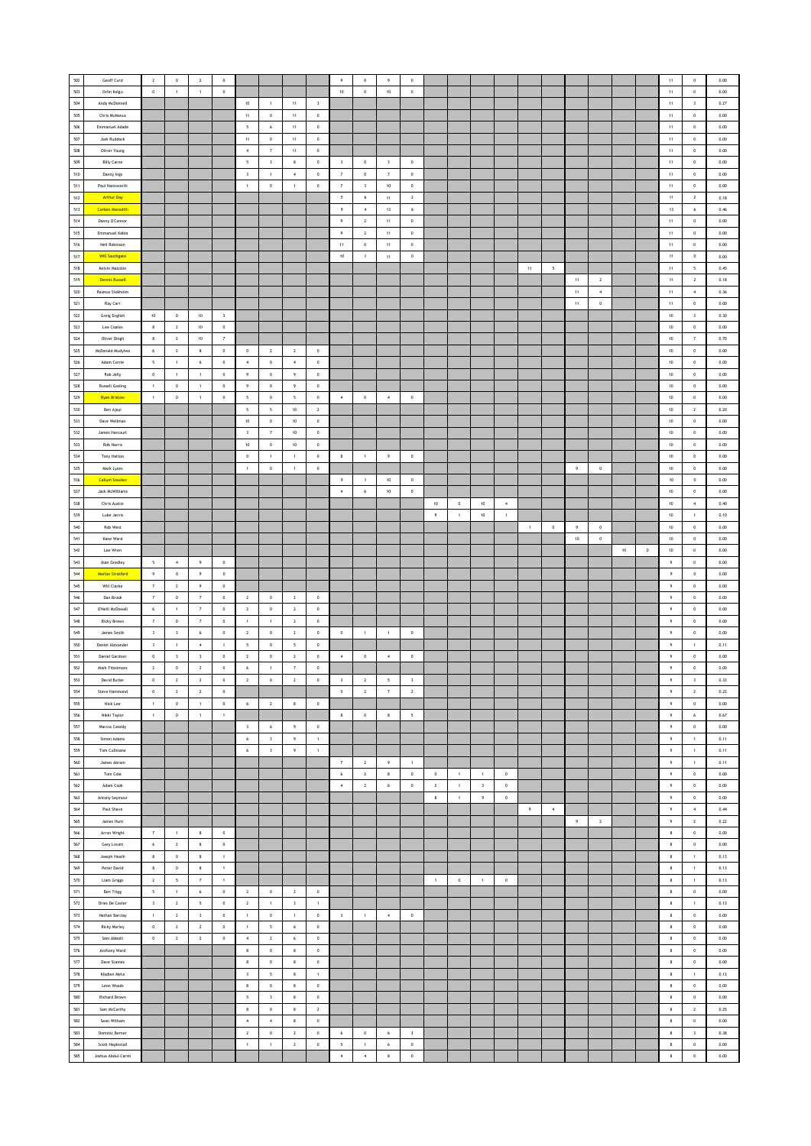| 502         | Geoff Curd             | $\mathbf 2$             | $\,$ 0 $\,$              | $\,$ 2 $\,$              | $\,$ 0 $\,$             |                          |                         |                          |                | $\overline{9}$           | $\,$ 0 $\,$    | $\overline{9}$      | $\mathbb O$             |                |                |                |                  |                |         |                |                |        |         | $11\,$           | $\mathbf 0$              | 0.00     |
|-------------|------------------------|-------------------------|--------------------------|--------------------------|-------------------------|--------------------------|-------------------------|--------------------------|----------------|--------------------------|----------------|---------------------|-------------------------|----------------|----------------|----------------|------------------|----------------|---------|----------------|----------------|--------|---------|------------------|--------------------------|----------|
| 503         | Orlin Kolgu            | $\mathbb O$             | $\,$ 1 $\,$              | $\,$ 1 $\,$              | $\mathbb O$             |                          |                         |                          |                | $10\,$                   | $\mathbf 0$    | $10\,$              | $\mathbb O$             |                |                |                |                  |                |         |                |                |        |         | $11\,$           | $\,$ 0 $\,$              | $0.00\,$ |
|             |                        |                         |                          |                          |                         |                          |                         |                          |                |                          |                |                     |                         |                |                |                |                  |                |         |                |                |        |         |                  |                          |          |
| 504         | Andy McDonnell         |                         |                          |                          |                         | $10\,$                   | $\,$ 1 $\,$             | $11\,$                   | $\sqrt{3}$     |                          |                |                     |                         |                |                |                |                  |                |         |                |                |        |         | $11 -$           | $\,$ $\,$                | 0.27     |
| 505         | Chris McManus          |                         |                          |                          |                         | 11                       | $\circ$                 | 11                       | $\,$ 0 $\,$    |                          |                |                     |                         |                |                |                |                  |                |         |                |                |        |         | 11               | $\circ$                  | 0.00     |
| 506         | Emmanuel Adade         |                         |                          |                          |                         | 5                        | 6                       | 11                       | $\,$ 0 $\,$    |                          |                |                     |                         |                |                |                |                  |                |         |                |                |        |         | 11               | $\,$ 0 $\,$              | 0.00     |
| 507         | <b>Josh Ruddock</b>    |                         |                          |                          |                         | 11                       | $\,0\,$                 | $11\,$                   | $\,$ 0         |                          |                |                     |                         |                |                |                |                  |                |         |                |                |        |         | $11 -$           | $\,$ 0 $\,$              | 0.00     |
| 508         | Oliver Young           |                         |                          |                          |                         | $\boldsymbol{4}$         | $\scriptstyle\rm 7$     | $11\,$                   | $\,$ 0         |                          |                |                     |                         |                |                |                |                  |                |         |                |                |        |         | $11\,$           | $\,$ 0 $\,$              | $0.00\,$ |
|             |                        |                         |                          |                          |                         |                          |                         |                          |                |                          |                |                     |                         |                |                |                |                  |                |         |                |                |        |         |                  |                          |          |
| 509         | <b>Billy Carne</b>     |                         |                          |                          |                         | $\overline{\phantom{a}}$ | $\overline{\mathbf{3}}$ | $\bf8$                   | $\,$ 0         | $\overline{\mathbf{3}}$  | $\,$ 0         | $\sqrt{3}$          | $\,0\,$                 |                |                |                |                  |                |         |                |                |        |         | $11\,$           | $\,0\,$                  | 0.00     |
| 510         | Danny Ings             |                         |                          |                          |                         | $\overline{\mathbf{3}}$  | $\overline{1}$          | $\overline{4}$           | $\circ$        | $\overline{7}$           | $\circ$        | $\overline{7}$      | $\circ$                 |                |                |                |                  |                |         |                |                |        |         | 11               | $\overline{0}$           | 0.00     |
| 511         | Paul Hainsworth        |                         |                          |                          |                         | $\mathbf{1}$             | $\,$ 0 $\,$             | $\,$ 1 $\,$              | $\,$ 0         | $\scriptstyle{7}$        | $\mathsf 3$    | $10\,$              | $\,0\,$                 |                |                |                |                  |                |         |                |                |        |         | $11\,$           | $\,$ 0 $\,$              | 0.00     |
| 512         | <b>Arthur Day</b>      |                         |                          |                          |                         |                          |                         |                          |                | $\overline{\phantom{a}}$ | $\mathbf{6}$   | $11\,$              | $\overline{\mathbf{z}}$ |                |                |                |                  |                |         |                |                |        |         | $11\,$           | $\overline{2}$           | 0.18     |
| ${\bf 513}$ | <b>Corben Meredith</b> |                         |                          |                          |                         |                          |                         |                          |                | -9                       | $\sim$         | $13\,$              | 6                       |                |                |                |                  |                |         |                |                |        |         | 13               | 6                        | 0.46     |
| 514         | Danny O'Connor         |                         |                          |                          |                         |                          |                         |                          |                | $\overline{9}$           | $\overline{2}$ | 11                  | $\circ$                 |                |                |                |                  |                |         |                |                |        |         | 11               | $\circ$                  | 0.00     |
|             |                        |                         |                          |                          |                         |                          |                         |                          |                |                          |                |                     |                         |                |                |                |                  |                |         |                |                |        |         |                  |                          |          |
| 515         | Emmanuel Kabia         |                         |                          |                          |                         |                          |                         |                          |                | $\overline{9}$           | $\overline{2}$ | $11\,$              | $\,$ 0 $\,$             |                |                |                |                  |                |         |                |                |        |         | 11               | $\,$ 0 $\,$              | 0.00     |
| 516         | Neil Robinson          |                         |                          |                          |                         |                          |                         |                          |                | $11\,$                   | $\mathbf 0$    | $11\,$              | $\mathbf 0$             |                |                |                |                  |                |         |                |                |        |         | $11\,$           | $\,$ 0 $\,$              | $0.00\,$ |
| 517         | <b>Will Southgate</b>  |                         |                          |                          |                         |                          |                         |                          |                | 10                       | $\mathbf{1}$   | $11\,$              | $\,$ 0                  |                |                |                |                  |                |         |                |                |        |         | $11\,$           | $\,$ 0 $\,$              | 0.00     |
| 518         | Kelvin Malcolm         |                         |                          |                          |                         |                          |                         |                          |                |                          |                |                     |                         |                |                |                |                  | 11             | 5       |                |                |        |         | 11               | $\overline{\phantom{a}}$ | 0.45     |
| 519         | <b>Dennis Russell</b>  |                         |                          |                          |                         |                          |                         |                          |                |                          |                |                     |                         |                |                |                |                  |                |         | $11\,$         | $\sqrt{2}$     |        |         | $11\,$           | $\sqrt{2}$               | 0.18     |
| 520         | Rasmus Stokholm        |                         |                          |                          |                         |                          |                         |                          |                |                          |                |                     |                         |                |                |                |                  |                |         | $11\,$         | $\overline{4}$ |        |         | $11\,$           | $\,$ 4 $\,$              | 0.36     |
|             |                        |                         |                          |                          |                         |                          |                         |                          |                |                          |                |                     |                         |                |                |                |                  |                |         |                |                |        |         |                  |                          |          |
| 521         | Ray Carr               |                         |                          |                          |                         |                          |                         |                          |                |                          |                |                     |                         |                |                |                |                  |                |         | 11             | $\,0\,$        |        |         | $11 -$           | $\,0\,$                  | 0.00     |
| 522         | Greig English          | 10                      | $\circ$                  | 10                       | $\overline{\mathbf{3}}$ |                          |                         |                          |                |                          |                |                     |                         |                |                |                |                  |                |         |                |                |        |         | 10               | $\overline{\mathbf{3}}$  | 0.30     |
| 523         | Lee Coates             | $\bf8$                  | $\overline{2}$           | $10$                     | $\,$ 0                  |                          |                         |                          |                |                          |                |                     |                         |                |                |                |                  |                |         |                |                |        |         | $10\,$           | $\circ$                  | 0.00     |
| 524         | Oliver Dingli          | 8                       | $\mathbf{2}$             | $10\,$                   | $\scriptstyle\rm 7$     |                          |                         |                          |                |                          |                |                     |                         |                |                |                |                  |                |         |                |                |        |         | $10\,$           | $\scriptstyle\rm{7}$     | 0.70     |
| 525         | McDonald Mudyiwa       | 6                       | $\overline{2}$           | $\boldsymbol{8}$         | $\,0\,$                 | $\,0\,$                  | $\,$ 2 $\,$             | $\mathbf{2}$             | $\,$ 0         |                          |                |                     |                         |                |                |                |                  |                |         |                |                |        |         | $10\,$           | $\,0\,$                  | 0.00     |
| 526         | Adam Corrie            | $\overline{5}$          | $\mathbf 1$              | 6                        | $\circ$                 | $\overline{4}$           | $\mathbf{0}$            | $\overline{4}$           | $\circ$        |                          |                |                     |                         |                |                |                |                  |                |         |                |                |        |         | 10               | $\overline{0}$           | 0.00     |
| 527         |                        |                         |                          |                          |                         |                          |                         |                          |                |                          |                |                     |                         |                |                |                |                  |                |         |                |                |        |         |                  |                          |          |
|             | Rob Jelly              | $\mathbb O$             | $\,1\,$                  | $\,1\,$                  | $\,$ 0                  | $\,9\,$                  | $\,$ 0 $\,$             | $\,9\,$                  | $\,$ 0         |                          |                |                     |                         |                |                |                |                  |                |         |                |                |        |         | $10\,$           | $\,$ 0 $\,$              | 0.00     |
| 528         | <b>Russell Gosling</b> | $\,$ 1 $\,$             | $\mathbb O$              | $\,$ 1 $\,$              | $\mathbb O$             | 9                        | $\,$ 0 $\,$             | $\,9\,$                  | $\,$ 0         |                          |                |                     |                         |                |                |                |                  |                |         |                |                |        |         | $10\,$           | $\,$ 0                   | $0.00\,$ |
| 529         | <b>Ryan Bristow</b>    | $\,$ 1 $\,$             | $\,0\,$                  | $\,$ 1 $\,$              | $\,0\,$                 | $\sim$                   | $\,$ 0 $\,$             | $\overline{\phantom{a}}$ | $\,$ 0         | $\,$ 4 $\,$              | $\,$ 0         | $\,$ 4 $\,$         | $\,0\,$                 |                |                |                |                  |                |         |                |                |        |         | $10\,$           | $\,0\,$                  | 0.00     |
| 530         | Ben Ajayi              |                         |                          |                          |                         | 5                        | $\mathsf{s}$            | 10                       | $\overline{2}$ |                          |                |                     |                         |                |                |                |                  |                |         |                |                |        |         | 10               | $\overline{2}$           | 0.20     |
| 531         | Dave Wellman           |                         |                          |                          |                         | 10                       | $^{\circ}$              | 10                       | $\circ$        |                          |                |                     |                         |                |                |                |                  |                |         |                |                |        |         | 10 <sup>10</sup> | $\circ$                  | 0.00     |
| 532         | James Harcourt         |                         |                          |                          |                         | $\overline{\mathbf{3}}$  | $\overline{7}$          | $10\,$                   | $\,$ 0 $\,$    |                          |                |                     |                         |                |                |                |                  |                |         |                |                |        |         | $10\,$           | $\,$ 0 $\,$              | 0.00     |
|             |                        |                         |                          |                          |                         |                          |                         |                          |                |                          |                |                     |                         |                |                |                |                  |                |         |                |                |        |         |                  |                          |          |
| 533         | Rob Harris             |                         |                          |                          |                         | $10$                     | $\,$ 0                  | $10\,$                   | $\,$ 0         |                          |                |                     |                         |                |                |                |                  |                |         |                |                |        |         | $10\,$           | $\,$ 0 $\,$              | $0.00\,$ |
| 534         | Tony Hatton            |                         |                          |                          |                         | $\,0\,$                  | $\mathbf{1}$            | $\,$ 1                   | $\,$ 0         | $\bf8$                   | $\,$ 1 $\,$    | 9                   | $\,0\,$                 |                |                |                |                  |                |         |                |                |        |         | $10\,$           | $\,$ 0                   | 0.00     |
| 535         | Mark Lyons             |                         |                          |                          |                         | $\overline{1}$           | $\mathbf{0}$            | $\mathbf{1}$             | $\circ$        |                          |                |                     |                         |                |                |                |                  |                |         | $\overline{9}$ | $\,$ 0 $\,$    |        |         | 10               | $\circ$                  | 0.00     |
| 536         | <b>Callum Sowden</b>   |                         |                          |                          |                         |                          |                         |                          |                | $\,9\,$                  | $\,$ 1 $\,$    | 10                  | $\,$ 0 $\,$             |                |                |                |                  |                |         |                |                |        |         | $10\,$           | $\,$ 0                   | 0.00     |
| 537         | Jack McWilliams        |                         |                          |                          |                         |                          |                         |                          |                | $\boldsymbol{4}$         | $\epsilon$     | $10\,$              | $\mathbb O$             |                |                |                |                  |                |         |                |                |        |         | $10\,$           | $\,$ 0                   | $0.00\,$ |
| 538         |                        |                         |                          |                          |                         |                          |                         |                          |                |                          |                |                     |                         |                |                |                |                  |                |         |                |                |        |         |                  |                          |          |
|             | Chris Austin           |                         |                          |                          |                         |                          |                         |                          |                |                          |                |                     |                         | $10\,$         | $\,$ 0 $\,$    | $10\,$         | $\boldsymbol{4}$ |                |         |                |                |        |         | $10\,$           | $\,$ 4 $\,$              | 0.40     |
| 539         | Luke Jarvis            |                         |                          |                          |                         |                          |                         |                          |                |                          |                |                     |                         | $\overline{9}$ | $\sim$         | 10             | 1                |                |         |                |                |        |         | $10\,$           | $\mathbf{1}$             | 0.10     |
| 540         | Rob West               |                         |                          |                          |                         |                          |                         |                          |                |                          |                |                     |                         |                |                |                |                  | $\overline{1}$ | $\circ$ | $\cdot$        | $\,$ 0 $\,$    |        |         | $10\,$           | $\mathbb O$              | 0.00     |
| 541         | Kane Ward              |                         |                          |                          |                         |                          |                         |                          |                |                          |                |                     |                         |                |                |                |                  |                |         | $10\,$         | $\,$ 0         |        |         | $10\,$           | $\,$ 0 $\,$              | 0.00     |
| 542         | Lee Wren               |                         |                          |                          |                         |                          |                         |                          |                |                          |                |                     |                         |                |                |                |                  |                |         |                |                | $10\,$ | $\,0\,$ | $10\,$           | $\,0\,$                  | 0.00     |
| 543         | Alan Gredley           | $\overline{5}$          | $\sim$                   | $\overline{9}$           | $^{\circ}$              |                          |                         |                          |                |                          |                |                     |                         |                |                |                |                  |                |         |                |                |        |         | $\overline{9}$   | $\circ$                  | 0.00     |
|             | Marlon Stratford       | $\,9\,$                 | $\,$ 0 $\,$              | $\,$ 9                   | $\,$ 0                  |                          |                         |                          |                |                          |                |                     |                         |                |                |                |                  |                |         |                |                |        |         | $\,9\,$          | $\,$ 0                   | 0.00     |
|             |                        |                         |                          |                          |                         |                          |                         |                          |                |                          |                |                     |                         |                |                |                |                  |                |         |                |                |        |         |                  |                          |          |
| 544         |                        |                         |                          |                          |                         |                          |                         |                          |                |                          |                |                     |                         |                |                |                |                  |                |         |                |                |        |         |                  |                          |          |
| 545         | Will Clarke            | $\overline{\tau}$       | $\mathbf{2}$             | $\,9\,$                  | $\,0\,$                 |                          |                         |                          |                |                          |                |                     |                         |                |                |                |                  |                |         |                |                |        |         | $\,9\,$          | $\,$ 0 $\,$              | $0.00\,$ |
| 546         | Dan Brook              | $\scriptstyle\rm 7$     | $\mathbf 0$              | $\scriptstyle\rm 7$      | $\,0\,$                 | $\overline{2}$           | $\,$ 0 $\,$             | $\overline{2}$           | $\,$ 0         |                          |                |                     |                         |                |                |                |                  |                |         |                |                |        |         | 9                | $\,0\,$                  | 0.00     |
| 547         | O'Neill McDowall       | 6                       | $\mathbf{1}$             | 7                        | $^{\circ}$              | $\overline{2}$           | $\mathbf 0$             | $\overline{2}$           | $\circ$        |                          |                |                     |                         |                |                |                |                  |                |         |                |                |        |         | 9                | $\circ$                  | 0.00     |
| 548         | Ricky Brown            | $\scriptstyle{7}$       | $\mathbb O$              | $\scriptstyle{7}$        | $\,0\,$                 | 1                        | 1                       | $\overline{2}$           | $\,$ 0 $\,$    |                          |                |                     |                         |                |                |                |                  |                |         |                |                |        |         | $\,9\,$          | $\circ$                  | 0.00     |
|             | James Smith            |                         |                          |                          |                         |                          |                         |                          |                |                          | $\mathbf{1}$   | $\mathbf{1}$        |                         |                |                |                |                  |                |         |                |                |        |         |                  |                          |          |
| 549         |                        | $\mathsf3$              | $\mathbf{3}$             | $\bf 6$                  | $\mathbb O$             | $\mathbf{2}$             | $\,$ 0                  | $\,$ 2 $\,$              | $\,$ 0         | $\,$ 0                   |                |                     | $\mathbb O$             |                |                |                |                  |                |         |                |                |        |         | 9                | $\,$ 0 $\,$              | $0.00\,$ |
| 550         | Daniel Alexander       | $\overline{\mathbf{3}}$ | $\,1\,$                  | $\,$ 4 $\,$              | $\,$ 1 $\,$             | $\overline{\phantom{a}}$ | $\,$ 0                  | $\overline{\phantom{a}}$ | $\,$ 0         |                          |                |                     |                         |                |                |                |                  |                |         |                |                |        |         | $\overline{9}$   | $\,$ 1                   | 0.11     |
| 551         | <b>Daniel Gardner</b>  | $\circ$                 | $\overline{\mathbf{3}}$  | $\overline{\mathbf{3}}$  | $\circ$                 | $\overline{2}$           | $\mathbf{0}$            | $\overline{2}$           | $\circ$        | $\sim$                   | $\,$ 0 $\,$    | $\overline{4}$      | $\,$ 0                  |                |                |                |                  |                |         |                |                |        |         | $\overline{9}$   | $\circ$                  | 0.00     |
| 552         | Mark Fitzsimons        | $\sqrt{2}$              | $\mathbb O$              | $\overline{2}$           | $\,$ 0 $\,$             | $\boldsymbol{6}$         | $\,$ 1 $\,$             | $\scriptstyle\rm 7$      | $\,$ 0         |                          |                |                     |                         |                |                |                |                  |                |         |                |                |        |         | $\,$ 9           | $\,$ 0 $\,$              | 0.00     |
| 553         | David Butler           | $\circ$                 | $\overline{2}$           | $\overline{2}$           | $\,0\,$                 | $\mathbf 2$              | $\,$ 0                  | $\overline{2}$           | $\,0\,$        | $\overline{\mathbf{3}}$  | $\overline{2}$ | 5                   | $\overline{\mathbf{3}}$ |                |                |                |                  |                |         |                |                |        |         | 9                | $\overline{\mathbf{3}}$  | 0.33     |
| 554         | Steve Hammond          | $\,$ 0 $\,$             | $\overline{2}$           | $\overline{2}$           | $\,0\,$                 |                          |                         |                          |                | $\sim$                   | $\overline{2}$ | $\scriptstyle\rm 7$ | $\overline{2}$          |                |                |                |                  |                |         |                |                |        |         | $\,9$            | $\overline{2}$           | $0.22\,$ |
| 555         | Nick Lee               | $\mathbf{1}$            | $\mathbb O$              | $\,1$                    | $\mathbb O$             | $6\overline{6}$          | $\overline{2}$          | $\,$ 8                   | $\,$ 0 $\,$    |                          |                |                     |                         |                |                |                |                  |                |         |                |                |        |         | 9                | $\,$ 0 $\,$              | 0.00     |
|             | Nikki Taylor           | $\overline{1}$          | $\,$ 0 $\,$              |                          | $\overline{1}$          |                          |                         |                          |                | $\mathbf{8}$             |                | 8                   | $\overline{5}$          |                |                |                |                  |                |         |                |                |        |         | 9                | 6                        | 0.67     |
| 556         |                        |                         |                          | 1                        |                         |                          |                         |                          |                |                          | $\,$ 0 $\,$    |                     |                         |                |                |                |                  |                |         |                |                |        |         |                  |                          |          |
| 557         | Marcus Cassidy         |                         |                          |                          |                         | $\overline{\mathbf{3}}$  | 6                       | $\,9\,$                  | $\,$ 0 $\,$    |                          |                |                     |                         |                |                |                |                  |                |         |                |                |        |         | $\,9$            | $\mathbb O$              | 0.00     |
| 558         | Simon Adams            |                         |                          |                          |                         | $\epsilon$               | $\,$ 3                  | $\,9\,$                  | $\,$ 1 $\,$    |                          |                |                     |                         |                |                |                |                  |                |         |                |                |        |         | $\,9\,$          | $\,$ 1 $\,$              | 0.11     |
| 559         | Tom Cullinane          |                         |                          |                          |                         | $\,$ 6 $\,$              | $\,$ 3                  | $\,9\,$                  | $\,$ 1 $\,$    |                          |                |                     |                         |                |                |                |                  |                |         |                |                |        |         | 9                | $\,$ 1                   | 0.11     |
| 560         | James Abram            |                         |                          |                          |                         |                          |                         |                          |                | $\overline{7}$           | $\overline{2}$ | $\overline{9}$      | $\overline{1}$          |                |                |                |                  |                |         |                |                |        |         | $\overline{9}$   | $\overline{1}$           | 0.11     |
| 561         | Tom Cole               |                         |                          |                          |                         |                          |                         |                          |                | $6\phantom{.0}$          | $\,$ 2 $\,$    | $\bf8$              | $\,$ 0 $\,$             | $\,0\,$        | $\overline{1}$ | $\overline{1}$ | $\,$ 0 $\,$      |                |         |                |                |        |         | $\,$ 9 $\,$      | $\,$ 0 $\,$              | 0.00     |
| 562         | Adam Cook              |                         |                          |                          |                         |                          |                         |                          |                | $\overline{4}$           | $\mathbf{2}^-$ | $\,$ 6 $\,$         | $\mathbf 0$             | $\sqrt{2}$     | $\,$ 1 $\,$    | $\,$ $\,$      | $\,$ 0 $\,$      |                |         |                |                |        |         | $\,9\,$          | $\,$ 0                   | $0.00\,$ |
|             |                        |                         |                          |                          |                         |                          |                         |                          |                |                          |                |                     |                         |                |                |                |                  |                |         |                |                |        |         | 9                |                          | 0.00     |
| 563         | Antony Seymour         |                         |                          |                          |                         |                          |                         |                          |                |                          |                |                     |                         | $\,$ 8         | $\,$ 1 $\,$    | 9              | $\,$ 0 $\,$      |                |         |                |                |        |         |                  | $\,0\,$                  |          |
| 564         | Paul Shave             |                         |                          |                          |                         |                          |                         |                          |                |                          |                |                     |                         |                |                |                |                  | $\overline{9}$ | $-4$    |                |                |        |         | $\overline{9}$   | $\overline{4}$           | 0.44     |
| 565         | James Hunt             |                         |                          |                          |                         |                          |                         |                          |                |                          |                |                     |                         |                |                |                |                  |                |         | $\cdot$        | $\overline{2}$ |        |         | $\,9$            | $\overline{2}$           | 0.22     |
| 566         | Arron Wright           | $\overline{\tau}$       | $\,$ 1 $\,$              | $\,$ 8                   | $\mathbb O$             |                          |                         |                          |                |                          |                |                     |                         |                |                |                |                  |                |         |                |                |        |         | $\bf8$           | $\,$ 0 $\,$              | $0.00\,$ |
| 567         | Gary Lovatt            | $\bf{6}$                | $\overline{2}$           | $\boldsymbol{8}$         | $\,$ 0                  |                          |                         |                          |                |                          |                |                     |                         |                |                |                |                  |                |         |                |                |        |         | $\bf8$           | $\,$ 0                   | 0.00     |
| 568         | Joseph Heath           | 8                       | $^{\circ}$               | $\,$ 8                   | $\overline{1}$          |                          |                         |                          |                |                          |                |                     |                         |                |                |                |                  |                |         |                |                |        |         | 8                | $\overline{1}$           | 0.13     |
| 569         | Peter David            | $\,$ 8                  | $\mathbb O$              | $\,$ 8                   | $\,$ 1 $\,$             |                          |                         |                          |                |                          |                |                     |                         |                |                |                |                  |                |         |                |                |        |         | $\bf8$           | $\mathbf{1}$             | 0.13     |
|             |                        |                         |                          |                          |                         |                          |                         |                          |                |                          |                |                     |                         |                |                |                |                  |                |         |                |                |        |         |                  |                          |          |
| 570         | <b>Liam Griggs</b>     | $\sqrt{2}$              | $\overline{\phantom{a}}$ | $\scriptstyle\rm 7$      | $\,$ 1 $\,$             |                          |                         |                          |                |                          |                |                     |                         | $\,$ 1 $\,$    | $\,$ 0 $\,$    | $\,$ 1 $\,$    | $\,$ 0 $\,$      |                |         |                |                |        |         | $\bf8$           | $\,$ 1 $\,$              | 0.13     |
| 571         | Ben Trigg              | $5\overline{ }$         | 1                        | 6                        | $\,0\,$                 | $\overline{2}$           | $\,$ 0 $\,$             | $\overline{2}$           | $\,$ 0         |                          |                |                     |                         |                |                |                |                  |                |         |                |                |        |         | 8                | $\,0\,$                  | 0.00     |
| 572         | Dries De Coster        | $\overline{\mathbf{3}}$ | $\overline{2}$           | $\overline{\phantom{a}}$ | $^{\circ}$              | $\overline{2}$           | $\mathbf{1}$            | $\overline{\mathbf{3}}$  | $\overline{1}$ |                          |                |                     |                         |                |                |                |                  |                |         |                |                |        |         | $\mathbf{8}$     | $\overline{1}$           | 0.13     |
| 573         | Nathan Barclay         | $\,$ 1 $\,$             | $\overline{2}$           | $\mathsf 3$              | $\mathbb O$             | $\mathbf 1$              | $\mathbf 0$             | $\,$ 1 $\,$              | $\mathbf 0$    | $\overline{\mathbf{3}}$  | $\mathbf{1}$   | $\,$ 4 $\,$         | $\mathbb O$             |                |                |                |                  |                |         |                |                |        |         | $\bf8$           | $\circ$                  | 0.00     |
| 574         | Ricky Morley           | $\mathbf 0$             | $\mathbf{2}$             | $\mathbf{2}$             | $\mathbb O$             | $\,$ 1 $\,$              | $\sf s$                 | $\,$ 6 $\,$              | $\,$ 0         |                          |                |                     |                         |                |                |                |                  |                |         |                |                |        |         | $\bf8$           | $\,$ 0 $\,$              | $0.00\,$ |
|             |                        |                         |                          |                          |                         |                          |                         |                          |                |                          |                |                     |                         |                |                |                |                  |                |         |                |                |        |         |                  |                          |          |
| $575\,$     | Sam Abbott             | $\,$ 0                  | $\mathbf{2}$             | $\sqrt{2}$               | $\,0\,$                 | $\,$ 4 $\,$              | $\overline{2}$          | $\,$ 6 $\,$              | $\,$ 0         |                          |                |                     |                         |                |                |                |                  |                |         |                |                |        |         | $\bf8$           | $\,0\,$                  | 0.00     |
| 576         | Anthony Ward           |                         |                          |                          |                         | $\mathbf{8}$             | $\,$ 0                  | 8                        | $\,$ 0         |                          |                |                     |                         |                |                |                |                  |                |         |                |                |        |         | 8                | $\circ$                  | 0.00     |
| 577         | <b>Dave Staines</b>    |                         |                          |                          |                         | $\mathbf{8}$             | $\mathbf 0$             | $\mathbf{8}$             | $\,$ 0         |                          |                |                     |                         |                |                |                |                  |                |         |                |                |        |         | $\bf8$           | $\circ$                  | 0.00     |
| 578         | Klodien Meta           |                         |                          |                          |                         | $\overline{\mathbf{3}}$  | $\mathsf{s}$            | $\mathbf{8}$             | $\,$ 1 $\,$    |                          |                |                     |                         |                |                |                |                  |                |         |                |                |        |         | $\bf8$           | $\overline{1}$           | 0.13     |
| 579         | Leon Woods             |                         |                          |                          |                         | $\bf8$                   | $\,$ 0 $\,$             | $\bf8$                   | $\,$ 0         |                          |                |                     |                         |                |                |                |                  |                |         |                |                |        |         | $\bf8$           | $\,$ 0 $\,$              | $0.00\,$ |
| 580         |                        |                         |                          |                          |                         |                          |                         |                          |                |                          |                |                     |                         |                |                |                |                  |                |         |                |                |        |         |                  |                          |          |
|             | Richard Brown          |                         |                          |                          |                         | $\overline{\phantom{a}}$ | $\mathbf{3}$            | 8                        | $\,$ 0 $\,$    |                          |                |                     |                         |                |                |                |                  |                |         |                |                |        |         | 8                | $\,0\,$                  | 0.00     |
| 581         | Sam McCarthy           |                         |                          |                          |                         | $\mathbf{8}$             | $\circ$                 | 8                        | $\mathbf{2}$   |                          |                |                     |                         |                |                |                |                  |                |         |                |                |        |         | $\mathbf{8}$     | $\overline{2}$           | 0.25     |
| 582         | Sean Witham            |                         |                          |                          |                         | $\boldsymbol{4}$         | $\sim$                  | $\,$ 8 $\,$              | $\,$ 0 $\,$    |                          |                |                     |                         |                |                |                |                  |                |         |                |                |        |         | $\,$ 8 $\,$      | $\mathbb O$              | 0.00     |
| 583         | Dominic Berner         |                         |                          |                          |                         | $\mathbf{2}$             | $\,$ 0 $\,$             | $\,$ 2 $\,$              | $\,$ 0         | 6                        | $\mathbf 0$    | $\,$ 6 $\,$         | $\,$ 3                  |                |                |                |                  |                |         |                |                |        |         | $\bf8$           | $\,$ 3                   | 0.38     |
| 584         | Scott Hepinstall       |                         |                          |                          |                         | $\,$ 1 $\,$              | $\,$ 1 $\,$             | $\mathbf{2}$             | $\,$ 0         | 5                        | $\,$ 1 $\,$    | $\boldsymbol{6}$    | $\,$ 0                  |                |                |                |                  |                |         |                |                |        |         | 8                | $\,0\,$                  | 0.00     |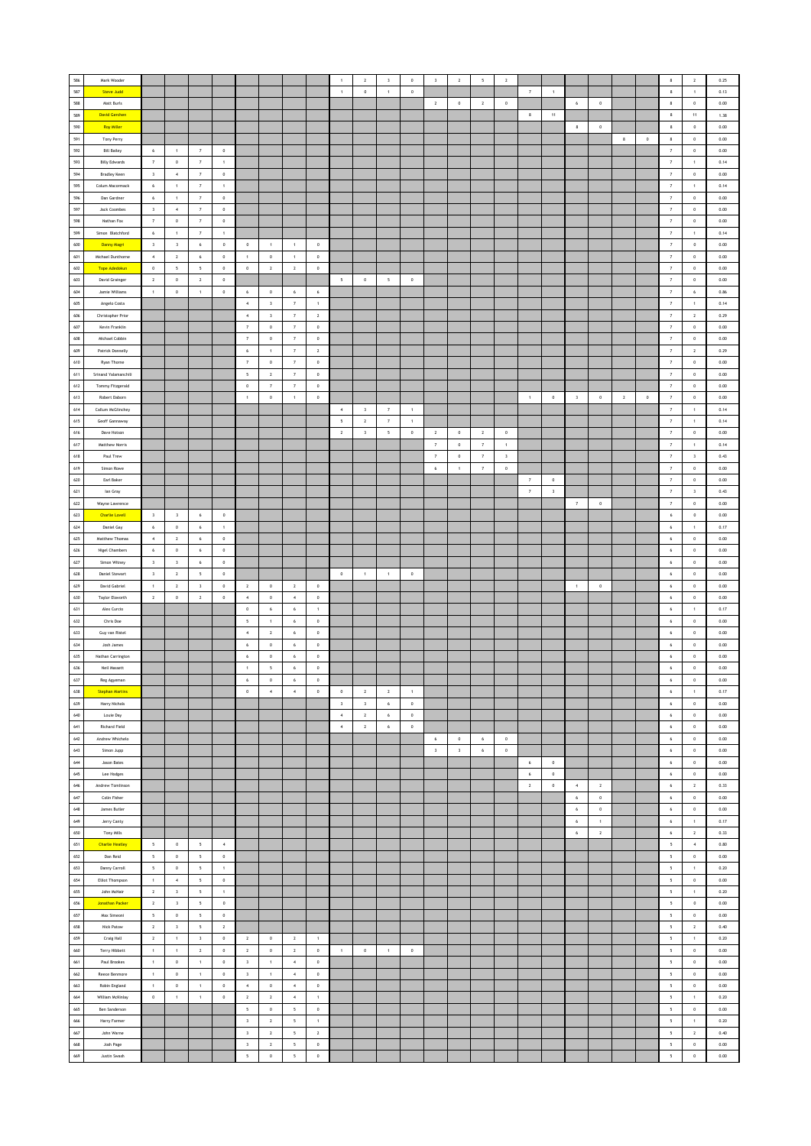| 586     | Mark Wooder                      |                          |                         |                          |                          |                         |                         |                          |                |                         | $\mathbf{2}$            | $\sqrt{3}$               | $\mathbb O$    | $\mathsf 3$         | $\,$ 2 $\,$             | $\sqrt{2}$          | $\,$ 2 $\,$             |                      |                         |                         |                |                |             | $\bf8$                   | $\,$ 2 $\,$             | 0.25     |
|---------|----------------------------------|--------------------------|-------------------------|--------------------------|--------------------------|-------------------------|-------------------------|--------------------------|----------------|-------------------------|-------------------------|--------------------------|----------------|---------------------|-------------------------|---------------------|-------------------------|----------------------|-------------------------|-------------------------|----------------|----------------|-------------|--------------------------|-------------------------|----------|
| 587     | Steve Judd                       |                          |                         |                          |                          |                         |                         |                          |                | $\,$ 1 $\,$             | $\mathbb O$             | $\,$ 1 $\,$              | $\,0\,$        |                     |                         |                     |                         | $\scriptstyle\rm 7$  | $\,$ 1 $\,$             |                         |                |                |             | 8                        | $\overline{1}$          | 0.13     |
| 588     | Matt Burls                       |                          |                         |                          |                          |                         |                         |                          |                |                         |                         |                          |                | $\overline{2}$      | $\circ$                 | $\overline{2}$      | $\circ$                 |                      |                         | 6                       | $\,$ 0 $\,$    |                |             | 8                        | $\circ$                 | 0.00     |
| 589     | <b>David Gerchen</b>             |                          |                         |                          |                          |                         |                         |                          |                |                         |                         |                          |                |                     |                         |                     |                         | $\boldsymbol{8}$     | 11                      |                         |                |                |             | 8                        | 11                      | 1.38     |
|         |                                  |                          |                         |                          |                          |                         |                         |                          |                |                         |                         |                          |                |                     |                         |                     |                         |                      |                         |                         |                |                |             |                          |                         |          |
| 590     | <b>Roy Miller</b>                |                          |                         |                          |                          |                         |                         |                          |                |                         |                         |                          |                |                     |                         |                     |                         |                      |                         | $\boldsymbol{8}$        | $\,0\,$        |                |             | 8                        | $\,$ 0                  | 0.00     |
| 591     | Tony Perry                       |                          |                         |                          |                          |                         |                         |                          |                |                         |                         |                          |                |                     |                         |                     |                         |                      |                         |                         |                | $\bf8$         | $\mathbb O$ | $\bf8$                   | $\,$ 0                  | 0.00     |
| 592     | <b>Bill Bailey</b>               | $\,$ 6 $\,$              | $\,$ 1 $\,$             | $\overline{7}$           | $\,0\,$                  |                         |                         |                          |                |                         |                         |                          |                |                     |                         |                     |                         |                      |                         |                         |                |                |             | $\scriptstyle\rm 7$      | $\,$ 0                  | $0.00\,$ |
| 593     | <b>Billy Edwards</b>             | $\tau$                   | $\circ$                 | $\tau$                   | $\overline{1}$           |                         |                         |                          |                |                         |                         |                          |                |                     |                         |                     |                         |                      |                         |                         |                |                |             | $\scriptstyle\rm 7$      | $\overline{1}$          | 0.14     |
| 594     | <b>Bradley Keen</b>              | $\overline{\mathbf{3}}$  | $\,$ 4 $\,$             | $\scriptstyle{7}$        | $\,$ 0 $\,$              |                         |                         |                          |                |                         |                         |                          |                |                     |                         |                     |                         |                      |                         |                         |                |                |             | $\scriptstyle\rm 7$      | $\mathbf 0$             | 0.00     |
| 595     | Colum Macormack                  | $\,$ 6 $\,$              | $\,$ 1 $\,$             | $\scriptstyle\rm 7$      | $\,$ 1 $\,$              |                         |                         |                          |                |                         |                         |                          |                |                     |                         |                     |                         |                      |                         |                         |                |                |             | $\scriptstyle\rm 7$      | $\overline{1}$          | $0.14\,$ |
| 596     | Dan Gardner                      | $\,$ 6 $\,$              | $\,1\,$                 | $\tau$                   | $\,$ 0                   |                         |                         |                          |                |                         |                         |                          |                |                     |                         |                     |                         |                      |                         |                         |                |                |             | $\scriptstyle\rm 7$      | $\,$ 0 $\,$             | 0.00     |
| 597     | Jack Coombes                     | $\overline{\mathbf{3}}$  | $\sim$                  | 7                        | $\circ$                  |                         |                         |                          |                |                         |                         |                          |                |                     |                         |                     |                         |                      |                         |                         |                |                |             | 7                        | $\circ$                 | 0.00     |
| 598     | Nathan Fox                       | $\scriptstyle\rm 7$      | $\mathbb O$             | $\scriptstyle\rm 7$      | $\,0\,$                  |                         |                         |                          |                |                         |                         |                          |                |                     |                         |                     |                         |                      |                         |                         |                |                |             | $\scriptstyle\rm 7$      | $\,$ 0 $\,$             | 0.00     |
| 599     | Simon Blatchford                 | $\boldsymbol{6}$         | $\,$ 1 $\,$             | $\overline{\tau}$        | $\,$ 1 $\,$              |                         |                         |                          |                |                         |                         |                          |                |                     |                         |                     |                         |                      |                         |                         |                |                |             | $\overline{\tau}$        | $\,$ 1                  | 0.14     |
| $600\,$ | <b>Danny Magri</b>               | $\overline{\mathbf{3}}$  | $\,$ $\,$               | $\,$ 6 $\,$              | $\,$ 0 $\,$              | $\,$ 0 $\,$             | $\overline{1}$          | $\,$ 1                   | $\,0\,$        |                         |                         |                          |                |                     |                         |                     |                         |                      |                         |                         |                |                |             | $\scriptstyle\rm 7$      | $\,$ 0 $\,$             | 0.00     |
| 601     | Michael Dunthorne                | $\overline{4}$           | $\overline{2}$          | 6                        | $\circ$                  | $\overline{1}$          | $\circ$                 | $\blacksquare$           | $\circ$        |                         |                         |                          |                |                     |                         |                     |                         |                      |                         |                         |                |                |             | $\scriptstyle\rm 7$      | $\circ$                 | 0.00     |
| 602     | Tope Adedokun                    | $\,$ 0 $\,$              | $\,$ 5                  | $\overline{\phantom{a}}$ | $\,0\,$                  | $\,$ 0 $\,$             | $\,$ 2 $\,$             | $\overline{2}$           | $\,$ 0 $\,$    |                         |                         |                          |                |                     |                         |                     |                         |                      |                         |                         |                |                |             | $\scriptstyle\rm 7$      | $\,$ 0 $\,$             | 0.00     |
| 603     | David Grainger                   | $\overline{2}$           | $\mathbb O$             | $\sqrt{2}$               | $\mathbb O$              |                         |                         |                          |                | $\sqrt{2}$              | $\,$ 0 $\,$             | $\overline{\phantom{a}}$ | $\,0\,$        |                     |                         |                     |                         |                      |                         |                         |                |                |             | $\scriptstyle\rm 7$      | $\,$ 0 $\,$             | $0.00\,$ |
| 604     | Jamie Williams                   | $\,$ 1 $\,$              | $\,0\,$                 | $\,$ 1 $\,$              | $\,$ 0                   | $\bf 6$                 | $\,$ 0                  | $\,$ 6 $\,$              | $\,$ 6 $\,$    |                         |                         |                          |                |                     |                         |                     |                         |                      |                         |                         |                |                |             | $\scriptstyle\rm 7$      | $\epsilon$              | 0.86     |
| 605     | Angelo Costa                     |                          |                         |                          |                          | $\overline{4}$          | $\overline{\mathbf{3}}$ | 7                        | $\mathbf{1}$   |                         |                         |                          |                |                     |                         |                     |                         |                      |                         |                         |                |                |             | $\scriptstyle\rm 7$      | $\overline{1}$          | 0.14     |
| 606     |                                  |                          |                         |                          |                          |                         |                         |                          |                |                         |                         |                          |                |                     |                         |                     |                         |                      |                         |                         |                |                |             | $\scriptstyle\rm 7$      |                         | 0.29     |
|         | Christopher Prior                |                          |                         |                          |                          | $\boldsymbol{4}$        | $\overline{\mathbf{3}}$ | $\scriptstyle\rm 7$      | $\,$ 2 $\,$    |                         |                         |                          |                |                     |                         |                     |                         |                      |                         |                         |                |                |             |                          | $\overline{2}$          |          |
| 607     | Kevin Franklin                   |                          |                         |                          |                          | $\scriptstyle{7}$       | $\,$ 0 $\,$             | $\scriptstyle\rm 7$      | $\,$ 0 $\,$    |                         |                         |                          |                |                     |                         |                     |                         |                      |                         |                         |                |                |             | $\overline{\tau}$        | $\,$ 0                  | 0.00     |
| $608\,$ | Michael Cobbin                   |                          |                         |                          |                          | $\scriptstyle\rm 7$     | $\,$ 0                  | $\scriptstyle\rm 7$      | $\,$ 0         |                         |                         |                          |                |                     |                         |                     |                         |                      |                         |                         |                |                |             | $\tau$                   | $\,$ 0                  | $0.00\,$ |
| 609     | Patrick Donnelly                 |                          |                         |                          |                          | 6                       | $\mathbf{1}$            | $\overline{7}$           | $\overline{2}$ |                         |                         |                          |                |                     |                         |                     |                         |                      |                         |                         |                |                |             | $\scriptstyle\rm 7$      | $\overline{2}$          | 0.29     |
| 610     | Ryan Thorne                      |                          |                         |                          |                          | $\scriptstyle\rm 7$     | $\,$ 0 $\,$             | $\tau$                   | $\,$ 0 $\,$    |                         |                         |                          |                |                     |                         |                     |                         |                      |                         |                         |                |                |             | $\scriptstyle\rm 7$      | $\,$ 0 $\,$             | 0.00     |
| 611     | Srinand Yalamanchili             |                          |                         |                          |                          | 5                       | $\,$ 2 $\,$             | $\scriptstyle\rm 7$      | $\,$ 0 $\,$    |                         |                         |                          |                |                     |                         |                     |                         |                      |                         |                         |                |                |             | $\scriptstyle\rm 7$      | $\,$ 0                  | $0.00\,$ |
| 612     | Tommy Fitzgerald                 |                          |                         |                          |                          | $\,0\,$                 | $\scriptstyle\rm{7}$    | $\scriptstyle\rm 7$      | $\,$ 0 $\,$    |                         |                         |                          |                |                     |                         |                     |                         |                      |                         |                         |                |                |             | $\scriptstyle\rm 7$      | $\,$ 0 $\,$             | 0.00     |
| 613     | Robert Daborn                    |                          |                         |                          |                          | $\overline{1}$          | $\,$ 0                  | $\mathbf{1}$             | $\circ$        |                         |                         |                          |                |                     |                         |                     |                         | $\overline{1}$       | $\circ$                 | $\overline{\mathbf{3}}$ | $\,$ 0 $\,$    | $\overline{2}$ | $\circ$     | 7                        | $\circ$                 | 0.00     |
| 614     | Callum McGlinchey                |                          |                         |                          |                          |                         |                         |                          |                | $\,$ 4 $\,$             | $\overline{\mathbf{3}}$ | $\overline{7}$           | $\mathbf{1}$   |                     |                         |                     |                         |                      |                         |                         |                |                |             | $\scriptstyle\rm 7$      | $\mathbf{1}$            | 0.14     |
| 615     | Geoff Gannaway                   |                          |                         |                          |                          |                         |                         |                          |                | $\sqrt{2}$              | $\,$ 2 $\,$             | $\scriptstyle\rm 7$      | $\mathbf{1}$   |                     |                         |                     |                         |                      |                         |                         |                |                |             | $\scriptstyle\rm 7$      | $\mathbf{1}$            | 0.14     |
| 616     | Dave Hotson                      |                          |                         |                          |                          |                         |                         |                          |                | $\,$ 2 $\,$             | $\,$ 3                  | $\sqrt{5}$               | $\mathbb O$    | $\mathbf{2}$        | $\,$ 0 $\,$             | $\,$ 2 $\,$         | $\,$ 0 $\,$             |                      |                         |                         |                |                |             | $\overline{\tau}$        | $\,$ 0 $\,$             | 0.00     |
| 617     | Matthew Norris                   |                          |                         |                          |                          |                         |                         |                          |                |                         |                         |                          |                | $\scriptstyle\rm 7$ | $\,0\,$                 | $\scriptstyle\rm 7$ | $\,$ 1 $\,$             |                      |                         |                         |                |                |             | $\scriptstyle\rm 7$      | $\,$ 1 $\,$             | 0.14     |
| 618     | Paul Trew                        |                          |                         |                          |                          |                         |                         |                          |                |                         |                         |                          |                | $\overline{7}$      | $\circ$                 | $\overline{7}$      | $\overline{\mathbf{3}}$ |                      |                         |                         |                |                |             | $\overline{7}$           | $\overline{\mathbf{3}}$ | 0.43     |
| 619     | Simon Rowe                       |                          |                         |                          |                          |                         |                         |                          |                |                         |                         |                          |                | $\,$ 6 $\,$         | $\overline{1}$          | $\scriptstyle\rm 7$ | $\,$ 0 $\,$             |                      |                         |                         |                |                |             | $\scriptstyle\rm 7$      | $\,$ 0 $\,$             | 0.00     |
| 620     | Earl Baker                       |                          |                         |                          |                          |                         |                         |                          |                |                         |                         |                          |                |                     |                         |                     |                         | $\scriptstyle\rm{7}$ | $\,$ 0                  |                         |                |                |             | $\scriptstyle\rm 7$      | $\,$ 0                  | $0.00\,$ |
| 621     | lan Gray                         |                          |                         |                          |                          |                         |                         |                          |                |                         |                         |                          |                |                     |                         |                     |                         | $\scriptstyle\rm 7$  | $\overline{\mathbf{3}}$ |                         |                |                |             | $\scriptstyle\rm 7$      | $\overline{\mathbf{3}}$ | 0.43     |
| 622     | Wayne Lawrence                   |                          |                         |                          |                          |                         |                         |                          |                |                         |                         |                          |                |                     |                         |                     |                         |                      |                         | $\overline{7}$          | $\,$ 0 $\,$    |                |             | $\overline{7}$           | $\,$ 0 $\,$             | 0.00     |
| 623     | <b>Chartie Lovell</b>            | $\,$ 3                   | $\,$ $\,$               | $\boldsymbol{6}$         | $\,$ 0 $\,$              |                         |                         |                          |                |                         |                         |                          |                |                     |                         |                     |                         |                      |                         |                         |                |                |             | $\epsilon$               | $\,$ 0                  | 0.00     |
|         |                                  |                          |                         |                          |                          |                         |                         |                          |                |                         |                         |                          |                |                     |                         |                     |                         |                      |                         |                         |                |                |             |                          |                         |          |
| 624     | Daniel Gay                       | $\boldsymbol{6}$         | $\mathbb O$             | $\bf{6}$                 | $\,$ 1 $\,$              |                         |                         |                          |                |                         |                         |                          |                |                     |                         |                     |                         |                      |                         |                         |                |                |             | $\bf{6}$                 | $\,$ 1 $\,$             | 0.17     |
| $625\,$ | Matthew Thomas                   | $\,$ 4 $\,$              | $\overline{2}$          | $\boldsymbol{6}$         | $\,0\,$                  |                         |                         |                          |                |                         |                         |                          |                |                     |                         |                     |                         |                      |                         |                         |                |                |             | 6                        | $\,$ 0                  | 0.00     |
| 626     | Nigel Chambers                   | 6                        | $\mathbb O$             | 6                        | $\overline{\phantom{a}}$ |                         |                         |                          |                |                         |                         |                          |                |                     |                         |                     |                         |                      |                         |                         |                |                |             | 6                        | $\circ$                 | 0.00     |
| 627     | Simon Witney                     | $\overline{\mathbf{3}}$  | $\overline{\mathbf{3}}$ | $\,$ 6 $\,$              | $\,0\,$                  |                         |                         |                          |                |                         |                         |                          |                |                     |                         |                     |                         |                      |                         |                         |                |                |             | 6                        | $\,$ 0 $\,$             | 0.00     |
| 628     | <b>Daniel Stewart</b>            | $\overline{\mathbf{3}}$  | $\mathbf{2}$            | $\overline{\phantom{a}}$ | $\mathbb O$              |                         |                         |                          |                | $\,$ 0                  | $\,$ 1 $\,$             | $\,$ 1 $\,$              | $\,$ 0         |                     |                         |                     |                         |                      |                         |                         |                |                |             | 6                        | $\,$ 0                  | $0.00\,$ |
| 629     | David Gabriel                    | $\,$ 1 $\,$              | $\overline{2}$          | $\overline{\mathbf{3}}$  | $\,0\,$                  | $\sqrt{2}$              | $\,$ 0                  | $\overline{2}$           | $\,$ 0         |                         |                         |                          |                |                     |                         |                     |                         |                      |                         | $\,$ 1 $\,$             | $\,$ 0         |                |             | 6                        | $\mathbb O$             | 0.00     |
| 630     | Taylor Elsworth                  | $\overline{2}$           | $\mathbb O$             | $\overline{2}$           | $\circ$                  | $\overline{4}$          | $\,0\,$                 | $\sim$                   | $\,$ 0 $\,$    |                         |                         |                          |                |                     |                         |                     |                         |                      |                         |                         |                |                |             | $\boldsymbol{6}$         | $\circ$                 | 0.00     |
| 631     | Alex Curcio                      |                          |                         |                          |                          | $\,$ 0 $\,$             | $\boldsymbol{6}$        | 6                        | $\overline{1}$ |                         |                         |                          |                |                     |                         |                     |                         |                      |                         |                         |                |                |             | $\mathbf{6}$             | $\mathbf{1}$            | 0.17     |
| 632     | Chris Doe                        |                          |                         |                          |                          | 5                       | $\,$ 1 $\,$             | $\,$ 6 $\,$              | $\,$ 0 $\,$    |                         |                         |                          |                |                     |                         |                     |                         |                      |                         |                         |                |                |             | $\,$ 6 $\,$              | $\,$ 0 $\,$             | 0.00     |
| 633     | Guy van Ristel                   |                          |                         |                          |                          | $\,$ 4 $\,$             | $\overline{\mathbf{z}}$ | $\,$ 6                   | $\,$ 0         |                         |                         |                          |                |                     |                         |                     |                         |                      |                         |                         |                |                |             | 6                        | $\,$ 0                  | $0.00\,$ |
| 634     | Josh James                       |                          |                         |                          |                          | $\boldsymbol{6}$        | $\mathbf{0}$            | 6                        | $\mathbf 0$    |                         |                         |                          |                |                     |                         |                     |                         |                      |                         |                         |                |                |             | 6                        | $\circ$                 | 0.00     |
| 635     | Nathan Carrington                |                          |                         |                          |                          | $\epsilon$              | $\,$ 0 $\,$             | $\,$ 6 $\,$              | $\,$ 0 $\,$    |                         |                         |                          |                |                     |                         |                     |                         |                      |                         |                         |                |                |             | $\mathbf{6}$             | $\,$ 0 $\,$             | 0.00     |
| 636     | Neil Massett                     |                          |                         |                          |                          | $\,$ 1 $\,$             | 5                       | $\boldsymbol{6}$         | $\,$ 0 $\,$    |                         |                         |                          |                |                     |                         |                     |                         |                      |                         |                         |                |                |             | 6                        | $\,$ 0 $\,$             | 0.00     |
| 637     | Reg Agyeman                      |                          |                         |                          |                          | 6                       | $\,$ 0                  | $\,$ 6 $\,$              | $\,$ 0         |                         |                         |                          |                |                     |                         |                     |                         |                      |                         |                         |                |                |             | 6                        | $\,0\,$                 | 0.00     |
| 638     | <b>Stephan Martins</b>           |                          |                         |                          |                          | $\mathfrak o$           | $\sim$                  | $\sim$                   | $\circ$        | $\circ$                 | $\overline{2}$          | $\overline{2}$           | $\overline{1}$ |                     |                         |                     |                         |                      |                         |                         |                |                |             | 6                        | 1                       | 0.17     |
| 639     | <b>Harry Nichols</b>             |                          |                         |                          |                          |                         |                         |                          |                | $\overline{\mathbf{3}}$ | $\overline{\mathbf{3}}$ | 6                        | $\circ$        |                     |                         |                     |                         |                      |                         |                         |                |                |             | 6                        | $\,$ 0 $\,$             | 0.00     |
| 640     | Louie Day                        |                          |                         |                          |                          |                         |                         |                          |                | $\overline{4}$          | $\mathbf{2}$            | $\boldsymbol{6}$         | $\mathbb O$    |                     |                         |                     |                         |                      |                         |                         |                |                |             | 6                        | $\circ$                 | 0.00     |
| 641     | Richard Field                    |                          |                         |                          |                          |                         |                         |                          |                | $\,$ 4 $\,$             | $\mathbf{2}$            | $\,$ 6 $\,$              | $\mathbb O$    |                     |                         |                     |                         |                      |                         |                         |                |                |             | $\,$ 6 $\,$              | $\,$ 0 $\,$             | 0.00     |
| $642\,$ | Andrew Whichelo                  |                          |                         |                          |                          |                         |                         |                          |                |                         |                         |                          |                | $\,$ 6              | $\,$ 0                  | $\,$ 6 $\,$         | $\,$ 0                  |                      |                         |                         |                |                |             | 6                        | $\,$ 0                  | 0.00     |
| 643     | Simon Jupp                       |                          |                         |                          |                          |                         |                         |                          |                |                         |                         |                          |                | $\mathbf{3}$        | $\overline{\mathbf{3}}$ | 6                   | $\circ$                 |                      |                         |                         |                |                |             | 6                        | $\circ$                 | 0.00     |
| 644     | Jason Bates                      |                          |                         |                          |                          |                         |                         |                          |                |                         |                         |                          |                |                     |                         |                     |                         | 6                    | $\,$ 0 $\,$             |                         |                |                |             | $\boldsymbol{6}$         | $\mathbf 0$             | 0.00     |
| $645\,$ | Lee Hodges                       |                          |                         |                          |                          |                         |                         |                          |                |                         |                         |                          |                |                     |                         |                     |                         | $\,$ 6 $\,$          | $\,$ 0                  |                         |                |                |             | $\,$ 6 $\,$              | $\,$ 0                  | $0.00\,$ |
| 646     |                                  |                          |                         |                          |                          |                         |                         |                          |                |                         |                         |                          |                |                     |                         |                     |                         | $\overline{2}$       | $\,$ 0 $\,$             |                         | $\overline{2}$ |                |             | $\mathbf{6}$             | $\overline{2}$          | 0.33     |
| $647$   | Andrew Tomlinson<br>Colin Fisher |                          |                         |                          |                          |                         |                         |                          |                |                         |                         |                          |                |                     |                         |                     |                         |                      |                         | $\,$ 4 $\,$<br>6        | $\circ$        |                |             | 6                        | $\mathbb O$             | 0.00     |
|         |                                  |                          |                         |                          |                          |                         |                         |                          |                |                         |                         |                          |                |                     |                         |                     |                         |                      |                         |                         |                |                |             |                          |                         |          |
| 648     | James Butler                     |                          |                         |                          |                          |                         |                         |                          |                |                         |                         |                          |                |                     |                         |                     |                         |                      |                         | 6                       | $\,$ 0 $\,$    |                |             | $\boldsymbol{6}$         | $\circ$                 | 0.00     |
| 649     | Jerry Canty                      |                          |                         |                          |                          |                         |                         |                          |                |                         |                         |                          |                |                     |                         |                     |                         |                      |                         | $\,$ 6                  | $\,$ 1 $\,$    |                |             | $\,$ 6 $\,$              | $\,$ 1 $\,$             | 0.17     |
| 650     | Tony Mills                       |                          |                         |                          |                          |                         |                         |                          |                |                         |                         |                          |                |                     |                         |                     |                         |                      |                         | $\,$ 6                  | $\,$ 2 $\,$    |                |             | 6                        | $\overline{2}$          | 0.33     |
| 651     | <b>Charlie Heatley</b>           | $5\overline{5}$          | $\mathbb O$             | $5\overline{5}$          | $\sim$                   |                         |                         |                          |                |                         |                         |                          |                |                     |                         |                     |                         |                      |                         |                         |                |                |             | $\mathsf{s}$             | $\,$ 4 $\,$             | 0.80     |
| 652     | Dan Reid                         | $\overline{\phantom{a}}$ | $\mathbb O$             | $\overline{\phantom{a}}$ | $\,0\,$                  |                         |                         |                          |                |                         |                         |                          |                |                     |                         |                     |                         |                      |                         |                         |                |                |             | $\sqrt{5}$               | $\mathbf 0$             | 0.00     |
| 653     | Danny Carroll                    | $\sqrt{5}$               | $\mathbb O$             | $\sqrt{5}$               | $\,$ 1 $\,$              |                         |                         |                          |                |                         |                         |                          |                |                     |                         |                     |                         |                      |                         |                         |                |                |             | $\mathsf{s}$             | $\,$ 1 $\,$             | 0.20     |
| 654     | Elliot Thompson                  | $\,$ 1 $\,$              | $\sim$                  | $\overline{\phantom{a}}$ | $\,0\,$                  |                         |                         |                          |                |                         |                         |                          |                |                     |                         |                     |                         |                      |                         |                         |                |                |             | $\mathsf{s}$             | $\circ$                 | 0.00     |
| 655     | John McNair                      | $\overline{2}$           | $\overline{\mathbf{3}}$ | $5\overline{ }$          | 1                        |                         |                         |                          |                |                         |                         |                          |                |                     |                         |                     |                         |                      |                         |                         |                |                |             | $5^{\circ}$              | 1                       | 0.20     |
| 656     | <b>Jonathan Packer</b>           | $\overline{2}$           | $\overline{\mathbf{3}}$ | $\overline{\phantom{a}}$ | $\,$ 0 $\,$              |                         |                         |                          |                |                         |                         |                          |                |                     |                         |                     |                         |                      |                         |                         |                |                |             | $\mathsf{s}$             | $\circ$                 | 0.00     |
| 657     | Max Simeoni                      | $\sf s$                  | $\,$ 0 $\,$             | $\sf s$                  | $\mathbb O$              |                         |                         |                          |                |                         |                         |                          |                |                     |                         |                     |                         |                      |                         |                         |                |                |             | $\mathsf{s}$             | $\,$ 0 $\,$             | 0.00     |
| 658     | Nick Patow                       | $\overline{2}$           | $\overline{\mathbf{3}}$ | $\overline{\phantom{a}}$ | $\overline{2}$           |                         |                         |                          |                |                         |                         |                          |                |                     |                         |                     |                         |                      |                         |                         |                |                |             | $\overline{\phantom{a}}$ | $\overline{2}$          | 0.40     |
| 659     | Craig Hall                       | $\overline{2}$           | $\mathbf{1}$            | $\overline{\mathbf{3}}$  | $^{\circ}$               | $\overline{2}$          | $\circ$                 | $\overline{2}$           | $\overline{1}$ |                         |                         |                          |                |                     |                         |                     |                         |                      |                         |                         |                |                |             | 5                        | $\,$ 1 $\,$             | 0.20     |
| 660     | Terry Hibbett                    | $\mathbf{1}$             | $\mathbf 1$             | $\overline{2}$           | $\,0\,$                  | $\overline{2}$          | $\,$ 0 $\,$             | $\overline{2}$           | $\,$ 0 $\,$    | $\,$ 1 $\,$             | $\,$ 0 $\,$             | $\,$ 1 $\,$              | $\,0\,$        |                     |                         |                     |                         |                      |                         |                         |                |                |             | $\mathsf{s}$             | $\mathbf 0$             | 0.00     |
| 661     | Paul Brookes                     | $\,$ 1 $\,$              | $\mathbb O$             | $\,$ 1 $\,$              | $\mathbb O$              | $_{\rm 3}$              | $\,$ 1 $\,$             | $\,$ 4 $\,$              | $\,$ 0 $\,$    |                         |                         |                          |                |                     |                         |                     |                         |                      |                         |                         |                |                |             | $\mathsf{s}$             | $\,$ 0                  | $0.00\,$ |
| 662     | Reece Benmore                    | $\,$ 1 $\,$              | $\,$ 0 $\,$             | $\,$ 1 $\,$              | $\mathbb O$              | $\,$ $\,$               | $\,$ 1 $\,$             | $\,$ 4 $\,$              | $\,$ 0 $\,$    |                         |                         |                          |                |                     |                         |                     |                         |                      |                         |                         |                |                |             | $\,$ 5 $\,$              | $\,$ 0 $\,$             | $0.00\,$ |
| 663     | Robin England                    | $\,$ 1 $\,$              | $\,0\,$                 | $\,1\,$                  | $\,0\,$                  | $\,$ 4 $\,$             | $\,$ 0 $\,$             | $\sim$                   | $\,$ 0 $\,$    |                         |                         |                          |                |                     |                         |                     |                         |                      |                         |                         |                |                |             | $\mathsf{s}$             | $\circ$                 | 0.00     |
| 664     | William McKinlay                 | $\circ$                  | 1                       | 1                        | $\circ$                  | $\overline{2}$          | $\overline{2}$          | $\sim$                   | 1              |                         |                         |                          |                |                     |                         |                     |                         |                      |                         |                         |                |                |             | $5^{\circ}$              | 1                       | 0.20     |
| 665     | Ben Sanderson                    |                          |                         |                          |                          | $\mathsf{s}$            | $\mathbf 0$             | $5^{\circ}$              | $\,$ 0 $\,$    |                         |                         |                          |                |                     |                         |                     |                         |                      |                         |                         |                |                |             | $\mathsf{s}$             | $\circ$                 | 0.00     |
| 666     | Harry Farmer                     |                          |                         |                          |                          | $\,$ $\,$               | $\mathbf{2}$            | $\sqrt{2}$               | $\,$ 1 $\,$    |                         |                         |                          |                |                     |                         |                     |                         |                      |                         |                         |                |                |             | $\mathsf{s}$             | $\,$ 1 $\,$             | 0.20     |
|         |                                  |                          |                         |                          |                          |                         |                         |                          |                |                         |                         |                          |                |                     |                         |                     |                         |                      |                         |                         |                |                |             |                          |                         |          |
| 667     | John Warne                       |                          |                         |                          |                          | $\,$ 3                  | $\,$ 2 $\,$             | $\overline{\phantom{a}}$ | $\,$ 2 $\,$    |                         |                         |                          |                |                     |                         |                     |                         |                      |                         |                         |                |                |             | $\overline{\phantom{a}}$ | $\overline{2}$          | $0.40\,$ |
| 668     | Josh Page                        |                          |                         |                          |                          | $\overline{\mathbf{3}}$ | $\overline{2}$          | 5                        | $\circ$        |                         |                         |                          |                |                     |                         |                     |                         |                      |                         |                         |                |                |             | $\overline{\phantom{a}}$ | $\circ$                 | 0.00     |
| 669     | Justin Swash                     |                          |                         |                          |                          | $\mathsf{s}$            | $\mathbf 0$             | 5                        | $\mathbf 0$    |                         |                         |                          |                |                     |                         |                     |                         |                      |                         |                         |                |                |             | $\sf s$                  | $\mathbf 0$             | 0.00     |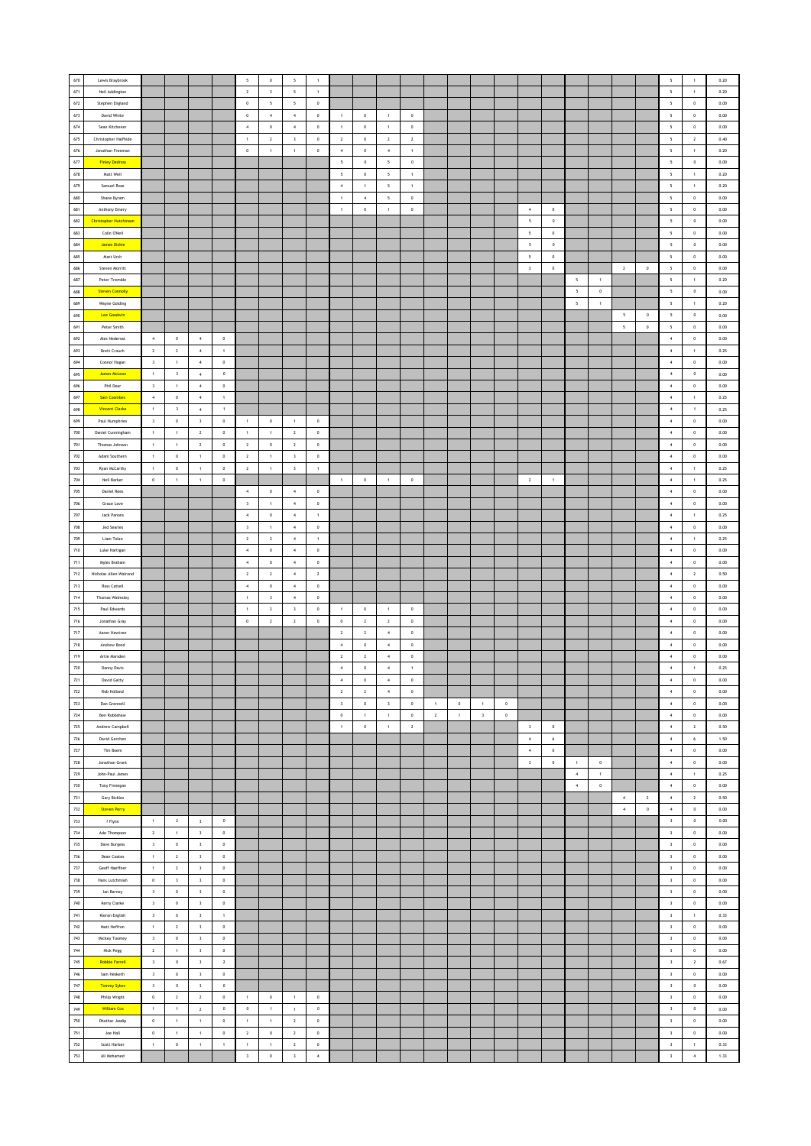| 670                   | Lewis Braybrook               |                               |                              |                         |                    | $\overline{\phantom{a}}$ | $\mathbf 0$                   | $\sqrt{2}$               | $\mathbf{1}$          |                          |                |                          |                |              |                |                         |             |                          |              |                          |              |                  |                | $\mathsf{s}$                | $\,$ 1 $\,$                      | 0.20         |
|-----------------------|-------------------------------|-------------------------------|------------------------------|-------------------------|--------------------|--------------------------|-------------------------------|--------------------------|-----------------------|--------------------------|----------------|--------------------------|----------------|--------------|----------------|-------------------------|-------------|--------------------------|--------------|--------------------------|--------------|------------------|----------------|-----------------------------|----------------------------------|--------------|
| 671                   | Neil Addington                |                               |                              |                         |                    | $\,$ 2                   | $_{\rm 3}$                    | $\overline{\phantom{a}}$ | $\,$ 1 $\,$           |                          |                |                          |                |              |                |                         |             |                          |              |                          |              |                  |                | $\mathsf{s}$                | $\,$ 1 $\,$                      | 0.20         |
| $672\,$               |                               |                               |                              |                         |                    | $\,0\,$                  | 5                             | $\sim$                   | $\,$ 0 $\,$           |                          |                |                          |                |              |                |                         |             |                          |              |                          |              |                  |                | $\mathsf{s}$                | $\,0\,$                          | 0.00         |
| 673                   | Stephen England               |                               |                              |                         |                    |                          |                               |                          |                       |                          |                |                          |                |              |                |                         |             |                          |              |                          |              |                  |                |                             |                                  |              |
|                       | David White                   |                               |                              |                         |                    | $\mathbb O$              | $\sim$                        | 4                        | $\overline{0}$        | $\overline{1}$           | $\circ$        | $\overline{1}$           | $\circ$        |              |                |                         |             |                          |              |                          |              |                  |                | 5                           | $\circ$                          | 0.00         |
| 674                   | Sean Kitchener                |                               |                              |                         |                    | $\overline{4}$           | $\circ$                       | $\sim$                   | $\,$ 0 $\,$           | $\mathbf{1}$             | $\,$ 0 $\,$    | $\overline{1}$           | $\circ$        |              |                |                         |             |                          |              |                          |              |                  |                | 5                           | $\,$ 0 $\,$                      | 0.00         |
| 675                   | Christopher Halfhide          |                               |                              |                         |                    | $\,$ 1 $\,$              | $\overline{2}$                | $\overline{\mathbf{3}}$  | $\bf{0}$              | $\,$ 2 $\,$              | $\,$ 0 $\,$    | $\overline{2}$           | $\overline{2}$ |              |                |                         |             |                          |              |                          |              |                  |                | $\mathsf{s}$                | $\overline{2}$                   | 0.40         |
| 676                   | Jonathan Freeman              |                               |                              |                         |                    | $\,$ 0                   | $\mathbf{1}$                  | $\,$ 1 $\,$              | $\mathbf 0$           | $\ddot{a}$               | $\mathbf 0$    | $\,$ 4 $\,$              | $\mathbf 1$    |              |                |                         |             |                          |              |                          |              |                  |                | $\sf s$                     | $\,$ 1                           | 0.20         |
| 677                   | <b>Finley Dedross</b>         |                               |                              |                         |                    |                          |                               |                          |                       | $\overline{\phantom{a}}$ | $\,0\,$        | $\overline{\phantom{a}}$ | $\,$ 0 $\,$    |              |                |                         |             |                          |              |                          |              |                  |                | $\overline{\phantom{a}}$    | $\,$ 0 $\,$                      | 0.00         |
| 678                   | Matt Weil                     |                               |                              |                         |                    |                          |                               |                          |                       | $\overline{\phantom{a}}$ | $\circ$        | $\overline{\phantom{a}}$ | $\pm$          |              |                |                         |             |                          |              |                          |              |                  |                | $\overline{\phantom{a}}$    | $\overline{1}$                   | 0.20         |
| 679                   | Samuel Rose                   |                               |                              |                         |                    |                          |                               |                          |                       | $\boldsymbol{4}$         | $\overline{1}$ | $\overline{\phantom{a}}$ | $\,$ 1 $\,$    |              |                |                         |             |                          |              |                          |              |                  |                | $\sf s$                     | $\,$ 1 $\,$                      | 0.20         |
| 680                   | Shane Byram                   |                               |                              |                         |                    |                          |                               |                          |                       | $\overline{1}$           | $\,$ 4 $\,$    | $\sqrt{5}$               | $\mathbb O$    |              |                |                         |             |                          |              |                          |              |                  |                | $\mathsf{s}$                | $\,$ 0                           | $0.00\,$     |
| 681                   | Anthony Emery                 |                               |                              |                         |                    |                          |                               |                          |                       | $\,$ 1                   | $\,$ 0         | $\,$ 1 $\,$              | $\,0\,$        |              |                |                         |             | $\overline{4}$           | $\,$ 0 $\,$  |                          |              |                  |                | $\mathsf{s}$                | $\,0\,$                          | 0.00         |
| 682                   | <b>Christopher Hutchinson</b> |                               |                              |                         |                    |                          |                               |                          |                       |                          |                |                          |                |              |                |                         |             | $5 -$                    | $\circ$      |                          |              |                  |                | $\mathsf{s}$                | $\,$ 0 $\,$                      | 0.00         |
|                       |                               |                               |                              |                         |                    |                          |                               |                          |                       |                          |                |                          |                |              |                |                         |             |                          |              |                          |              |                  |                |                             |                                  |              |
| 683                   | Colin O'Neil                  |                               |                              |                         |                    |                          |                               |                          |                       |                          |                |                          |                |              |                |                         |             | 5                        | $\,$ 0 $\,$  |                          |              |                  |                | $5\overline{ }$             | $\,$ 0 $\,$                      | 0.00         |
| 684                   | <b>James Dickie</b>           |                               |                              |                         |                    |                          |                               |                          |                       |                          |                |                          |                |              |                |                         |             | $\overline{\phantom{a}}$ | $\mathbf 0$  |                          |              |                  |                | 5                           | $\pmb{0}$                        | $0.00\,$     |
| 685                   | Matt Urch                     |                               |                              |                         |                    |                          |                               |                          |                       |                          |                |                          |                |              |                |                         |             | $\overline{\phantom{a}}$ | $\,$ 0 $\,$  |                          |              |                  |                | 5                           | $\,0\,$                          | 0.00         |
| 686                   | Steven Morritt                |                               |                              |                         |                    |                          |                               |                          |                       |                          |                |                          |                |              |                |                         |             | $\overline{\mathbf{3}}$  | $\circ$      |                          |              | $\overline{2}$   | $\circ$        | $\overline{\phantom{a}}$    | $\circ$                          | 0.00         |
| 687                   | Peter Tremble                 |                               |                              |                         |                    |                          |                               |                          |                       |                          |                |                          |                |              |                |                         |             |                          |              | $\,$ 5                   | $\,$ 1 $\,$  |                  |                | $\mathsf{s}$                | $\,$ 1 $\,$                      | 0.20         |
| 688                   | <b>Steven Connolly</b>        |                               |                              |                         |                    |                          |                               |                          |                       |                          |                |                          |                |              |                |                         |             |                          |              | $\overline{\phantom{a}}$ | $\,0\,$      |                  |                | 5                           | $\,$ 0                           | $0.00\,$     |
| 689                   | Wayne Golding                 |                               |                              |                         |                    |                          |                               |                          |                       |                          |                |                          |                |              |                |                         |             |                          |              | 5                        | $\mathbf{1}$ |                  |                | $\overline{\phantom{a}}$    | $\,$ 1 $\,$                      | $0.20\,$     |
| 690                   | Lee Goodwin                   |                               |                              |                         |                    |                          |                               |                          |                       |                          |                |                          |                |              |                |                         |             |                          |              |                          |              | $\overline{5}$   | $\circ$        | 5                           | $\circ$                          | 0.00         |
| 691                   | Peter Smith                   |                               |                              |                         |                    |                          |                               |                          |                       |                          |                |                          |                |              |                |                         |             |                          |              |                          |              | $\sqrt{2}$       | $\mathbb O$    | $\mathsf{s}$                | $\mathbb O$                      | 0.00         |
|                       |                               |                               |                              |                         |                    |                          |                               |                          |                       |                          |                |                          |                |              |                |                         |             |                          |              |                          |              |                  |                |                             |                                  |              |
| 692                   | Ales Nederost                 | $\,$ 4 $\,$                   | $\mathbf 0$                  | $\overline{4}$          | $\mathbb O$        |                          |                               |                          |                       |                          |                |                          |                |              |                |                         |             |                          |              |                          |              |                  |                | $\boldsymbol{4}$            | $\,$ 0 $\,$                      | $0.00\,$     |
| 693                   | <b>Brett Crouch</b>           | $\overline{2}$                | $\mathbf{2}$                 | $\,$ 4 $\,$             | $\,$ 1 $\,$        |                          |                               |                          |                       |                          |                |                          |                |              |                |                         |             |                          |              |                          |              |                  |                | $\,$ 4 $\,$                 | $\,$ 1                           | 0.25         |
| 694                   | Connor Hogan                  | $\overline{\mathbf{3}}$       | $\mathbf{1}$                 | $\overline{4}$          | $\,$ 0             |                          |                               |                          |                       |                          |                |                          |                |              |                |                         |             |                          |              |                          |              |                  |                | $\sim$                      | $\circ$                          | 0.00         |
| 695                   | James McLean                  | $\overline{1}$                | $\overline{\mathbf{3}}$      | $\sqrt{4}$              | $\,$ 0 $\,$        |                          |                               |                          |                       |                          |                |                          |                |              |                |                         |             |                          |              |                          |              |                  |                | $\boldsymbol{4}$            | $\,$ 0 $\,$                      | 0.00         |
| 696                   | Phil Dear                     | $\overline{\mathbf{3}}$       | $\,1\,$                      | $\,$ 4 $\,$             | $\mathbb O$        |                          |                               |                          |                       |                          |                |                          |                |              |                |                         |             |                          |              |                          |              |                  |                | $\,$ 4 $\,$                 | $\,$ 0 $\,$                      | $0.00\,$     |
| 697                   | <b>Sam Coombes</b>            | $\,$ 4 $\,$                   | $\bf 0$                      | $\,$ 4 $\,$             | $\,1\,$            |                          |                               |                          |                       |                          |                |                          |                |              |                |                         |             |                          |              |                          |              |                  |                | $\,$ 4 $\,$                 | $\,$ 1 $\,$                      | 0.25         |
| 698                   | <b>Vincent Clarke</b>         | $\mathbf{1}$                  | $\overline{\mathbf{3}}$      | $\sim$                  | $\overline{1}$     |                          |                               |                          |                       |                          |                |                          |                |              |                |                         |             |                          |              |                          |              |                  |                | $\sim$                      | $\overline{1}$                   | 0.25         |
| 699                   | Paul Humphries                | $\overline{\mathbf{3}}$       | $\circ$                      | $\overline{\mathbf{3}}$ | $^{\circ}$         | $\overline{1}$           | $\,$ 0                        | $\overline{1}$           | $\,$ 0 $\,$           |                          |                |                          |                |              |                |                         |             |                          |              |                          |              |                  |                | $\sim$                      | $\circ$                          | 0.00         |
| 700                   | Daniel Cunningham             | $\,$ 1 $\,$                   | $\,1\,$                      | $\sqrt{2}$              | $\mathbb O$        | $\,$ 1 $\,$              | $\mathbf{1}$                  | $\overline{2}$           | $\,$ 0 $\,$           |                          |                |                          |                |              |                |                         |             |                          |              |                          |              |                  |                | $\,$ 4 $\,$                 | $\,$ 0 $\,$                      | 0.00         |
| 701                   | Thomas Johnson                | $\,$ 1                        | $\,1\,$                      | $\mathbf{2}$            | $\mathbf 0$        | $\,$ 2                   | $\,$ 0 $\,$                   | $\,$ 2 $\,$              | $\mathbf 0$           |                          |                |                          |                |              |                |                         |             |                          |              |                          |              |                  |                | $\boldsymbol{4}$            | $\,$ 0 $\,$                      | $0.00\,$     |
| $702\,$               |                               |                               |                              | $\overline{1}$          |                    |                          |                               |                          |                       |                          |                |                          |                |              |                |                         |             |                          |              |                          |              |                  |                | $\boldsymbol{4}$            |                                  |              |
| 703                   | Adam Southern                 | $\,$ 1 $\,$<br>$\overline{1}$ | $\,0\,$<br>$\circ$           | $\overline{1}$          | $\,0\,$<br>$\circ$ | $\,$ 2                   | $\,$ 1 $\,$<br>$\overline{1}$ | $\,$ 3<br>$_{3}$         | $\,$ 0                |                          |                |                          |                |              |                |                         |             |                          |              |                          |              |                  |                | $\sim$                      | $\,0\,$                          | 0.00         |
|                       | Ryan McCarthy                 |                               |                              |                         |                    | $\sqrt{2}$               |                               |                          | $\overline{1}$        |                          |                |                          |                |              |                |                         |             |                          |              |                          |              |                  |                |                             | $\overline{1}$                   | 0.25         |
| $704\,$               | Neil Barker                   | $\,0\,$                       | $\mathbf{1}$                 | $\overline{1}$          | $\,$ 0 $\,$        |                          |                               |                          |                       | $\overline{1}$           | $\,$ 0 $\,$    | $\mathbf{1}$             | $\,0\,$        |              |                |                         |             | $\overline{2}$           | $\mathbf{1}$ |                          |              |                  |                | $\,$ 4 $\,$                 | $\mathbf{1}$                     | 0.25         |
| 705                   | <b>Daniel Rees</b>            |                               |                              |                         |                    | $\sqrt{4}$               | $\,$ 0 $\,$                   | $\,$ 4 $\,$              | $\,$ 0 $\,$           |                          |                |                          |                |              |                |                         |             |                          |              |                          |              |                  |                | $\,$ 4 $\,$                 | $\,$ 0 $\,$                      | $0.00\,$     |
| 706                   | Grace Love                    |                               |                              |                         |                    | $\sqrt{3}$               | $\,$ 1 $\,$                   | $\,$ 4 $\,$              | $\mathbf 0$           |                          |                |                          |                |              |                |                         |             |                          |              |                          |              |                  |                | $\,$ 4 $\,$                 | $\,0\,$                          | 0.00         |
| 707                   | Jack Panons                   |                               |                              |                         |                    | $\overline{4}$           | $\circ$                       | $\sim$                   | 1                     |                          |                |                          |                |              |                |                         |             |                          |              |                          |              |                  |                | $\sim$                      | $\mathbf{1}$                     | 0.25         |
| 708                   | Jed Searles                   |                               |                              |                         |                    | $\,$ $\,$                | $\mathbf{1}$                  | $\sim$                   | $\,$ 0 $\,$           |                          |                |                          |                |              |                |                         |             |                          |              |                          |              |                  |                | $\boldsymbol{4}$            | $\,$ 0 $\,$                      | 0.00         |
| 709                   | Liam Tolan                    |                               |                              |                         |                    | $\,$ 2                   | $\mathbf{2}$                  | $\,$ 4 $\,$              | $\,$ 1 $\,$           |                          |                |                          |                |              |                |                         |             |                          |              |                          |              |                  |                | $\bf{4}$                    | $\,$ 1                           | 0.25         |
| $710\,$               | Luke Hartigan                 |                               |                              |                         |                    | $\boldsymbol{4}$         | $\,$ 0 $\,$                   | $\sim$                   | $\,$ 0                |                          |                |                          |                |              |                |                         |             |                          |              |                          |              |                  |                | $\boldsymbol{4}$            | $\,0\,$                          | 0.00         |
| 711                   | Myles Braham                  |                               |                              |                         |                    | $\sim$                   | $\circ$                       | $\sim$                   | $\circ$               |                          |                |                          |                |              |                |                         |             |                          |              |                          |              |                  |                | $\sim$                      | $\circ$                          | 0.00         |
| 712                   | Nicholas Allen-Walrond        |                               |                              |                         |                    | $\,$ 2 $\,$              | $\,$ 2 $\,$                   | $\sqrt{4}$               | $\,$ 2 $\,$           |                          |                |                          |                |              |                |                         |             |                          |              |                          |              |                  |                | $\,$ 4 $\,$                 | $\sqrt{2}$                       | 0.50         |
| $713\,$               | Ross Cattell                  |                               |                              |                         |                    | $\overline{4}$           | $\,$ 0 $\,$                   | $\overline{4}$           | $\mathbf 0$           |                          |                |                          |                |              |                |                         |             |                          |              |                          |              |                  |                | $\boldsymbol{4}$            | $\,$ 0                           | $0.00\,$     |
| $714\,$               | Thomas Walmsley               |                               |                              |                         |                    | $\,$ 1 $\,$              | $\,$ 3 $\,$                   | $\sim$                   | $\,$ 0 $\,$           |                          |                |                          |                |              |                |                         |             |                          |              |                          |              |                  |                | $\,$ 4 $\,$                 | $\,0\,$                          | 0.00         |
| $715\,$               | Paul Edwards                  |                               |                              |                         |                    | $\overline{1}$           | $\overline{2}$                | $\overline{\mathbf{3}}$  | $\circ$               | $\overline{1}$           | $\overline{0}$ | $\overline{1}$           | $\overline{0}$ |              |                |                         |             |                          |              |                          |              |                  |                | $\sim$                      | $\circ$                          | 0.00         |
| 716                   | Jonathan Gray                 |                               |                              |                         |                    | $\,$ 0 $\,$              | $\,$ 2 $\,$                   | $\overline{2}$           | $\mathbf 0$           | $\,$ 0 $\,$              | $\overline{2}$ | $\overline{2}$           | $\circ$        |              |                |                         |             |                          |              |                          |              |                  |                | $\sim$                      | $\,$ 0 $\,$                      | 0.00         |
|                       |                               |                               |                              |                         |                    |                          |                               |                          |                       |                          |                |                          |                |              |                |                         |             |                          |              |                          |              |                  |                |                             |                                  |              |
| 717                   | Aaron Hawtree                 |                               |                              |                         |                    |                          |                               |                          |                       | $\mathbf{2}$             | $\mathbf{2}$   | $\,$ 4 $\,$              | $\mathbb O$    |              |                |                         |             |                          |              |                          |              |                  |                | $\,$ 4 $\,$                 | $\,$ 0 $\,$                      | $0.00\,$     |
| $718$                 | Andrew Bond                   |                               |                              |                         |                    |                          |                               |                          |                       | $\overline{4}$           | $\,$ 0         | $\overline{4}$           | $\,0\,$        |              |                |                         |             |                          |              |                          |              |                  |                | $\boldsymbol{4}$            | $\,0\,$                          | 0.00         |
| 719                   | Artie Marsden                 |                               |                              |                         |                    |                          |                               |                          |                       | $\overline{2}$           | $\overline{2}$ | $\overline{4}$           | $\circ$        |              |                |                         |             |                          |              |                          |              |                  |                | $\sim$                      | $\circ$                          | 0.00         |
| 720                   | Danny Davis                   |                               |                              |                         |                    |                          |                               |                          |                       | $\boldsymbol{4}$         | $\,$ 0 $\,$    | $\,$ 4 $\,$              | $\,1\,$        |              |                |                         |             |                          |              |                          |              |                  |                | $\,$ 4 $\,$                 | $\,$ 1 $\,$                      | 0.25         |
| I<br>721              | David Gatty                   |                               |                              |                         |                    |                          |                               |                          |                       | 4                        | $\mathbf 0$    | $\overline{4}$           | $\mathbb O$    |              |                |                         |             |                          |              |                          |              |                  |                | $\sim$                      | $\,$ 0 $\,$                      | 0.00         |
| $\scriptstyle\rm 722$ | Rob Holland                   |                               |                              |                         |                    |                          |                               |                          |                       | $\,$ 2 $\,$              | $\overline{2}$ | $\sim$                   | $\circ$        |              |                |                         |             |                          |              |                          |              |                  |                | $\sim$                      | $\,$ 0 $\,$                      | $0.00\,$     |
| $723\,$               | Dan Grennell                  |                               |                              |                         |                    |                          |                               |                          |                       | $\,$ 3                   | $\,$ 0 $\,$    | $\overline{\mathbf{3}}$  | $\bullet$      | 1            | $\mathbb O$    | 1                       | $\circ$     |                          |              |                          |              |                  |                | $\sim$                      | $\,$ 0 $\,$                      | 0.00         |
| 724                   | Ben Robbshaw                  |                               |                              |                         |                    |                          |                               |                          |                       | $\circ$                  | $\overline{1}$ | $\overline{1}$           | $\circ$        | $\mathbf{2}$ | $\overline{1}$ | $\overline{\mathbf{3}}$ | $\,$ 0 $\,$ |                          |              |                          |              |                  |                | $\sim$                      | $\circ$                          | 0.00         |
| $725\,$               | Andrew Campbell               |                               |                              |                         |                    |                          |                               |                          |                       | $\overline{1}$           | $\mathbf 0$    | 1                        | $\overline{2}$ |              |                |                         |             | $\overline{\mathbf{3}}$  | $\circ$      |                          |              |                  |                | $\sim$                      | $\overline{2}$                   | 0.50         |
| 726                   | David Gerchen                 |                               |                              |                         |                    |                          |                               |                          |                       |                          |                |                          |                |              |                |                         |             | $\boldsymbol{4}$         | $\epsilon$   |                          |              |                  |                | $\,$ 4 $\,$                 | $\epsilon$                       | 1.50         |
| $727\,$               |                               |                               |                              |                         |                    |                          |                               |                          |                       |                          |                |                          |                |              |                |                         |             |                          |              |                          |              |                  |                |                             |                                  |              |
|                       | Tim Boem                      |                               |                              |                         |                    |                          |                               |                          |                       |                          |                |                          |                |              |                |                         |             | $\boldsymbol{4}$         | $\,$ 0 $\,$  |                          |              |                  |                | $\,$ 4 $\,$                 | $\,0\,$                          | 0.00         |
| 728                   | Jonathan Grant                |                               |                              |                         |                    |                          |                               |                          |                       |                          |                |                          |                |              |                |                         |             | $\overline{\mathbf{3}}$  | $\circ$      | $\overline{1}$           | $\circ$      |                  |                | $\sim$                      | $\circ$                          | 0.00         |
| 729                   | John-Paul James               |                               |                              |                         |                    |                          |                               |                          |                       |                          |                |                          |                |              |                |                         |             |                          |              | $\,$ 4 $\,$              | $\,$ 1 $\,$  |                  |                | $\,$ 4 $\,$                 | $\,$ 1 $\,$                      | 0.25         |
| 730                   | Tony Finnegan                 |                               |                              |                         |                    |                          |                               |                          |                       |                          |                |                          |                |              |                |                         |             |                          |              | $\,$ 4 $\,$              | $\,$ 0       |                  |                | $\,$ 4 $\,$                 | $\,$ 0                           | $0.00\,$     |
| 731                   | Gary Bickles                  |                               |                              |                         |                    |                          |                               |                          |                       |                          |                |                          |                |              |                |                         |             |                          |              |                          |              | $\sim$           | $\overline{2}$ | $\sim$                      | $\overline{2}$                   | $0.50\,$     |
| 732                   | <b>Steven Perry</b>           |                               |                              |                         |                    |                          |                               |                          |                       |                          |                |                          |                |              |                |                         |             |                          |              |                          |              | $\boldsymbol{4}$ | $\,$ 0 $\,$    | $\boldsymbol{4}$            | $\,$ 0 $\,$                      | 0.00         |
| 733                   | ? Flynn                       | $\,$ 1 $\,$                   | $\mathbf{2}$                 | $\overline{\mathbf{3}}$ | $\,$ 0 $\,$        |                          |                               |                          |                       |                          |                |                          |                |              |                |                         |             |                          |              |                          |              |                  |                | $\,$ $\,$                   | $\,$ 0                           | $_{0.00}$    |
| 734                   |                               |                               | $\,1\,$                      | $\,$ 3                  | $\mathbf 0$        |                          |                               |                          |                       |                          |                |                          |                |              |                |                         |             |                          |              |                          |              |                  |                | $\mathbf{3}$                | $\,$ 0 $\,$                      | $0.00\,$     |
| $735\,$               | Ade Thompson                  | $\overline{2}$                |                              |                         |                    |                          |                               |                          |                       |                          |                |                          |                |              |                |                         |             |                          |              |                          |              |                  |                |                             | $\,$ 0                           | $0.00\,$     |
|                       | Dave Burgess                  | $\overline{\mathbf{3}}$       | $\,$ 0 $\,$                  | $\,$ 3                  | $\,0\,$            |                          |                               |                          |                       |                          |                |                          |                |              |                |                         |             |                          |              |                          |              |                  |                | $\,$ 3                      |                                  | 0.00         |
| 736                   | Dean Coates                   | $\overline{1}$                | $\overline{2}$               | $\overline{\mathbf{3}}$ | $\circ$            |                          |                               |                          |                       |                          |                |                          |                |              |                |                         |             |                          |              |                          |              |                  |                | $\overline{\mathbf{3}}$     | $\circ$                          |              |
| 737                   | Geoff Haeffner                | $\overline{1}$                | $\overline{2}$               | $\overline{\mathbf{3}}$ | $\,0\,$            |                          |                               |                          |                       |                          |                |                          |                |              |                |                         |             |                          |              |                          |              |                  |                | $\overline{\mathbf{3}}$     | $\,$ 0 $\,$                      | 0.00         |
|                       |                               |                               |                              |                         |                    |                          |                               |                          |                       |                          |                |                          |                |              |                |                         |             |                          |              |                          |              |                  |                |                             |                                  |              |
| $738\,$               | Hans Lutchmiah                | $\,0\,$                       | $\overline{\mathbf{3}}$      | $\,$ 3                  | $\mathbb O$        |                          |                               |                          |                       |                          |                |                          |                |              |                |                         |             |                          |              |                          |              |                  |                | $\mathbf{3}$                | $\,$ 0                           | $0.00\,$     |
| 739                   | lan Barney                    | $\overline{\mathbf{3}}$       | $\mathbf 0$                  | $\overline{\mathbf{3}}$ | $\,0\,$            |                          |                               |                          |                       |                          |                |                          |                |              |                |                         |             |                          |              |                          |              |                  |                | $\overline{\mathbf{3}}$     | $\,0\,$                          | 0.00         |
| 740                   | Kerry Clarke                  | $\overline{\mathbf{3}}$       | $\circ$                      | $\overline{\mathbf{3}}$ | $\circ$            |                          |                               |                          |                       |                          |                |                          |                |              |                |                         |             |                          |              |                          |              |                  |                | $\overline{\mathbf{3}}$     | $\,$ 0 $\,$                      | 0.00         |
| 741                   | Kieran English                | $\overline{\mathbf{3}}$       | $\mathbb O$                  | $\overline{\mathbf{3}}$ | $\,1\,$            |                          |                               |                          |                       |                          |                |                          |                |              |                |                         |             |                          |              |                          |              |                  |                | $\mathsf 3$                 | $\overline{1}$                   | 0.33         |
| $742\,$               | Matt Heffron                  | $\,$ 1 $\,$                   | $\mathbf{2}$                 | $\,$ 3                  | $\mathbb O$        |                          |                               |                          |                       |                          |                |                          |                |              |                |                         |             |                          |              |                          |              |                  |                | $\,$ 3                      | $\,$ 0                           | $0.00\,$     |
| 743                   | Mickey Toomey                 | $\overline{\mathbf{3}}$       | $\,0\,$                      | $\overline{\mathbf{3}}$ | $\,0\,$            |                          |                               |                          |                       |                          |                |                          |                |              |                |                         |             |                          |              |                          |              |                  |                | $\overline{\mathbf{3}}$     | $\,$ 0                           | 0.00         |
| 744                   | Nick Pegg                     | $\overline{2}$                | $\mathbf{1}$                 | $\overline{\mathbf{3}}$ | $\circ$            |                          |                               |                          |                       |                          |                |                          |                |              |                |                         |             |                          |              |                          |              |                  |                | $\overline{\mathbf{3}}$     | $\circ$                          | 0.00         |
| 745                   | <b>Robbie Farrell</b>         | $\overline{\mathbf{3}}$       | $\mathbf 0$                  | $\overline{\mathbf{3}}$ | $\,$ 2 $\,$        |                          |                               |                          |                       |                          |                |                          |                |              |                |                         |             |                          |              |                          |              |                  |                | $\,$ $\,$                   | $\,$ 2 $\,$                      | 0.67         |
| 746                   | Sam Hesketh                   | $\overline{\mathbf{3}}$       | $\mathbb O$                  | $\overline{\mathbf{3}}$ | $\,0\,$            |                          |                               |                          |                       |                          |                |                          |                |              |                |                         |             |                          |              |                          |              |                  |                | $\overline{\mathbf{3}}$     | $\,$ 0 $\,$                      | 0.00         |
| $747\,$               | <b>Tommy Sykes</b>            | $\overline{\mathbf{3}}$       | $\,$ 0 $\,$                  | $\,$ 3                  | $\,$ 0             |                          |                               |                          |                       |                          |                |                          |                |              |                |                         |             |                          |              |                          |              |                  |                | $_{3}$                      | $\,$ 0                           | $0.00\,$     |
|                       |                               |                               |                              |                         |                    |                          |                               |                          |                       |                          |                |                          |                |              |                |                         |             |                          |              |                          |              |                  |                |                             |                                  |              |
| 748                   | Philip Wright                 | $\,$ 0 $\,$<br>$\mathbf{1}$   | $\mathbf{2}$<br>$\mathbf{1}$ | $\overline{2}$          | $\,0\,$            | $\,$ 1 $\,$              | $\,$ 0 $\,$<br>$\overline{1}$ | $\sim$<br>$\overline{1}$ | $\,$ 0 $\,$           |                          |                |                          |                |              |                |                         |             |                          |              |                          |              |                  |                | $\overline{\mathbf{3}}$     | $\,$ 0                           | 0.00         |
| 749                   | William Cox                   |                               |                              | $\overline{2}$          | $\,$ 0 $\,$        | $\circ$                  |                               |                          | $\mathbb O$           |                          |                |                          |                |              |                |                         |             |                          |              |                          |              |                  |                | $\,$ $\,$                   | $\,$ 0 $\,$                      | 0.00         |
| 750                   | Dhothar Jasdip                | $\,0\,$                       | $\mathbf{1}$                 | $\mathbf{1}$            | $\mathbb O$        | $\overline{1}$           | $\mathbf{1}$                  | $\overline{2}$           | $\mathbf 0$           |                          |                |                          |                |              |                |                         |             |                          |              |                          |              |                  |                | $\overline{\mathbf{3}}$     | $\,$ 0 $\,$                      | 0.00         |
| 751                   | Joe Hall                      | $\mathbb O$                   | $\,1\,$                      | $\,$ 1 $\,$             | $\mathbf 0$        | $\,$ 2                   | $\,$ 0 $\,$                   | $\,$ 2 $\,$              | $\mathbf 0$           |                          |                |                          |                |              |                |                         |             |                          |              |                          |              |                  |                | $\,$ 3                      | $\mathbf 0$                      | $0.00\,$     |
| $752\,$<br>753        | Scott Harber<br>Ali Mohamed   | $\,$ 1 $\,$                   | $\,0\,$                      | $\,$ 1 $\,$             | $\,$ 1 $\,$        | $\,$ 1<br>$\,$ $\,$      | $\,$ 1<br>$\mathbf 0$         | $\overline{2}$<br>$_{3}$ | $\,$ 0<br>$\,$ 4 $\,$ |                          |                |                          |                |              |                |                         |             |                          |              |                          |              |                  |                | $\mathsf 3$<br>$\mathbf{3}$ | $\mathbf{1}$<br>$\boldsymbol{4}$ | 0.33<br>1.33 |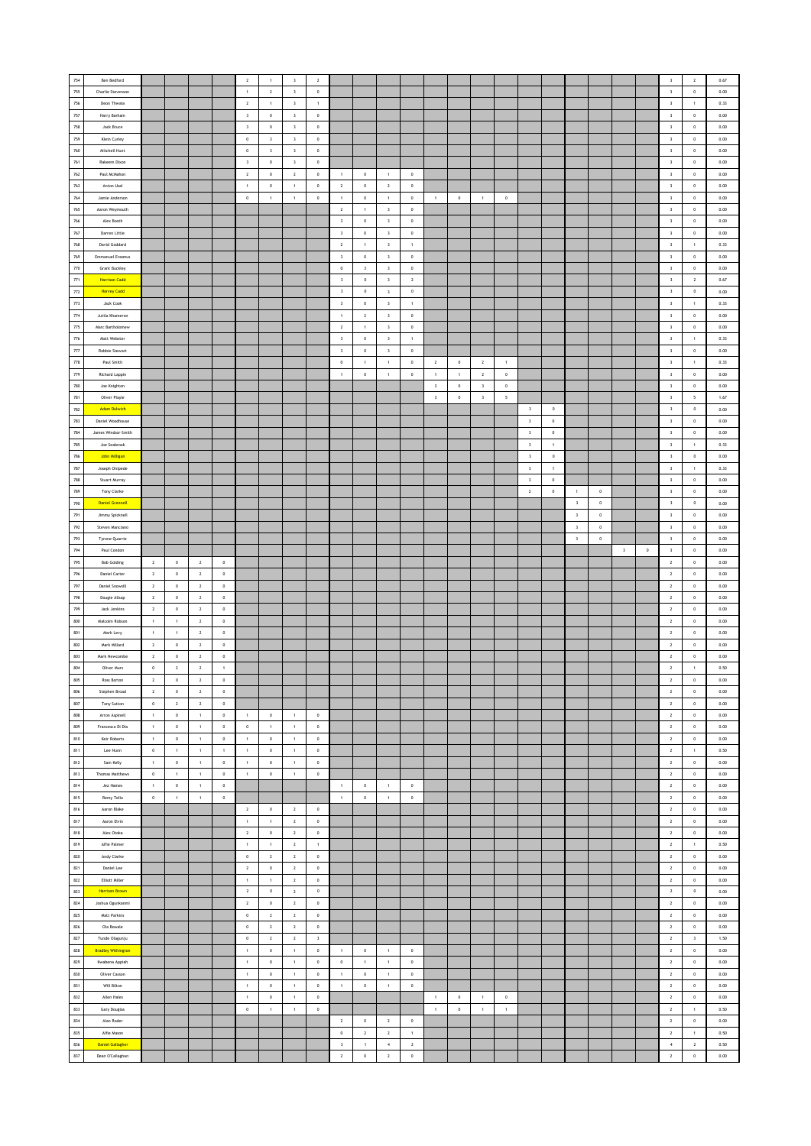|         | Ben Bedford               |                |                |                         |              | $\overline{2}$          | $\mathbf{1}$            | $\overline{\mathbf{3}}$ | $\overline{2}$ |                         |                |                         |                |                         |                |                         |             |                         |              |                         |                |                         |             | $\overline{\mathbf{3}}$ |                | 0.67 |
|---------|---------------------------|----------------|----------------|-------------------------|--------------|-------------------------|-------------------------|-------------------------|----------------|-------------------------|----------------|-------------------------|----------------|-------------------------|----------------|-------------------------|-------------|-------------------------|--------------|-------------------------|----------------|-------------------------|-------------|-------------------------|----------------|------|
| 754     |                           |                |                |                         |              |                         |                         |                         |                |                         |                |                         |                |                         |                |                         |             |                         |              |                         |                |                         |             |                         | $\overline{2}$ |      |
| 755     | Charlie Stevenson         |                |                |                         |              | $\overline{1}$          | $\,$ 2 $\,$             | $\,$ $\,$               | $\,$ 0 $\,$    |                         |                |                         |                |                         |                |                         |             |                         |              |                         |                |                         |             | $\overline{\mathbf{3}}$ | $\,$ 0 $\,$    | 0.00 |
| 756     | Deon Thwala               |                |                |                         |              | $\,$ 2                  | $\,$ 1 $\,$             | $\,$ 3                  | $\,$ 1 $\,$    |                         |                |                         |                |                         |                |                         |             |                         |              |                         |                |                         |             | $\mathbf{3}$            | $\,$ 1 $\,$    | 0.33 |
| $757\,$ | Harry Barham              |                |                |                         |              | $\,$ 3                  | $\,$ 0                  | $\overline{\mathbf{3}}$ | $\,$ 0 $\,$    |                         |                |                         |                |                         |                |                         |             |                         |              |                         |                |                         |             | $\overline{\mathbf{3}}$ | $\,$ 0 $\,$    | 0.00 |
| 758     | Jack Bruce                |                |                |                         |              | $\overline{\mathbf{3}}$ | $\,0\,$                 | $\overline{\mathbf{3}}$ | $\circ$        |                         |                |                         |                |                         |                |                         |             |                         |              |                         |                |                         |             | $\overline{\mathbf{3}}$ | $\circ$        | 0.00 |
| 759     | Klein Curley              |                |                |                         |              | $\circ$                 | $\overline{\mathbf{3}}$ | $\overline{\mathbf{3}}$ | $\,$ 0 $\,$    |                         |                |                         |                |                         |                |                         |             |                         |              |                         |                |                         |             | $\overline{\mathbf{3}}$ | $\circ$        | 0.00 |
| 760     | Mitchell Hunt             |                |                |                         |              | $\,$ 0 $\,$             | $\overline{\mathbf{3}}$ | $\overline{\mathbf{3}}$ | $\,$ 0 $\,$    |                         |                |                         |                |                         |                |                         |             |                         |              |                         |                |                         |             | $\overline{\mathbf{3}}$ | $\,$ 0 $\,$    | 0.00 |
|         |                           |                |                |                         |              |                         |                         |                         |                |                         |                |                         |                |                         |                |                         |             |                         |              |                         |                |                         |             |                         |                |      |
| $761\,$ | Rakeem Dixon              |                |                |                         |              | $\,$ 3                  | $\,$ 0 $\,$             | $\,$ 3                  | $\,$ 0 $\,$    |                         |                |                         |                |                         |                |                         |             |                         |              |                         |                |                         |             | $\,$ 3                  | $\,$ 0 $\,$    | 0.00 |
| $762\,$ | Paul McMahon              |                |                |                         |              | $\,$ 2 $\,$             | $\,$ 0                  | $\,$ 2 $\,$             | $\,$ 0         | $\overline{1}$          | $\,$ 0         | $\overline{1}$          | $\,0\,$        |                         |                |                         |             |                         |              |                         |                |                         |             | $\mathbf{3}$            | $\,0\,$        | 0.00 |
| 763     | Anton Usal                |                |                |                         |              | $\overline{1}$          | $\mathbf{0}$            | $\overline{1}$          | $\circ$        | $\overline{2}$          | $\circ$        | $\overline{2}$          | $\circ$        |                         |                |                         |             |                         |              |                         |                |                         |             | $\overline{\mathbf{3}}$ | $\circ$        | 0.00 |
| 764     | Jamie Anderson            |                |                |                         |              | $\,$ 0 $\,$             | $\,$ 1 $\,$             | $\,$ 1 $\,$             | $\,$ 0 $\,$    | $\,$ 1 $\,$             | $\mathbf 0$    | $\,1\,$                 | $\,0\,$        | $\,1\,$                 | $\,$ 0 $\,$    | $\,$ 1 $\,$             | $\mathbf 0$ |                         |              |                         |                |                         |             | $\mathbf{3}$            | $\,$ 0 $\,$    | 0.00 |
| $765\,$ | Aaron Weymouth            |                |                |                         |              |                         |                         |                         |                | $\sqrt{2}$              | $\,$ 1 $\,$    | $\,$ 3                  | $\mathbf 0$    |                         |                |                         |             |                         |              |                         |                |                         |             | $\,$ 3                  | $\,$ 0 $\,$    | 0.00 |
| 766     | Alex Booth                |                |                |                         |              |                         |                         |                         |                | $\overline{\mathbf{3}}$ | $\,$ 0 $\,$    | $\overline{\mathbf{3}}$ | $\,0\,$        |                         |                |                         |             |                         |              |                         |                |                         |             | $\overline{\mathbf{3}}$ | $\,$ 0 $\,$    | 0.00 |
| 767     | Darren Little             |                |                |                         |              |                         |                         |                         |                | $\overline{\mathbf{3}}$ | $\circ$        | $\overline{\mathbf{3}}$ | $^{\circ}$     |                         |                |                         |             |                         |              |                         |                |                         |             | $\overline{\mathbf{3}}$ | $\circ$        | 0.00 |
| 768     |                           |                |                |                         |              |                         |                         |                         |                |                         |                |                         |                |                         |                |                         |             |                         |              |                         |                |                         |             |                         |                |      |
|         | David Goddard             |                |                |                         |              |                         |                         |                         |                | $\overline{2}$          | 1              | $\overline{\mathbf{3}}$ | $\mathbf{1}$   |                         |                |                         |             |                         |              |                         |                |                         |             | $\overline{\mathbf{3}}$ | 1              | 0.33 |
| 769     | <b>Emmanuel Erasmus</b>   |                |                |                         |              |                         |                         |                         |                | $\,$ 3                  | $\mathbf 0$    | $\,$ 3                  | $\mathbb O$    |                         |                |                         |             |                         |              |                         |                |                         |             | $\mathbf{3}$            | $\,$ 0 $\,$    | 0.00 |
| $770\,$ | <b>Grant Buckley</b>      |                |                |                         |              |                         |                         |                         |                | $\,$ 0                  | $\,$ 3         | $\sqrt{3}$              | $\,0\,$        |                         |                |                         |             |                         |              |                         |                |                         |             | $\overline{\mathbf{3}}$ | $\,$ 0 $\,$    | 0.00 |
| 771     | <b>Harrison Cadd</b>      |                |                |                         |              |                         |                         |                         |                | $\overline{\mathbf{3}}$ | $\mathbb O$    | $\overline{\mathbf{3}}$ | $\overline{2}$ |                         |                |                         |             |                         |              |                         |                |                         |             | $\,$ $\,$               | $\,$ 2 $\,$    | 0.67 |
| $772\,$ | <b>Harvey Cadd</b>        |                |                |                         |              |                         |                         |                         |                | $\overline{\mathbf{3}}$ | $\mathbb O$    | $\overline{\mathbf{3}}$ | $\,$ 0         |                         |                |                         |             |                         |              |                         |                |                         |             | $\,$ $\,$               | $\,$ 0 $\,$    | 0.00 |
| $773\,$ | Jack Cook                 |                |                |                         |              |                         |                         |                         |                | $\,$ 3                  | $\mathbf 0$    | $\overline{\mathbf{3}}$ | $\,$ 1 $\,$    |                         |                |                         |             |                         |              |                         |                |                         |             | $\mathbf{3}$            | $\,$ 1 $\,$    | 0.33 |
| $774\,$ | Juttla Khameron           |                |                |                         |              |                         |                         |                         |                | $\,$ 1 $\,$             | $\mathbf{2}$   | $\overline{\mathbf{3}}$ | $\,0\,$        |                         |                |                         |             |                         |              |                         |                |                         |             | $\overline{\mathbf{3}}$ | $\,$ 0 $\,$    | 0.00 |
| 775     | Marc Bartholomew          |                |                |                         |              |                         |                         |                         |                | $\overline{2}$          | 1              | $\overline{\mathbf{3}}$ | $\circ$        |                         |                |                         |             |                         |              |                         |                |                         |             | $\overline{\mathbf{3}}$ | $\circ$        | 0.00 |
| 776     | Matt Webster              |                |                |                         |              |                         |                         |                         |                | $\,$ 3                  | $\mathbf 0$    | $\overline{\mathbf{3}}$ | $\mathbf{1}$   |                         |                |                         |             |                         |              |                         |                |                         |             | $\mathsf 3$             | $\mathbf{1}$   | 0.33 |
|         |                           |                |                |                         |              |                         |                         |                         |                |                         |                |                         |                |                         |                |                         |             |                         |              |                         |                |                         |             |                         |                |      |
| $777\,$ | Robbie Stewart            |                |                |                         |              |                         |                         |                         |                | $\,$ 3                  | $\mathbf 0$    | $\,$ 3                  | $\mathbb O$    |                         |                |                         |             |                         |              |                         |                |                         |             | $\,$ 3                  | $\,$ 0 $\,$    | 0.00 |
| 778     | Paul Smith                |                |                |                         |              |                         |                         |                         |                | $\,$ 0                  | $\,$ 1 $\,$    | $\overline{1}$          | $\,0\,$        | $\overline{2}$          | $\,0\,$        | $\overline{2}$          | $\,$ 1 $\,$ |                         |              |                         |                |                         |             | $\mathbf{3}$            | $\,$ 1 $\,$    | 0.33 |
| 779     | Richard Lappin            |                |                |                         |              |                         |                         |                         |                | $\overline{1}$          | $\circ$        | $\mathbf{1}$            | $\circ$        | $\overline{1}$          | $\overline{1}$ | $\overline{2}$          | $\circ$     |                         |              |                         |                |                         |             | $\overline{\mathbf{3}}$ | $\circ$        | 0.00 |
| 780     | Joe Knighton              |                |                |                         |              |                         |                         |                         |                |                         |                |                         |                | $\overline{\mathbf{3}}$ | $\mathbf 0$    | $\overline{\mathbf{3}}$ | $\mathbf 0$ |                         |              |                         |                |                         |             | $\mathbf{3}$            | $\,$ 0 $\,$    | 0.00 |
| 781     | Oliver Playle             |                |                |                         |              |                         |                         |                         |                |                         |                |                         |                | $\,$ 3                  | $\,$ 0 $\,$    | $\,$ $\,$               | 5           |                         |              |                         |                |                         |             | $\,$ 3                  | $\sf s$        | 1.67 |
| 782     | <b>Adam Dulwich</b>       |                |                |                         |              |                         |                         |                         |                |                         |                |                         |                |                         |                |                         |             | $\overline{\mathbf{3}}$ | $\,0\,$      |                         |                |                         |             | $\overline{\mathbf{3}}$ | $\,$ 0 $\,$    | 0.00 |
| 783     | Daniel Woodhouse          |                |                |                         |              |                         |                         |                         |                |                         |                |                         |                |                         |                |                         |             | $\,$ 3 $\,$             | $\,$ 0 $\,$  |                         |                |                         |             | $\overline{\mathbf{3}}$ | $\,0\,$        | 0.00 |
| 784     | James Windsor-Smith       |                |                |                         |              |                         |                         |                         |                |                         |                |                         |                |                         |                |                         |             | $\overline{\mathbf{3}}$ | $\circ$      |                         |                |                         |             | $\overline{\mathbf{3}}$ | $\circ$        | 0.00 |
|         |                           |                |                |                         |              |                         |                         |                         |                |                         |                |                         |                |                         |                |                         |             |                         |              |                         |                |                         |             |                         |                |      |
| 785     | Joe Seabrook              |                |                |                         |              |                         |                         |                         |                |                         |                |                         |                |                         |                |                         |             | $\overline{\mathbf{3}}$ | $\mathbf{1}$ |                         |                |                         |             | $\overline{\mathbf{3}}$ | $\mathbf{1}$   | 0.33 |
| 786     | <b>John Milligan</b>      |                |                |                         |              |                         |                         |                         |                |                         |                |                         |                |                         |                |                         |             | $\overline{\mathbf{3}}$ | $\bf 0$      |                         |                |                         |             | $\,$ 3                  | $\mathbf 0$    | 0.00 |
| 787     | Joseph Onipede            |                |                |                         |              |                         |                         |                         |                |                         |                |                         |                |                         |                |                         |             | $\,$ 3                  | $\,$ 1 $\,$  |                         |                |                         |             | $\mathbf{3}$            | $\,$ 1 $\,$    | 0.33 |
| 788     | Stuart Murray             |                |                |                         |              |                         |                         |                         |                |                         |                |                         |                |                         |                |                         |             | $\overline{\mathbf{3}}$ | $\circ$      |                         |                |                         |             | $\overline{\mathbf{3}}$ | $\circ$        | 0.00 |
| 789     | Tony Clarke               |                |                |                         |              |                         |                         |                         |                |                         |                |                         |                |                         |                |                         |             | $\,$ 2 $\,$             | $\,$ 0 $\,$  | $\,$ 1 $\,$             | $\,$ 0 $\,$    |                         |             | $\overline{\mathbf{3}}$ | $\,$ 0 $\,$    | 0.00 |
| 790     | <b>Daniel Grennell</b>    |                |                |                         |              |                         |                         |                         |                |                         |                |                         |                |                         |                |                         |             |                         |              | $\overline{\mathbf{3}}$ | $\,0\,$        |                         |             | $\,$ 3 $\,$             | $\,$ 0         | 0.00 |
| 791     | Jimmy Spicknell           |                |                |                         |              |                         |                         |                         |                |                         |                |                         |                |                         |                |                         |             |                         |              | $\,$ $\,$               | $\,0\,$        |                         |             | $\overline{\mathbf{3}}$ | $\,$ 0 $\,$    | 0.00 |
| 792     | Steven Manciano           |                |                |                         |              |                         |                         |                         |                |                         |                |                         |                |                         |                |                         |             |                         |              | $\overline{\mathbf{3}}$ | $\overline{0}$ |                         |             | $\overline{\mathbf{3}}$ | $\circ$        | 0.00 |
| 793     |                           |                |                |                         |              |                         |                         |                         |                |                         |                |                         |                |                         |                |                         |             |                         |              |                         |                |                         |             |                         |                |      |
|         | Tyrone Quarrie            |                |                |                         |              |                         |                         |                         |                |                         |                |                         |                |                         |                |                         |             |                         |              | $\,$ 3                  | $\,$ 0 $\,$    |                         |             | $\overline{\mathbf{3}}$ | $\mathbf 0$    | 0.00 |
| 794     | Paul Condon               |                |                |                         |              |                         |                         |                         |                |                         |                |                         |                |                         |                |                         |             |                         |              |                         |                | $\overline{\mathbf{3}}$ | $\mathbf 0$ | $\mathbf{3}$            | $\,$ 0 $\,$    | 0.00 |
| 795     | <b>Bob Golding</b>        | $\overline{2}$ | $\,0\,$        | $\overline{\mathbf{z}}$ | $\,0\,$      |                         |                         |                         |                |                         |                |                         |                |                         |                |                         |             |                         |              |                         |                |                         |             | $\mathbf{2}$            | $\,0\,$        | 0.00 |
| 796     | <b>Daniel Carter</b>      | $\overline{2}$ | $\,$ 0 $\,$    | $\overline{2}$          | $\circ$      |                         |                         |                         |                |                         |                |                         |                |                         |                |                         |             |                         |              |                         |                |                         |             | $\overline{2}$          | $\circ$        | 0.00 |
| 797     | <b>Daniel Snowsill</b>    | $\overline{2}$ | $\,$ 0 $\,$    | $\overline{2}$          | $\,0\,$      |                         |                         |                         |                |                         |                |                         |                |                         |                |                         |             |                         |              |                         |                |                         |             | $\overline{2}$          | $\,$ 0 $\,$    | 0.00 |
| 798     | Dougie Allsop             | $\overline{2}$ | $\,$ 0 $\,$    | $\overline{2}$          | $\mathbb O$  |                         |                         |                         |                |                         |                |                         |                |                         |                |                         |             |                         |              |                         |                |                         |             | $\mathbf{2}$            | $\,$ 0 $\,$    | 0.00 |
| 799     | Jack Jenkins              | $\overline{2}$ | $\,0\,$        | $\overline{2}$          | $\,0\,$      |                         |                         |                         |                |                         |                |                         |                |                         |                |                         |             |                         |              |                         |                |                         |             | $\overline{2}$          | $\,$ 0 $\,$    | 0.00 |
| 800     | Malcolm Robson            | $\overline{1}$ | 1              | $\overline{2}$          | $\,$ 0 $\,$  |                         |                         |                         |                |                         |                |                         |                |                         |                |                         |             |                         |              |                         |                |                         |             | $\overline{2}$          | $\circ$        | 0.00 |
| 801     | Mark Levy                 | $\overline{1}$ | $\mathbf{1}$   | $\overline{2}$          | $\mathbb O$  |                         |                         |                         |                |                         |                |                         |                |                         |                |                         |             |                         |              |                         |                |                         |             | $\overline{2}$          | $\mathbf 0$    | 0.00 |
| $802\,$ | Mark Millard              | $\sqrt{2}$     | $\mathbb O$    | $\sqrt{2}$              | $\mathbf 0$  |                         |                         |                         |                |                         |                |                         |                |                         |                |                         |             |                         |              |                         |                |                         |             | $\mathbf{2}$            | $\mathbf 0$    | 0.00 |
|         |                           |                |                |                         |              |                         |                         |                         |                |                         |                |                         |                |                         |                |                         |             |                         |              |                         |                |                         |             |                         |                |      |
| 803     | Mark Newcombe             | $\overline{2}$ | $\,0\,$        | $\overline{2}$          | $\,0\,$      |                         |                         |                         |                |                         |                |                         |                |                         |                |                         |             |                         |              |                         |                |                         |             | $\mathbf{2}$            | $\,$ 0 $\,$    | 0.00 |
| 804     | Oliver Murs               | $\,$ 0 $\,$    | $\overline{2}$ | $\overline{2}$          | $\mathbf{1}$ |                         |                         |                         |                |                         |                |                         |                |                         |                |                         |             |                         |              |                         |                |                         |             | $\mathbf{2}$            | $\mathbf{1}$   | 0.50 |
| 805     | Ross Borton               | $\overline{2}$ | $^{\circ}$     | $\overline{2}$          | $^{\circ}$   |                         |                         |                         |                |                         |                |                         |                |                         |                |                         |             |                         |              |                         |                |                         |             | $\overline{2}$          | $^{\circ}$     | 0.00 |
| 806     | Stephen Broad             | $\sqrt{2}$     | $\mathbb O$    | $\sqrt{2}$              | $\mathbf 0$  |                         |                         |                         |                |                         |                |                         |                |                         |                |                         |             |                         |              |                         |                |                         |             | $\mathbf{2}$            | $\,$ 0 $\,$    | 0.00 |
| 807     | Tony Sutton               | $\,$ 0         | $\mathbf{2}$   | $\overline{2}$          | $\mathbf 0$  |                         |                         |                         |                |                         |                |                         |                |                         |                |                         |             |                         |              |                         |                |                         |             |                         | $\,$ 0 $\,$    | 0.00 |
| 808     | Arron Aspinell            | $\,$ 1 $\,$    | $\,0\,$        |                         |              |                         |                         |                         |                |                         |                |                         |                |                         |                |                         |             |                         |              |                         |                |                         |             | $\mathbf{2}$            |                | 0.00 |
| 809     | Francesco Di Dia          | 1              |                | $\,1\,$                 | $\,0\,$      | $\,$ 1                  | $\,$ 0                  | $\,$ 1 $\,$             | $\,$ 0 $\,$    |                         |                |                         |                |                         |                |                         |             |                         |              |                         |                |                         |             | $\overline{2}$          | $\,$ 0 $\,$    |      |
| 810     | Keir Roberts              |                | $\circ$        | 1                       | $\circ$      | $\circ$                 | $\,$ 1 $\,$             | 1                       | $\mathbf 0$    |                         |                |                         |                |                         |                |                         |             |                         |              |                         |                |                         |             | $\overline{2}$          | $\circ$        | 0.00 |
| 811     |                           | $\overline{1}$ | $\mathbb O$    | $\overline{1}$          | $\circ$      | $\mathbf{1}$            | $\,0\,$                 | $\overline{1}$          | $\,$ 0 $\,$    |                         |                |                         |                |                         |                |                         |             |                         |              |                         |                |                         |             | $\overline{2}$          | $\,$ 0 $\,$    | 0.00 |
|         |                           |                |                |                         |              |                         |                         |                         |                |                         |                |                         |                |                         |                |                         |             |                         |              |                         |                |                         |             |                         |                |      |
|         | Lee Nunn                  | $\,0\,$        | $\,$ 1 $\,$    | $\mathbf 1$             | $\,$ 1 $\,$  | $\,$ 1 $\,$             | $\,$ 0 $\,$             | $\,$ 1 $\,$             | $\,$ 0 $\,$    |                         |                |                         |                |                         |                |                         |             |                         |              |                         |                |                         |             | $\mathbf{2}$            | $\,$ 1 $\,$    | 0.50 |
| 812     | Sam Kelly                 | $\,$ 1 $\,$    | $\,$ 0         | $\,$ 1 $\,$             | $\,$ 0       | $\,$ 1 $\,$             | $\,$ 0                  | $\,$ 1 $\,$             | $\,$ 0         |                         |                |                         |                |                         |                |                         |             |                         |              |                         |                |                         |             | $\mathbf{2}$            | $\,$ 0         | 0.00 |
| 813     | Thomas Matthews           | $\circ$        | $\mathbf{1}$   | $\,$ 1 $\,$             | $^{\circ}$   | $\,$ 1 $\,$             | $\,$ 0                  | $\,$ 1 $\,$             | $\,$ 0         |                         |                |                         |                |                         |                |                         |             |                         |              |                         |                |                         |             | $\overline{2}$          | $\,$ 0 $\,$    | 0.00 |
| 814     | Jez Hames                 | $\,$ 1 $\,$    | $\mathbb O$    | $\,$ 1 $\,$             | $\,$ 0 $\,$  |                         |                         |                         |                | $\overline{1}$          | $\,$ 0 $\,$    | $\overline{1}$          | $\,0\,$        |                         |                |                         |             |                         |              |                         |                |                         |             | $\overline{\mathbf{2}}$ | $\,$ 0 $\,$    | 0.00 |
| 815     | Remy Tello                | $\,$ 0         | $\,$ 1 $\,$    | $\,$ 1 $\,$             | $\mathbf 0$  |                         |                         |                         |                | $\,$ 1 $\,$             | $\mathbf 0$    | $\,$ 1 $\,$             | $\mathbf 0$    |                         |                |                         |             |                         |              |                         |                |                         |             | $\mathbf{2}$            | $\,$ 0 $\,$    | 0.00 |
| 816     | Aaron Blake               |                |                |                         |              | $\overline{2}$          | $\,$ 0 $\,$             | $\overline{2}$          | $\,$ 0 $\,$    |                         |                |                         |                |                         |                |                         |             |                         |              |                         |                |                         |             | $\overline{2}$          | $\,$ 0 $\,$    | 0.00 |
| 817     | Aaron Elvin               |                |                |                         |              | $\overline{1}$          | $\mathbf{1}$            | $\overline{2}$          | $\circ$        |                         |                |                         |                |                         |                |                         |             |                         |              |                         |                |                         |             | $\overline{2}$          | $\circ$        | 0.00 |
| 818     | Alex Otoka                |                |                |                         |              | $\,$ 2 $\,$             | $\mathbf 0$             | $\overline{2}$          | $\mathbf 0$    |                         |                |                         |                |                         |                |                         |             |                         |              |                         |                |                         |             | $\overline{\mathbf{2}}$ | $\mathbf 0$    | 0.00 |
| 819     | Alfie Palmer              |                |                |                         |              | $\,$ 1 $\,$             | $\,$ 1 $\,$             | $\,$ 2 $\,$             | $\,$ 1 $\,$    |                         |                |                         |                |                         |                |                         |             |                         |              |                         |                |                         |             | $\mathbf{2}$            | $\,$ 1 $\,$    | 0.50 |
| 820     | Andy Clarke               |                |                |                         |              | $\,$ 0 $\,$             | $\mathbf{2}$            | $\,$ 2 $\,$             | $\,$ 0 $\,$    |                         |                |                         |                |                         |                |                         |             |                         |              |                         |                |                         |             | $\mathbf{2}$            | $\,$ 0 $\,$    | 0.00 |
| 821     | Daniel Lee                |                |                |                         |              | $\overline{2}$          | $\mathbf{0}$            | $\overline{2}$          | $\circ$        |                         |                |                         |                |                         |                |                         |             |                         |              |                         |                |                         |             | $\overline{2}$          | $\circ$        | 0.00 |
|         |                           |                |                |                         |              |                         |                         |                         |                |                         |                |                         |                |                         |                |                         |             |                         |              |                         |                |                         |             |                         |                |      |
| 822     | Elliott Miller            |                |                |                         |              | $\mathbf{1}$            | $\mathbf{1}$            | $\overline{2}$          | $\,$ 0 $\,$    |                         |                |                         |                |                         |                |                         |             |                         |              |                         |                |                         |             | $\overline{2}$          | $\,$ 0 $\,$    | 0.00 |
| 823     | <b>Harrison Brown</b>     |                |                |                         |              | $\,$ 2 $\,$             | $\,$ 0                  | $\overline{2}$          | $\mathbb O$    |                         |                |                         |                |                         |                |                         |             |                         |              |                         |                |                         |             | $\mathbf{2}$            | $\,$ 0 $\,$    | 0.00 |
| 824     | Joshua Ogunkanmi          |                |                |                         |              | $\overline{2}$          | $\,$ 0                  | $\overline{2}$          | $\,$ 0 $\,$    |                         |                |                         |                |                         |                |                         |             |                         |              |                         |                |                         |             | $\overline{2}$          | $\,$ 0 $\,$    | 0.00 |
| 825     | Matt Parkins              |                |                |                         |              | $\circ$                 | $\overline{2}$          | $\overline{2}$          | $\circ$        |                         |                |                         |                |                         |                |                         |             |                         |              |                         |                |                         |             | $\overline{2}$          | $\circ$        | 0.00 |
| 826     | Ola Bowale                |                |                |                         |              | $\,$ 0 $\,$             | $\,$ 2 $\,$             | $\overline{2}$          | $\,$ 0 $\,$    |                         |                |                         |                |                         |                |                         |             |                         |              |                         |                |                         |             | $\overline{2}$          | $\,$ 0 $\,$    | 0.00 |
| 827     | Tunde Olagunju            |                |                |                         |              | $\mathbf 0$             | $\mathbf{2}$            | $\,$ 2 $\,$             | $\,$ 3 $\,$    |                         |                |                         |                |                         |                |                         |             |                         |              |                         |                |                         |             | $\mathbf{2}$            | $\,$ $\,$      | 1.50 |
| 828     | <b>Bradley Withington</b> |                |                |                         |              | $\,$ 1                  | $\,$ 0                  | $\,$ 1 $\,$             | $\,$ 0         | $\,$ 1 $\,$             | $\,$ 0         | $\,$ 1 $\,$             | $\,0\,$        |                         |                |                         |             |                         |              |                         |                |                         |             | $\mathbf{2}$            | $\,0\,$        | 0.00 |
|         |                           |                |                |                         |              |                         | $\,$ 0                  |                         | $\,$ 0         | $\overline{0}$          | $\mathbf{1}$   | $\overline{1}$          | $\circ$        |                         |                |                         |             |                         |              |                         |                |                         |             | $\overline{2}$          | $\circ$        | 0.00 |
| 829     | Kwabena Appiah            |                |                |                         |              | $\,$ 1 $\,$             |                         | 1                       |                |                         |                |                         |                |                         |                |                         |             |                         |              |                         |                |                         |             |                         |                |      |
| 830     | Oliver Casson             |                |                |                         |              | $\mathbf{1}$            | $\mathbf{0}$            | $\mathbf{1}$            | $\circ$        | $\overline{1}$          | $\circ$        | $\mathbf{1}$            | $\circ$        |                         |                |                         |             |                         |              |                         |                |                         |             | $\overline{2}$          | $\circ$        | 0.00 |
| 831     | Will Bilton               |                |                |                         |              | $\,$ 1 $\,$             | $\,$ 0 $\,$             | 1                       | $\,$ 0 $\,$    | $\,$ 1 $\,$             | $\mathbf 0$    | $\,$ 1 $\,$             | $\mathbb O$    |                         |                |                         |             |                         |              |                         |                |                         |             | $\mathbf{2}$            | $\mathbf 0$    | 0.00 |
| 832     | Allen Hales               |                |                |                         |              | $\,$ 1 $\,$             | $\,$ 0 $\,$             | $\,$ 1 $\,$             | $\,$ 0 $\,$    |                         |                |                         |                | $\,$ 1 $\,$             | $\,$ 0 $\,$    | $\,$ 1 $\,$             | $\,$ 0 $\,$ |                         |              |                         |                |                         |             | $\mathbf{2}$            | $\,$ 0 $\,$    | 0.00 |
| 833     | Gary Douglas              |                |                |                         |              | $\,$ 0 $\,$             | $\,$ 1 $\,$             | $\,$ 1 $\,$             | $\,$ 0 $\,$    |                         |                |                         |                | $\,$ 1 $\,$             | $\,$ 0 $\,$    | $\mathbf{1}$            | $\mathbf 1$ |                         |              |                         |                |                         |             | $\overline{2}$          | $\mathbf 1$    | 0.50 |
| 834     | Alan Roder                |                |                |                         |              |                         |                         |                         |                | $\overline{2}$          | $\circ$        | $\overline{2}$          | $\circ$        |                         |                |                         |             |                         |              |                         |                |                         |             | $\overline{2}$          | $\circ$        | 0.00 |
| 835     | Alfie Mason               |                |                |                         |              |                         |                         |                         |                | $\,$ 0 $\,$             | $\overline{2}$ | $\overline{2}$          | $\mathbf{1}$   |                         |                |                         |             |                         |              |                         |                |                         |             | $\overline{2}$          | $\mathbf{1}$   | 0.50 |
| 836     | <b>Daniel Gallagher</b>   |                |                |                         |              |                         |                         |                         |                | $\overline{\mathbf{3}}$ | $\,$ 1 $\,$    | $\,$ 4 $\,$             | $\mathbf 2$    |                         |                |                         |             |                         |              |                         |                |                         |             | $\,$ 4 $\,$             | $\mathbf{2}$   | 0.50 |
| 837     | Dean O'Callaghan          |                |                |                         |              |                         |                         |                         |                | $\,$ 2 $\,$             | $\,$ 0 $\,$    | $\overline{2}$          | $\,$ 0 $\,$    |                         |                |                         |             |                         |              |                         |                |                         |             | $\mathbf{2}$            | $\,$ 0         | 0.00 |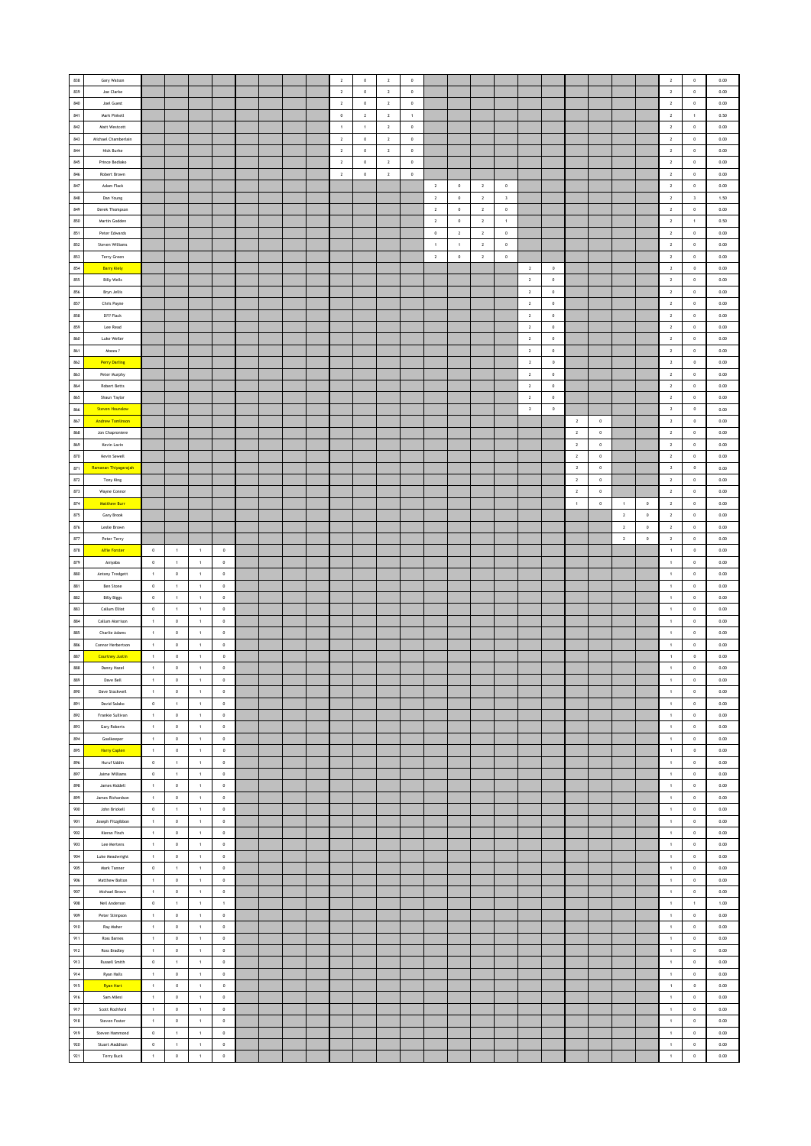| 838        |                               |                        |                        |                            |                            |  |  | $\overline{2}$ | $\mathbf 0$  | $\sqrt{2}$     | $\mathbb O$ |                |              |                |                         |                         |             |                |             |                |             | $\overline{2}$         | $\,$ 0 $\,$                | 0.00 |
|------------|-------------------------------|------------------------|------------------------|----------------------------|----------------------------|--|--|----------------|--------------|----------------|-------------|----------------|--------------|----------------|-------------------------|-------------------------|-------------|----------------|-------------|----------------|-------------|------------------------|----------------------------|------|
|            | Gary Watson                   |                        |                        |                            |                            |  |  |                |              |                |             |                |              |                |                         |                         |             |                |             |                |             |                        |                            |      |
| 839        | Joe Clarke                    |                        |                        |                            |                            |  |  | $\overline{2}$ | $\mathbf 0$  | $\sqrt{2}$     | $\,$ 0 $\,$ |                |              |                |                         |                         |             |                |             |                |             | $\overline{2}$         | $\circ$                    | 0.00 |
| 840        | Joel Guest                    |                        |                        |                            |                            |  |  | $\,$ 2 $\,$    | $\mathbf 0$  | $\overline{2}$ | $\,$ 0 $\,$ |                |              |                |                         |                         |             |                |             |                |             | $\mathbf{2}$           | $\mathbf 0$                | 0.00 |
| 841        | Mark Pinkell                  |                        |                        |                            |                            |  |  | $\,$ 0         | $\mathbf{2}$ | $\mathbf 2$    | $\,$ 1 $\,$ |                |              |                |                         |                         |             |                |             |                |             | $\mathbf{2}$           | $\,$ 1 $\,$                | 0.50 |
|            |                               |                        |                        |                            |                            |  |  |                |              |                |             |                |              |                |                         |                         |             |                |             |                |             |                        |                            |      |
| 842        | Matt Westcott                 |                        |                        |                            |                            |  |  | $\overline{1}$ | $\,$ 1 $\,$  | $\,$ 2         | $\,$ 0 $\,$ |                |              |                |                         |                         |             |                |             |                |             | $\mathbf{2}$           | $\,$ 0 $\,$                | 0.00 |
| $843\,$    | Michael Chamberlain           |                        |                        |                            |                            |  |  | $\overline{2}$ | $\,$ 0       | $\overline{2}$ | $\,0\,$     |                |              |                |                         |                         |             |                |             |                |             | $\overline{2}$         | $\,0\,$                    | 0.00 |
| 844        | Nick Burke                    |                        |                        |                            |                            |  |  | $\overline{2}$ | $\bf{0}$     | $\overline{2}$ | $\circ$     |                |              |                |                         |                         |             |                |             |                |             | $\mathbf{2}$           | $\circ$                    | 0.00 |
|            |                               |                        |                        |                            |                            |  |  |                |              |                |             |                |              |                |                         |                         |             |                |             |                |             |                        |                            |      |
| 845        | Prince Bediako                |                        |                        |                            |                            |  |  | $\overline{2}$ | $\,$ 0 $\,$  | $\overline{2}$ | $\,0\,$     |                |              |                |                         |                         |             |                |             |                |             | $\overline{2}$         | $\,$ 0 $\,$                | 0.00 |
| 846        | Robert Brown                  |                        |                        |                            |                            |  |  | $\sqrt{2}$     | $\mathbf 0$  | $\sqrt{2}$     | $\mathbb O$ |                |              |                |                         |                         |             |                |             |                |             | $\mathbf{2}$           | $\,$ 0 $\,$                | 0.00 |
| $847\,$    |                               |                        |                        |                            |                            |  |  |                |              |                |             |                |              |                |                         |                         |             |                |             |                |             |                        |                            |      |
|            | Adam Flack                    |                        |                        |                            |                            |  |  |                |              |                |             | $\overline{2}$ | $\,$ 0 $\,$  | $\overline{2}$ | $\,$ 0 $\,$             |                         |             |                |             |                |             | $\overline{2}$         | $\,$ 0 $\,$                | 0.00 |
| 848        | Dan Young                     |                        |                        |                            |                            |  |  |                |              |                |             | $\sqrt{2}$     | $\circ$      | $\overline{2}$ | $\overline{\mathbf{3}}$ |                         |             |                |             |                |             | $\overline{2}$         | $\overline{\mathbf{3}}$    | 1.50 |
| 849        | Derek Thompson                |                        |                        |                            |                            |  |  |                |              |                |             | $\sqrt{2}$     | $\mathbf 0$  | $\overline{2}$ | $\mathbf 0$             |                         |             |                |             |                |             | $\mathbf{2}$           | $\mathbf 0$                | 0.00 |
|            |                               |                        |                        |                            |                            |  |  |                |              |                |             |                |              |                |                         |                         |             |                |             |                |             |                        |                            |      |
| 850        | Martin Godden                 |                        |                        |                            |                            |  |  |                |              |                |             | $\mathbf 2$    | $\,$ 0 $\,$  | $\,$ 2 $\,$    | $\,$ 1 $\,$             |                         |             |                |             |                |             | $\mathbf{2}$           | $\,$ 1 $\,$                | 0.50 |
| 851        | Peter Edwards                 |                        |                        |                            |                            |  |  |                |              |                |             | $\,0\,$        | $\,$ 2 $\,$  | $\sqrt{2}$     | $\,$ 0 $\,$             |                         |             |                |             |                |             | $\overline{2}$         | $\,$ 0 $\,$                | 0.00 |
| 852        | Steven Williams               |                        |                        |                            |                            |  |  |                |              |                |             | $\overline{1}$ | $\mathbf{1}$ | $\overline{2}$ | $\mathbf 0$             |                         |             |                |             |                |             | $\overline{2}$         | $\circ$                    | 0.00 |
|            |                               |                        |                        |                            |                            |  |  |                |              |                |             |                |              |                |                         |                         |             |                |             |                |             |                        |                            |      |
| 853        | Terry Green                   |                        |                        |                            |                            |  |  |                |              |                |             | $\sqrt{2}$     | $\mathbf 0$  | $\,$ 2 $\,$    | $\mathbf 0$             |                         |             |                |             |                |             | $\mathbf{2}$           | $\mathbf 0$                | 0.00 |
| 854        | <b>Barry Kiely</b>            |                        |                        |                            |                            |  |  |                |              |                |             |                |              |                |                         | $\overline{2}$          | $\,0\,$     |                |             |                |             | $\mathbf{2}$           | $\,$ 0                     | 0.00 |
| 855        | <b>Billy Wells</b>            |                        |                        |                            |                            |  |  |                |              |                |             |                |              |                |                         | $\overline{2}$          | $\,$ 0 $\,$ |                |             |                |             | $\mathbf{2}$           | $\,$ 0 $\,$                | 0.00 |
|            |                               |                        |                        |                            |                            |  |  |                |              |                |             |                |              |                |                         |                         |             |                |             |                |             |                        |                            |      |
| 856        | Bryn Jellis                   |                        |                        |                            |                            |  |  |                |              |                |             |                |              |                |                         | $\overline{2}$          | $\circ$     |                |             |                |             | $\overline{2}$         | $\circ$                    | 0.00 |
| 857        | Chris Payne                   |                        |                        |                            |                            |  |  |                |              |                |             |                |              |                |                         | $\overline{2}$          | $\mathbf 0$ |                |             |                |             | $\overline{2}$         | $\,$ 0 $\,$                | 0.00 |
| 858        | D??? Flack                    |                        |                        |                            |                            |  |  |                |              |                |             |                |              |                |                         | $\,$ 2 $\,$             | $\mathbf 0$ |                |             |                |             | $\mathbf{2}$           | $\,$ 0 $\,$                | 0.00 |
|            |                               |                        |                        |                            |                            |  |  |                |              |                |             |                |              |                |                         |                         |             |                |             |                |             |                        |                            |      |
| 859        | Lee Read                      |                        |                        |                            |                            |  |  |                |              |                |             |                |              |                |                         | $\overline{\mathbf{z}}$ | $\,$ 0      |                |             |                |             | $\overline{2}$         | $\,$ 0 $\,$                | 0.00 |
| 860        | Luke Weller                   |                        |                        |                            |                            |  |  |                |              |                |             |                |              |                |                         | $\overline{2}$          | $\,$ 0 $\,$ |                |             |                |             | $\overline{2}$         | $\circ$                    | 0.00 |
| 861        | Mozza?                        |                        |                        |                            |                            |  |  |                |              |                |             |                |              |                |                         | $\,$ 2 $\,$             | $\,$ 0 $\,$ |                |             |                |             | $\mathbf{2}$           | $\,$ 0 $\,$                | 0.00 |
|            |                               |                        |                        |                            |                            |  |  |                |              |                |             |                |              |                |                         |                         |             |                |             |                |             |                        |                            |      |
| 862        | <b>Perry Darling</b>          |                        |                        |                            |                            |  |  |                |              |                |             |                |              |                |                         | $\sqrt{2}$              | $\mathbb O$ |                |             |                |             | $\,$ 2 $\,$            | $\,$ 0 $\,$                | 0.00 |
| 863        | Peter Murphy                  |                        |                        |                            |                            |  |  |                |              |                |             |                |              |                |                         | $\overline{2}$          | $\,$ 0 $\,$ |                |             |                |             | $\overline{2}$         | $\,$ 0 $\,$                | 0.00 |
| 864        | Robert Betts                  |                        |                        |                            |                            |  |  |                |              |                |             |                |              |                |                         | $\overline{2}$          | $\,$ 0 $\,$ |                |             |                |             | $\overline{2}$         | $\circ$                    | 0.00 |
|            |                               |                        |                        |                            |                            |  |  |                |              |                |             |                |              |                |                         |                         |             |                |             |                |             |                        |                            |      |
| 865        | Shaun Taylor                  |                        |                        |                            |                            |  |  |                |              |                |             |                |              |                |                         | $\,$ 2 $\,$             | $\,$ 0 $\,$ |                |             |                |             | $\mathbf{2}$           | $\mathbf 0$                | 0.00 |
| 866        | <b>Steven Hounslow</b>        |                        |                        |                            |                            |  |  |                |              |                |             |                |              |                |                         | $\sqrt{2}$              | $\mathbf 0$ |                |             |                |             | $\,$ 2 $\,$            | $\mathbf 0$                | 0.00 |
|            | <b>Andrew Tomlinson</b>       |                        |                        |                            |                            |  |  |                |              |                |             |                |              |                |                         |                         |             | $\sqrt{2}$     |             |                |             | $\mathbf{2}$           |                            |      |
| 867        |                               |                        |                        |                            |                            |  |  |                |              |                |             |                |              |                |                         |                         |             |                | $\,0\,$     |                |             |                        | $\,$ 0                     | 0.00 |
| 868        | Jon Chaproniere               |                        |                        |                            |                            |  |  |                |              |                |             |                |              |                |                         |                         |             | $\,$ 2 $\,$    | $\,$ 0 $\,$ |                |             | $\mathbf{2}$           | $\,$ 0 $\,$                | 0.00 |
| 869        | Kevin Lavin                   |                        |                        |                            |                            |  |  |                |              |                |             |                |              |                |                         |                         |             | $\,$ 2 $\,$    | $\,$ 0 $\,$ |                |             | $\overline{2}$         | $\circ$                    | 0.00 |
| 870        | Kevin Sewell                  |                        |                        |                            |                            |  |  |                |              |                |             |                |              |                |                         |                         |             | $\,$ 2 $\,$    | $\,$ 0 $\,$ |                |             | $\overline{2}$         | $\,$ 0 $\,$                | 0.00 |
|            |                               |                        |                        |                            |                            |  |  |                |              |                |             |                |              |                |                         |                         |             |                |             |                |             |                        |                            |      |
| 871        | Ramanan Thiyagarajah          |                        |                        |                            |                            |  |  |                |              |                |             |                |              |                |                         |                         |             | $\overline{2}$ | $\,$ 0      |                |             | $\overline{2}$         | $\,$ 0                     | 0.00 |
| $872\,$    | Tony King                     |                        |                        |                            |                            |  |  |                |              |                |             |                |              |                |                         |                         |             | $\overline{2}$ | $\,$ 0 $\,$ |                |             | $\overline{2}$         | $\,$ 0 $\,$                | 0.00 |
| 873        | Wayne Connor                  |                        |                        |                            |                            |  |  |                |              |                |             |                |              |                |                         |                         |             | $\,$ 2 $\,$    | $\circ$     |                |             | $\overline{2}$         | $\circ$                    | 0.00 |
|            |                               |                        |                        |                            |                            |  |  |                |              |                |             |                |              |                |                         |                         |             |                |             |                |             |                        |                            |      |
| 874        | <b>Matthew Burr</b>           |                        |                        |                            |                            |  |  |                |              |                |             |                |              |                |                         |                         |             | $\overline{1}$ | $\mathbf 0$ | $\overline{1}$ | $\,$ 0 $\,$ | $\overline{2}$         | $\,$ 0 $\,$                | 0.00 |
| 875        | Gary Brook                    |                        |                        |                            |                            |  |  |                |              |                |             |                |              |                |                         |                         |             |                |             | $\sqrt{2}$     | $\mathbf 0$ | $\mathbf{2}$           | $\,$ 0 $\,$                | 0.00 |
| $876\,$    | Leslie Brown                  |                        |                        |                            |                            |  |  |                |              |                |             |                |              |                |                         |                         |             |                |             | $\sqrt{2}$     | $\,0\,$     | $\mathbf{2}$           | $\,$ 0                     | 0.00 |
| 877        | Peter Terry                   |                        |                        |                            |                            |  |  |                |              |                |             |                |              |                |                         |                         |             |                |             | $\overline{2}$ | $^{\circ}$  | $\overline{2}$         | $\circ$                    | 0.00 |
|            |                               |                        |                        |                            |                            |  |  |                |              |                |             |                |              |                |                         |                         |             |                |             |                |             |                        |                            |      |
| 878        | Alfie Forster                 | $\,$ 0                 | $\,$ 1 $\,$            | $\,$ 1 $\,$                | $\,$ 0                     |  |  |                |              |                |             |                |              |                |                         |                         |             |                |             |                |             | $\,$ 1 $\,$            | $\,$ 0 $\,$                | 0.00 |
| 879        | Aniyaba                       | $\,$ 0                 | $\,$ 1 $\,$            | $\,$ 1 $\,$                | $\mathbf 0$                |  |  |                |              |                |             |                |              |                |                         |                         |             |                |             |                |             | $\,$ 1 $\,$            | $\,$ 0 $\,$                | 0.00 |
| 880        | Antony Tredgett               | $\,$ 1 $\,$            | $\,0\,$                | $\mathbf{1}$               | $\,0\,$                    |  |  |                |              |                |             |                |              |                |                         |                         |             |                |             |                |             | 1                      | $\,$ 0 $\,$                | 0.00 |
|            |                               |                        |                        |                            |                            |  |  |                |              |                |             |                |              |                |                         |                         |             |                |             |                |             |                        |                            |      |
| 881        | <b>Ben Stone</b>              | $\circ$                | $\mathbf{1}$           | $\mathbf{1}$               | $^{\circ}$                 |  |  |                |              |                |             |                |              |                |                         |                         |             |                |             |                |             | $\mathbf{1}$           | $\circ$                    | 0.00 |
| 882        | <b>Billy Biggs</b>            | $\mathbb O$            | 1                      | $\mathbf{1}$               | $\mathbb O$                |  |  |                |              |                |             |                |              |                |                         |                         |             |                |             |                |             | $\,1\,$                | $\mathbf 0$                | 0.00 |
| 883        | Callum Elliot                 | $\,0\,$                | $\,$ 1 $\,$            | $\,$ 1 $\,$                | $\mathbf 0$                |  |  |                |              |                |             |                |              |                |                         |                         |             |                |             |                |             | $\mathbf 1$            | $\,$ 0 $\,$                | 0.00 |
|            |                               |                        |                        |                            |                            |  |  |                |              |                |             |                |              |                |                         |                         |             |                |             |                |             |                        |                            |      |
| 884        | Callum Morrison               | $\,$ 1 $\,$            | $\,$ 0                 | $\overline{1}$             | $\bf 0$                    |  |  |                |              |                |             |                |              |                |                         |                         |             |                |             |                |             | $\,$ 1 $\,$            | $\,$ 0                     | 0.00 |
| 885        | Charlie Adams                 | $\overline{1}$         | $\,$ 0 $\,$            | $\mathbf{1}$               | $\circ$                    |  |  |                |              |                |             |                |              |                |                         |                         |             |                |             |                |             | $\,1\,$                | $\circ$                    | 0.00 |
| 886        | Connor Herbertson             | $\mathbf{1}$           | $\mathbb O$            | $\overline{1}$             | $\,$ 0 $\,$                |  |  |                |              |                |             |                |              |                |                         |                         |             |                |             |                |             | $\,1\,$                | $\,$ 0 $\,$                | 0.00 |
| 887        | <b>Courtney Justin</b>        | $\,$ 1 $\,$            | $\,$ 0 $\,$            | $\,$ 1 $\,$                | $\,$ 0 $\,$                |  |  |                |              |                |             |                |              |                |                         |                         |             |                |             |                |             | $\,$ 1 $\,$            | $\,$ 0 $\,$                | 0.00 |
|            |                               |                        |                        |                            |                            |  |  |                |              |                |             |                |              |                |                         |                         |             |                |             |                |             |                        |                            |      |
| 888        | Danny Hazel                   | $\,$ 1 $\,$            | $\,0\,$                | $\,$ 1 $\,$                | $\,0\,$                    |  |  |                |              |                |             |                |              |                |                         |                         |             |                |             |                |             | $\,$ 1 $\,$            | $\,$ 0 $\,$                | 0.00 |
| 889        | Dave Bell                     | $\mathbf 1$            | $\mathfrak o$          | $\mathbf 1$                | $\mathbf 0$                |  |  |                |              |                |             |                |              |                |                         |                         |             |                |             |                |             | $\mathbf{1}$           | $\mathbf 0$                | 0.00 |
| 890        | Dave Stockwell                | $\,$ 1 $\,$            | $\mathbb O$            | $\,$ 1 $\,$                | $\,$ 0 $\,$                |  |  |                |              |                |             |                |              |                |                         |                         |             |                |             |                |             | $\,1\,$                | $\mathbf 0$                | 0.00 |
|            |                               |                        |                        |                            |                            |  |  |                |              |                |             |                |              |                |                         |                         |             |                |             |                |             |                        |                            |      |
| 891        | David Salako                  | $\mathbb O$            | $\mathbf{1}$           | $\mathbf{1}$               | $\,$ 0 $\,$                |  |  |                |              |                |             |                |              |                |                         |                         |             |                |             |                |             | $\,1\,$                | $\mathbf 0$                | 0.00 |
| 892        | Frankie Sullivan              | $\,$ 1 $\,$            | $\mathbb O$            | $\,$ 1 $\,$                | $\mathbf 0$                |  |  |                |              |                |             |                |              |                |                         |                         |             |                |             |                |             | $\,$ 1 $\,$            | $\,$ 0 $\,$                | 0.00 |
| 893        | Gary Roberts                  | $\,$ 1 $\,$            | $\,0\,$                | $\,$ 1 $\,$                | $\,0\,$                    |  |  |                |              |                |             |                |              |                |                         |                         |             |                |             |                |             | $\,$ 1 $\,$            | $\,$ 0 $\,$                | 0.00 |
|            |                               |                        |                        |                            |                            |  |  |                |              |                |             |                |              |                |                         |                         |             |                |             |                |             |                        |                            |      |
| 894        | Goalkeeper                    | $\mathbf{1}$           | $\circ$                | $\,1\,$                    | $\circ$                    |  |  |                |              |                |             |                |              |                |                         |                         |             |                |             |                |             | $\mathbf{1}$           | $\circ$                    | 0.00 |
| 895        | <b>Harry Caplen</b>           | $\,$ 1 $\,$            | $\,$ 0 $\,$            | $\,1\,$                    | $\,$ 0                     |  |  |                |              |                |             |                |              |                |                         |                         |             |                |             |                |             | $\,$ 1 $\,$            | $\,$ 0 $\,$                | 0.00 |
| 896        | Huruf Uddin                   | $\,$ 0                 | $\,1\,$                | $\,$ 1 $\,$                | $\mathbb O$                |  |  |                |              |                |             |                |              |                |                         |                         |             |                |             |                |             | $\,$ 1 $\,$            | $\,$ 0 $\,$                | 0.00 |
|            |                               |                        |                        |                            |                            |  |  |                |              |                |             |                |              |                |                         |                         |             |                |             |                |             |                        |                            |      |
| 897        | Jaime Williams                | $\circ$                | 1                      | $\,$ 1 $\,$                | $\,0\,$                    |  |  |                |              |                |             |                |              |                |                         |                         |             |                |             |                |             | $1\,$                  | $\,$ 0 $\,$                | 0.00 |
| 898        | James Kiddell                 | $\mathbf{1}$           | $\circ$                | 1                          | $\circ$                    |  |  |                |              |                |             |                |              |                |                         |                         |             |                |             |                |             | $1$                    | $\circ$                    | 0.00 |
| 899        | James Richardson              | $\overline{1}$         | $\mathbb O$            | $\overline{1}$             | $\,$ 0 $\,$                |  |  |                |              |                |             |                |              |                |                         |                         |             |                |             |                |             | 1                      | $\,$ 0 $\,$                | 0.00 |
| 900        |                               |                        |                        |                            |                            |  |  |                |              |                |             |                |              |                |                         |                         |             |                |             |                |             |                        |                            |      |
|            | John Brickell                 | $\,0\,$                | $\,$ 1 $\,$            | $\,$ 1 $\,$                | $\mathbb O$                |  |  |                |              |                |             |                |              |                |                         |                         |             |                |             |                |             | $\mathbf 1$            | $\,$ 0 $\,$                | 0.00 |
| 901        | Joseph Fitzgibbon             | $\,$ 1 $\,$            | $\,$ 0                 | $\,$ 1 $\,$                | $\,0\,$                    |  |  |                |              |                |             |                |              |                |                         |                         |             |                |             |                |             | $\,$ 1 $\,$            | $\,0\,$                    | 0.00 |
| 902        | Kieran Finch                  | $\,$ 1 $\,$            | $^{\circ}$             | $\,1\,$                    | $^{\circ}$                 |  |  |                |              |                |             |                |              |                |                         |                         |             |                |             |                |             | $\mathbf{1}$           | $\circ$                    | 0.00 |
| 903        | Lee Mertens                   | $\,$ 1 $\,$            | $\mathbb O$            | $\mathbf 1$                | $\,$ 0 $\,$                |  |  |                |              |                |             |                |              |                |                         |                         |             |                |             |                |             | $\mathbf 1$            | $\,$ 0 $\,$                | 0.00 |
|            |                               |                        |                        |                            |                            |  |  |                |              |                |             |                |              |                |                         |                         |             |                |             |                |             |                        |                            |      |
| 904        | Luke Meadwright               | $\,$ 1 $\,$            | $\mathbb O$            | $\,$ 1 $\,$                | $\mathbf 0$                |  |  |                |              |                |             |                |              |                |                         |                         |             |                |             |                |             | $\mathbf 1$            | $\,$ 0 $\,$                | 0.00 |
| 905        | Mark Tanner                   | $\bullet$              | 1                      | $\mathbf{1}$               | $\,0\,$                    |  |  |                |              |                |             |                |              |                |                         |                         |             |                |             |                |             | 1                      | $\,$ 0 $\,$                | 0.00 |
| 906        | Matthew Bolton                | $\overline{1}$         | $\,$ 0 $\,$            | $\overline{1}$             | $^{\circ}$                 |  |  |                |              |                |             |                |              |                |                         |                         |             |                |             |                |             | $\mathbf{1}$           | $\circ$                    | 0.00 |
|            |                               |                        |                        |                            |                            |  |  |                |              |                |             |                |              |                |                         |                         |             |                |             |                |             |                        |                            |      |
| 907        | Michael Brown                 | $\mathbf{1}$           | $\mathbf 0$            | $\,$ 1 $\,$                | $\mathbb O$                |  |  |                |              |                |             |                |              |                |                         |                         |             |                |             |                |             | $\,1\,$                | $\mathbf 0$                | 0.00 |
| 908        | Neil Anderson                 | $\,0\,$                | $\,$ 1 $\,$            | $\,$ 1 $\,$                | $\,$ 1 $\,$                |  |  |                |              |                |             |                |              |                |                         |                         |             |                |             |                |             | $\mathbf 1$            | $\,$ 1 $\,$                | 1.00 |
| 909        | Peter Stimpson                | $\,$ 1 $\,$            | $\mathbb O$            | $\,$ 1 $\,$                | $\,0\,$                    |  |  |                |              |                |             |                |              |                |                         |                         |             |                |             |                |             | $\,$ 1 $\,$            | $\,0\,$                    | 0.00 |
| 910        | Ray Maher                     | $\overline{1}$         | $\mathbb O$            | $\mathbf{1}$               | $\circ$                    |  |  |                |              |                |             |                |              |                |                         |                         |             |                |             |                |             | $\,1\,$                | $\circ$                    | 0.00 |
|            |                               |                        |                        |                            |                            |  |  |                |              |                |             |                |              |                |                         |                         |             |                |             |                |             |                        |                            |      |
| 911        | Ross Barnes                   | $\mathbf{1}$           | $\mathbb O$            | $\mathbf{1}$               | $\,$ 0 $\,$                |  |  |                |              |                |             |                |              |                |                         |                         |             |                |             |                |             | $\,1\,$                | $\,$ 0 $\,$                | 0.00 |
| 912        | Ross Bradley                  | $\,$ 1 $\,$            | $\,$ 0 $\,$            | $\,$ 1 $\,$                | $\mathbb O$                |  |  |                |              |                |             |                |              |                |                         |                         |             |                |             |                |             | $\,$ 1 $\,$            | $\,$ 0 $\,$                | 0.00 |
| 913        | <b>Russell Smith</b>          | $\circ$                | 1                      | $\,$ 1 $\,$                | $\,0\,$                    |  |  |                |              |                |             |                |              |                |                         |                         |             |                |             |                |             | $1\,$                  | $\,$ 0 $\,$                | 0.00 |
|            |                               |                        |                        |                            |                            |  |  |                |              |                |             |                |              |                |                         |                         |             |                |             |                |             |                        |                            |      |
| $914\,$    | Ryan Halls                    | $\mathbf 1$            | $\circ$                | $\mathbf{1}$               | $\,0\,$                    |  |  |                |              |                |             |                |              |                |                         |                         |             |                |             |                |             | 1                      | $\,0\,$                    | 0.00 |
| 915        | <b>Ryan Hart</b>              | $\,$ 1 $\,$            | $\,$ 0 $\,$            | $\mathbf{1}$               | $\,$ 0 $\,$                |  |  |                |              |                |             |                |              |                |                         |                         |             |                |             |                |             | $\,$ 1 $\,$            | $\,$ 0 $\,$                | 0.00 |
| 916        | Sam Milesi                    | $\,$ 1 $\,$            | $\mathbb O$            | $\,$ 1 $\,$                | $\,0\,$                    |  |  |                |              |                |             |                |              |                |                         |                         |             |                |             |                |             | $\,1\,$                | $\mathbf 0$                | 0.00 |
|            |                               |                        |                        |                            |                            |  |  |                |              |                |             |                |              |                |                         |                         |             |                |             |                |             |                        |                            |      |
| 917        | Scott Rochford                | $\,$ 1 $\,$            | $\mathbb O$            | $\,$ 1 $\,$                | $\mathbf 0$                |  |  |                |              |                |             |                |              |                |                         |                         |             |                |             |                |             | $\,$ 1 $\,$            | $\,$ 0 $\,$                | 0.00 |
| 918        | Steven Foster                 | $\,$ 1 $\,$            | $\,0\,$                | $\,$ 1 $\,$                | $\,0\,$                    |  |  |                |              |                |             |                |              |                |                         |                         |             |                |             |                |             | $\,1\,$                | $\,$ 0 $\,$                | 0.00 |
| 919        | Steven Hammond                | $\circ$                | $\mathbf{1}$           | $\mathbf{1}$               | $\circ$                    |  |  |                |              |                |             |                |              |                |                         |                         |             |                |             |                |             | $\mathbf{1}$           | $\circ$                    | 0.00 |
|            |                               |                        |                        |                            |                            |  |  |                |              |                |             |                |              |                |                         |                         |             |                |             |                |             |                        |                            | 0.00 |
|            |                               |                        |                        |                            |                            |  |  |                |              |                |             |                |              |                |                         |                         |             |                |             |                |             |                        |                            |      |
| 920<br>921 | Stuart Maddison<br>Terry Buck | $\,0\,$<br>$\,$ 1 $\,$ | $\,1\,$<br>$\mathbf 0$ | $\,$ 1 $\,$<br>$\mathbf 1$ | $\mathbb O$<br>$\mathbf 0$ |  |  |                |              |                |             |                |              |                |                         |                         |             |                |             |                |             | $\,1\,$<br>$\,$ 1 $\,$ | $\mathbf 0$<br>$\mathbf 0$ | 0.00 |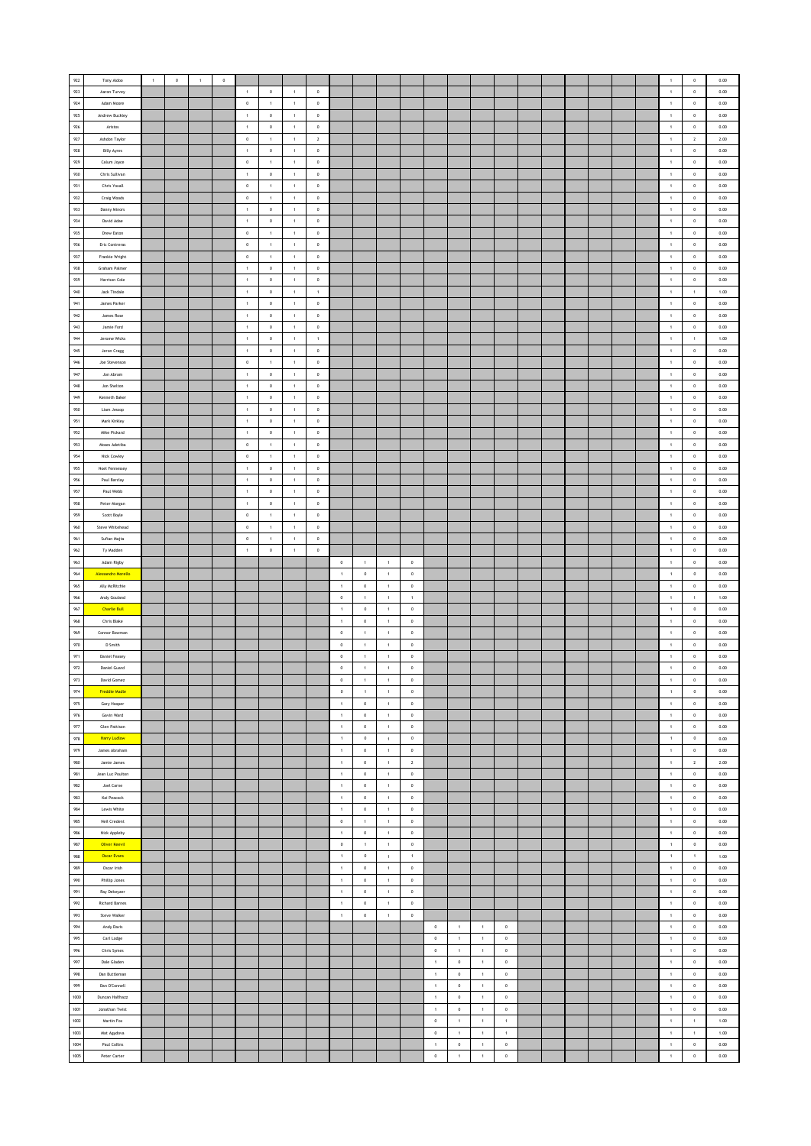| 922            | Tony Aidoo                   | $\,$ 1 $\,$ | $\mathbb O$ | $\,$ 1 $\,$ | $\mathbb O$ |                |                |                |                |                |                |                |                |                            |                            |                              |                            |  |  |  | $\mathbf{1}$                | $\mathbf 0$           | 0.00         |
|----------------|------------------------------|-------------|-------------|-------------|-------------|----------------|----------------|----------------|----------------|----------------|----------------|----------------|----------------|----------------------------|----------------------------|------------------------------|----------------------------|--|--|--|-----------------------------|-----------------------|--------------|
|                |                              |             |             |             |             |                |                |                |                |                |                |                |                |                            |                            |                              |                            |  |  |  |                             |                       |              |
| 923            | Aaron Turvey                 |             |             |             |             | $\,$ 1 $\,$    | $\,$ 0 $\,$    | $\,$ 1 $\,$    | $\mathbf 0$    |                |                |                |                |                            |                            |                              |                            |  |  |  | $\mathbf 1$                 | $\,$ 0                | $0.00\,$     |
| $\mathsf{924}$ | Adam Moore                   |             |             |             |             | $\,0\,$        | $\,$ 1 $\,$    | $\,$ 1 $\,$    | $\mathbf 0$    |                |                |                |                |                            |                            |                              |                            |  |  |  | $\,$ 1 $\,$                 | $\,$ 0                | 0.00         |
| 925            | Andrew Buckley               |             |             |             |             | $\mathbf{1}$   | $\circ$        | 1              | $\overline{0}$ |                |                |                |                |                            |                            |                              |                            |  |  |  | 1                           | $\circ$               | 0.00         |
| 926            | Aristos                      |             |             |             |             | $\overline{1}$ | $\circ$        | $\overline{1}$ | $\,$ 0 $\,$    |                |                |                |                |                            |                            |                              |                            |  |  |  | $\mathbf{1}$                | $\,$ 0 $\,$           | 0.00         |
| 927            | Ashdon Taylor                |             |             |             |             | $\,$ 0 $\,$    | $\mathbf{1}$   | $\overline{1}$ | $\,$ 2 $\,$    |                |                |                |                |                            |                            |                              |                            |  |  |  | $\mathbf{1}$                | $\overline{2}$        | 2.00         |
|                |                              |             |             |             |             |                |                |                |                |                |                |                |                |                            |                            |                              |                            |  |  |  |                             |                       |              |
| 928            | <b>Billy Ayres</b>           |             |             |             |             | $\,$ 1         | $\,$ 0 $\,$    | $\,$ 1 $\,$    | $\mathbf 0$    |                |                |                |                |                            |                            |                              |                            |  |  |  | $\,$ 1 $\,$                 | $\,$ 0 $\,$           | $0.00\,$     |
| 929            | Calum Joyce                  |             |             |             |             | $\,$ 0 $\,$    | $\,$ 1 $\,$    | $\,$ 1 $\,$    | $\,$ 0         |                |                |                |                |                            |                            |                              |                            |  |  |  | $\mathbf{1}$                | $\,0\,$               | 0.00         |
| 930            | Chris Sullivan               |             |             |             |             | $\overline{1}$ | $\circ$        | $\overline{1}$ | $\circ$        |                |                |                |                |                            |                            |                              |                            |  |  |  | $\mathbf{1}$                | $\circ$               | 0.00         |
| 931            | Chris Yoxall                 |             |             |             |             | $\,$ 0 $\,$    | $\,$ 1 $\,$    | $\,$ 1 $\,$    | $\,$ 0 $\,$    |                |                |                |                |                            |                            |                              |                            |  |  |  | $\,1\,$                     | $\,$ 0 $\,$           | 0.00         |
|                |                              |             |             |             |             |                |                |                |                |                |                |                |                |                            |                            |                              |                            |  |  |  |                             |                       |              |
| 932            | Craig Woods                  |             |             |             |             | $\,$ 0         | $\,$ 1 $\,$    | $\,$ 1 $\,$    | $\,$ 0 $\,$    |                |                |                |                |                            |                            |                              |                            |  |  |  | $\mathbf 1$                 | $\,$ 0                | $0.00\,$     |
| 933            | <b>Danny Minors</b>          |             |             |             |             | $\,$ 1         | $\,$ 0 $\,$    | $\,$ 1 $\,$    | $\,$ 0         |                |                |                |                |                            |                            |                              |                            |  |  |  | $\,$ 1 $\,$                 | $\,$ 0                | 0.00         |
| 934            | David Adae                   |             |             |             |             | $\overline{1}$ | $\,$ 0 $\,$    | 1              | $\circ$        |                |                |                |                |                            |                            |                              |                            |  |  |  | $\mathbf{1}$                | $\circ$               | 0.00         |
| 935            | Drew Eaton                   |             |             |             |             | $\,$ 0 $\,$    | $\mathbf{1}$   | $\overline{1}$ | $\,$ 0 $\,$    |                |                |                |                |                            |                            |                              |                            |  |  |  | 1                           | $\,$ 0 $\,$           | 0.00         |
|                |                              |             |             |             |             |                |                |                |                |                |                |                |                |                            |                            |                              |                            |  |  |  |                             |                       |              |
| 936            | Eric Contreras               |             |             |             |             | $\,$ 0 $\,$    | $\,$ 1 $\,$    | $\,$ 1 $\,$    | $\mathbf 0$    |                |                |                |                |                            |                            |                              |                            |  |  |  | $\,$ 1 $\,$                 | $\,$ 0 $\,$           | $0.00\,$     |
| 937            | Frankie Wright               |             |             |             |             | $\,0\,$        | $\,$ 1 $\,$    | $\,$ 1 $\,$    | $\,$ 0         |                |                |                |                |                            |                            |                              |                            |  |  |  | $\,1\,$                     | $\,0\,$               | 0.00         |
| 938            | Graham Palmer                |             |             |             |             | $\overline{1}$ | $\,$ 0         | $\overline{1}$ | $\,$ 0 $\,$    |                |                |                |                |                            |                            |                              |                            |  |  |  | $\mathbf{1}$                | $\circ$               | 0.00         |
| 939            | Harrison Cole                |             |             |             |             | $\,$ 1 $\,$    | $\,$ 0 $\,$    | $\,$ 1 $\,$    | $\,$ 0 $\,$    |                |                |                |                |                            |                            |                              |                            |  |  |  | $\,$ 1 $\,$                 | $\,$ 0 $\,$           | 0.00         |
|                |                              |             |             |             |             |                |                |                |                |                |                |                |                |                            |                            |                              |                            |  |  |  |                             |                       |              |
| 940            | Jack Tindale                 |             |             |             |             | $\,$ 1         | $\,$ 0 $\,$    | $\,$ 1 $\,$    | $\,$ 1 $\,$    |                |                |                |                |                            |                            |                              |                            |  |  |  | $\,$ 1 $\,$                 | $\,$ 1                | 1.00         |
| 941            | James Parker                 |             |             |             |             | $\,$ 1 $\,$    | $\,$ 0 $\,$    | $\mathbf{1}$   | $\,$ 0 $\,$    |                |                |                |                |                            |                            |                              |                            |  |  |  | $1\,$                       | $\,0\,$               | $0.00\,$     |
| 942            | James Rose                   |             |             |             |             | $\overline{1}$ | $^{\circ}$     | $\overline{1}$ | $\circ$        |                |                |                |                |                            |                            |                              |                            |  |  |  | $\mathbf{1}$                | $\circ$               | 0.00         |
| 943            | Jamie Ford                   |             |             |             |             | $\,$ 1 $\,$    | $\mathbf 0$    | $\overline{1}$ | $\,$ 0 $\,$    |                |                |                |                |                            |                            |                              |                            |  |  |  | $\,1\,$                     | $\mathbb O$           | 0.00         |
| 944            | Jerome Wicks                 |             |             |             |             | $\mathbf 1$    | $\,$ 0 $\,$    | $\,$ 1 $\,$    | $\,$ 1 $\,$    |                |                |                |                |                            |                            |                              |                            |  |  |  | $\,$ 1 $\,$                 | $\,$ 1                | 1.00         |
|                |                              |             |             |             |             |                |                |                |                |                |                |                |                |                            |                            |                              |                            |  |  |  |                             |                       |              |
| 945            | Jeron Cragg                  |             |             |             |             | $\,$ 1         | $\,$ 0 $\,$    | $\,$ 1 $\,$    | $\,$ 0         |                |                |                |                |                            |                            |                              |                            |  |  |  | $\,1\,$                     | $\,0\,$               | 0.00         |
| 946            | Joe Stevenson                |             |             |             |             | $\circ$        | $\overline{1}$ | 1              | $\overline{0}$ |                |                |                |                |                            |                            |                              |                            |  |  |  | $\mathbf{1}$                | $\,$ 0 $\,$           | 0.00         |
| 947            | Jon Abram                    |             |             |             |             | $\overline{1}$ | $\,$ 0         | $\mathbf{1}$   | $\,$ 0 $\,$    |                |                |                |                |                            |                            |                              |                            |  |  |  | $\mathbf{1}$                | $\,$ 0 $\,$           | 0.00         |
| 948            | Jon Shelton                  |             |             |             |             | $\,$ 1         | $\,$ 0 $\,$    | $\,$ 1 $\,$    | $\,$ 0 $\,$    |                |                |                |                |                            |                            |                              |                            |  |  |  | $\mathbf 1$                 | $\,$ 0                | $0.00\,$     |
|                |                              |             |             |             |             |                |                |                |                |                |                |                |                |                            |                            |                              |                            |  |  |  |                             |                       |              |
| 949            | Kenneth Baker                |             |             |             |             | $\,$ 1         | $\,$ 0 $\,$    | $\,$ 1 $\,$    | $\,$ 0         |                |                |                |                |                            |                            |                              |                            |  |  |  | $\,1\,$                     | $\,0\,$               | 0.00         |
| 950            | Liam Jessop                  |             |             |             |             | $\,$ 1 $\,$    | $\circ$        | $\sim$         | $\circ$        |                |                |                |                |                            |                            |                              |                            |  |  |  | 1                           | $\circ$               | 0.00         |
| 951            | Mark Kirkley                 |             |             |             |             | $\mathbf{1}$   | $\mathbf{0}$   | $\overline{1}$ | $\circ$        |                |                |                |                |                            |                            |                              |                            |  |  |  | $\mathbf{1}$                | $\circ$               | 0.00         |
| 952            | Mike Pickard                 |             |             |             |             | $\,$ 1 $\,$    | $\mathbf 0$    | 1              | $\,$ 0 $\,$    |                |                |                |                |                            |                            |                              |                            |  |  |  | $\,1\,$                     | $\,$ 0 $\,$           | 0.00         |
| 953            | Moses Adetiba                |             |             |             |             | $\mathbf 0$    |                | $\,$ 1 $\,$    | $\mathbf 0$    |                |                |                |                |                            |                            |                              |                            |  |  |  | $\mathbf{1}$                | $\,$ 0 $\,$           | $0.00\,$     |
|                |                              |             |             |             |             |                | $\,$ 1         |                |                |                |                |                |                |                            |                            |                              |                            |  |  |  |                             |                       |              |
| 954            | Nick Cowley                  |             |             |             |             | $\,$ 0         | $\,$ 1         | $\,$ 1 $\,$    | $\,$ 0         |                |                |                |                |                            |                            |                              |                            |  |  |  | $\,$ 1 $\,$                 | $\,0\,$               | 0.00         |
| 955            | Noel Fennessey               |             |             |             |             | $\overline{1}$ | $\circ$        | 1              | $\,$ 0 $\,$    |                |                |                |                |                            |                            |                              |                            |  |  |  | $\mathbf{1}$                | $\circ$               | 0.00         |
| 956            | Paul Barclay                 |             |             |             |             | $\overline{1}$ | $\,$ 0         | $\mathbf{1}$   | $\,$ 0 $\,$    |                |                |                |                |                            |                            |                              |                            |  |  |  | $\mathbf{1}$                | $\,$ 0 $\,$           | 0.00         |
| 957            | Paul Webb                    |             |             |             |             | $\,$ 1         | $\,$ 0 $\,$    | $\,$ 1 $\,$    | $\,$ 0 $\,$    |                |                |                |                |                            |                            |                              |                            |  |  |  | $\mathbf 1$                 | $\,$ 0                | $0.00\,$     |
|                |                              |             |             |             |             |                |                |                |                |                |                |                |                |                            |                            |                              |                            |  |  |  |                             |                       |              |
| 958            | Peter Morgan                 |             |             |             |             | $\,$ 1         | $\,$ 0 $\,$    | $\,$ 1 $\,$    | $\mathbf 0$    |                |                |                |                |                            |                            |                              |                            |  |  |  | $\,$ 1 $\,$                 | $\,0\,$               | 0.00         |
| 959            | Scott Boyle                  |             |             |             |             | $\mathbb O$    | 1              | $\sim$         | $\circ$        |                |                |                |                |                            |                            |                              |                            |  |  |  | 1                           | $\circ$               | 0.00         |
| 960            | Steve Whitehead              |             |             |             |             | $\,$ 0 $\,$    | $\mathbf{1}$   | $\mathbf{1}$   | $\,$ 0 $\,$    |                |                |                |                |                            |                            |                              |                            |  |  |  | $\mathbf{1}$                | $\,$ 0 $\,$           | 0.00         |
| 961            | Sufian Majta                 |             |             |             |             | $\mathbf 0$    | $\mathbf{1}$   | $\,$ 1 $\,$    | $\mathbf 0$    |                |                |                |                |                            |                            |                              |                            |  |  |  | $\,$ 1 $\,$                 | $\mathfrak o$         | $0.00\,$     |
| 962            | Ty Madden                    |             |             |             |             | $\,$ 1         | $\,$ 0 $\,$    | $\,$ 1 $\,$    | $\,$ 0         |                |                |                |                |                            |                            |                              |                            |  |  |  | $\,1\,$                     | $\,0\,$               | 0.00         |
|                |                              |             |             |             |             |                |                |                |                |                |                |                |                |                            |                            |                              |                            |  |  |  |                             |                       |              |
| 963            | Adam Rigby                   |             |             |             |             |                |                |                |                | $\circ$        | $\overline{1}$ | $\overline{1}$ | $\circ$        |                            |                            |                              |                            |  |  |  | $\mathbf{1}$                | $\circ$               | 0.00         |
| 964            | Alessandro Morello           |             |             |             |             |                |                |                |                | $\,$ 1 $\,$    | $\mathbb O$    | $\,1\,$        | $\,$ 0 $\,$    |                            |                            |                              |                            |  |  |  | $\,$ 1 $\,$                 | $\,$ 0                | 0.00         |
| 965            | Ally McRitchie               |             |             |             |             |                |                |                |                | $\overline{1}$ | $\mathbf 0$    | $\,$ 1 $\,$    | $\mathbb O$    |                            |                            |                              |                            |  |  |  | $\,$ 1 $\,$                 | $\,$ 0                | $0.00\,$     |
| 966            | Andy Gouland                 |             |             |             |             |                |                |                |                | $\,0\,$        | $\mathbf{1}$   | $\,$ 1 $\,$    | $\mathbf{1}$   |                            |                            |                              |                            |  |  |  | $\,1\,$                     | $\,$ 1 $\,$           | 1.00         |
| 967            | <b>Charlie Bull</b>          |             |             |             |             |                |                |                |                | $\overline{1}$ | $^{\circ}$     | $\mathbf{1}$   | $\circ$        |                            |                            |                              |                            |  |  |  | 1                           | $\,$ 0 $\,$           | 0.00         |
|                |                              |             |             |             |             |                |                |                |                |                |                |                |                |                            |                            |                              |                            |  |  |  |                             |                       |              |
| 968            | Chris Blake                  |             |             |             |             |                |                |                |                | $\overline{1}$ | $\mathbf 0$    | $\mathbf{1}$   | $\,0\,$        |                            |                            |                              |                            |  |  |  | 1                           | $\mathbb O$           | 0.00         |
| 969            | Connor Bowman                |             |             |             |             |                |                |                |                | $\,$ 0         | $\,$ 1 $\,$    | $\,$ 1 $\,$    | $\mathbb O$    |                            |                            |                              |                            |  |  |  | $\,$ 1 $\,$                 | $\,$ 0 $\,$           | $0.00\,$     |
| 970            | D Smith                      |             |             |             |             |                |                |                |                | $\,$ 0         | $\,$ 1 $\,$    | $\,$ 1         | $\,0\,$        |                            |                            |                              |                            |  |  |  | $\,$ 1 $\,$                 | $\,0\,$               | 0.00         |
| 971            | <b>Daniel Feasey</b>         |             |             |             |             |                |                |                |                | $\circ$        | $\overline{1}$ | $\overline{1}$ | $\circ$        |                            |                            |                              |                            |  |  |  | $\mathbf{1}$                | $\circ$               | 0.00         |
| 972            | Daniel Guard                 |             |             |             |             |                |                |                |                | $\,$ 0 $\,$    | $\,$ 1 $\,$    | $\,$ 1 $\,$    | $\mathbb O$    |                            |                            |                              |                            |  |  |  | $\,$ 1 $\,$                 | $\mathbf 0$           | 0.00         |
|                |                              |             |             |             |             |                |                |                |                |                |                |                |                |                            |                            |                              |                            |  |  |  |                             |                       |              |
| 973            | David Gomez                  |             |             |             |             |                |                |                |                | $\bf{0}$       | $\mathbf{1}$   | $\mathbf{1}$   | $\mathbb O$    |                            |                            |                              |                            |  |  |  | $\mathbf{1}$                | $\,$ 0 $\,$           | 0.00         |
| $974\,$        | <b>Freddie Madle</b>         |             |             |             |             |                |                |                |                | $\,$ 0 $\,$    | $\,$ 1 $\,$    | $\mathbf{1}$   | $\,0\,$        |                            |                            |                              |                            |  |  |  | $1\,$                       | $\,$ 0 $\,$           | $0.00\,$     |
| 975            | Gary Hooper                  |             |             |             |             |                |                |                |                | $\,$ 1 $\,$    | $\circ$        | 1              | $\circ$        |                            |                            |                              |                            |  |  |  | $\mathbf 1$                 | $\,$ 0 $\,$           | 0.00         |
| 976            | Gavin Ward                   |             |             |             |             |                |                |                |                | $\overline{1}$ | $^{\circ}$     | 1              | $\circ$        |                            |                            |                              |                            |  |  |  | 1                           | $\,$ 0 $\,$           | 0.00         |
| 977            |                              |             |             |             |             |                |                |                |                |                |                |                |                |                            |                            |                              |                            |  |  |  |                             |                       |              |
|                | Glen Pattison                |             |             |             |             |                |                |                |                | $\overline{1}$ | $\mathbf 0$    | $\overline{1}$ | $\,0\,$        |                            |                            |                              |                            |  |  |  | 1                           | $\mathbb O$           | 0.00         |
| 978            | <b>Harry Ludlow</b>          |             |             |             |             |                |                |                |                | $\,$ 1 $\,$    | $\bf 0$        | $\,$ 1 $\,$    | $\mathbf 0$    |                            |                            |                              |                            |  |  |  | $\,$ 1 $\,$                 | $\,$ 0                | $0.00\,$     |
| 979            | James Abraham                |             |             |             |             |                |                |                |                | $\,$ 1         | $\,$ 0         | $\,$ 1         | $\,0\,$        |                            |                            |                              |                            |  |  |  | $\,$ 1 $\,$                 | $\,0\,$               | 0.00         |
| 980            | Jamie James                  |             |             |             |             |                |                |                |                | $\overline{1}$ | $\,$ 0 $\,$    | $\,$ 1 $\,$    | $\overline{2}$ |                            |                            |                              |                            |  |  |  | $\mathbf{1}$                | $\overline{2}$        | 2.00         |
| 981            | Jean Luc Poulton             |             |             |             |             |                |                |                |                | $\,$ 1 $\,$    | $\,$ 0 $\,$    | $\,$ 1 $\,$    | $\,0\,$        |                            |                            |                              |                            |  |  |  | $\,$ 1 $\,$                 | $\,$ 0 $\,$           | 0.00         |
|                |                              |             |             |             |             |                |                |                |                |                |                |                |                |                            |                            |                              |                            |  |  |  |                             |                       |              |
| 982            | Joel Carne                   |             |             |             |             |                |                |                |                | $\,$ 1         | $\,$ 0 $\,$    | $\,$ 1 $\,$    | $\mathbb O$    |                            |                            |                              |                            |  |  |  | $\mathbf 1$                 | $\,$ 0                | $0.00\,$     |
| 983            | Kai Peacock                  |             |             |             |             |                |                |                |                | $\,$ 1 $\,$    | $\,$ 0 $\,$    | $\mathbf{1}$   | $\circ$        |                            |                            |                              |                            |  |  |  | $\,1\,$                     | $\,0\,$               | $0.00\,$     |
| 984            | Lewis White                  |             |             |             |             |                |                |                |                | $\overline{1}$ | $\circ$        | 1              | $\circ$        |                            |                            |                              |                            |  |  |  | $\mathbf{1}$                | $\circ$               | 0.00         |
| 985            | Neil Credent                 |             |             |             |             |                |                |                |                | $\mathfrak o$  | $\,$ 1 $\,$    | $\mathbf{1}$   | $\mathbb O$    |                            |                            |                              |                            |  |  |  | $\mathbf{1}$                | $\mathbf 0$           | 0.00         |
| 986            | Nick Appleby                 |             |             |             |             |                |                |                |                | $\,$ 1 $\,$    | $\mathbf 0$    | $\,$ 1 $\,$    | $\mathbb O$    |                            |                            |                              |                            |  |  |  | $\,$ 1 $\,$                 | $\mathbf 0$           | $0.00\,$     |
|                |                              |             |             |             |             |                |                |                |                |                |                |                |                |                            |                            |                              |                            |  |  |  |                             |                       |              |
| 987            | <b>Oliver Keevil</b>         |             |             |             |             |                |                |                |                | $\,0\,$        | $\,$ 1 $\,$    | $\,$ 1 $\,$    | $\,$ 0 $\,$    |                            |                            |                              |                            |  |  |  | $\,$ 1 $\,$                 | $\,$ 0 $\,$           | $0.00\,$     |
| 988            | Oscar Evans                  |             |             |             |             |                |                |                |                | $\overline{1}$ | $\mathbb O$    | $\mathbf{1}$   | $\mathbf{1}$   |                            |                            |                              |                            |  |  |  | $\mathbf 1$                 | $\overline{1}$        | 1.00         |
| 989            | Oscar Irish                  |             |             |             |             |                |                |                |                | $\overline{1}$ | $\,$ 0 $\,$    | $\mathbf{1}$   | $\circ$        |                            |                            |                              |                            |  |  |  | $\,1\,$                     | $\,$ 0 $\,$           | 0.00         |
| 990            | Phillip Jones                |             |             |             |             |                |                |                |                | $\,$ 1         | $\mathbf 0$    | $\,$ 1 $\,$    | $\mathbb O$    |                            |                            |                              |                            |  |  |  | $\,$ 1 $\,$                 | $\,$ 0                | $0.00\,$     |
|                |                              |             |             |             |             |                |                |                |                |                |                |                |                |                            |                            |                              |                            |  |  |  |                             |                       |              |
| 991            | Ray Dekeyzer                 |             |             |             |             |                |                |                |                | $\overline{1}$ | $\,$ 0 $\,$    | $\,$ 1 $\,$    | $\mathbb O$    |                            |                            |                              |                            |  |  |  | $1\,$                       | $\,$ 0                | 0.00         |
| 992            | <b>Richard Barnes</b>        |             |             |             |             |                |                |                |                | $\overline{1}$ | $\circ$        | $\mathbf{1}$   | $\circ$        |                            |                            |                              |                            |  |  |  | 1                           | $\,$ 0 $\,$           | 0.00         |
| 993            | Steve Walker                 |             |             |             |             |                |                |                |                | $\,$ 1 $\,$    | $\,$ 0 $\,$    | $\,$ 1 $\,$    | $\mathbb O$    |                            |                            |                              |                            |  |  |  | $\,1\,$                     | $\,$ 0 $\,$           | 0.00         |
| 994            | Andy Davis                   |             |             |             |             |                |                |                |                |                |                |                |                | $\mathbb O$                | $\,$ 1 $\,$                | $\,$ 1 $\,$                  | $\,$ 0                     |  |  |  | $\,$ 1 $\,$                 | $\,$ 0                | $0.00\,$     |
| 995            |                              |             |             |             |             |                |                |                |                |                |                |                |                | $\mathbb O$                | $\,$ 1 $\,$                | $\overline{1}$               | $\,0\,$                    |  |  |  | $\,$ 1 $\,$                 | $\,$ 0                | $0.00\,$     |
|                | Carl Lodge                   |             |             |             |             |                |                |                |                |                |                |                |                |                            |                            |                              |                            |  |  |  |                             |                       |              |
| 996            | Chris Symes                  |             |             |             |             |                |                |                |                |                |                |                |                | $\circ$                    | $\overline{1}$             | $\mathbf{1}$                 | $\circ$                    |  |  |  | $\mathbf{1}$                | $\circ$               | 0.00         |
| 997            | Dale Gladen                  |             |             |             |             |                |                |                |                |                |                |                |                | $\,1\,$                    | $\,$ 0 $\,$                | $\,$ 1 $\,$                  | $\,$ 0 $\,$                |  |  |  | $\,$ 1 $\,$                 | $\mathbb O$           | 0.00         |
| 998            | Dan Buttleman                |             |             |             |             |                |                |                |                |                |                |                |                | $\,1\,$                    | $\,$ 0 $\,$                | $\,$ 1 $\,$                  | $\,$ 0 $\,$                |  |  |  | $\mathbf{1}$                | $\,$ 0 $\,$           | 0.00         |
| 999            | Dan O'Connell                |             |             |             |             |                |                |                |                |                |                |                |                | $\,$ 1 $\,$                | $\,$ 0 $\,$                | $\,$ 1 $\,$                  | $\,$ 0                     |  |  |  | $\,$ 1 $\,$                 | $\,$ 0                | $0.00\,$     |
|                |                              |             |             |             |             |                |                |                |                |                |                |                |                |                            |                            |                              |                            |  |  |  |                             |                       |              |
| 1000           | Duncan Halfhazz              |             |             |             |             |                |                |                |                |                |                |                |                | $\,$ 1 $\,$                | $\,$ 0                     | 1                            | $\,$ 0 $\,$                |  |  |  | $1\,$                       | $\,$ 0                | 0.00         |
|                | Jonathan Twist               |             |             |             |             |                |                |                |                |                |                |                |                | $\mathbf{1}$               | $\circ$                    | $\mathbf{1}$                 | $\circ$                    |  |  |  | 1                           | $\,$ 0 $\,$           | 0.00         |
| 1001           |                              |             |             |             |             |                |                |                |                |                |                |                |                | $\mathbb O$                | $\mathbf{1}$               | $\,$ 1 $\,$                  | $\mathbf{1}$               |  |  |  |                             |                       | 1.00         |
| 1002           | Martin Fox                   |             |             |             |             |                |                |                |                |                |                |                |                |                            |                            |                              |                            |  |  |  | $\mathbf{1}$                | $\overline{1}$        |              |
|                |                              |             |             |             |             |                |                |                |                |                |                |                |                |                            | $\,$ 1                     |                              |                            |  |  |  |                             | $\,$ 1                |              |
| 1003           | Mat Agydova                  |             |             |             |             |                |                |                |                |                |                |                |                | $\mathbb O$                |                            | $\,$ 1 $\,$                  | $\,$ 1 $\,$                |  |  |  | $\,$ 1 $\,$                 |                       | 1.00         |
| 1004<br>1005   | Paul Collins<br>Peter Carter |             |             |             |             |                |                |                |                |                |                |                |                | $\,$ 1 $\,$<br>$\mathbb O$ | $\,$ 0 $\,$<br>$\,$ 1 $\,$ | $\mathbf{1}$<br>$\mathbf{1}$ | $\,$ 0 $\,$<br>$\mathbf 0$ |  |  |  | $\mathbf{1}$<br>$\mathbf 1$ | $\,$ 0<br>$\mathbf 0$ | 0.00<br>0.00 |